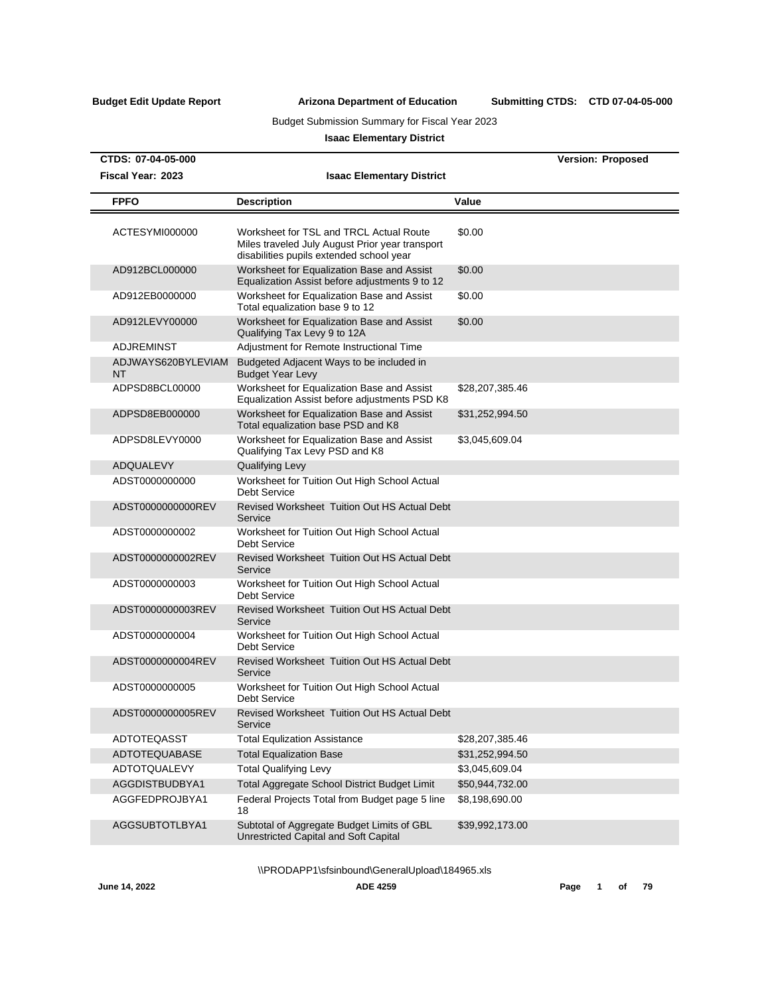Submitting CTDS: CTD 07-04-05-000

## Budget Submission Summary for Fiscal Year 2023

## **Isaac Elementary District**

| CTDS: 07-04-05-000       |                                                                                                                                        |                 | <b>Version: Proposed</b> |
|--------------------------|----------------------------------------------------------------------------------------------------------------------------------------|-----------------|--------------------------|
| Fiscal Year: 2023        | <b>Isaac Elementary District</b>                                                                                                       |                 |                          |
| <b>FPFO</b>              | <b>Description</b>                                                                                                                     | Value           |                          |
| ACTESYMI000000           | Worksheet for TSL and TRCL Actual Route<br>Miles traveled July August Prior year transport<br>disabilities pupils extended school year | \$0.00          |                          |
| AD912BCL000000           | Worksheet for Equalization Base and Assist<br>Equalization Assist before adjustments 9 to 12                                           | \$0.00          |                          |
| AD912EB0000000           | Worksheet for Equalization Base and Assist<br>Total equalization base 9 to 12                                                          | \$0.00          |                          |
| AD912LEVY00000           | Worksheet for Equalization Base and Assist<br>Qualifying Tax Levy 9 to 12A                                                             | \$0.00          |                          |
| <b>ADJREMINST</b>        | Adjustment for Remote Instructional Time                                                                                               |                 |                          |
| ADJWAYS620BYLEVIAM<br>NT | Budgeted Adjacent Ways to be included in<br><b>Budget Year Levy</b>                                                                    |                 |                          |
| ADPSD8BCL00000           | Worksheet for Equalization Base and Assist<br>Equalization Assist before adjustments PSD K8                                            | \$28,207,385.46 |                          |
| ADPSD8EB000000           | Worksheet for Equalization Base and Assist<br>Total equalization base PSD and K8                                                       | \$31,252,994.50 |                          |
| ADPSD8LEVY0000           | Worksheet for Equalization Base and Assist<br>Qualifying Tax Levy PSD and K8                                                           | \$3,045,609.04  |                          |
| ADQUALEVY                | <b>Qualifying Levy</b>                                                                                                                 |                 |                          |
| ADST0000000000           | Worksheet for Tuition Out High School Actual<br><b>Debt Service</b>                                                                    |                 |                          |
| ADST0000000000REV        | Revised Worksheet Tuition Out HS Actual Debt<br>Service                                                                                |                 |                          |
| ADST0000000002           | Worksheet for Tuition Out High School Actual<br><b>Debt Service</b>                                                                    |                 |                          |
| ADST0000000002REV        | Revised Worksheet Tuition Out HS Actual Debt<br>Service                                                                                |                 |                          |
| ADST0000000003           | Worksheet for Tuition Out High School Actual<br>Debt Service                                                                           |                 |                          |
| ADST0000000003REV        | <b>Revised Worksheet Tuition Out HS Actual Debt</b><br>Service                                                                         |                 |                          |
| ADST0000000004           | Worksheet for Tuition Out High School Actual<br><b>Debt Service</b>                                                                    |                 |                          |
| ADST0000000004REV        | Revised Worksheet Tuition Out HS Actual Debt<br>Service                                                                                |                 |                          |
| ADST0000000005           | Worksheet for Tuition Out High School Actual<br>Debt Service                                                                           |                 |                          |
| ADST0000000005REV        | Revised Worksheet Tuition Out HS Actual Debt<br>Service                                                                                |                 |                          |
| ADTOTEQASST              | <b>Total Equlization Assistance</b>                                                                                                    | \$28,207,385.46 |                          |
| ADTOTEQUABASE            | <b>Total Equalization Base</b>                                                                                                         | \$31,252,994.50 |                          |
| <b>ADTOTQUALEVY</b>      | <b>Total Qualifying Levy</b>                                                                                                           | \$3,045,609.04  |                          |
| AGGDISTBUDBYA1           | Total Aggregate School District Budget Limit                                                                                           | \$50,944,732.00 |                          |
| AGGFEDPROJBYA1           | Federal Projects Total from Budget page 5 line<br>18                                                                                   | \$8,198,690.00  |                          |
| AGGSUBTOTLBYA1           | Subtotal of Aggregate Budget Limits of GBL<br>Unrestricted Capital and Soft Capital                                                    | \$39,992,173.00 |                          |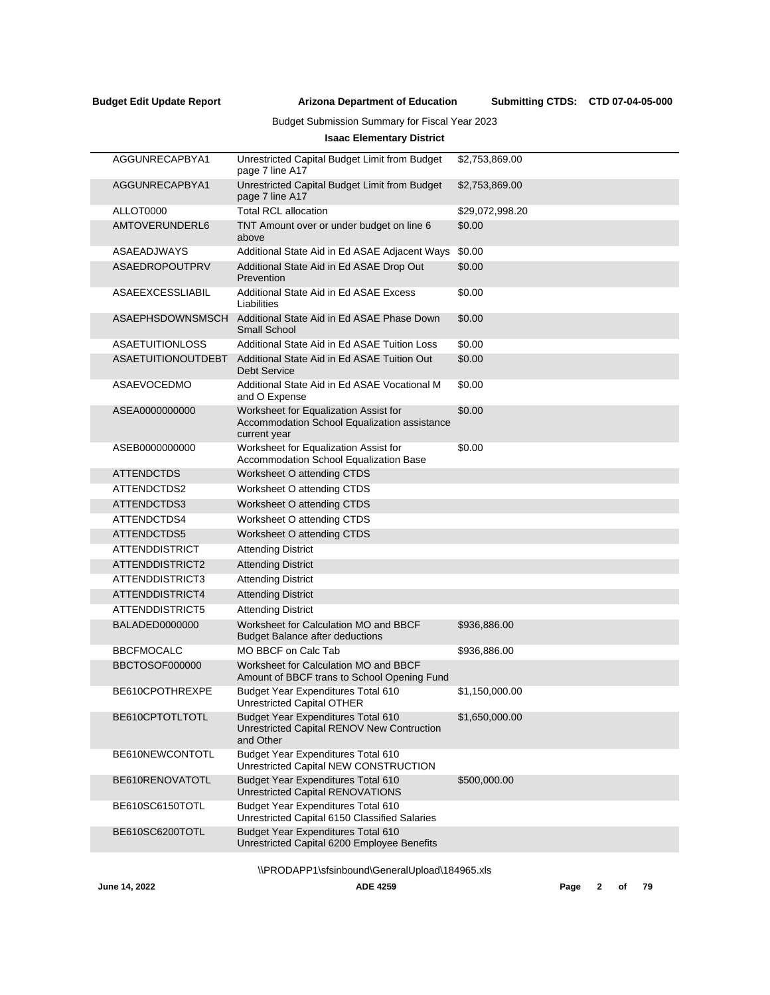Submitting CTDS: CTD 07-04-05-000

## Budget Submission Summary for Fiscal Year 2023

## **Isaac Elementary District**

| AGGUNRECAPBYA1            | Unrestricted Capital Budget Limit from Budget<br>page 7 line A17                                      | \$2,753,869.00  |
|---------------------------|-------------------------------------------------------------------------------------------------------|-----------------|
| AGGUNRECAPBYA1            | Unrestricted Capital Budget Limit from Budget<br>page 7 line A17                                      | \$2,753,869.00  |
| ALLOT0000                 | <b>Total RCL allocation</b>                                                                           | \$29,072,998.20 |
| AMTOVERUNDERL6            | TNT Amount over or under budget on line 6<br>above                                                    | \$0.00          |
| ASAEADJWAYS               | Additional State Aid in Ed ASAE Adjacent Ways                                                         | \$0.00          |
| <b>ASAEDROPOUTPRV</b>     | Additional State Aid in Ed ASAE Drop Out<br>Prevention                                                | \$0.00          |
| ASAEEXCESSLIABIL          | Additional State Aid in Ed ASAE Excess<br>Liabilities                                                 | \$0.00          |
| ASAEPHSDOWNSMSCH          | Additional State Aid in Ed ASAE Phase Down<br>Small School                                            | \$0.00          |
| <b>ASAETUITIONLOSS</b>    | Additional State Aid in Ed ASAE Tuition Loss                                                          | \$0.00          |
| <b>ASAETUITIONOUTDEBT</b> | Additional State Aid in Ed ASAE Tuition Out<br><b>Debt Service</b>                                    | \$0.00          |
| ASAEVOCEDMO               | Additional State Aid in Ed ASAE Vocational M<br>and O Expense                                         | \$0.00          |
| ASEA0000000000            | Worksheet for Equalization Assist for<br>Accommodation School Equalization assistance<br>current year | \$0.00          |
| ASEB0000000000            | Worksheet for Equalization Assist for<br>Accommodation School Equalization Base                       | \$0.00          |
| <b>ATTENDCTDS</b>         | Worksheet O attending CTDS                                                                            |                 |
| ATTENDCTDS2               | Worksheet O attending CTDS                                                                            |                 |
| ATTENDCTDS3               | Worksheet O attending CTDS                                                                            |                 |
| ATTENDCTDS4               | Worksheet O attending CTDS                                                                            |                 |
| ATTENDCTDS5               | Worksheet O attending CTDS                                                                            |                 |
| <b>ATTENDDISTRICT</b>     | <b>Attending District</b>                                                                             |                 |
| ATTENDDISTRICT2           | <b>Attending District</b>                                                                             |                 |
| ATTENDDISTRICT3           | <b>Attending District</b>                                                                             |                 |
| ATTENDDISTRICT4           | <b>Attending District</b>                                                                             |                 |
| ATTENDDISTRICT5           | <b>Attending District</b>                                                                             |                 |
| BALADED0000000            | Worksheet for Calculation MO and BBCF<br><b>Budget Balance after deductions</b>                       | \$936,886.00    |
| <b>BBCFMOCALC</b>         | MO BBCF on Calc Tab                                                                                   | \$936,886.00    |
| BBCTOSOF000000            | Worksheet for Calculation MO and BBCF<br>Amount of BBCF trans to School Opening Fund                  |                 |
| BE610CPOTHREXPE           | Budget Year Expenditures Total 610<br>Unrestricted Capital OTHER                                      | \$1,150,000.00  |
| BE610CPTOTLTOTL           | Budget Year Expenditures Total 610<br>Unrestricted Capital RENOV New Contruction<br>and Other         | \$1,650,000.00  |
| BE610NEWCONTOTL           | Budget Year Expenditures Total 610<br>Unrestricted Capital NEW CONSTRUCTION                           |                 |
| BE610RENOVATOTL           | Budget Year Expenditures Total 610<br><b>Unrestricted Capital RENOVATIONS</b>                         | \$500,000.00    |
| BE610SC6150TOTL           | Budget Year Expenditures Total 610<br>Unrestricted Capital 6150 Classified Salaries                   |                 |
| BE610SC6200TOTL           | Budget Year Expenditures Total 610<br>Unrestricted Capital 6200 Employee Benefits                     |                 |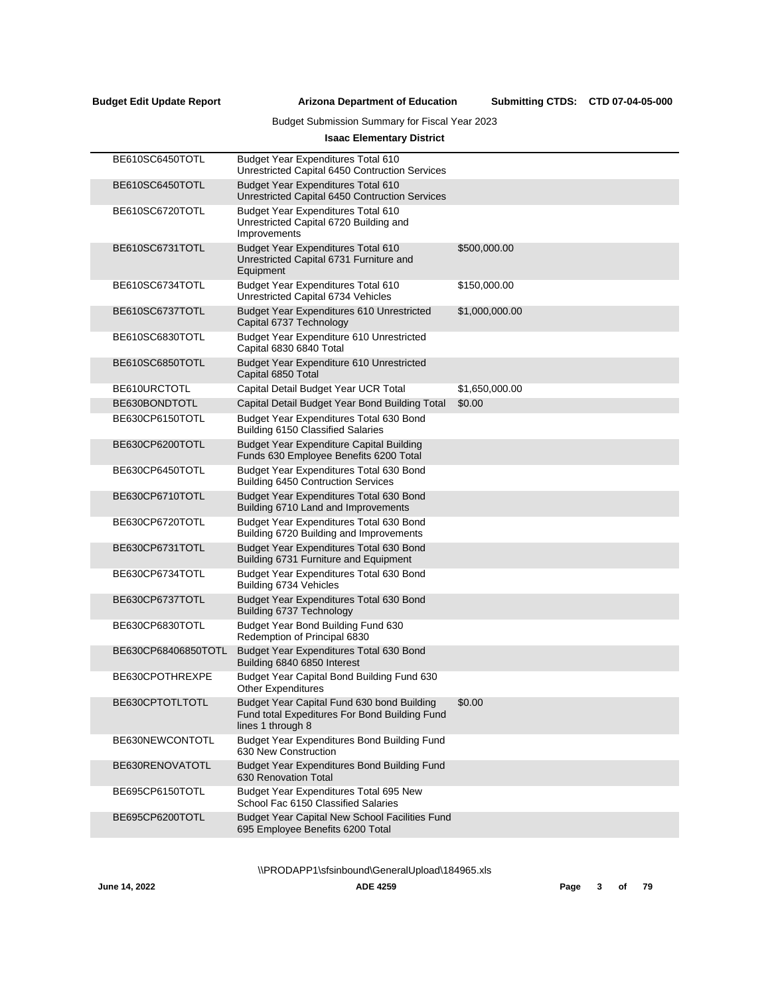$\overline{a}$ 

**Arizona Department of Education Budget Edit Update Report Submitting CTDS:**

## Budget Submission Summary for Fiscal Year 2023

## **Isaac Elementary District**

| BE610SC6450TOTL     | Budget Year Expenditures Total 610<br>Unrestricted Capital 6450 Contruction Services                             |                |
|---------------------|------------------------------------------------------------------------------------------------------------------|----------------|
| BE610SC6450TOTL     | Budget Year Expenditures Total 610<br>Unrestricted Capital 6450 Contruction Services                             |                |
| BE610SC6720TOTL     | <b>Budget Year Expenditures Total 610</b><br>Unrestricted Capital 6720 Building and<br>Improvements              |                |
| BE610SC6731TOTL     | <b>Budget Year Expenditures Total 610</b><br>Unrestricted Capital 6731 Furniture and<br>Equipment                | \$500,000.00   |
| BE610SC6734TOTL     | <b>Budget Year Expenditures Total 610</b><br>Unrestricted Capital 6734 Vehicles                                  | \$150,000.00   |
| BE610SC6737TOTL     | Budget Year Expenditures 610 Unrestricted<br>Capital 6737 Technology                                             | \$1,000,000.00 |
| BE610SC6830TOTL     | Budget Year Expenditure 610 Unrestricted<br>Capital 6830 6840 Total                                              |                |
| BE610SC6850TOTL     | Budget Year Expenditure 610 Unrestricted<br>Capital 6850 Total                                                   |                |
| BE610URCTOTL        | Capital Detail Budget Year UCR Total                                                                             | \$1,650,000.00 |
| BE630BONDTOTL       | Capital Detail Budget Year Bond Building Total                                                                   | \$0.00         |
| BE630CP6150TOTL     | Budget Year Expenditures Total 630 Bond<br>Building 6150 Classified Salaries                                     |                |
| BE630CP6200TOTL     | <b>Budget Year Expenditure Capital Building</b><br>Funds 630 Employee Benefits 6200 Total                        |                |
| BE630CP6450TOTL     | Budget Year Expenditures Total 630 Bond<br><b>Building 6450 Contruction Services</b>                             |                |
| BE630CP6710TOTL     | Budget Year Expenditures Total 630 Bond<br>Building 6710 Land and Improvements                                   |                |
| BE630CP6720TOTL     | Budget Year Expenditures Total 630 Bond<br>Building 6720 Building and Improvements                               |                |
| BE630CP6731TOTL     | Budget Year Expenditures Total 630 Bond<br>Building 6731 Furniture and Equipment                                 |                |
| BE630CP6734TOTL     | Budget Year Expenditures Total 630 Bond<br>Building 6734 Vehicles                                                |                |
| BE630CP6737TOTL     | Budget Year Expenditures Total 630 Bond<br>Building 6737 Technology                                              |                |
| BE630CP6830TOTL     | Budget Year Bond Building Fund 630<br>Redemption of Principal 6830                                               |                |
| BE630CP68406850TOTL | Budget Year Expenditures Total 630 Bond<br>Building 6840 6850 Interest                                           |                |
| BE630CPOTHREXPE     | Budget Year Capital Bond Building Fund 630<br><b>Other Expenditures</b>                                          |                |
| BE630CPTOTLTOTL     | Budget Year Capital Fund 630 bond Building<br>Fund total Expeditures For Bond Building Fund<br>lines 1 through 8 | \$0.00         |
| BE630NEWCONTOTL     | Budget Year Expenditures Bond Building Fund<br>630 New Construction                                              |                |
| BE630RENOVATOTL     | Budget Year Expenditures Bond Building Fund<br>630 Renovation Total                                              |                |
| BE695CP6150TOTL     | Budget Year Expenditures Total 695 New<br>School Fac 6150 Classified Salaries                                    |                |
| BE695CP6200TOTL     | <b>Budget Year Capital New School Facilities Fund</b><br>695 Employee Benefits 6200 Total                        |                |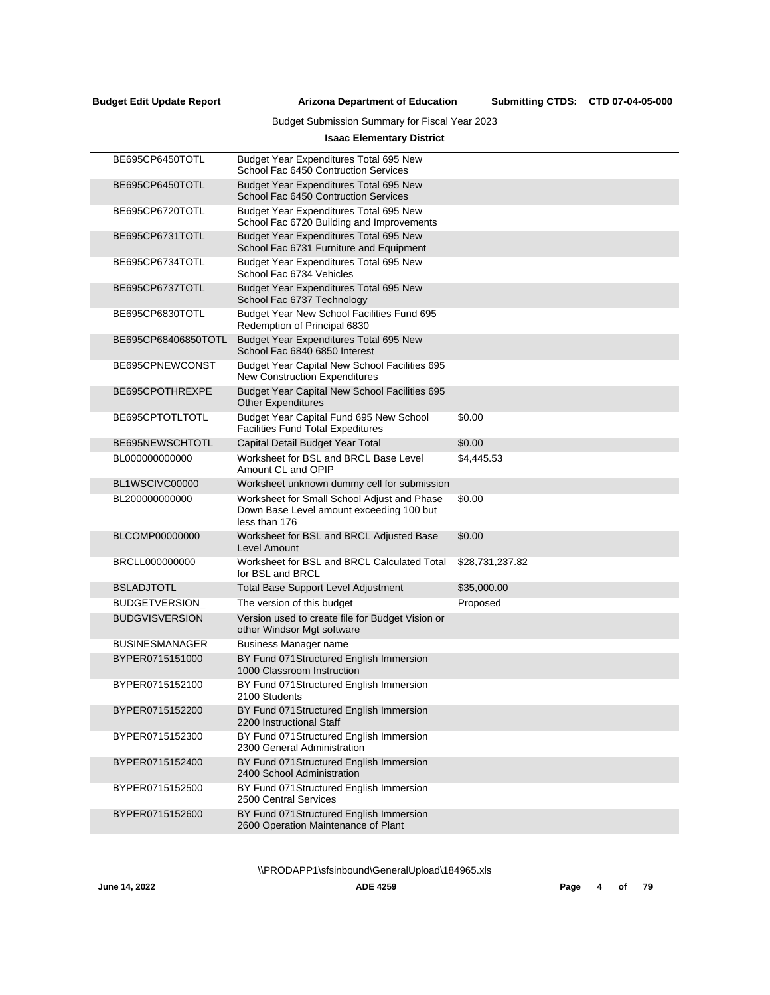Submitting CTDS: CTD 07-04-05-000

## Budget Submission Summary for Fiscal Year 2023

## **Isaac Elementary District**

| BE695CP6450TOTL       | Budget Year Expenditures Total 695 New<br>School Fac 6450 Contruction Services                           |                 |
|-----------------------|----------------------------------------------------------------------------------------------------------|-----------------|
| BE695CP6450TOTL       | Budget Year Expenditures Total 695 New<br>School Fac 6450 Contruction Services                           |                 |
| BE695CP6720TOTL       | Budget Year Expenditures Total 695 New<br>School Fac 6720 Building and Improvements                      |                 |
| BE695CP6731TOTL       | Budget Year Expenditures Total 695 New<br>School Fac 6731 Furniture and Equipment                        |                 |
| BE695CP6734TOTL       | Budget Year Expenditures Total 695 New<br>School Fac 6734 Vehicles                                       |                 |
| BE695CP6737TOTL       | Budget Year Expenditures Total 695 New<br>School Fac 6737 Technology                                     |                 |
| BE695CP6830TOTL       | Budget Year New School Facilities Fund 695<br>Redemption of Principal 6830                               |                 |
| BE695CP68406850TOTL   | Budget Year Expenditures Total 695 New<br>School Fac 6840 6850 Interest                                  |                 |
| BE695CPNEWCONST       | Budget Year Capital New School Facilities 695<br>New Construction Expenditures                           |                 |
| BE695CPOTHREXPE       | Budget Year Capital New School Facilities 695<br><b>Other Expenditures</b>                               |                 |
| BE695CPTOTLTOTL       | Budget Year Capital Fund 695 New School<br><b>Facilities Fund Total Expeditures</b>                      | \$0.00          |
| BE695NEWSCHTOTL       | Capital Detail Budget Year Total                                                                         | \$0.00          |
| BL000000000000        | Worksheet for BSL and BRCL Base Level<br>Amount CL and OPIP                                              | \$4,445.53      |
| BL1WSCIVC00000        | Worksheet unknown dummy cell for submission                                                              |                 |
| BL200000000000        | Worksheet for Small School Adjust and Phase<br>Down Base Level amount exceeding 100 but<br>less than 176 | \$0.00          |
| BLCOMP00000000        | Worksheet for BSL and BRCL Adjusted Base<br>Level Amount                                                 | \$0.00          |
| BRCLL000000000        | Worksheet for BSL and BRCL Calculated Total<br>for BSL and BRCL                                          | \$28,731,237.82 |
| <b>BSLADJTOTL</b>     | Total Base Support Level Adjustment                                                                      | \$35,000.00     |
| <b>BUDGETVERSION</b>  | The version of this budget                                                                               | Proposed        |
| <b>BUDGVISVERSION</b> | Version used to create file for Budget Vision or<br>other Windsor Mgt software                           |                 |
| <b>BUSINESMANAGER</b> | <b>Business Manager name</b>                                                                             |                 |
| BYPER0715151000       | BY Fund 071 Structured English Immersion<br>1000 Classroom Instruction                                   |                 |
| BYPER0715152100       | BY Fund 071Structured English Immersion<br>2100 Students                                                 |                 |
| BYPER0715152200       | BY Fund 071Structured English Immersion<br>2200 Instructional Staff                                      |                 |
| BYPER0715152300       | BY Fund 071 Structured English Immersion<br>2300 General Administration                                  |                 |
| BYPER0715152400       | BY Fund 071 Structured English Immersion<br>2400 School Administration                                   |                 |
| BYPER0715152500       | BY Fund 071Structured English Immersion<br>2500 Central Services                                         |                 |
| BYPER0715152600       | BY Fund 071 Structured English Immersion<br>2600 Operation Maintenance of Plant                          |                 |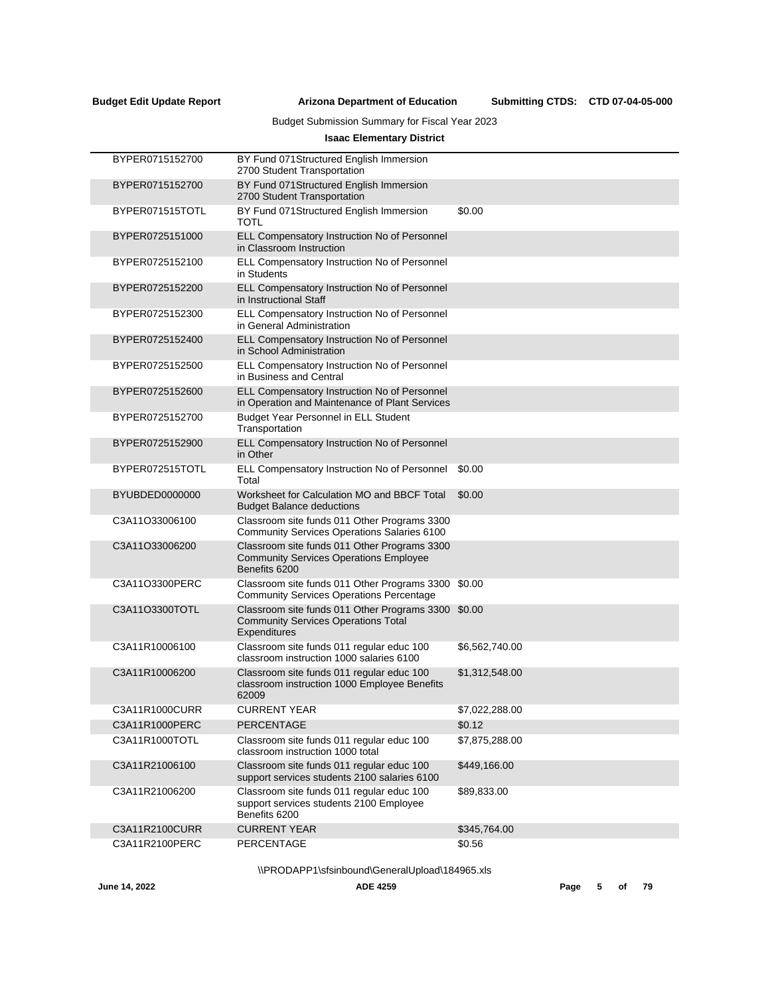Submitting CTDS: CTD 07-04-05-000

## Budget Submission Summary for Fiscal Year 2023

## **Isaac Elementary District**

| BYPER0715152700 | BY Fund 071 Structured English Immersion<br>2700 Student Transportation                                        |                |
|-----------------|----------------------------------------------------------------------------------------------------------------|----------------|
| BYPER0715152700 | BY Fund 071 Structured English Immersion<br>2700 Student Transportation                                        |                |
| BYPER071515TOTL | BY Fund 071 Structured English Immersion<br>TOTL                                                               | \$0.00         |
| BYPER0725151000 | ELL Compensatory Instruction No of Personnel<br>in Classroom Instruction                                       |                |
| BYPER0725152100 | ELL Compensatory Instruction No of Personnel<br>in Students                                                    |                |
| BYPER0725152200 | ELL Compensatory Instruction No of Personnel<br>in Instructional Staff                                         |                |
| BYPER0725152300 | ELL Compensatory Instruction No of Personnel<br>in General Administration                                      |                |
| BYPER0725152400 | ELL Compensatory Instruction No of Personnel<br>in School Administration                                       |                |
| BYPER0725152500 | ELL Compensatory Instruction No of Personnel<br>in Business and Central                                        |                |
| BYPER0725152600 | ELL Compensatory Instruction No of Personnel<br>in Operation and Maintenance of Plant Services                 |                |
| BYPER0725152700 | Budget Year Personnel in ELL Student<br>Transportation                                                         |                |
| BYPER0725152900 | ELL Compensatory Instruction No of Personnel<br>in Other                                                       |                |
| BYPER072515TOTL | ELL Compensatory Instruction No of Personnel<br>Total                                                          | \$0.00         |
| BYUBDED0000000  | Worksheet for Calculation MO and BBCF Total<br><b>Budget Balance deductions</b>                                | \$0.00         |
| C3A11O33006100  | Classroom site funds 011 Other Programs 3300<br><b>Community Services Operations Salaries 6100</b>             |                |
| C3A11O33006200  | Classroom site funds 011 Other Programs 3300<br><b>Community Services Operations Employee</b><br>Benefits 6200 |                |
| C3A11O3300PERC  | Classroom site funds 011 Other Programs 3300<br><b>Community Services Operations Percentage</b>                | \$0.00         |
| C3A11O3300TOTL  | Classroom site funds 011 Other Programs 3300<br><b>Community Services Operations Total</b><br>Expenditures     | \$0.00         |
| C3A11R10006100  | Classroom site funds 011 regular educ 100<br>classroom instruction 1000 salaries 6100                          | \$6,562,740.00 |
| C3A11R10006200  | Classroom site funds 011 regular educ 100<br>classroom instruction 1000 Employee Benefits<br>62009             | \$1,312,548.00 |
| C3A11R1000CURR  | <b>CURRENT YEAR</b>                                                                                            | \$7,022,288.00 |
| C3A11R1000PERC  | PERCENTAGE                                                                                                     | \$0.12         |
| C3A11R1000TOTL  | Classroom site funds 011 regular educ 100<br>classroom instruction 1000 total                                  | \$7,875,288.00 |
| C3A11R21006100  | Classroom site funds 011 regular educ 100<br>support services students 2100 salaries 6100                      | \$449,166.00   |
| C3A11R21006200  | Classroom site funds 011 regular educ 100<br>support services students 2100 Employee<br>Benefits 6200          | \$89,833.00    |
| C3A11R2100CURR  | <b>CURRENT YEAR</b>                                                                                            | \$345,764.00   |
| C3A11R2100PERC  | <b>PERCENTAGE</b>                                                                                              | \$0.56         |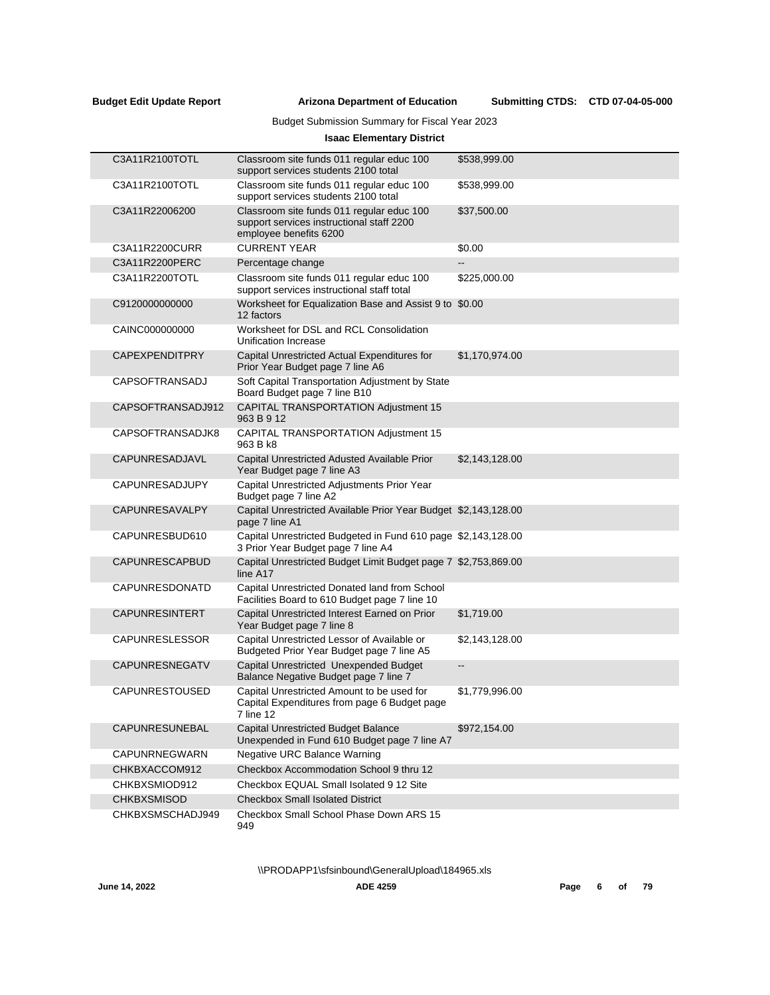## Budget Submission Summary for Fiscal Year 2023

## **Isaac Elementary District**

| C3A11R2100TOTL        | Classroom site funds 011 regular educ 100<br>support services students 2100 total                                | \$538,999.00             |
|-----------------------|------------------------------------------------------------------------------------------------------------------|--------------------------|
| C3A11R2100TOTL        | Classroom site funds 011 regular educ 100<br>support services students 2100 total                                | \$538,999.00             |
| C3A11R22006200        | Classroom site funds 011 regular educ 100<br>support services instructional staff 2200<br>employee benefits 6200 | \$37,500.00              |
| C3A11R2200CURR        | <b>CURRENT YEAR</b>                                                                                              | \$0.00                   |
| C3A11R2200PERC        | Percentage change                                                                                                | $\overline{\phantom{a}}$ |
| C3A11R2200TOTL        | Classroom site funds 011 regular educ 100<br>support services instructional staff total                          | \$225,000.00             |
| C9120000000000        | Worksheet for Equalization Base and Assist 9 to \$0.00<br>12 factors                                             |                          |
| CAINC000000000        | Worksheet for DSL and RCL Consolidation<br>Unification Increase                                                  |                          |
| <b>CAPEXPENDITPRY</b> | Capital Unrestricted Actual Expenditures for<br>Prior Year Budget page 7 line A6                                 | \$1,170,974.00           |
| <b>CAPSOFTRANSADJ</b> | Soft Capital Transportation Adjustment by State<br>Board Budget page 7 line B10                                  |                          |
| CAPSOFTRANSADJ912     | CAPITAL TRANSPORTATION Adjustment 15<br>963 B 9 12                                                               |                          |
| CAPSOFTRANSADJK8      | CAPITAL TRANSPORTATION Adjustment 15<br>963 B k8                                                                 |                          |
| CAPUNRESADJAVL        | Capital Unrestricted Adusted Available Prior<br>Year Budget page 7 line A3                                       | \$2,143,128.00           |
| <b>CAPUNRESADJUPY</b> | Capital Unrestricted Adjustments Prior Year<br>Budget page 7 line A2                                             |                          |
| <b>CAPUNRESAVALPY</b> | Capital Unrestricted Available Prior Year Budget \$2,143,128.00<br>page 7 line A1                                |                          |
| CAPUNRESBUD610        | Capital Unrestricted Budgeted in Fund 610 page \$2,143,128.00<br>3 Prior Year Budget page 7 line A4              |                          |
| CAPUNRESCAPBUD        | Capital Unrestricted Budget Limit Budget page 7 \$2,753,869.00<br>line A17                                       |                          |
| CAPUNRESDONATD        | Capital Unrestricted Donated land from School<br>Facilities Board to 610 Budget page 7 line 10                   |                          |
| <b>CAPUNRESINTERT</b> | Capital Unrestricted Interest Earned on Prior<br>Year Budget page 7 line 8                                       | \$1,719.00               |
| <b>CAPUNRESLESSOR</b> | Capital Unrestricted Lessor of Available or<br>Budgeted Prior Year Budget page 7 line A5                         | \$2,143,128.00           |
| CAPUNRESNEGATV        | Capital Unrestricted Unexpended Budget<br>Balance Negative Budget page 7 line 7                                  | --                       |
| <b>CAPUNRESTOUSED</b> | Capital Unrestricted Amount to be used for<br>Capital Expenditures from page 6 Budget page<br>7 line 12          | \$1,779,996.00           |
| <b>CAPUNRESUNEBAL</b> | <b>Capital Unrestricted Budget Balance</b><br>Unexpended in Fund 610 Budget page 7 line A7                       | \$972,154.00             |
| CAPUNRNEGWARN         | <b>Negative URC Balance Warning</b>                                                                              |                          |
| CHKBXACCOM912         | Checkbox Accommodation School 9 thru 12                                                                          |                          |
| CHKBXSMIOD912         | Checkbox EQUAL Small Isolated 9 12 Site                                                                          |                          |
| <b>CHKBXSMISOD</b>    | <b>Checkbox Small Isolated District</b>                                                                          |                          |
| CHKBXSMSCHADJ949      | Checkbox Small School Phase Down ARS 15<br>949                                                                   |                          |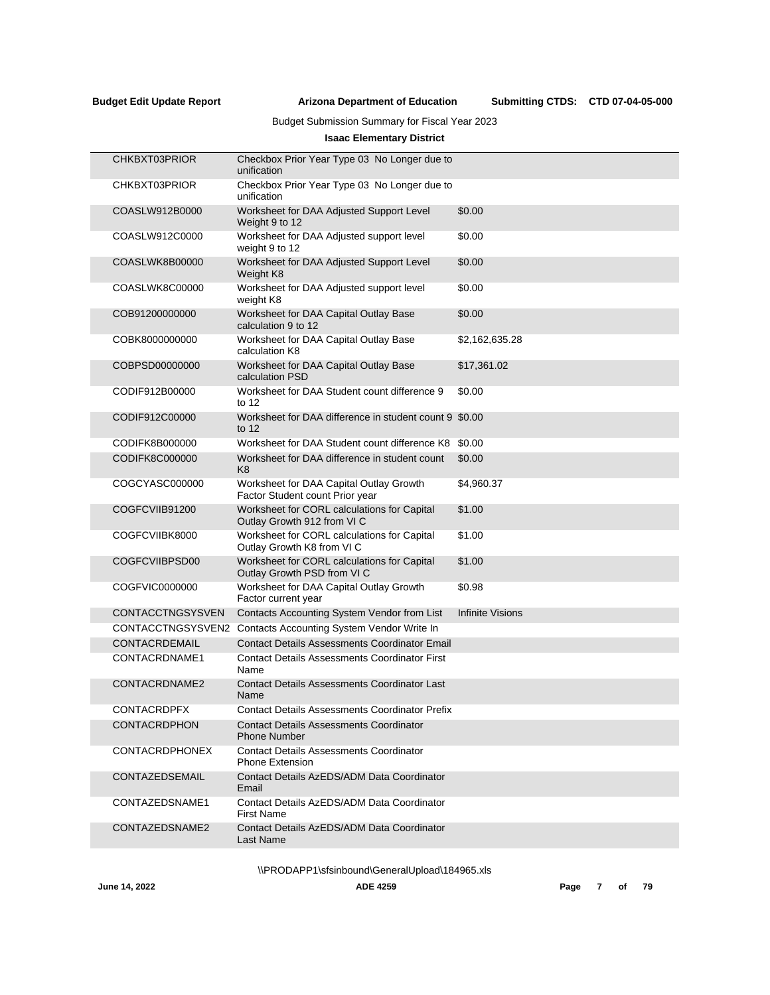## Budget Submission Summary for Fiscal Year 2023

## **Isaac Elementary District**

| CHKBXT03PRIOR         | Checkbox Prior Year Type 03 No Longer due to<br>unification                |                         |
|-----------------------|----------------------------------------------------------------------------|-------------------------|
| CHKBXT03PRIOR         | Checkbox Prior Year Type 03 No Longer due to<br>unification                |                         |
| COASLW912B0000        | Worksheet for DAA Adjusted Support Level<br>Weight 9 to 12                 | \$0.00                  |
| COASLW912C0000        | Worksheet for DAA Adjusted support level<br>weight 9 to 12                 | \$0.00                  |
| COASLWK8B00000        | Worksheet for DAA Adjusted Support Level<br>Weight K8                      | \$0.00                  |
| COASLWK8C00000        | Worksheet for DAA Adjusted support level<br>weight K8                      | \$0.00                  |
| COB91200000000        | Worksheet for DAA Capital Outlay Base<br>calculation 9 to 12               | \$0.00                  |
| COBK8000000000        | Worksheet for DAA Capital Outlay Base<br>calculation K8                    | \$2,162,635.28          |
| COBPSD00000000        | Worksheet for DAA Capital Outlay Base<br>calculation PSD                   | \$17,361.02             |
| CODIF912B00000        | Worksheet for DAA Student count difference 9<br>to $12$                    | \$0.00                  |
| CODIF912C00000        | Worksheet for DAA difference in student count 9 \$0.00<br>to $12$          |                         |
| CODIFK8B000000        | Worksheet for DAA Student count difference K8                              | \$0.00                  |
| CODIFK8C000000        | Worksheet for DAA difference in student count<br>K <sub>8</sub>            | \$0.00                  |
| COGCYASC000000        | Worksheet for DAA Capital Outlay Growth<br>Factor Student count Prior year | \$4,960.37              |
| COGFCVIIB91200        | Worksheet for CORL calculations for Capital<br>Outlay Growth 912 from VI C | \$1.00                  |
| COGFCVIIBK8000        | Worksheet for CORL calculations for Capital<br>Outlay Growth K8 from VI C  | \$1.00                  |
| COGFCVIIBPSD00        | Worksheet for CORL calculations for Capital<br>Outlay Growth PSD from VI C | \$1.00                  |
| COGFVIC0000000        | Worksheet for DAA Capital Outlay Growth<br>Factor current year             | \$0.98                  |
| CONTACCTNGSYSVEN      | Contacts Accounting System Vendor from List                                | <b>Infinite Visions</b> |
|                       | CONTACCTNGSYSVEN2 Contacts Accounting System Vendor Write In               |                         |
| CONTACRDEMAIL         | <b>Contact Details Assessments Coordinator Email</b>                       |                         |
| CONTACRDNAME1         | <b>Contact Details Assessments Coordinator First</b><br>Name               |                         |
| CONTACRDNAME2         | <b>Contact Details Assessments Coordinator Last</b><br>Name                |                         |
| <b>CONTACRDPFX</b>    | <b>Contact Details Assessments Coordinator Prefix</b>                      |                         |
| <b>CONTACRDPHON</b>   | <b>Contact Details Assessments Coordinator</b><br><b>Phone Number</b>      |                         |
| <b>CONTACRDPHONEX</b> | <b>Contact Details Assessments Coordinator</b><br><b>Phone Extension</b>   |                         |
| CONTAZEDSEMAIL        | Contact Details AzEDS/ADM Data Coordinator<br>Email                        |                         |
| CONTAZEDSNAME1        | Contact Details AzEDS/ADM Data Coordinator<br><b>First Name</b>            |                         |
| CONTAZEDSNAME2        | Contact Details AzEDS/ADM Data Coordinator<br>Last Name                    |                         |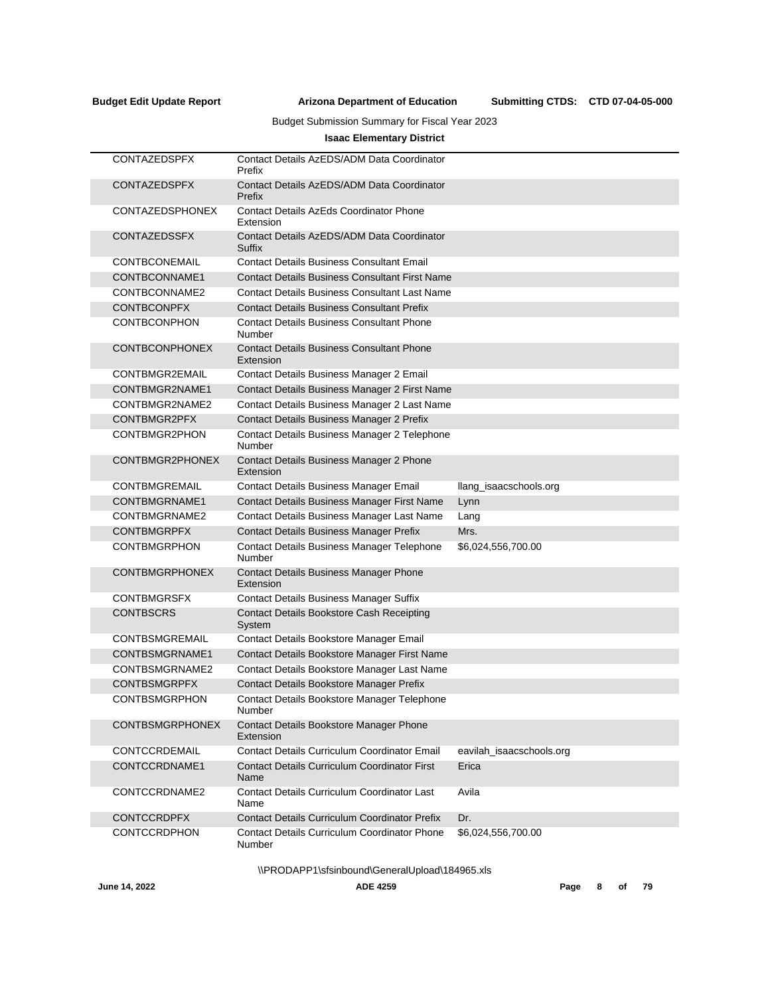Submitting CTDS: CTD 07-04-05-000

## Budget Submission Summary for Fiscal Year 2023

## **Isaac Elementary District**

| <b>CONTAZEDSPFX</b>    | Contact Details AzEDS/ADM Data Coordinator<br>Prefix          |                          |
|------------------------|---------------------------------------------------------------|--------------------------|
| <b>CONTAZEDSPFX</b>    | Contact Details AzEDS/ADM Data Coordinator<br>Prefix          |                          |
| <b>CONTAZEDSPHONEX</b> | <b>Contact Details AzEds Coordinator Phone</b><br>Extension   |                          |
| <b>CONTAZEDSSFX</b>    | Contact Details AzEDS/ADM Data Coordinator<br>Suffix          |                          |
| CONTBCONEMAIL          | <b>Contact Details Business Consultant Email</b>              |                          |
| CONTBCONNAME1          | <b>Contact Details Business Consultant First Name</b>         |                          |
| CONTBCONNAME2          | <b>Contact Details Business Consultant Last Name</b>          |                          |
| <b>CONTBCONPFX</b>     | <b>Contact Details Business Consultant Prefix</b>             |                          |
| <b>CONTBCONPHON</b>    | <b>Contact Details Business Consultant Phone</b><br>Number    |                          |
| <b>CONTBCONPHONEX</b>  | <b>Contact Details Business Consultant Phone</b><br>Extension |                          |
| CONTBMGR2EMAIL         | Contact Details Business Manager 2 Email                      |                          |
| CONTBMGR2NAME1         | Contact Details Business Manager 2 First Name                 |                          |
| CONTBMGR2NAME2         | Contact Details Business Manager 2 Last Name                  |                          |
| CONTBMGR2PFX           | Contact Details Business Manager 2 Prefix                     |                          |
| CONTBMGR2PHON          | Contact Details Business Manager 2 Telephone<br>Number        |                          |
| CONTBMGR2PHONEX        | Contact Details Business Manager 2 Phone<br>Extension         |                          |
| CONTBMGREMAIL          | <b>Contact Details Business Manager Email</b>                 | llang_isaacschools.org   |
| CONTBMGRNAME1          | Contact Details Business Manager First Name                   | Lynn                     |
| CONTBMGRNAME2          | Contact Details Business Manager Last Name                    | Lang                     |
| <b>CONTBMGRPFX</b>     | <b>Contact Details Business Manager Prefix</b>                | Mrs.                     |
| <b>CONTBMGRPHON</b>    | Contact Details Business Manager Telephone<br>Number          | \$6,024,556,700.00       |
| <b>CONTBMGRPHONEX</b>  | <b>Contact Details Business Manager Phone</b><br>Extension    |                          |
| <b>CONTBMGRSFX</b>     | <b>Contact Details Business Manager Suffix</b>                |                          |
| <b>CONTBSCRS</b>       | <b>Contact Details Bookstore Cash Receipting</b><br>System    |                          |
| CONTBSMGREMAIL         | Contact Details Bookstore Manager Email                       |                          |
| CONTBSMGRNAME1         | Contact Details Bookstore Manager First Name                  |                          |
| CONTBSMGRNAME2         | Contact Details Bookstore Manager Last Name                   |                          |
| <b>CONTBSMGRPFX</b>    | Contact Details Bookstore Manager Prefix                      |                          |
| <b>CONTBSMGRPHON</b>   | Contact Details Bookstore Manager Telephone<br>Number         |                          |
| <b>CONTBSMGRPHONEX</b> | <b>Contact Details Bookstore Manager Phone</b><br>Extension   |                          |
| CONTCCRDEMAIL          | <b>Contact Details Curriculum Coordinator Email</b>           | eavilah isaacschools.org |
| CONTCCRDNAME1          | <b>Contact Details Curriculum Coordinator First</b><br>Name   | Erica                    |
| CONTCCRDNAME2          | <b>Contact Details Curriculum Coordinator Last</b><br>Name    | Avila                    |
| <b>CONTCCRDPFX</b>     | <b>Contact Details Curriculum Coordinator Prefix</b>          | Dr.                      |
| <b>CONTCCRDPHON</b>    | <b>Contact Details Curriculum Coordinator Phone</b><br>Number | \$6,024,556,700.00       |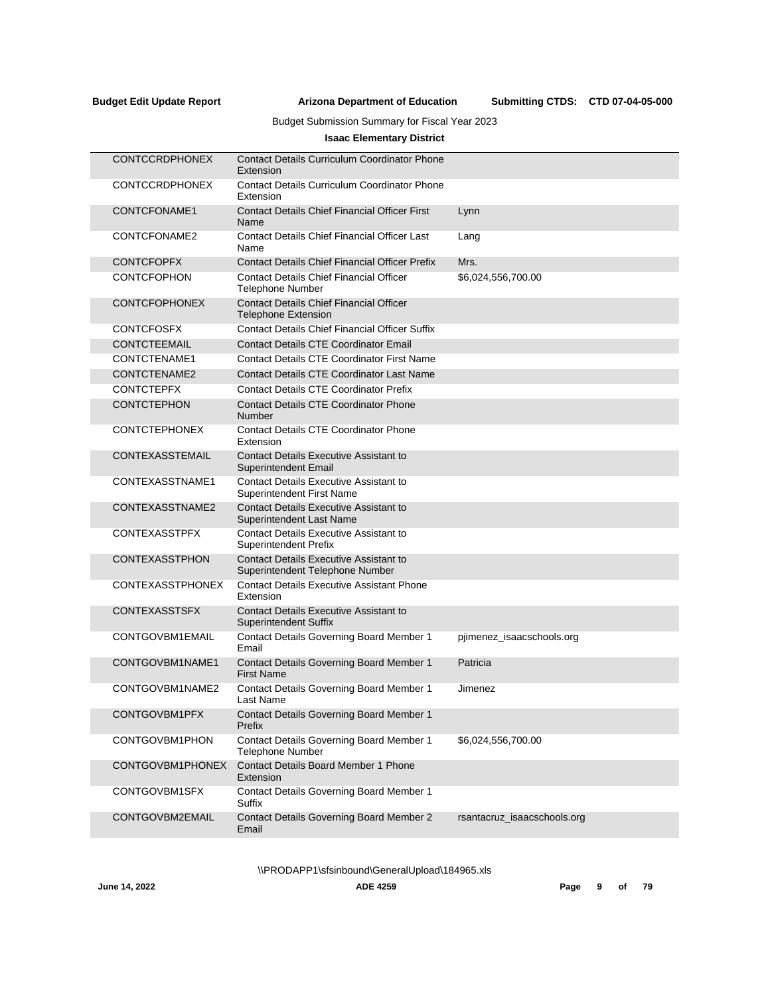## Budget Submission Summary for Fiscal Year 2023

## **Isaac Elementary District**

| <b>CONTCCRDPHONEX</b>   | <b>Contact Details Curriculum Coordinator Phone</b><br>Extension                  |                             |
|-------------------------|-----------------------------------------------------------------------------------|-----------------------------|
| <b>CONTCCRDPHONEX</b>   | <b>Contact Details Curriculum Coordinator Phone</b><br>Extension                  |                             |
| CONTCFONAME1            | <b>Contact Details Chief Financial Officer First</b><br>Name                      | Lynn                        |
| CONTCFONAME2            | <b>Contact Details Chief Financial Officer Last</b><br>Name                       | Lang                        |
| <b>CONTCFOPFX</b>       | <b>Contact Details Chief Financial Officer Prefix</b>                             | Mrs.                        |
| <b>CONTCFOPHON</b>      | <b>Contact Details Chief Financial Officer</b><br><b>Telephone Number</b>         | \$6,024,556,700.00          |
| <b>CONTCFOPHONEX</b>    | <b>Contact Details Chief Financial Officer</b><br><b>Telephone Extension</b>      |                             |
| <b>CONTCFOSFX</b>       | <b>Contact Details Chief Financial Officer Suffix</b>                             |                             |
| CONTCTEEMAIL            | <b>Contact Details CTE Coordinator Email</b>                                      |                             |
| CONTCTENAME1            | <b>Contact Details CTE Coordinator First Name</b>                                 |                             |
| CONTCTENAME2            | <b>Contact Details CTE Coordinator Last Name</b>                                  |                             |
| <b>CONTCTEPFX</b>       | <b>Contact Details CTE Coordinator Prefix</b>                                     |                             |
| <b>CONTCTEPHON</b>      | <b>Contact Details CTE Coordinator Phone</b><br>Number                            |                             |
| <b>CONTCTEPHONEX</b>    | <b>Contact Details CTE Coordinator Phone</b><br>Extension                         |                             |
| CONTEXASSTEMAIL         | <b>Contact Details Executive Assistant to</b><br>Superintendent Email             |                             |
| CONTEXASSTNAME1         | <b>Contact Details Executive Assistant to</b><br><b>Superintendent First Name</b> |                             |
| CONTEXASSTNAME2         | <b>Contact Details Executive Assistant to</b><br>Superintendent Last Name         |                             |
| <b>CONTEXASSTPFX</b>    | <b>Contact Details Executive Assistant to</b><br><b>Superintendent Prefix</b>     |                             |
| <b>CONTEXASSTPHON</b>   | <b>Contact Details Executive Assistant to</b><br>Superintendent Telephone Number  |                             |
| <b>CONTEXASSTPHONEX</b> | <b>Contact Details Executive Assistant Phone</b><br>Extension                     |                             |
| <b>CONTEXASSTSFX</b>    | <b>Contact Details Executive Assistant to</b><br><b>Superintendent Suffix</b>     |                             |
| CONTGOVBM1EMAIL         | Contact Details Governing Board Member 1<br>Email                                 | pjimenez_isaacschools.org   |
| CONTGOVBM1NAME1         | Contact Details Governing Board Member 1<br><b>First Name</b>                     | Patricia                    |
| CONTGOVBM1NAME2         | Contact Details Governing Board Member 1<br>Last Name                             | Jimenez                     |
| CONTGOVBM1PFX           | <b>Contact Details Governing Board Member 1</b><br>Prefix                         |                             |
| CONTGOVBM1PHON          | Contact Details Governing Board Member 1<br><b>Telephone Number</b>               | \$6,024,556,700.00          |
| CONTGOVBM1PHONEX        | <b>Contact Details Board Member 1 Phone</b><br>Extension                          |                             |
| CONTGOVBM1SFX           | Contact Details Governing Board Member 1<br>Suffix                                |                             |
| CONTGOVBM2EMAIL         | Contact Details Governing Board Member 2<br>Email                                 | rsantacruz_isaacschools.org |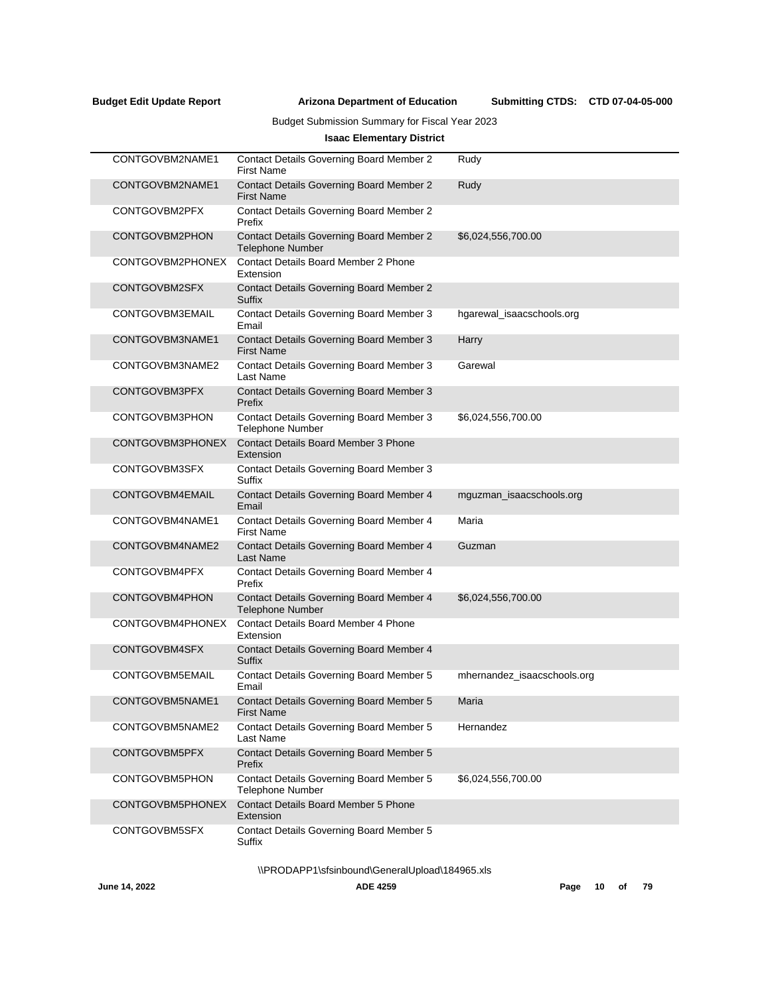Submitting CTDS: CTD 07-04-05-000

## Budget Submission Summary for Fiscal Year 2023

## **Isaac Elementary District**

| CONTGOVBM2NAME1  | <b>Contact Details Governing Board Member 2</b><br><b>First Name</b> | Rudy                        |  |
|------------------|----------------------------------------------------------------------|-----------------------------|--|
| CONTGOVBM2NAME1  | <b>Contact Details Governing Board Member 2</b><br><b>First Name</b> | Rudy                        |  |
| CONTGOVBM2PFX    | <b>Contact Details Governing Board Member 2</b><br>Prefix            |                             |  |
| CONTGOVBM2PHON   | Contact Details Governing Board Member 2<br><b>Telephone Number</b>  | \$6,024,556,700.00          |  |
| CONTGOVBM2PHONEX | Contact Details Board Member 2 Phone<br>Extension                    |                             |  |
| CONTGOVBM2SFX    | <b>Contact Details Governing Board Member 2</b><br><b>Suffix</b>     |                             |  |
| CONTGOVBM3EMAIL  | <b>Contact Details Governing Board Member 3</b><br>Email             | hgarewal_isaacschools.org   |  |
| CONTGOVBM3NAME1  | <b>Contact Details Governing Board Member 3</b><br><b>First Name</b> | Harry                       |  |
| CONTGOVBM3NAME2  | Contact Details Governing Board Member 3<br>Last Name                | Garewal                     |  |
| CONTGOVBM3PFX    | <b>Contact Details Governing Board Member 3</b><br>Prefix            |                             |  |
| CONTGOVBM3PHON   | Contact Details Governing Board Member 3<br><b>Telephone Number</b>  | \$6,024,556,700.00          |  |
| CONTGOVBM3PHONEX | <b>Contact Details Board Member 3 Phone</b><br>Extension             |                             |  |
| CONTGOVBM3SFX    | Contact Details Governing Board Member 3<br>Suffix                   |                             |  |
| CONTGOVBM4EMAIL  | Contact Details Governing Board Member 4<br>Email                    | mguzman_isaacschools.org    |  |
| CONTGOVBM4NAME1  | Contact Details Governing Board Member 4<br><b>First Name</b>        | Maria                       |  |
| CONTGOVBM4NAME2  | Contact Details Governing Board Member 4<br><b>Last Name</b>         | Guzman                      |  |
| CONTGOVBM4PFX    | Contact Details Governing Board Member 4<br>Prefix                   |                             |  |
| CONTGOVBM4PHON   | Contact Details Governing Board Member 4<br><b>Telephone Number</b>  | \$6,024,556,700.00          |  |
| CONTGOVBM4PHONEX | <b>Contact Details Board Member 4 Phone</b><br>Extension             |                             |  |
| CONTGOVBM4SFX    | Contact Details Governing Board Member 4<br><b>Suffix</b>            |                             |  |
| CONTGOVBM5EMAIL  | Contact Details Governing Board Member 5<br>Email                    | mhernandez_isaacschools.org |  |
| CONTGOVBM5NAME1  | Contact Details Governing Board Member 5<br><b>First Name</b>        | Maria                       |  |
| CONTGOVBM5NAME2  | Contact Details Governing Board Member 5<br>Last Name                | Hernandez                   |  |
| CONTGOVBM5PFX    | <b>Contact Details Governing Board Member 5</b><br>Prefix            |                             |  |
| CONTGOVBM5PHON   | Contact Details Governing Board Member 5<br><b>Telephone Number</b>  | \$6,024,556,700.00          |  |
| CONTGOVBM5PHONEX | <b>Contact Details Board Member 5 Phone</b><br>Extension             |                             |  |
| CONTGOVBM5SFX    | <b>Contact Details Governing Board Member 5</b><br>Suffix            |                             |  |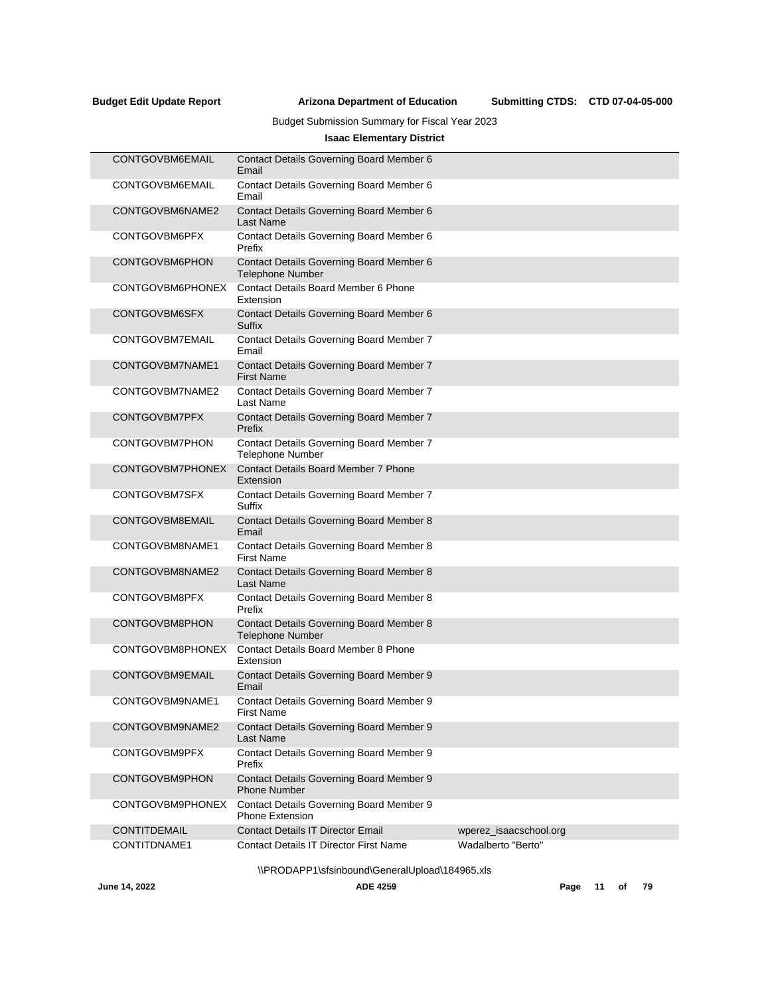## Budget Submission Summary for Fiscal Year 2023

## **Isaac Elementary District**

| <b>CONTGOVBM6EMAIL</b> | Contact Details Governing Board Member 6<br>Email                   |                        |
|------------------------|---------------------------------------------------------------------|------------------------|
| CONTGOVBM6EMAIL        | Contact Details Governing Board Member 6<br>Email                   |                        |
| CONTGOVBM6NAME2        | Contact Details Governing Board Member 6<br><b>Last Name</b>        |                        |
| CONTGOVBM6PFX          | Contact Details Governing Board Member 6<br>Prefix                  |                        |
| CONTGOVBM6PHON         | Contact Details Governing Board Member 6<br><b>Telephone Number</b> |                        |
| CONTGOVBM6PHONEX       | <b>Contact Details Board Member 6 Phone</b><br>Extension            |                        |
| CONTGOVBM6SFX          | Contact Details Governing Board Member 6<br>Suffix                  |                        |
| CONTGOVBM7EMAIL        | Contact Details Governing Board Member 7<br>Email                   |                        |
| CONTGOVBM7NAME1        | Contact Details Governing Board Member 7<br><b>First Name</b>       |                        |
| CONTGOVBM7NAME2        | Contact Details Governing Board Member 7<br>Last Name               |                        |
| CONTGOVBM7PFX          | Contact Details Governing Board Member 7<br>Prefix                  |                        |
| <b>CONTGOVBM7PHON</b>  | Contact Details Governing Board Member 7<br><b>Telephone Number</b> |                        |
| CONTGOVBM7PHONEX       | <b>Contact Details Board Member 7 Phone</b><br>Extension            |                        |
| CONTGOVBM7SFX          | Contact Details Governing Board Member 7<br>Suffix                  |                        |
| CONTGOVBM8EMAIL        | Contact Details Governing Board Member 8<br>Email                   |                        |
| CONTGOVBM8NAME1        | Contact Details Governing Board Member 8<br><b>First Name</b>       |                        |
| CONTGOVBM8NAME2        | Contact Details Governing Board Member 8<br><b>Last Name</b>        |                        |
| CONTGOVBM8PFX          | Contact Details Governing Board Member 8<br>Prefix                  |                        |
| CONTGOVBM8PHON         | Contact Details Governing Board Member 8<br><b>Telephone Number</b> |                        |
| CONTGOVBM8PHONEX       | <b>Contact Details Board Member 8 Phone</b><br>Extension            |                        |
| <b>CONTGOVBM9EMAIL</b> | Contact Details Governing Board Member 9<br>Email                   |                        |
| CONTGOVBM9NAME1        | Contact Details Governing Board Member 9<br><b>First Name</b>       |                        |
| CONTGOVBM9NAME2        | Contact Details Governing Board Member 9<br><b>Last Name</b>        |                        |
| CONTGOVBM9PFX          | Contact Details Governing Board Member 9<br>Prefix                  |                        |
| <b>CONTGOVBM9PHON</b>  | Contact Details Governing Board Member 9<br><b>Phone Number</b>     |                        |
| CONTGOVBM9PHONEX       | Contact Details Governing Board Member 9<br>Phone Extension         |                        |
| <b>CONTITDEMAIL</b>    | <b>Contact Details IT Director Email</b>                            | wperez_isaacschool.org |
| CONTITDNAME1           | <b>Contact Details IT Director First Name</b>                       | Wadalberto "Berto"     |
|                        | \\PRODAPP1\sfsinbound\GeneralUpload\184965.xls                      |                        |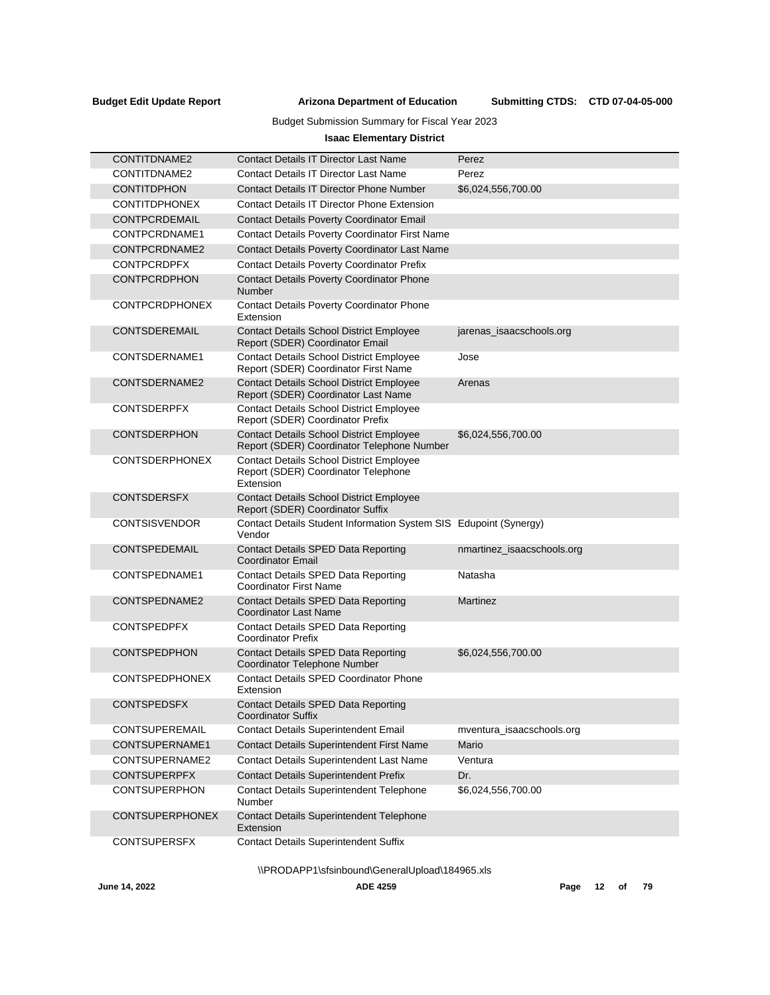## Budget Submission Summary for Fiscal Year 2023

## **Isaac Elementary District**

| CONTITDNAME2           | Contact Details IT Director Last Name                                                               | Perez                      |
|------------------------|-----------------------------------------------------------------------------------------------------|----------------------------|
| CONTITDNAME2           | Contact Details IT Director Last Name                                                               | Perez                      |
| <b>CONTITDPHON</b>     | <b>Contact Details IT Director Phone Number</b>                                                     | \$6,024,556,700.00         |
| <b>CONTITDPHONEX</b>   | <b>Contact Details IT Director Phone Extension</b>                                                  |                            |
| CONTPCRDEMAIL          | <b>Contact Details Poverty Coordinator Email</b>                                                    |                            |
| CONTPCRDNAME1          | <b>Contact Details Poverty Coordinator First Name</b>                                               |                            |
| CONTPCRDNAME2          | <b>Contact Details Poverty Coordinator Last Name</b>                                                |                            |
| <b>CONTPCRDPFX</b>     | <b>Contact Details Poverty Coordinator Prefix</b>                                                   |                            |
| <b>CONTPCRDPHON</b>    | <b>Contact Details Poverty Coordinator Phone</b><br>Number                                          |                            |
| <b>CONTPCRDPHONEX</b>  | <b>Contact Details Poverty Coordinator Phone</b><br>Extension                                       |                            |
| <b>CONTSDEREMAIL</b>   | Contact Details School District Employee<br>Report (SDER) Coordinator Email                         | jarenas_isaacschools.org   |
| CONTSDERNAME1          | <b>Contact Details School District Employee</b><br>Report (SDER) Coordinator First Name             | Jose                       |
| CONTSDERNAME2          | <b>Contact Details School District Employee</b><br>Report (SDER) Coordinator Last Name              | Arenas                     |
| <b>CONTSDERPFX</b>     | <b>Contact Details School District Employee</b><br>Report (SDER) Coordinator Prefix                 |                            |
| <b>CONTSDERPHON</b>    | <b>Contact Details School District Employee</b><br>Report (SDER) Coordinator Telephone Number       | \$6,024,556,700.00         |
| <b>CONTSDERPHONEX</b>  | <b>Contact Details School District Employee</b><br>Report (SDER) Coordinator Telephone<br>Extension |                            |
| <b>CONTSDERSFX</b>     | <b>Contact Details School District Employee</b><br>Report (SDER) Coordinator Suffix                 |                            |
| <b>CONTSISVENDOR</b>   | Contact Details Student Information System SIS Edupoint (Synergy)<br>Vendor                         |                            |
| <b>CONTSPEDEMAIL</b>   | Contact Details SPED Data Reporting<br><b>Coordinator Email</b>                                     | nmartinez_isaacschools.org |
| CONTSPEDNAME1          | Contact Details SPED Data Reporting<br>Coordinator First Name                                       | Natasha                    |
| CONTSPEDNAME2          | <b>Contact Details SPED Data Reporting</b><br>Coordinator Last Name                                 | Martinez                   |
| <b>CONTSPEDPFX</b>     | Contact Details SPED Data Reporting<br>Coordinator Prefix                                           |                            |
| <b>CONTSPEDPHON</b>    | <b>Contact Details SPED Data Reporting</b><br>Coordinator Telephone Number                          | \$6,024,556,700.00         |
| <b>CONTSPEDPHONEX</b>  | <b>Contact Details SPED Coordinator Phone</b><br>Extension                                          |                            |
| <b>CONTSPEDSFX</b>     | <b>Contact Details SPED Data Reporting</b><br>Coordinator Suffix                                    |                            |
| CONTSUPEREMAIL         | <b>Contact Details Superintendent Email</b>                                                         | mventura_isaacschools.org  |
| CONTSUPERNAME1         | Contact Details Superintendent First Name                                                           | Mario                      |
| CONTSUPERNAME2         | <b>Contact Details Superintendent Last Name</b>                                                     | Ventura                    |
| <b>CONTSUPERPFX</b>    | <b>Contact Details Superintendent Prefix</b>                                                        | Dr.                        |
| <b>CONTSUPERPHON</b>   | <b>Contact Details Superintendent Telephone</b><br>Number                                           | \$6,024,556,700.00         |
| <b>CONTSUPERPHONEX</b> | <b>Contact Details Superintendent Telephone</b><br>Extension                                        |                            |
| <b>CONTSUPERSFX</b>    | <b>Contact Details Superintendent Suffix</b>                                                        |                            |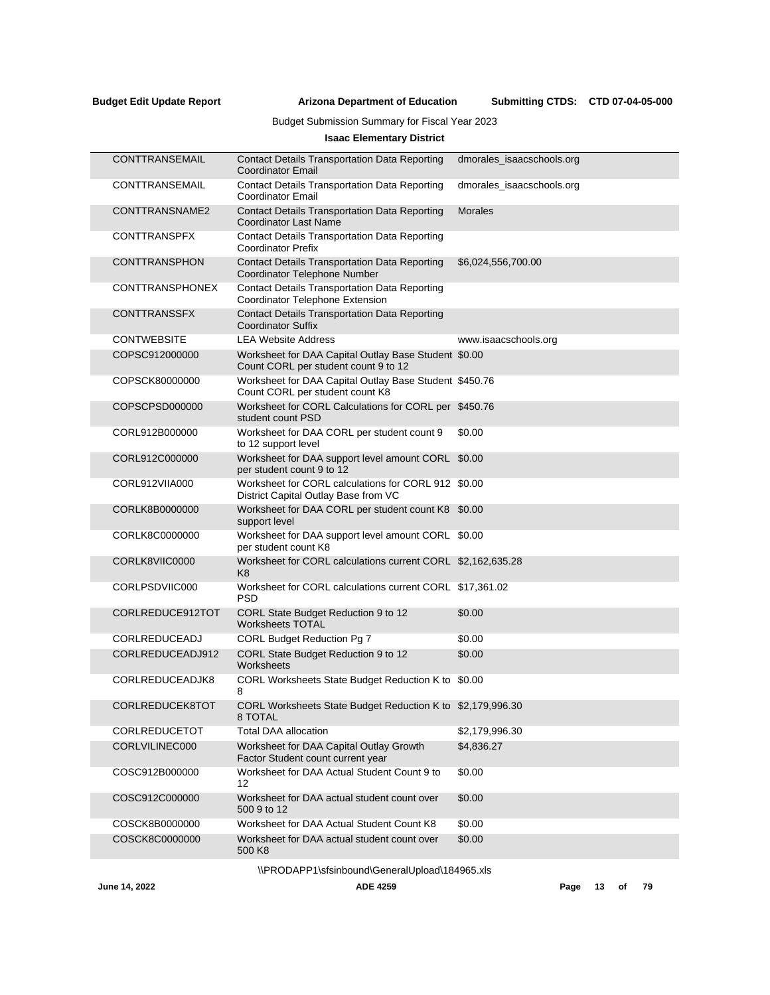Submitting CTDS: CTD 07-04-05-000

## Budget Submission Summary for Fiscal Year 2023

## **Isaac Elementary District**

| <b>CONTTRANSEMAIL</b> | <b>Contact Details Transportation Data Reporting</b><br><b>Coordinator Email</b>             | dmorales isaacschools.org |
|-----------------------|----------------------------------------------------------------------------------------------|---------------------------|
| CONTTRANSEMAIL        | <b>Contact Details Transportation Data Reporting</b><br><b>Coordinator Email</b>             | dmorales_isaacschools.org |
| CONTTRANSNAME2        | <b>Contact Details Transportation Data Reporting</b><br>Coordinator Last Name                | <b>Morales</b>            |
| <b>CONTTRANSPFX</b>   | <b>Contact Details Transportation Data Reporting</b><br><b>Coordinator Prefix</b>            |                           |
| <b>CONTTRANSPHON</b>  | <b>Contact Details Transportation Data Reporting</b><br>Coordinator Telephone Number         | \$6,024,556,700.00        |
| CONTTRANSPHONEX       | <b>Contact Details Transportation Data Reporting</b><br>Coordinator Telephone Extension      |                           |
| <b>CONTTRANSSFX</b>   | <b>Contact Details Transportation Data Reporting</b><br><b>Coordinator Suffix</b>            |                           |
| <b>CONTWEBSITE</b>    | <b>LEA Website Address</b>                                                                   | www.isaacschools.org      |
| COPSC912000000        | Worksheet for DAA Capital Outlay Base Student \$0.00<br>Count CORL per student count 9 to 12 |                           |
| COPSCK80000000        | Worksheet for DAA Capital Outlay Base Student \$450.76<br>Count CORL per student count K8    |                           |
| COPSCPSD000000        | Worksheet for CORL Calculations for CORL per \$450.76<br>student count PSD                   |                           |
| CORL912B000000        | Worksheet for DAA CORL per student count 9<br>to 12 support level                            | \$0.00                    |
| CORL912C000000        | Worksheet for DAA support level amount CORL \$0.00<br>per student count 9 to 12              |                           |
| CORL912VIIA000        | Worksheet for CORL calculations for CORL 912 \$0.00<br>District Capital Outlay Base from VC  |                           |
| CORLK8B0000000        | Worksheet for DAA CORL per student count K8 \$0.00<br>support level                          |                           |
| CORLK8C0000000        | Worksheet for DAA support level amount CORL \$0.00<br>per student count K8                   |                           |
| CORLK8VIIC0000        | Worksheet for CORL calculations current CORL \$2,162,635.28<br>K <sub>8</sub>                |                           |
| CORLPSDVIIC000        | Worksheet for CORL calculations current CORL \$17,361.02<br><b>PSD</b>                       |                           |
| CORLREDUCE912TOT      | CORL State Budget Reduction 9 to 12<br><b>Worksheets TOTAL</b>                               | \$0.00                    |
| CORLREDUCEADJ         | CORL Budget Reduction Pg 7                                                                   | \$0.00                    |
| CORLREDUCEADJ912      | CORL State Budget Reduction 9 to 12<br>Worksheets                                            | \$0.00                    |
| CORLREDUCEADJK8       | CORL Worksheets State Budget Reduction K to \$0.00<br>8                                      |                           |
| CORLREDUCEK8TOT       | CORL Worksheets State Budget Reduction K to \$2,179,996.30<br>8 TOTAL                        |                           |
| CORLREDUCETOT         | Total DAA allocation                                                                         | \$2,179,996.30            |
| CORLVILINEC000        | Worksheet for DAA Capital Outlay Growth<br>Factor Student count current year                 | \$4,836.27                |
| COSC912B000000        | Worksheet for DAA Actual Student Count 9 to<br>12                                            | \$0.00                    |
| COSC912C000000        | Worksheet for DAA actual student count over<br>500 9 to 12                                   | \$0.00                    |
| COSCK8B0000000        | Worksheet for DAA Actual Student Count K8                                                    | \$0.00                    |
| COSCK8C0000000        | Worksheet for DAA actual student count over<br>500 K8                                        | \$0.00                    |
|                       |                                                                                              |                           |

\\PRODAPP1\sfsinbound\GeneralUpload\184965.xls

**June 14, 2022 ADE 4259 Page 13 of 79**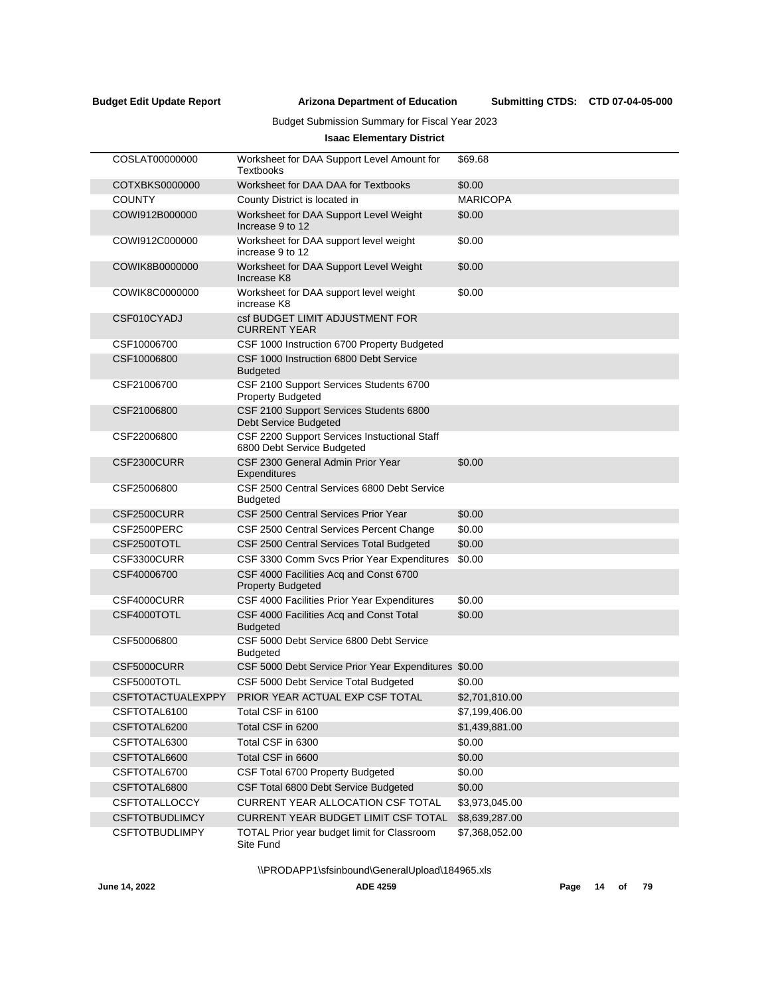Submitting CTDS: CTD 07-04-05-000

## Budget Submission Summary for Fiscal Year 2023

## **Isaac Elementary District**

| COSLAT00000000           | Worksheet for DAA Support Level Amount for<br>Textbooks                    | \$69.68         |
|--------------------------|----------------------------------------------------------------------------|-----------------|
| COTXBKS0000000           | Worksheet for DAA DAA for Textbooks                                        | \$0.00          |
| <b>COUNTY</b>            | County District is located in                                              | <b>MARICOPA</b> |
| COWI912B000000           | Worksheet for DAA Support Level Weight<br>Increase 9 to 12                 | \$0.00          |
| COWI912C000000           | Worksheet for DAA support level weight<br>increase 9 to 12                 | \$0.00          |
| COWIK8B0000000           | Worksheet for DAA Support Level Weight<br>Increase K8                      | \$0.00          |
| COWIK8C0000000           | Worksheet for DAA support level weight<br>increase K8                      | \$0.00          |
| CSF010CYADJ              | csf BUDGET LIMIT ADJUSTMENT FOR<br><b>CURRENT YEAR</b>                     |                 |
| CSF10006700              | CSF 1000 Instruction 6700 Property Budgeted                                |                 |
| CSF10006800              | CSF 1000 Instruction 6800 Debt Service<br><b>Budgeted</b>                  |                 |
| CSF21006700              | CSF 2100 Support Services Students 6700<br><b>Property Budgeted</b>        |                 |
| CSF21006800              | CSF 2100 Support Services Students 6800<br><b>Debt Service Budgeted</b>    |                 |
| CSF22006800              | CSF 2200 Support Services Instuctional Staff<br>6800 Debt Service Budgeted |                 |
| CSF2300CURR              | CSF 2300 General Admin Prior Year<br>Expenditures                          | \$0.00          |
| CSF25006800              | CSF 2500 Central Services 6800 Debt Service<br>Budgeted                    |                 |
| CSF2500CURR              | CSF 2500 Central Services Prior Year                                       | \$0.00          |
| CSF2500PERC              | CSF 2500 Central Services Percent Change                                   | \$0.00          |
| CSF2500TOTL              | CSF 2500 Central Services Total Budgeted                                   | \$0.00          |
| CSF3300CURR              | CSF 3300 Comm Svcs Prior Year Expenditures                                 | \$0.00          |
| CSF40006700              | CSF 4000 Facilities Acq and Const 6700<br><b>Property Budgeted</b>         |                 |
| CSF4000CURR              | CSF 4000 Facilities Prior Year Expenditures                                | \$0.00          |
| CSF4000TOTL              | CSF 4000 Facilities Acq and Const Total<br><b>Budgeted</b>                 | \$0.00          |
| CSF50006800              | CSF 5000 Debt Service 6800 Debt Service<br>Budgeted                        |                 |
| CSF5000CURR              | CSF 5000 Debt Service Prior Year Expenditures \$0.00                       |                 |
| CSF5000TOTL              | CSF 5000 Debt Service Total Budgeted                                       | \$0.00          |
| <b>CSFTOTACTUALEXPPY</b> | PRIOR YEAR ACTUAL EXP CSF TOTAL                                            | \$2,701,810.00  |
| CSFTOTAL6100             | Total CSF in 6100                                                          | \$7,199,406.00  |
| CSFTOTAL6200             | Total CSF in 6200                                                          | \$1,439,881.00  |
| CSFTOTAL6300             | Total CSF in 6300                                                          | \$0.00          |
| CSFTOTAL6600             | Total CSF in 6600                                                          | \$0.00          |
| CSFTOTAL6700             | CSF Total 6700 Property Budgeted                                           | \$0.00          |
| CSFTOTAL6800             | CSF Total 6800 Debt Service Budgeted                                       | \$0.00          |
| <b>CSFTOTALLOCCY</b>     | <b>CURRENT YEAR ALLOCATION CSF TOTAL</b>                                   | \$3,973,045.00  |
| <b>CSFTOTBUDLIMCY</b>    | CURRENT YEAR BUDGET LIMIT CSF TOTAL                                        | \$8,639,287.00  |
| <b>CSFTOTBUDLIMPY</b>    | TOTAL Prior year budget limit for Classroom<br>Site Fund                   | \$7,368,052.00  |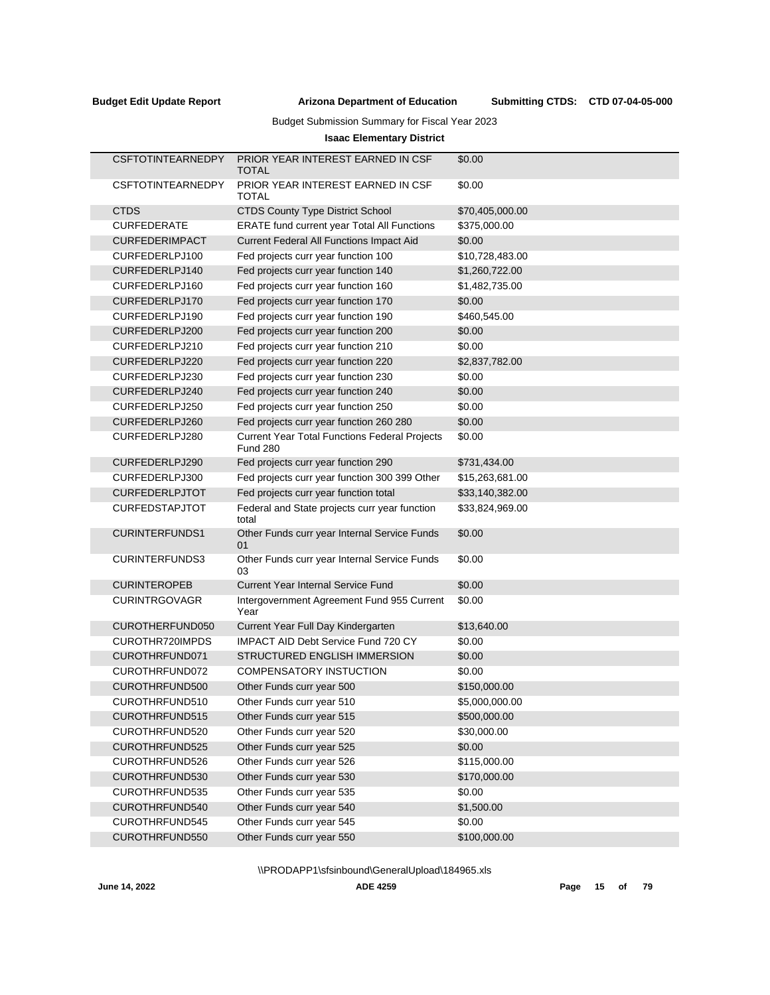## Budget Submission Summary for Fiscal Year 2023

## **Isaac Elementary District**

| <b>CSFTOTINTEARNEDPY</b> | PRIOR YEAR INTEREST EARNED IN CSF<br>TOTAL                              | \$0.00          |
|--------------------------|-------------------------------------------------------------------------|-----------------|
| <b>CSFTOTINTEARNEDPY</b> | PRIOR YEAR INTEREST EARNED IN CSF<br>TOTAL                              | \$0.00          |
| <b>CTDS</b>              | <b>CTDS County Type District School</b>                                 | \$70,405,000.00 |
| <b>CURFEDERATE</b>       | ERATE fund current year Total All Functions                             | \$375,000.00    |
| <b>CURFEDERIMPACT</b>    | Current Federal All Functions Impact Aid                                | \$0.00          |
| CURFEDERLPJ100           | Fed projects curr year function 100                                     | \$10,728,483.00 |
| CURFEDERLPJ140           | Fed projects curr year function 140                                     | \$1,260,722.00  |
| CURFEDERLPJ160           | Fed projects curr year function 160                                     | \$1,482,735.00  |
| CURFEDERLPJ170           | Fed projects curr year function 170                                     | \$0.00          |
| CURFEDERLPJ190           | Fed projects curr year function 190                                     | \$460,545.00    |
| CURFEDERLPJ200           | Fed projects curr year function 200                                     | \$0.00          |
| CURFEDERLPJ210           | Fed projects curr year function 210                                     | \$0.00          |
| CURFEDERLPJ220           | Fed projects curr year function 220                                     | \$2,837,782.00  |
| CURFEDERLPJ230           | Fed projects curr year function 230                                     | \$0.00          |
| CURFEDERLPJ240           | Fed projects curr year function 240                                     | \$0.00          |
| CURFEDERLPJ250           | Fed projects curr year function 250                                     | \$0.00          |
| CURFEDERLPJ260           | Fed projects curr year function 260 280                                 | \$0.00          |
| CURFEDERLPJ280           | <b>Current Year Total Functions Federal Projects</b><br><b>Fund 280</b> | \$0.00          |
| CURFEDERLPJ290           | Fed projects curr year function 290                                     | \$731,434.00    |
| CURFEDERLPJ300           | Fed projects curr year function 300 399 Other                           | \$15,263,681.00 |
| <b>CURFEDERLPJTOT</b>    | Fed projects curr year function total                                   | \$33,140,382.00 |
| <b>CURFEDSTAPJTOT</b>    | Federal and State projects curr year function<br>total                  | \$33,824,969.00 |
| <b>CURINTERFUNDS1</b>    | Other Funds curr year Internal Service Funds<br>01                      | \$0.00          |
| <b>CURINTERFUNDS3</b>    | Other Funds curr year Internal Service Funds<br>03                      | \$0.00          |
| <b>CURINTEROPEB</b>      | <b>Current Year Internal Service Fund</b>                               | \$0.00          |
| <b>CURINTRGOVAGR</b>     | Intergovernment Agreement Fund 955 Current<br>Year                      | \$0.00          |
| CUROTHERFUND050          | Current Year Full Day Kindergarten                                      | \$13,640.00     |
| CUROTHR720IMPDS          | <b>IMPACT AID Debt Service Fund 720 CY</b>                              | \$0.00          |
| CUROTHRFUND071           | STRUCTURED ENGLISH IMMERSION                                            | \$0.00          |
| CUROTHRFUND072           | <b>COMPENSATORY INSTUCTION</b>                                          | \$0.00          |
| CUROTHRFUND500           | Other Funds curr year 500                                               | \$150,000.00    |
| CUROTHRFUND510           | Other Funds curr year 510                                               | \$5,000,000.00  |
| CUROTHRFUND515           | Other Funds curr year 515                                               | \$500,000.00    |
| CUROTHRFUND520           | Other Funds curr year 520                                               | \$30,000.00     |
| CUROTHRFUND525           | Other Funds curr year 525                                               | \$0.00          |
| CUROTHRFUND526           | Other Funds curr year 526                                               | \$115,000.00    |
| CUROTHRFUND530           | Other Funds curr year 530                                               | \$170,000.00    |
| CUROTHRFUND535           | Other Funds curr year 535                                               | \$0.00          |
| CUROTHRFUND540           | Other Funds curr year 540                                               | \$1,500.00      |
| CUROTHRFUND545           | Other Funds curr year 545                                               | \$0.00          |
| CUROTHRFUND550           | Other Funds curr year 550                                               | \$100,000.00    |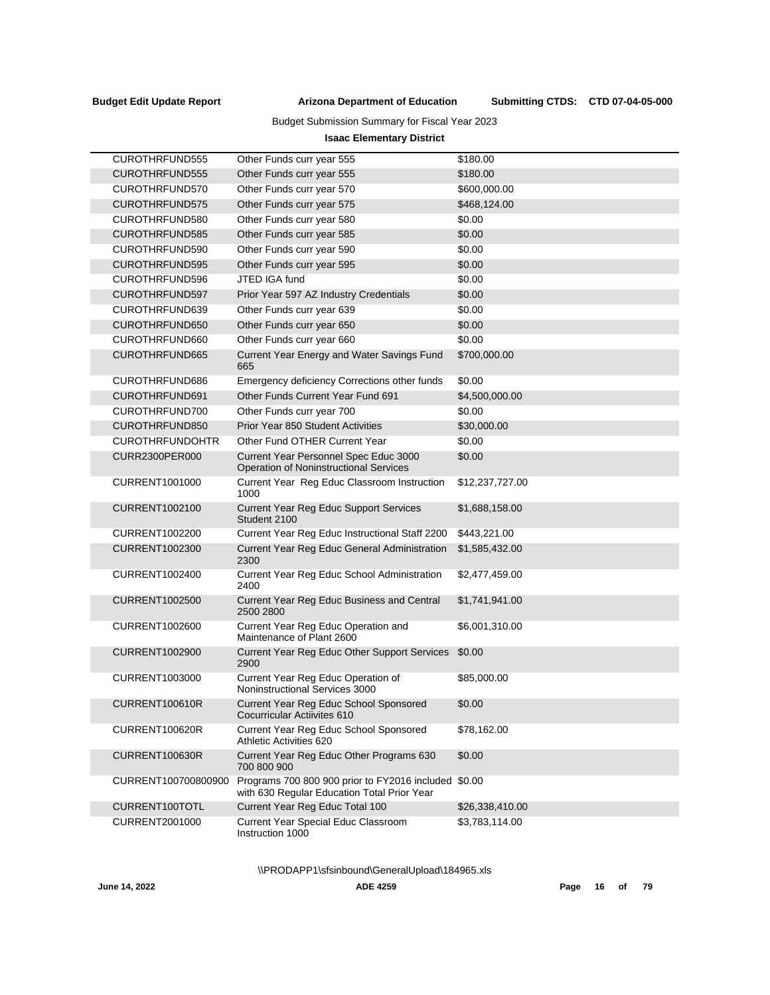## Budget Submission Summary for Fiscal Year 2023

## **Isaac Elementary District**

| CUROTHRFUND555         | Other Funds curr year 555                                                                    | \$180.00        |
|------------------------|----------------------------------------------------------------------------------------------|-----------------|
| <b>CUROTHRFUND555</b>  | Other Funds curr year 555                                                                    | \$180.00        |
| CUROTHRFUND570         | Other Funds curr year 570                                                                    | \$600,000.00    |
| <b>CUROTHRFUND575</b>  | Other Funds curr year 575                                                                    | \$468,124.00    |
| CUROTHRFUND580         | Other Funds curr year 580                                                                    | \$0.00          |
| CUROTHRFUND585         | Other Funds curr year 585                                                                    | \$0.00          |
| CUROTHRFUND590         | Other Funds curr year 590                                                                    | \$0.00          |
| <b>CUROTHRFUND595</b>  | Other Funds curr year 595                                                                    | \$0.00          |
| CUROTHRFUND596         | JTED IGA fund                                                                                | \$0.00          |
| CUROTHRFUND597         | Prior Year 597 AZ Industry Credentials                                                       | \$0.00          |
| CUROTHRFUND639         | Other Funds curr year 639                                                                    | \$0.00          |
| CUROTHRFUND650         | Other Funds curr year 650                                                                    | \$0.00          |
| CUROTHRFUND660         | Other Funds curr year 660                                                                    | \$0.00          |
| CUROTHRFUND665         | Current Year Energy and Water Savings Fund<br>665                                            | \$700,000.00    |
| CUROTHRFUND686         | Emergency deficiency Corrections other funds                                                 | \$0.00          |
| CUROTHRFUND691         | Other Funds Current Year Fund 691                                                            | \$4,500,000.00  |
| CUROTHRFUND700         | Other Funds curr year 700                                                                    | \$0.00          |
| CUROTHRFUND850         | <b>Prior Year 850 Student Activities</b>                                                     | \$30,000.00     |
| <b>CUROTHRFUNDOHTR</b> | Other Fund OTHER Current Year                                                                | \$0.00          |
| <b>CURR2300PER000</b>  | Current Year Personnel Spec Educ 3000<br><b>Operation of Noninstructional Services</b>       | \$0.00          |
| <b>CURRENT1001000</b>  | Current Year Reg Educ Classroom Instruction<br>1000                                          | \$12,237,727.00 |
| CURRENT1002100         | <b>Current Year Reg Educ Support Services</b><br>Student 2100                                | \$1,688,158.00  |
| <b>CURRENT1002200</b>  | Current Year Reg Educ Instructional Staff 2200                                               | \$443,221.00    |
| <b>CURRENT1002300</b>  | Current Year Reg Educ General Administration<br>2300                                         | \$1,585,432.00  |
| <b>CURRENT1002400</b>  | Current Year Reg Educ School Administration<br>2400                                          | \$2,477,459.00  |
| <b>CURRENT1002500</b>  | Current Year Reg Educ Business and Central<br>2500 2800                                      | \$1,741,941.00  |
| CURRENT1002600         | Current Year Reg Educ Operation and<br>Maintenance of Plant 2600                             | \$6,001,310.00  |
| <b>CURRENT1002900</b>  | Current Year Reg Educ Other Support Services<br>2900                                         | \$0.00          |
| CURRENT1003000         | Current Year Reg Educ Operation of<br>Noninstructional Services 3000                         | \$85,000.00     |
| CURRENT100610R         | Current Year Reg Educ School Sponsored<br>Cocurricular Actiivites 610                        | \$0.00          |
| CURRENT100620R         | Current Year Reg Educ School Sponsored<br>Athletic Activities 620                            | \$78,162.00     |
| CURRENT100630R         | Current Year Reg Educ Other Programs 630<br>700 800 900                                      | \$0.00          |
| CURRENT100700800900    | Programs 700 800 900 prior to FY2016 included<br>with 630 Regular Education Total Prior Year | \$0.00          |
| CURRENT100TOTL         | Current Year Reg Educ Total 100                                                              | \$26,338,410.00 |
| <b>CURRENT2001000</b>  | Current Year Special Educ Classroom<br>Instruction 1000                                      | \$3,783,114.00  |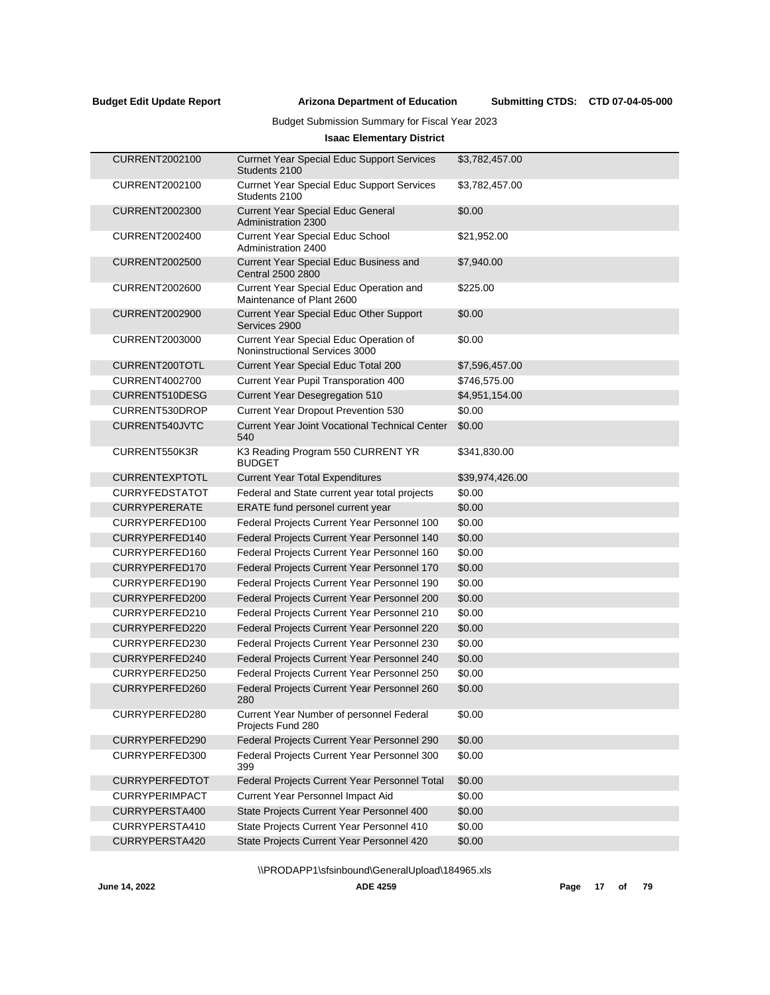Submitting CTDS: CTD 07-04-05-000

## Budget Submission Summary for Fiscal Year 2023

## **Isaac Elementary District**

| <b>CURRENT2002100</b> | <b>Currnet Year Special Educ Support Services</b><br>Students 2100       | \$3,782,457.00  |
|-----------------------|--------------------------------------------------------------------------|-----------------|
| <b>CURRENT2002100</b> | <b>Currnet Year Special Educ Support Services</b><br>Students 2100       | \$3,782,457.00  |
| <b>CURRENT2002300</b> | <b>Current Year Special Educ General</b><br>Administration 2300          | \$0.00          |
| <b>CURRENT2002400</b> | <b>Current Year Special Educ School</b><br>Administration 2400           | \$21,952.00     |
| <b>CURRENT2002500</b> | Current Year Special Educ Business and<br>Central 2500 2800              | \$7,940.00      |
| <b>CURRENT2002600</b> | Current Year Special Educ Operation and<br>Maintenance of Plant 2600     | \$225.00        |
| <b>CURRENT2002900</b> | Current Year Special Educ Other Support<br>Services 2900                 | \$0.00          |
| <b>CURRENT2003000</b> | Current Year Special Educ Operation of<br>Noninstructional Services 3000 | \$0.00          |
| CURRENT200TOTL        | Current Year Special Educ Total 200                                      | \$7,596,457.00  |
| <b>CURRENT4002700</b> | Current Year Pupil Transporation 400                                     | \$746,575.00    |
| CURRENT510DESG        | Current Year Desegregation 510                                           | \$4,951,154.00  |
| CURRENT530DROP        | Current Year Dropout Prevention 530                                      | \$0.00          |
| CURRENT540JVTC        | <b>Current Year Joint Vocational Technical Center</b><br>540             | \$0.00          |
| CURRENT550K3R         | K3 Reading Program 550 CURRENT YR<br><b>BUDGET</b>                       | \$341,830.00    |
| <b>CURRENTEXPTOTL</b> | <b>Current Year Total Expenditures</b>                                   | \$39,974,426.00 |
| <b>CURRYFEDSTATOT</b> | Federal and State current year total projects                            | \$0.00          |
| <b>CURRYPERERATE</b>  | ERATE fund personel current year                                         | \$0.00          |
| CURRYPERFED100        | Federal Projects Current Year Personnel 100                              | \$0.00          |
| CURRYPERFED140        | Federal Projects Current Year Personnel 140                              | \$0.00          |
| CURRYPERFED160        | Federal Projects Current Year Personnel 160                              | \$0.00          |
| CURRYPERFED170        | Federal Projects Current Year Personnel 170                              | \$0.00          |
| CURRYPERFED190        | Federal Projects Current Year Personnel 190                              | \$0.00          |
| CURRYPERFED200        | Federal Projects Current Year Personnel 200                              | \$0.00          |
| CURRYPERFED210        | Federal Projects Current Year Personnel 210                              | \$0.00          |
| CURRYPERFED220        | Federal Projects Current Year Personnel 220                              | \$0.00          |
| CURRYPERFED230        | Federal Projects Current Year Personnel 230                              | \$0.00          |
| CURRYPERFED240        | Federal Projects Current Year Personnel 240                              | \$0.00          |
| CURRYPERFED250        | Federal Projects Current Year Personnel 250                              | \$0.00          |
| CURRYPERFED260        | Federal Projects Current Year Personnel 260<br>280                       | \$0.00          |
| CURRYPERFED280        | Current Year Number of personnel Federal<br>Projects Fund 280            | \$0.00          |
| CURRYPERFED290        | Federal Projects Current Year Personnel 290                              | \$0.00          |
| CURRYPERFED300        | Federal Projects Current Year Personnel 300<br>399                       | \$0.00          |
| <b>CURRYPERFEDTOT</b> | Federal Projects Current Year Personnel Total                            | \$0.00          |
| <b>CURRYPERIMPACT</b> | Current Year Personnel Impact Aid                                        | \$0.00          |
| CURRYPERSTA400        | State Projects Current Year Personnel 400                                | \$0.00          |
| CURRYPERSTA410        | State Projects Current Year Personnel 410                                | \$0.00          |
| CURRYPERSTA420        | State Projects Current Year Personnel 420                                | \$0.00          |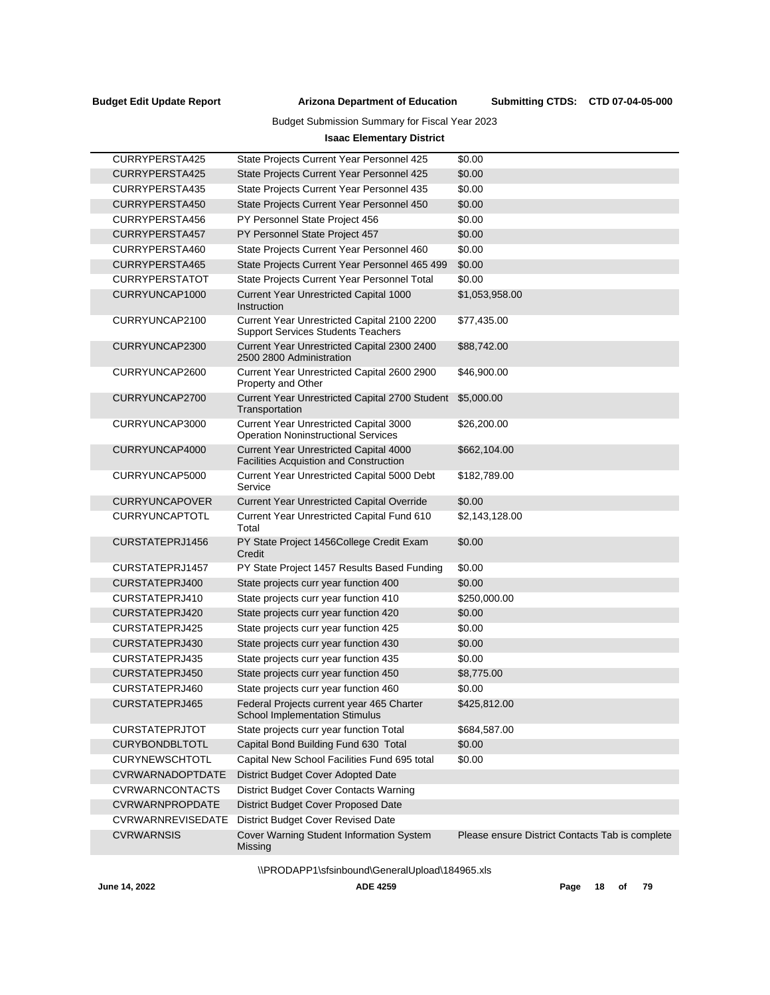J

### **Arizona Department of Education Budget Edit Update Report Submitting CTDS:**

Budget Submission Summary for Fiscal Year 2023

## **Isaac Elementary District**

| CURRYPERSTA425          | State Projects Current Year Personnel 425                                                      | \$0.00                                          |
|-------------------------|------------------------------------------------------------------------------------------------|-------------------------------------------------|
| CURRYPERSTA425          | State Projects Current Year Personnel 425                                                      | \$0.00                                          |
| CURRYPERSTA435          | State Projects Current Year Personnel 435                                                      | \$0.00                                          |
| CURRYPERSTA450          | State Projects Current Year Personnel 450                                                      | \$0.00                                          |
| CURRYPERSTA456          | PY Personnel State Project 456                                                                 | \$0.00                                          |
| CURRYPERSTA457          | PY Personnel State Project 457                                                                 | \$0.00                                          |
| CURRYPERSTA460          | State Projects Current Year Personnel 460                                                      | \$0.00                                          |
| CURRYPERSTA465          | State Projects Current Year Personnel 465 499                                                  | \$0.00                                          |
| <b>CURRYPERSTATOT</b>   | State Projects Current Year Personnel Total                                                    | \$0.00                                          |
| CURRYUNCAP1000          | <b>Current Year Unrestricted Capital 1000</b><br>Instruction                                   | \$1,053,958.00                                  |
| CURRYUNCAP2100          | Current Year Unrestricted Capital 2100 2200<br><b>Support Services Students Teachers</b>       | \$77,435.00                                     |
| CURRYUNCAP2300          | Current Year Unrestricted Capital 2300 2400<br>2500 2800 Administration                        | \$88,742.00                                     |
| CURRYUNCAP2600          | Current Year Unrestricted Capital 2600 2900<br>Property and Other                              | \$46,900.00                                     |
| CURRYUNCAP2700          | Current Year Unrestricted Capital 2700 Student<br>Transportation                               | \$5,000.00                                      |
| CURRYUNCAP3000          | Current Year Unrestricted Capital 3000<br><b>Operation Noninstructional Services</b>           | \$26,200.00                                     |
| CURRYUNCAP4000          | <b>Current Year Unrestricted Capital 4000</b><br><b>Facilities Acquistion and Construction</b> | \$662,104.00                                    |
| CURRYUNCAP5000          | Current Year Unrestricted Capital 5000 Debt<br>Service                                         | \$182,789.00                                    |
| <b>CURRYUNCAPOVER</b>   | <b>Current Year Unrestricted Capital Override</b>                                              | \$0.00                                          |
| <b>CURRYUNCAPTOTL</b>   | Current Year Unrestricted Capital Fund 610<br>Total                                            | \$2,143,128.00                                  |
| CURSTATEPRJ1456         | PY State Project 1456College Credit Exam<br>Credit                                             | \$0.00                                          |
| CURSTATEPRJ1457         | PY State Project 1457 Results Based Funding                                                    | \$0.00                                          |
| CURSTATEPRJ400          | State projects curr year function 400                                                          | \$0.00                                          |
| CURSTATEPRJ410          | State projects curr year function 410                                                          | \$250,000.00                                    |
| CURSTATEPRJ420          | State projects curr year function 420                                                          | \$0.00                                          |
| CURSTATEPRJ425          | State projects curr year function 425                                                          | \$0.00                                          |
| CURSTATEPRJ430          | State projects curr year function 430                                                          | \$0.00                                          |
| CURSTATEPRJ435          | State projects curr year function 435                                                          | \$0.00                                          |
| CURSTATEPRJ450          | State projects curr year function 450                                                          | \$8,775.00                                      |
| CURSTATEPRJ460          | State projects curr year function 460                                                          | \$0.00                                          |
| CURSTATEPRJ465          | Federal Projects current year 465 Charter<br>School Implementation Stimulus                    | \$425,812.00                                    |
| <b>CURSTATEPRJTOT</b>   | State projects curr year function Total                                                        | \$684,587.00                                    |
| <b>CURYBONDBLTOTL</b>   | Capital Bond Building Fund 630 Total                                                           | \$0.00                                          |
| <b>CURYNEWSCHTOTL</b>   | Capital New School Facilities Fund 695 total                                                   | \$0.00                                          |
| <b>CVRWARNADOPTDATE</b> | District Budget Cover Adopted Date                                                             |                                                 |
| <b>CVRWARNCONTACTS</b>  | District Budget Cover Contacts Warning                                                         |                                                 |
| <b>CVRWARNPROPDATE</b>  | District Budget Cover Proposed Date                                                            |                                                 |
| CVRWARNREVISEDATE       | District Budget Cover Revised Date                                                             |                                                 |
| <b>CVRWARNSIS</b>       | Cover Warning Student Information System<br>Missing                                            | Please ensure District Contacts Tab is complete |

\\PRODAPP1\sfsinbound\GeneralUpload\184965.xls

**June 14, 2022 ADE 4259 Page 18 of 79**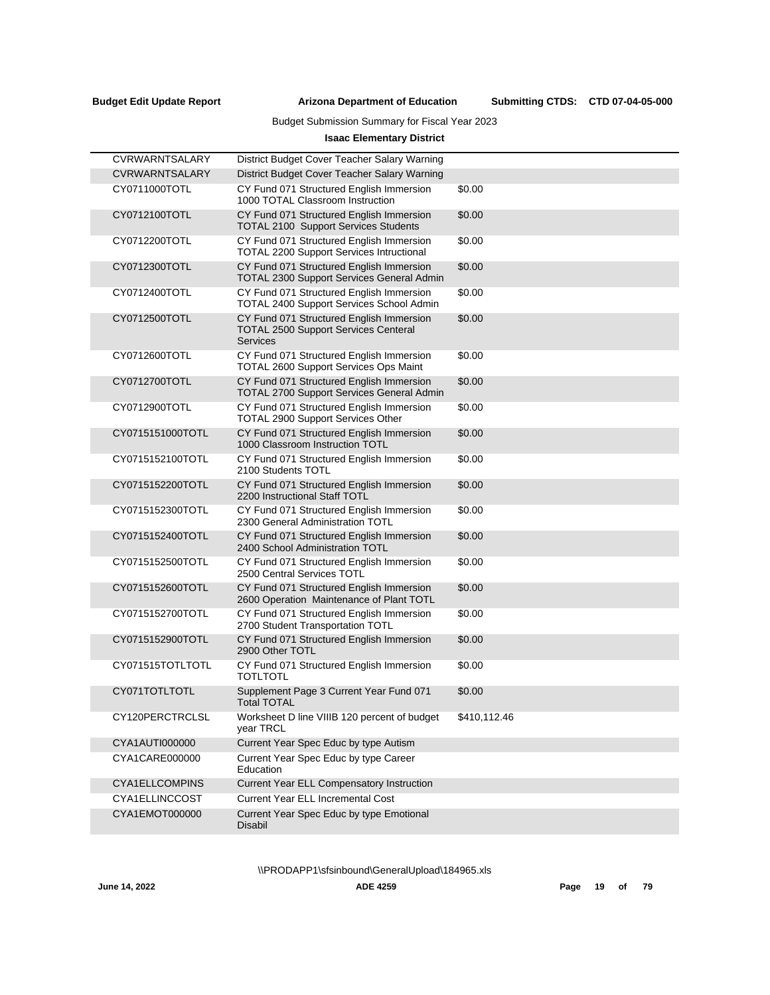L,

#### **Arizona Department of Education Budget Edit Update Report Submitting CTDS:**

## Budget Submission Summary for Fiscal Year 2023

## **Isaac Elementary District**

| <b>CVRWARNTSALARY</b> | District Budget Cover Teacher Salary Warning                                                               |              |
|-----------------------|------------------------------------------------------------------------------------------------------------|--------------|
| <b>CVRWARNTSALARY</b> | District Budget Cover Teacher Salary Warning                                                               |              |
| CY0711000TOTL         | CY Fund 071 Structured English Immersion<br>1000 TOTAL Classroom Instruction                               | \$0.00       |
| CY0712100TOTL         | CY Fund 071 Structured English Immersion<br><b>TOTAL 2100 Support Services Students</b>                    | \$0.00       |
| CY0712200TOTL         | CY Fund 071 Structured English Immersion<br><b>TOTAL 2200 Support Services Intructional</b>                | \$0.00       |
| CY0712300TOTL         | CY Fund 071 Structured English Immersion<br>TOTAL 2300 Support Services General Admin                      | \$0.00       |
| CY0712400TOTL         | CY Fund 071 Structured English Immersion<br>TOTAL 2400 Support Services School Admin                       | \$0.00       |
| CY0712500TOTL         | CY Fund 071 Structured English Immersion<br><b>TOTAL 2500 Support Services Centeral</b><br><b>Services</b> | \$0.00       |
| CY0712600TOTL         | CY Fund 071 Structured English Immersion<br>TOTAL 2600 Support Services Ops Maint                          | \$0.00       |
| CY0712700TOTL         | CY Fund 071 Structured English Immersion<br>TOTAL 2700 Support Services General Admin                      | \$0.00       |
| CY0712900TOTL         | CY Fund 071 Structured English Immersion<br>TOTAL 2900 Support Services Other                              | \$0.00       |
| CY0715151000TOTL      | CY Fund 071 Structured English Immersion<br>1000 Classroom Instruction TOTL                                | \$0.00       |
| CY0715152100TOTL      | CY Fund 071 Structured English Immersion<br>2100 Students TOTL                                             | \$0.00       |
| CY0715152200TOTL      | CY Fund 071 Structured English Immersion<br>2200 Instructional Staff TOTL                                  | \$0.00       |
| CY0715152300TOTL      | CY Fund 071 Structured English Immersion<br>2300 General Administration TOTL                               | \$0.00       |
| CY0715152400TOTL      | CY Fund 071 Structured English Immersion<br>2400 School Administration TOTL                                | \$0.00       |
| CY0715152500TOTL      | CY Fund 071 Structured English Immersion<br>2500 Central Services TOTL                                     | \$0.00       |
| CY0715152600TOTL      | CY Fund 071 Structured English Immersion<br>2600 Operation Maintenance of Plant TOTL                       | \$0.00       |
| CY0715152700TOTL      | CY Fund 071 Structured English Immersion<br>2700 Student Transportation TOTL                               | \$0.00       |
| CY0715152900TOTL      | CY Fund 071 Structured English Immersion<br>2900 Other TOTL                                                | \$0.00       |
| CY071515TOTLTOTL      | CY Fund 071 Structured English Immersion<br><b>TOTLTOTL</b>                                                | \$0.00       |
| CY071TOTLTOTL         | Supplement Page 3 Current Year Fund 071<br><b>Total TOTAL</b>                                              | \$0.00       |
| CY120PERCTRCLSL       | Worksheet D line VIIIB 120 percent of budget<br>year TRCL                                                  | \$410,112.46 |
| CYA1AUTI000000        | Current Year Spec Educ by type Autism                                                                      |              |
| CYA1CARE000000        | Current Year Spec Educ by type Career<br>Education                                                         |              |
| <b>CYA1ELLCOMPINS</b> | Current Year ELL Compensatory Instruction                                                                  |              |
| CYA1ELLINCCOST        | Current Year ELL Incremental Cost                                                                          |              |
| CYA1EMOT000000        | Current Year Spec Educ by type Emotional<br>Disabil                                                        |              |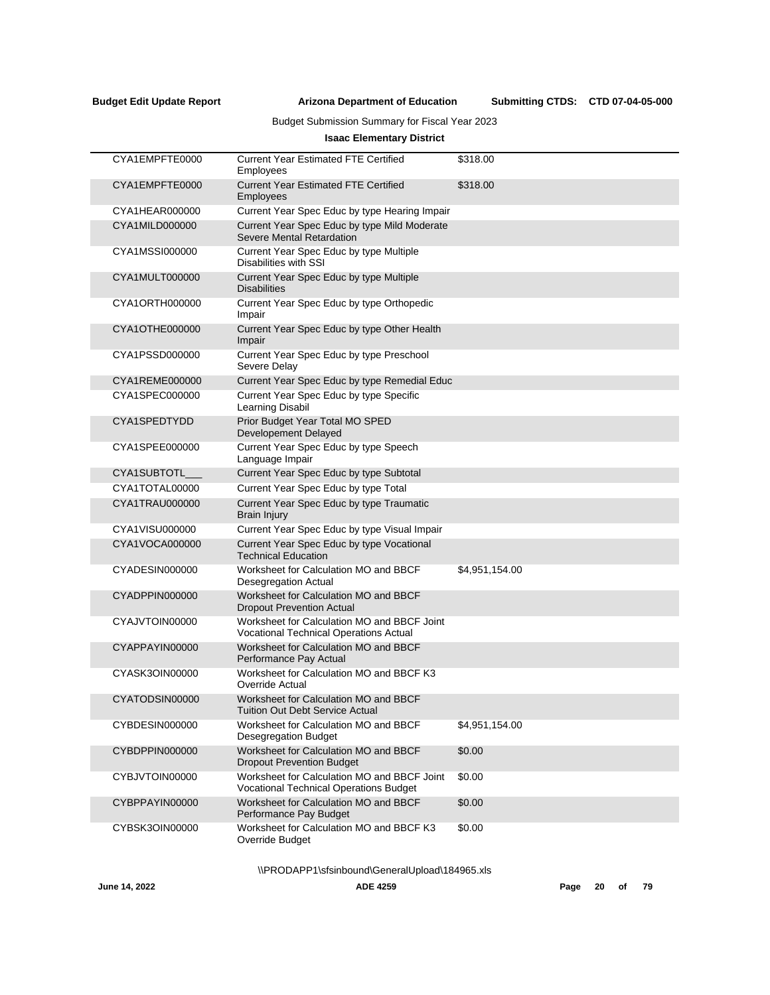Submitting CTDS: CTD 07-04-05-000

## Budget Submission Summary for Fiscal Year 2023

## **Isaac Elementary District**

| CYA1EMPFTE0000 | <b>Current Year Estimated FTE Certified</b><br>Employees                                     | \$318.00       |
|----------------|----------------------------------------------------------------------------------------------|----------------|
| CYA1EMPFTE0000 | <b>Current Year Estimated FTE Certified</b><br>Employees                                     | \$318.00       |
| CYA1HEAR000000 | Current Year Spec Educ by type Hearing Impair                                                |                |
| CYA1MILD000000 | Current Year Spec Educ by type Mild Moderate<br>Severe Mental Retardation                    |                |
| CYA1MSSI000000 | Current Year Spec Educ by type Multiple<br>Disabilities with SSI                             |                |
| CYA1MULT000000 | Current Year Spec Educ by type Multiple<br><b>Disabilities</b>                               |                |
| CYA1ORTH000000 | Current Year Spec Educ by type Orthopedic<br>Impair                                          |                |
| CYA1OTHE000000 | Current Year Spec Educ by type Other Health<br>Impair                                        |                |
| CYA1PSSD000000 | Current Year Spec Educ by type Preschool<br>Severe Delay                                     |                |
| CYA1REME000000 | Current Year Spec Educ by type Remedial Educ                                                 |                |
| CYA1SPEC000000 | Current Year Spec Educ by type Specific<br>Learning Disabil                                  |                |
| CYA1SPEDTYDD   | Prior Budget Year Total MO SPED<br>Developement Delayed                                      |                |
| CYA1SPEE000000 | Current Year Spec Educ by type Speech<br>Language Impair                                     |                |
| CYA1SUBTOTL__  | Current Year Spec Educ by type Subtotal                                                      |                |
| CYA1TOTAL00000 | Current Year Spec Educ by type Total                                                         |                |
| CYA1TRAU000000 | Current Year Spec Educ by type Traumatic<br><b>Brain Injury</b>                              |                |
| CYA1VISU000000 | Current Year Spec Educ by type Visual Impair                                                 |                |
| CYA1VOCA000000 | Current Year Spec Educ by type Vocational<br><b>Technical Education</b>                      |                |
| CYADESIN000000 | Worksheet for Calculation MO and BBCF<br>Desegregation Actual                                | \$4,951,154.00 |
| CYADPPIN000000 | Worksheet for Calculation MO and BBCF<br><b>Dropout Prevention Actual</b>                    |                |
| CYAJVTOIN00000 | Worksheet for Calculation MO and BBCF Joint<br><b>Vocational Technical Operations Actual</b> |                |
| CYAPPAYIN00000 | Worksheet for Calculation MO and BBCF<br>Performance Pay Actual                              |                |
| CYASK3OIN00000 | Worksheet for Calculation MO and BBCF K3<br>Override Actual                                  |                |
| CYATODSIN00000 | Worksheet for Calculation MO and BBCF<br>Tuition Out Debt Service Actual                     |                |
| CYBDESIN000000 | Worksheet for Calculation MO and BBCF<br><b>Desegregation Budget</b>                         | \$4,951,154.00 |
| CYBDPPIN000000 | Worksheet for Calculation MO and BBCF<br><b>Dropout Prevention Budget</b>                    | \$0.00         |
| CYBJVTOIN00000 | Worksheet for Calculation MO and BBCF Joint<br>Vocational Technical Operations Budget        | \$0.00         |
| CYBPPAYIN00000 | Worksheet for Calculation MO and BBCF<br>Performance Pay Budget                              | \$0.00         |
| CYBSK3OIN00000 | Worksheet for Calculation MO and BBCF K3<br>Override Budget                                  | \$0.00         |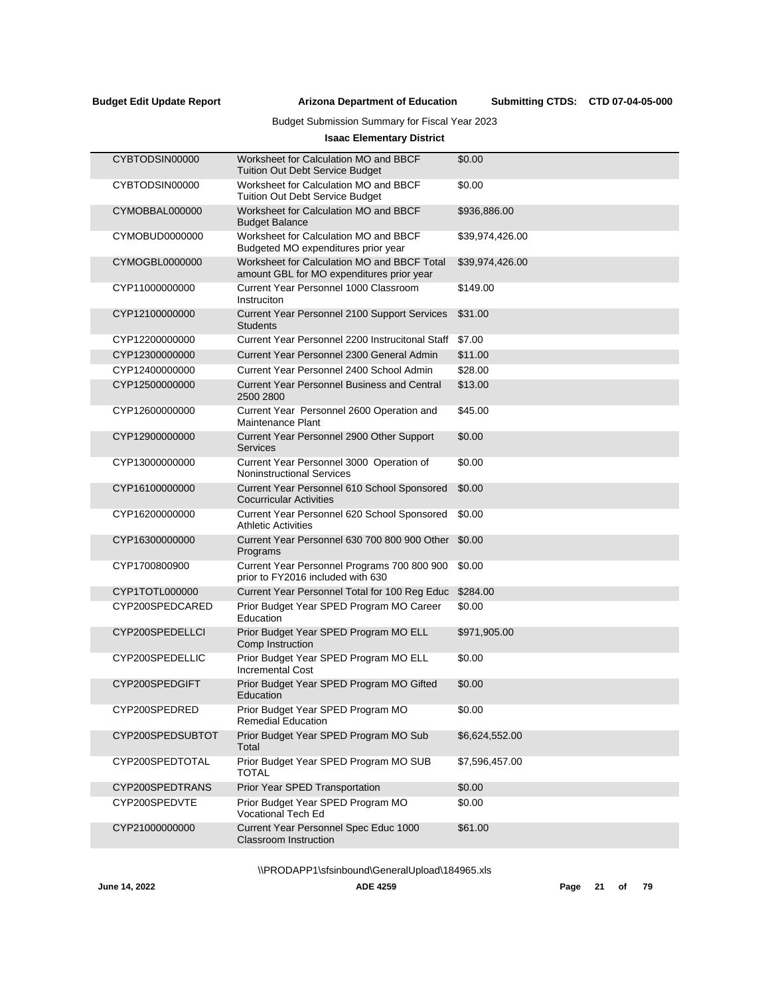## Budget Submission Summary for Fiscal Year 2023

## **Isaac Elementary District**

| CYBTODSIN00000   | Worksheet for Calculation MO and BBCF<br><b>Tuition Out Debt Service Budget</b>          | \$0.00          |
|------------------|------------------------------------------------------------------------------------------|-----------------|
| CYBTODSIN00000   | Worksheet for Calculation MO and BBCF<br><b>Tuition Out Debt Service Budget</b>          | \$0.00          |
| CYMOBBAL000000   | Worksheet for Calculation MO and BBCF<br><b>Budget Balance</b>                           | \$936,886.00    |
| CYMOBUD0000000   | Worksheet for Calculation MO and BBCF<br>Budgeted MO expenditures prior year             | \$39,974,426.00 |
| CYMOGBL0000000   | Worksheet for Calculation MO and BBCF Total<br>amount GBL for MO expenditures prior year | \$39,974,426.00 |
| CYP11000000000   | Current Year Personnel 1000 Classroom<br>Instruciton                                     | \$149.00        |
| CYP12100000000   | Current Year Personnel 2100 Support Services<br><b>Students</b>                          | \$31.00         |
| CYP12200000000   | Current Year Personnel 2200 Instrucitonal Staff                                          | \$7.00          |
| CYP12300000000   | Current Year Personnel 2300 General Admin                                                | \$11.00         |
| CYP12400000000   | Current Year Personnel 2400 School Admin                                                 | \$28.00         |
| CYP12500000000   | <b>Current Year Personnel Business and Central</b><br>2500 2800                          | \$13.00         |
| CYP12600000000   | Current Year Personnel 2600 Operation and<br><b>Maintenance Plant</b>                    | \$45.00         |
| CYP12900000000   | Current Year Personnel 2900 Other Support<br><b>Services</b>                             | \$0.00          |
| CYP13000000000   | Current Year Personnel 3000 Operation of<br><b>Noninstructional Services</b>             | \$0.00          |
| CYP16100000000   | Current Year Personnel 610 School Sponsored<br><b>Cocurricular Activities</b>            | \$0.00          |
| CYP16200000000   | Current Year Personnel 620 School Sponsored<br><b>Athletic Activities</b>                | \$0.00          |
| CYP16300000000   | Current Year Personnel 630 700 800 900 Other<br>Programs                                 | \$0.00          |
| CYP1700800900    | Current Year Personnel Programs 700 800 900<br>prior to FY2016 included with 630         | \$0.00          |
| CYP1TOTL000000   | Current Year Personnel Total for 100 Reg Educ                                            | \$284.00        |
| CYP200SPEDCARED  | Prior Budget Year SPED Program MO Career<br>Education                                    | \$0.00          |
| CYP200SPEDELLCI  | Prior Budget Year SPED Program MO ELL<br>Comp Instruction                                | \$971,905.00    |
| CYP200SPEDELLIC  | Prior Budget Year SPED Program MO ELL<br><b>Incremental Cost</b>                         | \$0.00          |
| CYP200SPEDGIFT   | Prior Budget Year SPED Program MO Gifted<br>Education                                    | \$0.00          |
| CYP200SPEDRED    | Prior Budget Year SPED Program MO<br><b>Remedial Education</b>                           | \$0.00          |
| CYP200SPEDSUBTOT | Prior Budget Year SPED Program MO Sub<br>Total                                           | \$6,624,552.00  |
| CYP200SPEDTOTAL  | Prior Budget Year SPED Program MO SUB<br><b>TOTAL</b>                                    | \$7,596,457.00  |
| CYP200SPEDTRANS  | Prior Year SPED Transportation                                                           | \$0.00          |
| CYP200SPEDVTE    | Prior Budget Year SPED Program MO<br><b>Vocational Tech Ed</b>                           | \$0.00          |
| CYP21000000000   | Current Year Personnel Spec Educ 1000<br><b>Classroom Instruction</b>                    | \$61.00         |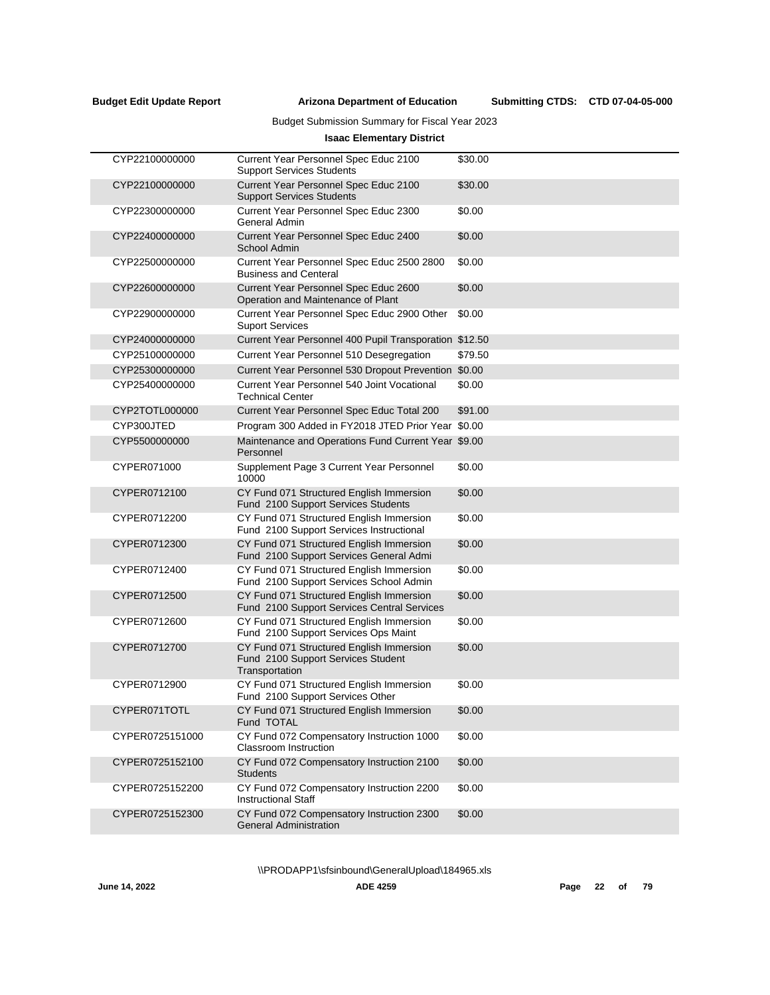$\overline{a}$ 

**Arizona Department of Education Budget Edit Update Report Submitting CTDS:**

Submitting CTDS: CTD 07-04-05-000

## Budget Submission Summary for Fiscal Year 2023

## **Isaac Elementary District**

| CYP22100000000  | Current Year Personnel Spec Educ 2100<br><b>Support Services Students</b>                        | \$30.00 |
|-----------------|--------------------------------------------------------------------------------------------------|---------|
| CYP22100000000  | Current Year Personnel Spec Educ 2100<br><b>Support Services Students</b>                        | \$30.00 |
| CYP22300000000  | Current Year Personnel Spec Educ 2300<br>General Admin                                           | \$0.00  |
| CYP22400000000  | Current Year Personnel Spec Educ 2400<br>School Admin                                            | \$0.00  |
| CYP22500000000  | Current Year Personnel Spec Educ 2500 2800<br><b>Business and Centeral</b>                       | \$0.00  |
| CYP22600000000  | Current Year Personnel Spec Educ 2600<br>Operation and Maintenance of Plant                      | \$0.00  |
| CYP22900000000  | Current Year Personnel Spec Educ 2900 Other<br><b>Suport Services</b>                            | \$0.00  |
| CYP24000000000  | Current Year Personnel 400 Pupil Transporation \$12.50                                           |         |
| CYP25100000000  | Current Year Personnel 510 Desegregation                                                         | \$79.50 |
| CYP25300000000  | Current Year Personnel 530 Dropout Prevention \$0.00                                             |         |
| CYP25400000000  | Current Year Personnel 540 Joint Vocational<br><b>Technical Center</b>                           | \$0.00  |
| CYP2TOTL000000  | Current Year Personnel Spec Educ Total 200                                                       | \$91.00 |
| CYP300JTED      | Program 300 Added in FY2018 JTED Prior Year \$0.00                                               |         |
| CYP5500000000   | Maintenance and Operations Fund Current Year \$9.00<br>Personnel                                 |         |
| CYPER071000     | Supplement Page 3 Current Year Personnel<br>10000                                                | \$0.00  |
| CYPER0712100    | CY Fund 071 Structured English Immersion<br>Fund 2100 Support Services Students                  | \$0.00  |
| CYPER0712200    | CY Fund 071 Structured English Immersion<br>Fund 2100 Support Services Instructional             | \$0.00  |
| CYPER0712300    | CY Fund 071 Structured English Immersion<br>Fund 2100 Support Services General Admi              | \$0.00  |
| CYPER0712400    | CY Fund 071 Structured English Immersion<br>Fund 2100 Support Services School Admin              | \$0.00  |
| CYPER0712500    | CY Fund 071 Structured English Immersion<br>Fund 2100 Support Services Central Services          | \$0.00  |
| CYPER0712600    | CY Fund 071 Structured English Immersion<br>Fund 2100 Support Services Ops Maint                 | \$0.00  |
| CYPER0712700    | CY Fund 071 Structured English Immersion<br>Fund 2100 Support Services Student<br>Transportation | \$0.00  |
| CYPER0712900    | CY Fund 071 Structured English Immersion<br>Fund 2100 Support Services Other                     | \$0.00  |
| CYPER071TOTL    | CY Fund 071 Structured English Immersion<br>Fund TOTAL                                           | \$0.00  |
| CYPER0725151000 | CY Fund 072 Compensatory Instruction 1000<br>Classroom Instruction                               | \$0.00  |
| CYPER0725152100 | CY Fund 072 Compensatory Instruction 2100<br>Students                                            | \$0.00  |
| CYPER0725152200 | CY Fund 072 Compensatory Instruction 2200<br><b>Instructional Staff</b>                          | \$0.00  |
| CYPER0725152300 | CY Fund 072 Compensatory Instruction 2300<br><b>General Administration</b>                       | \$0.00  |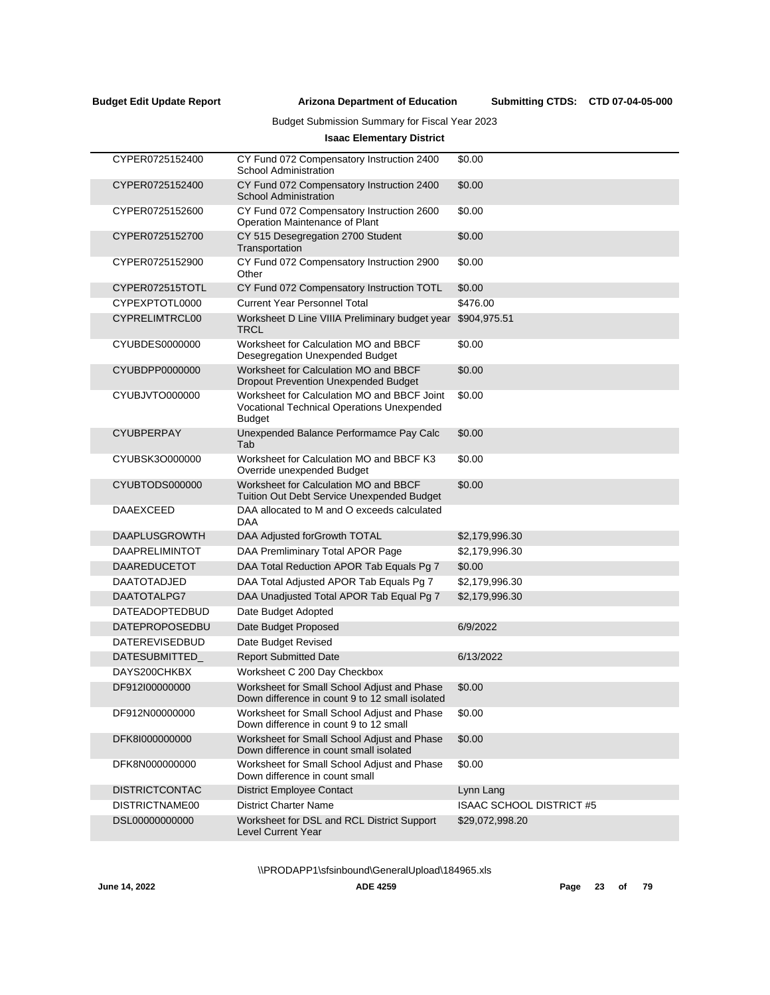Submitting CTDS: CTD 07-04-05-000

## Budget Submission Summary for Fiscal Year 2023

## **Isaac Elementary District**

| CYPER0725152400       | CY Fund 072 Compensatory Instruction 2400<br><b>School Administration</b>                                         | \$0.00                          |
|-----------------------|-------------------------------------------------------------------------------------------------------------------|---------------------------------|
| CYPER0725152400       | CY Fund 072 Compensatory Instruction 2400<br><b>School Administration</b>                                         | \$0.00                          |
| CYPER0725152600       | CY Fund 072 Compensatory Instruction 2600<br>Operation Maintenance of Plant                                       | \$0.00                          |
| CYPER0725152700       | CY 515 Desegregation 2700 Student<br>Transportation                                                               | \$0.00                          |
| CYPER0725152900       | CY Fund 072 Compensatory Instruction 2900<br>Other                                                                | \$0.00                          |
| CYPER072515TOTL       | CY Fund 072 Compensatory Instruction TOTL                                                                         | \$0.00                          |
| CYPEXPTOTL0000        | <b>Current Year Personnel Total</b>                                                                               | \$476.00                        |
| CYPRELIMTRCL00        | Worksheet D Line VIIIA Preliminary budget year<br>TRCL                                                            | \$904,975.51                    |
| CYUBDES0000000        | Worksheet for Calculation MO and BBCF<br>Desegregation Unexpended Budget                                          | \$0.00                          |
| CYUBDPP0000000        | Worksheet for Calculation MO and BBCF<br><b>Dropout Prevention Unexpended Budget</b>                              | \$0.00                          |
| CYUBJVTO000000        | Worksheet for Calculation MO and BBCF Joint<br><b>Vocational Technical Operations Unexpended</b><br><b>Budget</b> | \$0.00                          |
| <b>CYUBPERPAY</b>     | Unexpended Balance Performamce Pay Calc<br>Tab                                                                    | \$0.00                          |
| CYUBSK3O000000        | Worksheet for Calculation MO and BBCF K3<br>Override unexpended Budget                                            | \$0.00                          |
| CYUBTODS000000        | Worksheet for Calculation MO and BBCF<br><b>Tuition Out Debt Service Unexpended Budget</b>                        | \$0.00                          |
| <b>DAAEXCEED</b>      | DAA allocated to M and O exceeds calculated<br><b>DAA</b>                                                         |                                 |
| <b>DAAPLUSGROWTH</b>  | DAA Adjusted forGrowth TOTAL                                                                                      | \$2,179,996.30                  |
| <b>DAAPRELIMINTOT</b> | DAA Premliminary Total APOR Page                                                                                  | \$2,179,996.30                  |
| <b>DAAREDUCETOT</b>   | DAA Total Reduction APOR Tab Equals Pg 7                                                                          | \$0.00                          |
| <b>DAATOTADJED</b>    | DAA Total Adjusted APOR Tab Equals Pg 7                                                                           | \$2,179,996.30                  |
| DAATOTALPG7           | DAA Unadjusted Total APOR Tab Equal Pg 7                                                                          | \$2,179,996.30                  |
| DATEADOPTEDBUD        | Date Budget Adopted                                                                                               |                                 |
| DATEPROPOSEDBU        | Date Budget Proposed                                                                                              | 6/9/2022                        |
| <b>DATEREVISEDBUD</b> | Date Budget Revised                                                                                               |                                 |
| <b>DATESUBMITTED</b>  | <b>Report Submitted Date</b>                                                                                      | 6/13/2022                       |
| DAYS200CHKBX          | Worksheet C 200 Day Checkbox                                                                                      |                                 |
| DF912I00000000        | Worksheet for Small School Adjust and Phase<br>Down difference in count 9 to 12 small isolated                    | \$0.00                          |
| DF912N00000000        | Worksheet for Small School Adjust and Phase<br>Down difference in count 9 to 12 small                             | \$0.00                          |
| DFK8I000000000        | Worksheet for Small School Adjust and Phase<br>Down difference in count small isolated                            | \$0.00                          |
| DFK8N000000000        | Worksheet for Small School Adjust and Phase<br>Down difference in count small                                     | \$0.00                          |
| <b>DISTRICTCONTAC</b> | <b>District Employee Contact</b>                                                                                  | Lynn Lang                       |
| DISTRICTNAME00        | <b>District Charter Name</b>                                                                                      | <b>ISAAC SCHOOL DISTRICT #5</b> |
| DSL00000000000        | Worksheet for DSL and RCL District Support<br><b>Level Current Year</b>                                           | \$29,072,998.20                 |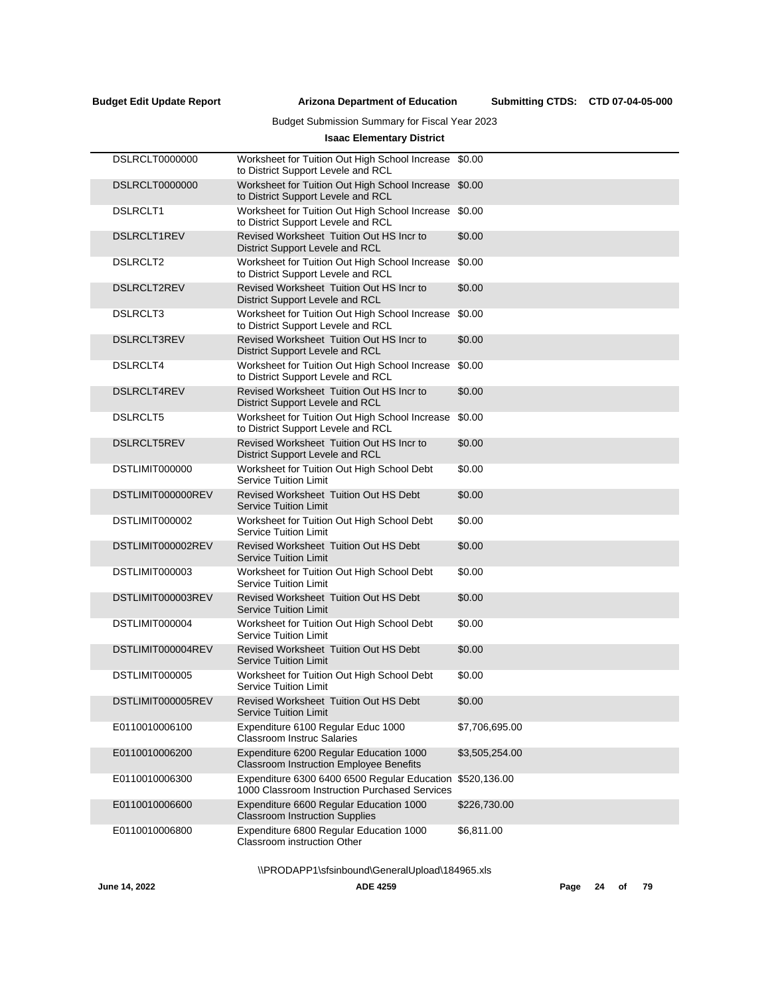Submitting CTDS: CTD 07-04-05-000

## Budget Submission Summary for Fiscal Year 2023

## **Isaac Elementary District**

| <b>DSLRCLT0000000</b> | Worksheet for Tuition Out High School Increase<br>to District Support Levele and RCL          | \$0.00         |
|-----------------------|-----------------------------------------------------------------------------------------------|----------------|
| <b>DSLRCLT0000000</b> | Worksheet for Tuition Out High School Increase<br>to District Support Levele and RCL          | \$0.00         |
| <b>DSLRCLT1</b>       | Worksheet for Tuition Out High School Increase<br>to District Support Levele and RCL          | \$0.00         |
| <b>DSLRCLT1REV</b>    | Revised Worksheet Tuition Out HS Incr to<br>District Support Levele and RCL                   | \$0.00         |
| <b>DSLRCLT2</b>       | Worksheet for Tuition Out High School Increase<br>to District Support Levele and RCL          | \$0.00         |
| DSLRCLT2REV           | Revised Worksheet Tuition Out HS Incr to<br>District Support Levele and RCL                   | \$0.00         |
| DSLRCLT3              | Worksheet for Tuition Out High School Increase<br>to District Support Levele and RCL          | \$0.00         |
| <b>DSLRCLT3REV</b>    | Revised Worksheet Tuition Out HS Incr to<br>District Support Levele and RCL                   | \$0.00         |
| DSLRCLT4              | Worksheet for Tuition Out High School Increase<br>to District Support Levele and RCL          | \$0.00         |
| <b>DSLRCLT4REV</b>    | Revised Worksheet Tuition Out HS Incr to<br>District Support Levele and RCL                   | \$0.00         |
| <b>DSLRCLT5</b>       | Worksheet for Tuition Out High School Increase<br>to District Support Levele and RCL          | \$0.00         |
| <b>DSLRCLT5REV</b>    | Revised Worksheet Tuition Out HS Incr to<br>District Support Levele and RCL                   | \$0.00         |
| DSTLIMIT000000        | Worksheet for Tuition Out High School Debt<br><b>Service Tuition Limit</b>                    | \$0.00         |
| DSTLIMIT000000REV     | <b>Revised Worksheet Tuition Out HS Debt</b><br><b>Service Tuition Limit</b>                  | \$0.00         |
| DSTLIMIT000002        | Worksheet for Tuition Out High School Debt<br><b>Service Tuition Limit</b>                    | \$0.00         |
| DSTLIMIT000002REV     | <b>Revised Worksheet Tuition Out HS Debt</b><br><b>Service Tuition Limit</b>                  | \$0.00         |
| DSTLIMIT000003        | Worksheet for Tuition Out High School Debt<br><b>Service Tuition Limit</b>                    | \$0.00         |
| DSTLIMIT000003REV     | <b>Revised Worksheet Tuition Out HS Debt</b><br><b>Service Tuition Limit</b>                  | \$0.00         |
| DSTLIMIT000004        | Worksheet for Tuition Out High School Debt<br><b>Service Tuition Limit</b>                    | \$0.00         |
| DSTLIMIT000004REV     | <b>Revised Worksheet Tuition Out HS Debt</b><br><b>Service Tuition Limit</b>                  | \$0.00         |
| DSTLIMIT000005        | Worksheet for Tuition Out High School Debt<br><b>Service Tuition Limit</b>                    | \$0.00         |
| DSTLIMIT000005REV     | Revised Worksheet Tuition Out HS Debt<br>Service I uition Limit                               | \$0.00         |
| E0110010006100        | Expenditure 6100 Regular Educ 1000<br>Classroom Instruc Salaries                              | \$7,706,695.00 |
| E0110010006200        | Expenditure 6200 Regular Education 1000<br>Classroom Instruction Employee Benefits            | \$3,505,254.00 |
| E0110010006300        | Expenditure 6300 6400 6500 Regular Education<br>1000 Classroom Instruction Purchased Services | \$520,136.00   |
| E0110010006600        | Expenditure 6600 Regular Education 1000<br><b>Classroom Instruction Supplies</b>              | \$226,730.00   |
| E0110010006800        | Expenditure 6800 Regular Education 1000<br>Classroom instruction Other                        | \$6,811.00     |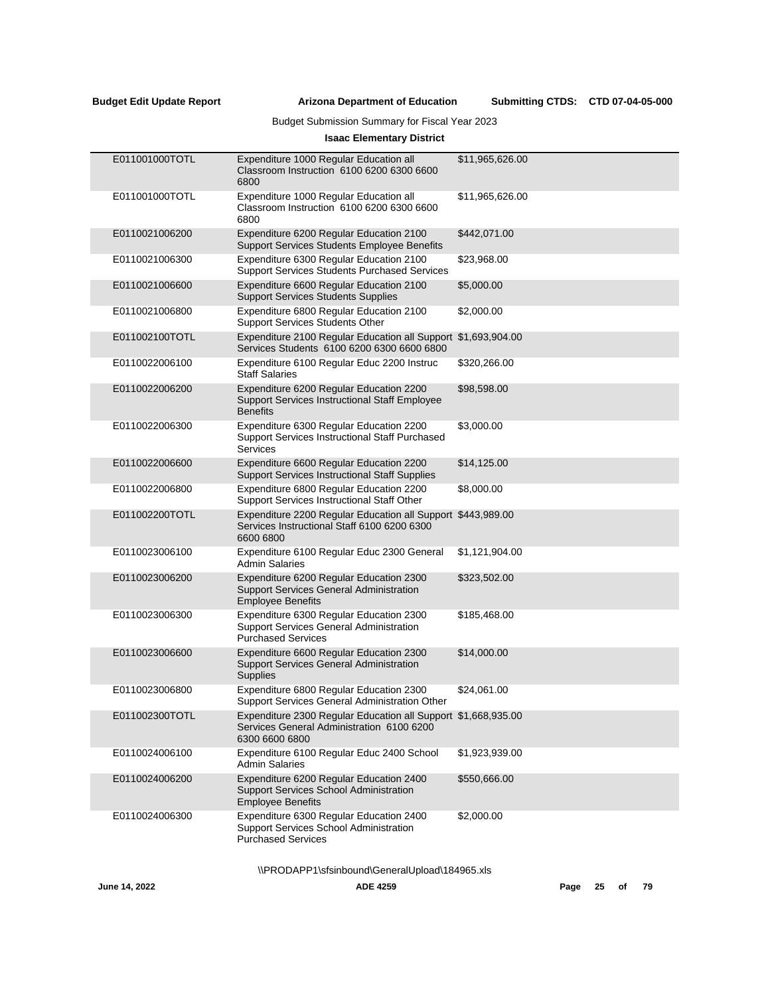## Budget Submission Summary for Fiscal Year 2023

## **Isaac Elementary District**

| E011001000TOTL | Expenditure 1000 Regular Education all<br>Classroom Instruction 6100 6200 6300 6600<br>6800                                  | \$11,965,626.00 |
|----------------|------------------------------------------------------------------------------------------------------------------------------|-----------------|
| E011001000TOTL | Expenditure 1000 Regular Education all<br>Classroom Instruction 6100 6200 6300 6600<br>6800                                  | \$11,965,626.00 |
| E0110021006200 | Expenditure 6200 Regular Education 2100<br><b>Support Services Students Employee Benefits</b>                                | \$442,071.00    |
| E0110021006300 | Expenditure 6300 Regular Education 2100<br><b>Support Services Students Purchased Services</b>                               | \$23,968.00     |
| E0110021006600 | Expenditure 6600 Regular Education 2100<br><b>Support Services Students Supplies</b>                                         | \$5,000.00      |
| E0110021006800 | Expenditure 6800 Regular Education 2100<br><b>Support Services Students Other</b>                                            | \$2,000.00      |
| E011002100TOTL | Expenditure 2100 Regular Education all Support \$1,693,904.00<br>Services Students 6100 6200 6300 6600 6800                  |                 |
| E0110022006100 | Expenditure 6100 Regular Educ 2200 Instruc<br><b>Staff Salaries</b>                                                          | \$320,266.00    |
| E0110022006200 | Expenditure 6200 Regular Education 2200<br>Support Services Instructional Staff Employee<br><b>Benefits</b>                  | \$98,598.00     |
| E0110022006300 | Expenditure 6300 Regular Education 2200<br>Support Services Instructional Staff Purchased<br><b>Services</b>                 | \$3,000.00      |
| E0110022006600 | Expenditure 6600 Regular Education 2200<br><b>Support Services Instructional Staff Supplies</b>                              | \$14,125.00     |
| E0110022006800 | Expenditure 6800 Regular Education 2200<br>Support Services Instructional Staff Other                                        | \$8,000.00      |
| E011002200TOTL | Expenditure 2200 Regular Education all Support \$443,989.00<br>Services Instructional Staff 6100 6200 6300<br>6600 6800      |                 |
| E0110023006100 | Expenditure 6100 Regular Educ 2300 General<br><b>Admin Salaries</b>                                                          | \$1,121,904.00  |
| E0110023006200 | Expenditure 6200 Regular Education 2300<br>Support Services General Administration<br><b>Employee Benefits</b>               | \$323,502.00    |
| E0110023006300 | Expenditure 6300 Regular Education 2300<br><b>Support Services General Administration</b><br><b>Purchased Services</b>       | \$185,468.00    |
| E0110023006600 | Expenditure 6600 Regular Education 2300<br>Support Services General Administration<br><b>Supplies</b>                        | \$14,000.00     |
| E0110023006800 | Expenditure 6800 Regular Education 2300<br>Support Services General Administration Other                                     | \$24,061.00     |
| E011002300TOTL | Expenditure 2300 Regular Education all Support \$1,668,935.00<br>Services General Administration 6100 6200<br>6300 6600 6800 |                 |
| E0110024006100 | Expenditure 6100 Regular Educ 2400 School<br><b>Admin Salaries</b>                                                           | \$1,923,939.00  |
| E0110024006200 | Expenditure 6200 Regular Education 2400<br>Support Services School Administration<br><b>Employee Benefits</b>                | \$550,666.00    |
| E0110024006300 | Expenditure 6300 Regular Education 2400<br>Support Services School Administration<br><b>Purchased Services</b>               | \$2,000.00      |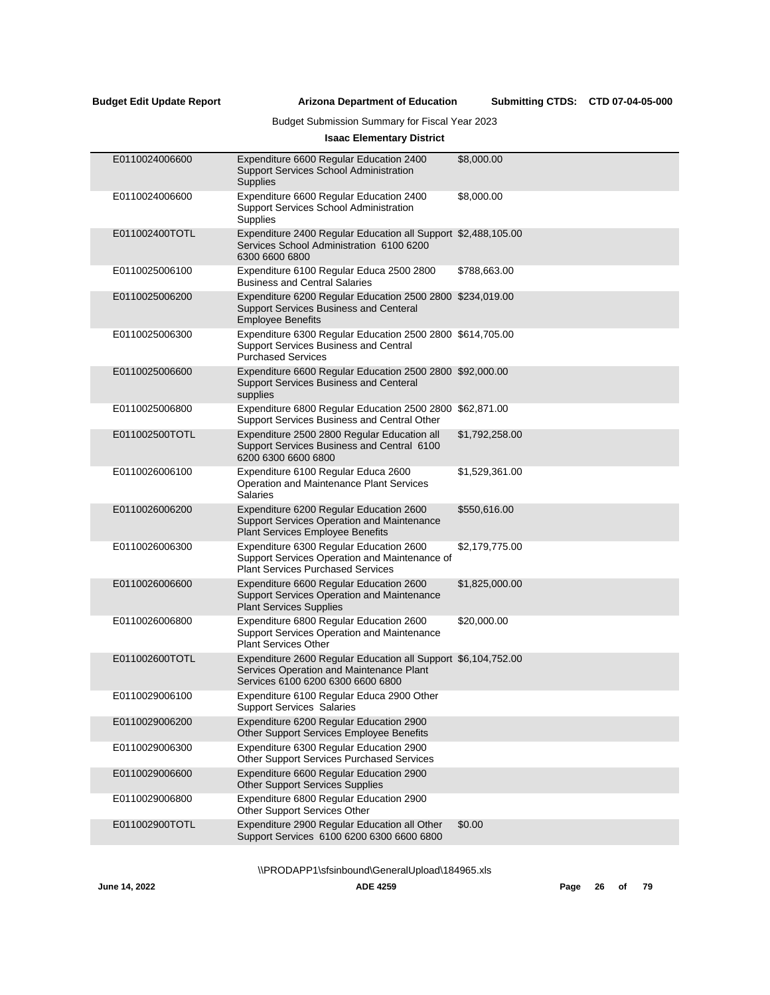Submitting CTDS: CTD 07-04-05-000

## Budget Submission Summary for Fiscal Year 2023

## **Isaac Elementary District**

| E0110024006600 | Expenditure 6600 Regular Education 2400<br><b>Support Services School Administration</b><br>Supplies                                           | \$8,000.00     |
|----------------|------------------------------------------------------------------------------------------------------------------------------------------------|----------------|
| E0110024006600 | Expenditure 6600 Regular Education 2400<br>Support Services School Administration<br>Supplies                                                  | \$8,000.00     |
| E011002400TOTL | Expenditure 2400 Regular Education all Support \$2,488,105.00<br>Services School Administration 6100 6200<br>6300 6600 6800                    |                |
| E0110025006100 | Expenditure 6100 Regular Educa 2500 2800<br><b>Business and Central Salaries</b>                                                               | \$788,663.00   |
| E0110025006200 | Expenditure 6200 Regular Education 2500 2800 \$234,019.00<br>Support Services Business and Centeral<br><b>Employee Benefits</b>                |                |
| E0110025006300 | Expenditure 6300 Regular Education 2500 2800 \$614,705.00<br>Support Services Business and Central<br><b>Purchased Services</b>                |                |
| E0110025006600 | Expenditure 6600 Regular Education 2500 2800 \$92,000.00<br><b>Support Services Business and Centeral</b><br>supplies                          |                |
| E0110025006800 | Expenditure 6800 Regular Education 2500 2800 \$62,871.00<br>Support Services Business and Central Other                                        |                |
| E011002500TOTL | Expenditure 2500 2800 Regular Education all<br>Support Services Business and Central 6100<br>6200 6300 6600 6800                               | \$1,792,258.00 |
| E0110026006100 | Expenditure 6100 Regular Educa 2600<br>Operation and Maintenance Plant Services<br><b>Salaries</b>                                             | \$1,529,361.00 |
| E0110026006200 | Expenditure 6200 Regular Education 2600<br><b>Support Services Operation and Maintenance</b><br>Plant Services Employee Benefits               | \$550,616.00   |
| E0110026006300 | Expenditure 6300 Regular Education 2600<br>Support Services Operation and Maintenance of<br><b>Plant Services Purchased Services</b>           | \$2,179,775.00 |
| E0110026006600 | Expenditure 6600 Regular Education 2600<br><b>Support Services Operation and Maintenance</b><br><b>Plant Services Supplies</b>                 | \$1,825,000.00 |
| E0110026006800 | Expenditure 6800 Regular Education 2600<br>Support Services Operation and Maintenance<br><b>Plant Services Other</b>                           | \$20,000.00    |
| E011002600TOTL | Expenditure 2600 Regular Education all Support \$6,104,752.00<br>Services Operation and Maintenance Plant<br>Services 6100 6200 6300 6600 6800 |                |
| E0110029006100 | Expenditure 6100 Regular Educa 2900 Other<br><b>Support Services Salaries</b>                                                                  |                |
| E0110029006200 | Expenditure 6200 Regular Education 2900<br>Other Support Services Employee Benefits                                                            |                |
| E0110029006300 | Expenditure 6300 Regular Education 2900<br>Other Support Services Purchased Services                                                           |                |
| E0110029006600 | Expenditure 6600 Regular Education 2900<br><b>Other Support Services Supplies</b>                                                              |                |
| E0110029006800 | Expenditure 6800 Regular Education 2900<br>Other Support Services Other                                                                        |                |
| E011002900TOTL | Expenditure 2900 Regular Education all Other<br>Support Services 6100 6200 6300 6600 6800                                                      | \$0.00         |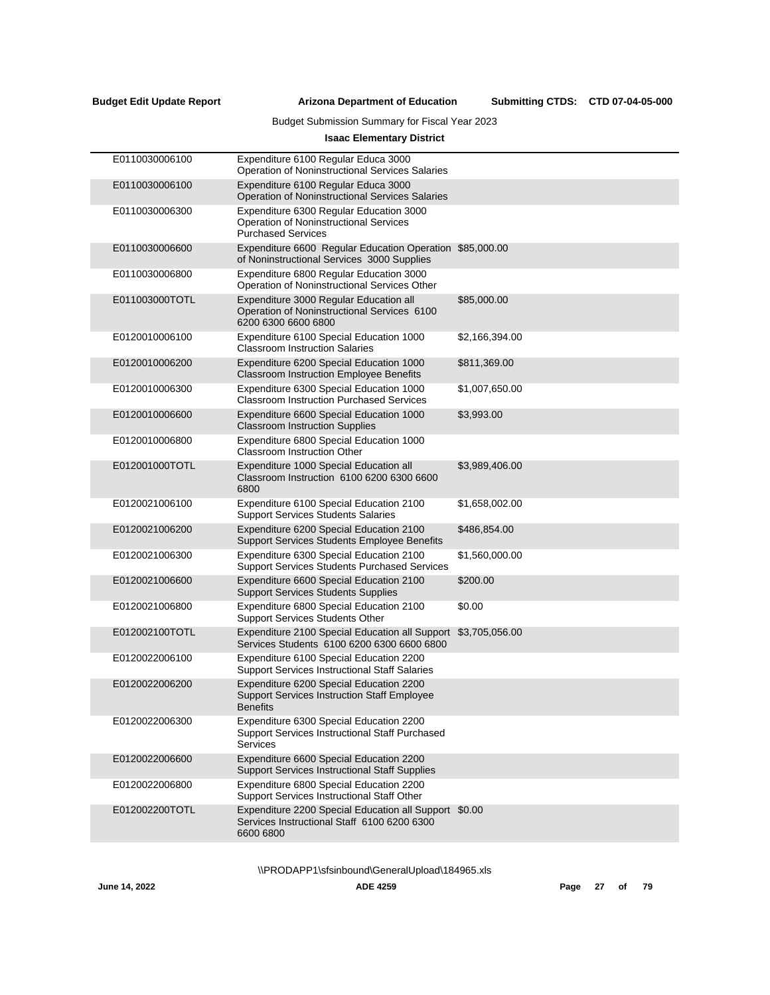## Budget Submission Summary for Fiscal Year 2023

## **Isaac Elementary District**

| E0110030006100 | Expenditure 6100 Regular Educa 3000<br><b>Operation of Noninstructional Services Salaries</b>                     |                |
|----------------|-------------------------------------------------------------------------------------------------------------------|----------------|
| E0110030006100 | Expenditure 6100 Regular Educa 3000<br><b>Operation of Noninstructional Services Salaries</b>                     |                |
| E0110030006300 | Expenditure 6300 Regular Education 3000<br>Operation of Noninstructional Services<br><b>Purchased Services</b>    |                |
| E0110030006600 | Expenditure 6600 Regular Education Operation \$85,000.00<br>of Noninstructional Services 3000 Supplies            |                |
| E0110030006800 | Expenditure 6800 Regular Education 3000<br>Operation of Noninstructional Services Other                           |                |
| E011003000TOTL | Expenditure 3000 Regular Education all<br>Operation of Noninstructional Services 6100<br>6200 6300 6600 6800      | \$85,000.00    |
| E0120010006100 | Expenditure 6100 Special Education 1000<br><b>Classroom Instruction Salaries</b>                                  | \$2,166,394.00 |
| E0120010006200 | Expenditure 6200 Special Education 1000<br><b>Classroom Instruction Employee Benefits</b>                         | \$811,369.00   |
| E0120010006300 | Expenditure 6300 Special Education 1000<br><b>Classroom Instruction Purchased Services</b>                        | \$1,007,650.00 |
| E0120010006600 | Expenditure 6600 Special Education 1000<br><b>Classroom Instruction Supplies</b>                                  | \$3,993.00     |
| E0120010006800 | Expenditure 6800 Special Education 1000<br><b>Classroom Instruction Other</b>                                     |                |
| E012001000TOTL | Expenditure 1000 Special Education all<br>Classroom Instruction 6100 6200 6300 6600<br>6800                       | \$3,989,406.00 |
| E0120021006100 | Expenditure 6100 Special Education 2100<br><b>Support Services Students Salaries</b>                              | \$1,658,002.00 |
| E0120021006200 | Expenditure 6200 Special Education 2100<br>Support Services Students Employee Benefits                            | \$486,854.00   |
| E0120021006300 | Expenditure 6300 Special Education 2100<br><b>Support Services Students Purchased Services</b>                    | \$1,560,000.00 |
| E0120021006600 | Expenditure 6600 Special Education 2100<br><b>Support Services Students Supplies</b>                              | \$200.00       |
| E0120021006800 | Expenditure 6800 Special Education 2100<br><b>Support Services Students Other</b>                                 | \$0.00         |
| E012002100TOTL | Expenditure 2100 Special Education all Support<br>Services Students 6100 6200 6300 6600 6800                      | \$3,705,056.00 |
| E0120022006100 | Expenditure 6100 Special Education 2200<br><b>Support Services Instructional Staff Salaries</b>                   |                |
| E0120022006200 | Expenditure 6200 Special Education 2200<br><b>Support Services Instruction Staff Employee</b><br><b>Benefits</b>  |                |
| E0120022006300 | Expenditure 6300 Special Education 2200<br>Support Services Instructional Staff Purchased<br><b>Services</b>      |                |
| E0120022006600 | Expenditure 6600 Special Education 2200<br><b>Support Services Instructional Staff Supplies</b>                   |                |
| E0120022006800 | Expenditure 6800 Special Education 2200<br>Support Services Instructional Staff Other                             |                |
| E012002200TOTL | Expenditure 2200 Special Education all Support \$0.00<br>Services Instructional Staff 6100 6200 6300<br>6600 6800 |                |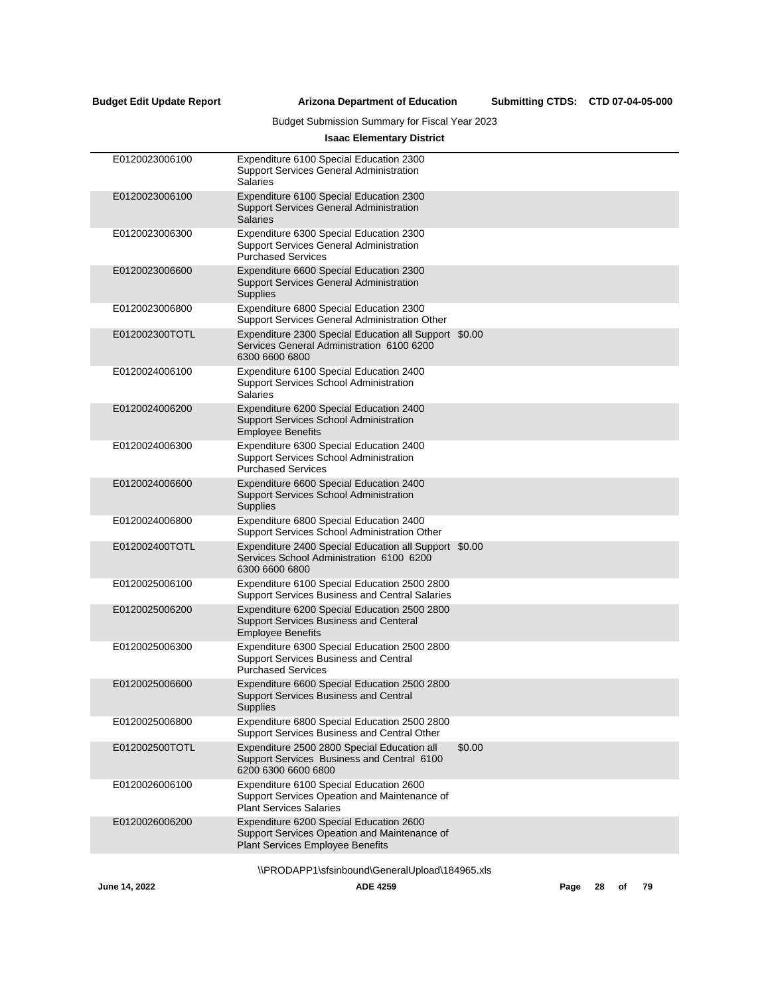Submitting CTDS: CTD 07-04-05-000

# Budget Submission Summary for Fiscal Year 2023

## **Isaac Elementary District**

| E0120023006100 | Expenditure 6100 Special Education 2300<br><b>Support Services General Administration</b><br><b>Salaries</b>                |        |
|----------------|-----------------------------------------------------------------------------------------------------------------------------|--------|
| E0120023006100 | Expenditure 6100 Special Education 2300<br><b>Support Services General Administration</b><br><b>Salaries</b>                |        |
| E0120023006300 | Expenditure 6300 Special Education 2300<br><b>Support Services General Administration</b><br><b>Purchased Services</b>      |        |
| E0120023006600 | Expenditure 6600 Special Education 2300<br><b>Support Services General Administration</b><br>Supplies                       |        |
| E0120023006800 | Expenditure 6800 Special Education 2300<br>Support Services General Administration Other                                    |        |
| E012002300TOTL | Expenditure 2300 Special Education all Support \$0.00<br>Services General Administration 6100 6200<br>6300 6600 6800        |        |
| E0120024006100 | Expenditure 6100 Special Education 2400<br>Support Services School Administration<br><b>Salaries</b>                        |        |
| E0120024006200 | Expenditure 6200 Special Education 2400<br><b>Support Services School Administration</b><br><b>Employee Benefits</b>        |        |
| E0120024006300 | Expenditure 6300 Special Education 2400<br>Support Services School Administration<br><b>Purchased Services</b>              |        |
| E0120024006600 | Expenditure 6600 Special Education 2400<br><b>Support Services School Administration</b><br>Supplies                        |        |
| E0120024006800 | Expenditure 6800 Special Education 2400<br>Support Services School Administration Other                                     |        |
| E012002400TOTL | Expenditure 2400 Special Education all Support \$0.00<br>Services School Administration 6100 6200<br>6300 6600 6800         |        |
| E0120025006100 | Expenditure 6100 Special Education 2500 2800<br>Support Services Business and Central Salaries                              |        |
| E0120025006200 | Expenditure 6200 Special Education 2500 2800<br>Support Services Business and Centeral<br><b>Employee Benefits</b>          |        |
| E0120025006300 | Expenditure 6300 Special Education 2500 2800<br>Support Services Business and Central<br><b>Purchased Services</b>          |        |
| E0120025006600 | Expenditure 6600 Special Education 2500 2800<br>Support Services Business and Central<br><b>Supplies</b>                    |        |
| E0120025006800 | Expenditure 6800 Special Education 2500 2800<br>Support Services Business and Central Other                                 |        |
| E012002500TOTL | Expenditure 2500 2800 Special Education all<br>Support Services Business and Central 6100<br>6200 6300 6600 6800            | \$0.00 |
| E0120026006100 | Expenditure 6100 Special Education 2600<br>Support Services Opeation and Maintenance of<br><b>Plant Services Salaries</b>   |        |
| E0120026006200 | Expenditure 6200 Special Education 2600<br>Support Services Opeation and Maintenance of<br>Plant Services Employee Benefits |        |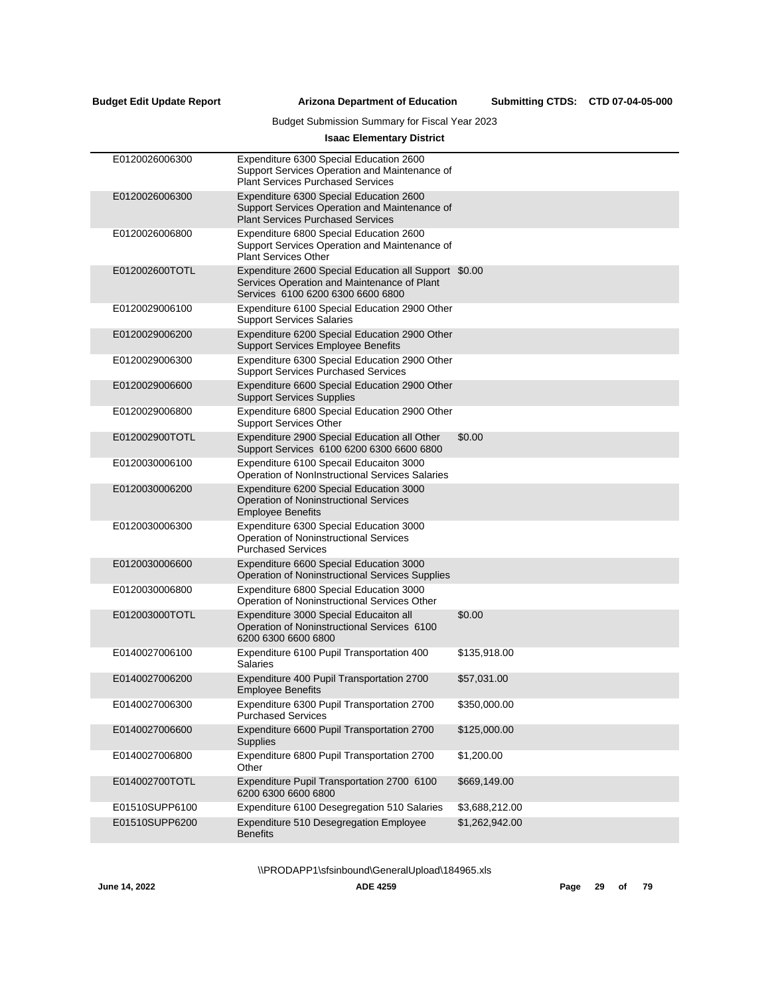## Budget Submission Summary for Fiscal Year 2023

## **Isaac Elementary District**

| E0120026006300 | Expenditure 6300 Special Education 2600<br>Support Services Operation and Maintenance of<br><b>Plant Services Purchased Services</b>      |                |
|----------------|-------------------------------------------------------------------------------------------------------------------------------------------|----------------|
| E0120026006300 | Expenditure 6300 Special Education 2600<br>Support Services Operation and Maintenance of<br><b>Plant Services Purchased Services</b>      |                |
| E0120026006800 | Expenditure 6800 Special Education 2600<br>Support Services Operation and Maintenance of<br><b>Plant Services Other</b>                   |                |
| E012002600TOTL | Expenditure 2600 Special Education all Support \$0.00<br>Services Operation and Maintenance of Plant<br>Services 6100 6200 6300 6600 6800 |                |
| E0120029006100 | Expenditure 6100 Special Education 2900 Other<br><b>Support Services Salaries</b>                                                         |                |
| E0120029006200 | Expenditure 6200 Special Education 2900 Other<br><b>Support Services Employee Benefits</b>                                                |                |
| E0120029006300 | Expenditure 6300 Special Education 2900 Other<br><b>Support Services Purchased Services</b>                                               |                |
| E0120029006600 | Expenditure 6600 Special Education 2900 Other<br><b>Support Services Supplies</b>                                                         |                |
| E0120029006800 | Expenditure 6800 Special Education 2900 Other<br><b>Support Services Other</b>                                                            |                |
| E012002900TOTL | Expenditure 2900 Special Education all Other<br>Support Services 6100 6200 6300 6600 6800                                                 | \$0.00         |
| E0120030006100 | Expenditure 6100 Specail Educaiton 3000<br>Operation of NonInstructional Services Salaries                                                |                |
| E0120030006200 | Expenditure 6200 Special Education 3000<br><b>Operation of Noninstructional Services</b><br><b>Employee Benefits</b>                      |                |
| E0120030006300 | Expenditure 6300 Special Education 3000<br><b>Operation of Noninstructional Services</b><br><b>Purchased Services</b>                     |                |
| E0120030006600 | Expenditure 6600 Special Education 3000<br>Operation of Noninstructional Services Supplies                                                |                |
| E0120030006800 | Expenditure 6800 Special Education 3000<br>Operation of Noninstructional Services Other                                                   |                |
| E012003000TOTL | Expenditure 3000 Special Educaiton all<br>Operation of Noninstructional Services 6100<br>6200 6300 6600 6800                              | \$0.00         |
| E0140027006100 | Expenditure 6100 Pupil Transportation 400<br>Salaries                                                                                     | \$135,918.00   |
| E0140027006200 | Expenditure 400 Pupil Transportation 2700<br><b>Employee Benefits</b>                                                                     | \$57,031.00    |
| E0140027006300 | Expenditure 6300 Pupil Transportation 2700<br><b>Purchased Services</b>                                                                   | \$350,000.00   |
| E0140027006600 | Expenditure 6600 Pupil Transportation 2700<br><b>Supplies</b>                                                                             | \$125,000.00   |
| E0140027006800 | Expenditure 6800 Pupil Transportation 2700<br>Other                                                                                       | \$1,200.00     |
| E014002700TOTL | Expenditure Pupil Transportation 2700 6100<br>6200 6300 6600 6800                                                                         | \$669,149.00   |
| E01510SUPP6100 | Expenditure 6100 Desegregation 510 Salaries                                                                                               | \$3,688,212.00 |
| E01510SUPP6200 | Expenditure 510 Desegregation Employee<br><b>Benefits</b>                                                                                 | \$1,262,942.00 |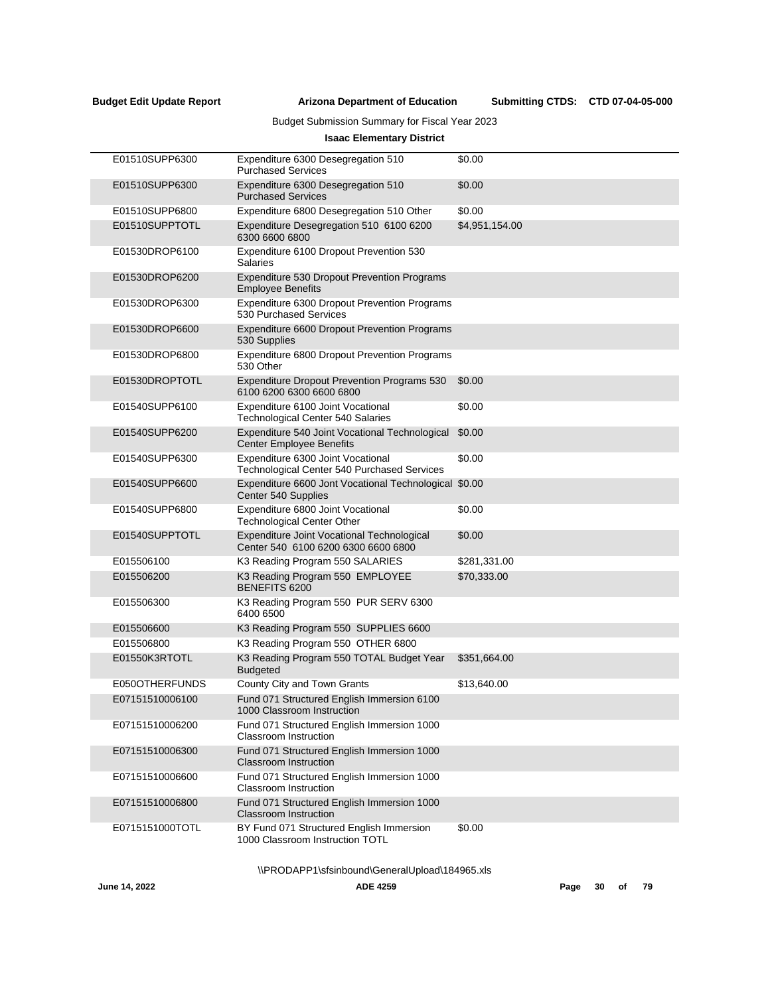Submitting CTDS: CTD 07-04-05-000

## Budget Submission Summary for Fiscal Year 2023

## **Isaac Elementary District**

| E01510SUPP6300  | Expenditure 6300 Desegregation 510<br><b>Purchased Services</b>                         | \$0.00         |
|-----------------|-----------------------------------------------------------------------------------------|----------------|
| E01510SUPP6300  | Expenditure 6300 Desegregation 510<br><b>Purchased Services</b>                         | \$0.00         |
| E01510SUPP6800  | Expenditure 6800 Desegregation 510 Other                                                | \$0.00         |
| E01510SUPPTOTL  | Expenditure Desegregation 510 6100 6200<br>6300 6600 6800                               | \$4,951,154.00 |
| E01530DROP6100  | Expenditure 6100 Dropout Prevention 530<br>Salaries                                     |                |
| E01530DROP6200  | Expenditure 530 Dropout Prevention Programs<br><b>Employee Benefits</b>                 |                |
| E01530DROP6300  | Expenditure 6300 Dropout Prevention Programs<br>530 Purchased Services                  |                |
| E01530DROP6600  | Expenditure 6600 Dropout Prevention Programs<br>530 Supplies                            |                |
| E01530DROP6800  | Expenditure 6800 Dropout Prevention Programs<br>530 Other                               |                |
| E01530DROPTOTL  | <b>Expenditure Dropout Prevention Programs 530</b><br>6100 6200 6300 6600 6800          | \$0.00         |
| E01540SUPP6100  | Expenditure 6100 Joint Vocational<br><b>Technological Center 540 Salaries</b>           | \$0.00         |
| E01540SUPP6200  | Expenditure 540 Joint Vocational Technological<br><b>Center Employee Benefits</b>       | \$0.00         |
| E01540SUPP6300  | Expenditure 6300 Joint Vocational<br><b>Technological Center 540 Purchased Services</b> | \$0.00         |
| E01540SUPP6600  | Expenditure 6600 Jont Vocational Technological \$0.00<br>Center 540 Supplies            |                |
| E01540SUPP6800  | Expenditure 6800 Joint Vocational<br><b>Technological Center Other</b>                  | \$0.00         |
| E01540SUPPTOTL  | Expenditure Joint Vocational Technological<br>Center 540 6100 6200 6300 6600 6800       | \$0.00         |
| E015506100      | K3 Reading Program 550 SALARIES                                                         | \$281,331.00   |
| E015506200      | K3 Reading Program 550 EMPLOYEE<br>BENEFITS 6200                                        | \$70,333.00    |
| E015506300      | K3 Reading Program 550 PUR SERV 6300<br>6400 6500                                       |                |
| E015506600      | K3 Reading Program 550 SUPPLIES 6600                                                    |                |
| E015506800      | K3 Reading Program 550 OTHER 6800                                                       |                |
| E01550K3RTOTL   | K3 Reading Program 550 TOTAL Budget Year<br><b>Budgeted</b>                             | \$351,664.00   |
| E050OTHERFUNDS  | County City and Town Grants                                                             | \$13,640.00    |
| E07151510006100 | Fund 071 Structured English Immersion 6100<br>1000 Classroom Instruction                |                |
| E07151510006200 | Fund 071 Structured English Immersion 1000<br><b>Classroom Instruction</b>              |                |
| E07151510006300 | Fund 071 Structured English Immersion 1000<br><b>Classroom Instruction</b>              |                |
| E07151510006600 | Fund 071 Structured English Immersion 1000<br><b>Classroom Instruction</b>              |                |
| E07151510006800 | Fund 071 Structured English Immersion 1000<br><b>Classroom Instruction</b>              |                |
| E0715151000TOTL | BY Fund 071 Structured English Immersion<br>1000 Classroom Instruction TOTL             | \$0.00         |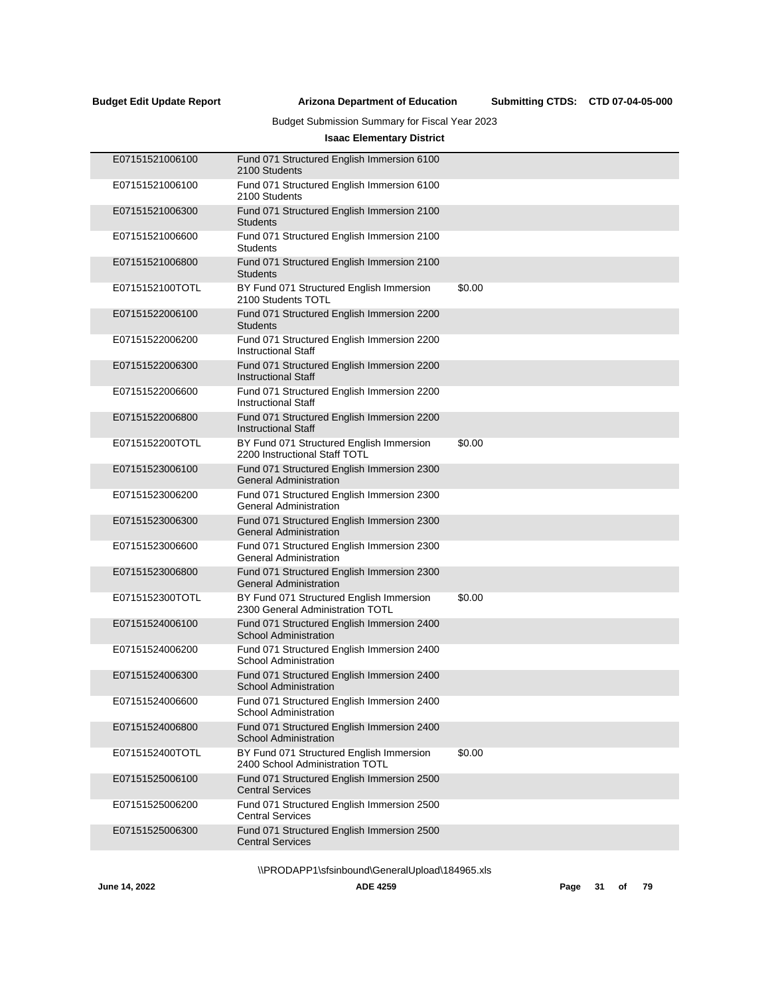Submitting CTDS: CTD 07-04-05-000

## Budget Submission Summary for Fiscal Year 2023

## **Isaac Elementary District**

| E07151521006100 | Fund 071 Structured English Immersion 6100<br>2100 Students                  |        |
|-----------------|------------------------------------------------------------------------------|--------|
| E07151521006100 | Fund 071 Structured English Immersion 6100<br>2100 Students                  |        |
| E07151521006300 | Fund 071 Structured English Immersion 2100<br><b>Students</b>                |        |
| E07151521006600 | Fund 071 Structured English Immersion 2100<br><b>Students</b>                |        |
| E07151521006800 | Fund 071 Structured English Immersion 2100<br><b>Students</b>                |        |
| E0715152100TOTL | BY Fund 071 Structured English Immersion<br>2100 Students TOTL               | \$0.00 |
| E07151522006100 | Fund 071 Structured English Immersion 2200<br><b>Students</b>                |        |
| E07151522006200 | Fund 071 Structured English Immersion 2200<br><b>Instructional Staff</b>     |        |
| E07151522006300 | Fund 071 Structured English Immersion 2200<br><b>Instructional Staff</b>     |        |
| E07151522006600 | Fund 071 Structured English Immersion 2200<br><b>Instructional Staff</b>     |        |
| E07151522006800 | Fund 071 Structured English Immersion 2200<br><b>Instructional Staff</b>     |        |
| E0715152200TOTL | BY Fund 071 Structured English Immersion<br>2200 Instructional Staff TOTL    | \$0.00 |
| E07151523006100 | Fund 071 Structured English Immersion 2300<br><b>General Administration</b>  |        |
| E07151523006200 | Fund 071 Structured English Immersion 2300<br><b>General Administration</b>  |        |
| E07151523006300 | Fund 071 Structured English Immersion 2300<br><b>General Administration</b>  |        |
| E07151523006600 | Fund 071 Structured English Immersion 2300<br><b>General Administration</b>  |        |
| E07151523006800 | Fund 071 Structured English Immersion 2300<br><b>General Administration</b>  |        |
| E0715152300TOTL | BY Fund 071 Structured English Immersion<br>2300 General Administration TOTL | \$0.00 |
| E07151524006100 | Fund 071 Structured English Immersion 2400<br><b>School Administration</b>   |        |
| E07151524006200 | Fund 071 Structured English Immersion 2400<br><b>School Administration</b>   |        |
| E07151524006300 | Fund 071 Structured English Immersion 2400<br>School Administration          |        |
| E07151524006600 | Fund 071 Structured English Immersion 2400<br>School Administration          |        |
| E07151524006800 | Fund 071 Structured English Immersion 2400<br><b>School Administration</b>   |        |
| E0715152400TOTL | BY Fund 071 Structured English Immersion<br>2400 School Administration TOTL  | \$0.00 |
| E07151525006100 | Fund 071 Structured English Immersion 2500<br><b>Central Services</b>        |        |
| E07151525006200 | Fund 071 Structured English Immersion 2500<br><b>Central Services</b>        |        |
| E07151525006300 | Fund 071 Structured English Immersion 2500<br><b>Central Services</b>        |        |
|                 |                                                                              |        |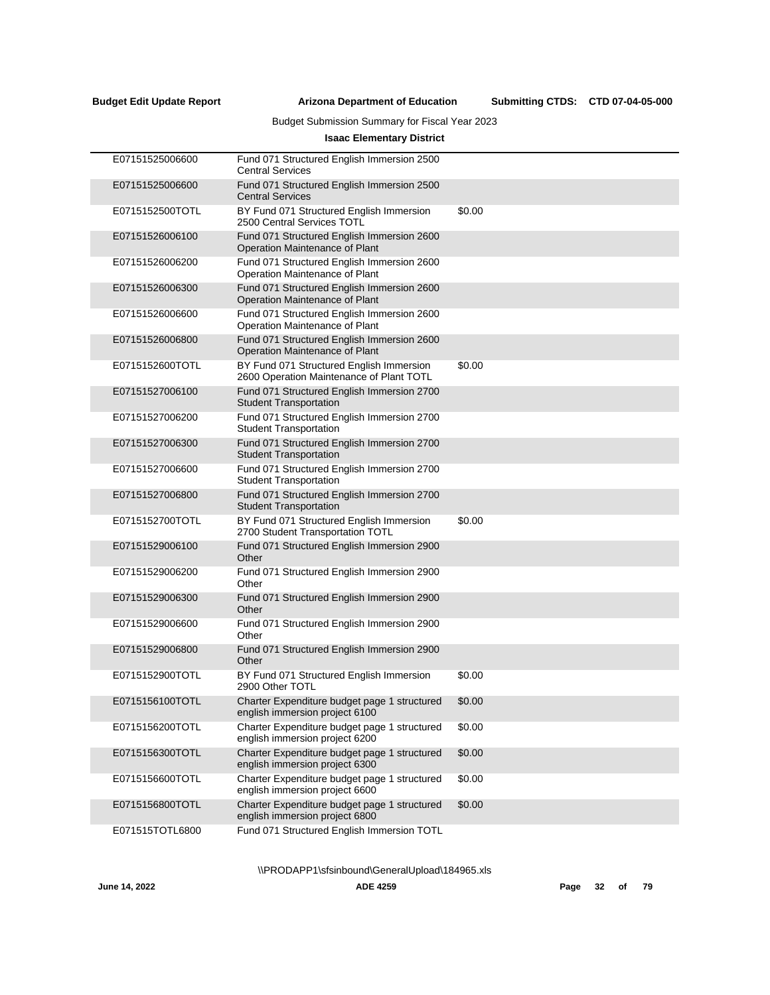Submitting CTDS: CTD 07-04-05-000

## Budget Submission Summary for Fiscal Year 2023

## **Isaac Elementary District**

| E07151525006600 | Fund 071 Structured English Immersion 2500<br><b>Central Services</b>                |        |
|-----------------|--------------------------------------------------------------------------------------|--------|
| E07151525006600 | Fund 071 Structured English Immersion 2500<br><b>Central Services</b>                |        |
| E0715152500TOTL | BY Fund 071 Structured English Immersion<br>2500 Central Services TOTL               | \$0.00 |
| E07151526006100 | Fund 071 Structured English Immersion 2600<br>Operation Maintenance of Plant         |        |
| E07151526006200 | Fund 071 Structured English Immersion 2600<br>Operation Maintenance of Plant         |        |
| E07151526006300 | Fund 071 Structured English Immersion 2600<br>Operation Maintenance of Plant         |        |
| E07151526006600 | Fund 071 Structured English Immersion 2600<br>Operation Maintenance of Plant         |        |
| E07151526006800 | Fund 071 Structured English Immersion 2600<br>Operation Maintenance of Plant         |        |
| E0715152600TOTL | BY Fund 071 Structured English Immersion<br>2600 Operation Maintenance of Plant TOTL | \$0.00 |
| E07151527006100 | Fund 071 Structured English Immersion 2700<br><b>Student Transportation</b>          |        |
| E07151527006200 | Fund 071 Structured English Immersion 2700<br><b>Student Transportation</b>          |        |
| E07151527006300 | Fund 071 Structured English Immersion 2700<br><b>Student Transportation</b>          |        |
| E07151527006600 | Fund 071 Structured English Immersion 2700<br><b>Student Transportation</b>          |        |
| E07151527006800 | Fund 071 Structured English Immersion 2700<br><b>Student Transportation</b>          |        |
| E0715152700TOTL | BY Fund 071 Structured English Immersion<br>2700 Student Transportation TOTL         | \$0.00 |
| E07151529006100 | Fund 071 Structured English Immersion 2900<br>Other                                  |        |
| E07151529006200 | Fund 071 Structured English Immersion 2900<br>Other                                  |        |
| E07151529006300 | Fund 071 Structured English Immersion 2900<br>Other                                  |        |
| E07151529006600 | Fund 071 Structured English Immersion 2900<br>Other                                  |        |
| E07151529006800 | Fund 071 Structured English Immersion 2900<br>Other                                  |        |
| E0715152900TOTL | BY Fund 071 Structured English Immersion<br>2900 Other TOTL                          | \$0.00 |
| E0715156100TOTL | Charter Expenditure budget page 1 structured<br>english immersion project 6100       | \$0.00 |
| E0715156200TOTL | Charter Expenditure budget page 1 structured<br>english immersion project 6200       | \$0.00 |
| E0715156300TOTL | Charter Expenditure budget page 1 structured<br>english immersion project 6300       | \$0.00 |
| E0715156600TOTL | Charter Expenditure budget page 1 structured<br>english immersion project 6600       | \$0.00 |
| E0715156800TOTL | Charter Expenditure budget page 1 structured<br>english immersion project 6800       | \$0.00 |
| E071515TOTL6800 | Fund 071 Structured English Immersion TOTL                                           |        |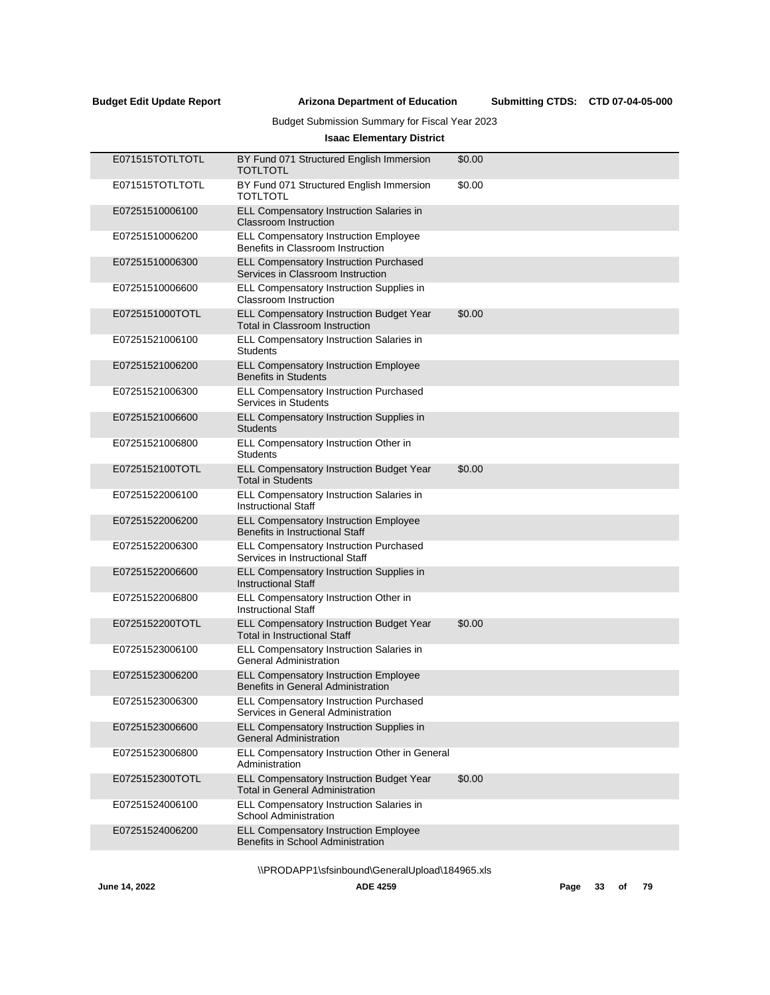Submitting CTDS: CTD 07-04-05-000

## Budget Submission Summary for Fiscal Year 2023

## **Isaac Elementary District**

| E071515TOTLTOTL | BY Fund 071 Structured English Immersion<br><b>TOTLTOTL</b>                            | \$0.00 |
|-----------------|----------------------------------------------------------------------------------------|--------|
| E071515TOTLTOTL | BY Fund 071 Structured English Immersion<br>TOTLTOTL                                   | \$0.00 |
| E07251510006100 | ELL Compensatory Instruction Salaries in<br>Classroom Instruction                      |        |
| E07251510006200 | <b>ELL Compensatory Instruction Employee</b><br>Benefits in Classroom Instruction      |        |
| E07251510006300 | <b>ELL Compensatory Instruction Purchased</b><br>Services in Classroom Instruction     |        |
| E07251510006600 | ELL Compensatory Instruction Supplies in<br>Classroom Instruction                      |        |
| E0725151000TOTL | ELL Compensatory Instruction Budget Year<br>Total in Classroom Instruction             | \$0.00 |
| E07251521006100 | ELL Compensatory Instruction Salaries in<br><b>Students</b>                            |        |
| E07251521006200 | <b>ELL Compensatory Instruction Employee</b><br><b>Benefits in Students</b>            |        |
| E07251521006300 | ELL Compensatory Instruction Purchased<br>Services in Students                         |        |
| E07251521006600 | ELL Compensatory Instruction Supplies in<br><b>Students</b>                            |        |
| E07251521006800 | ELL Compensatory Instruction Other in<br><b>Students</b>                               |        |
| E0725152100TOTL | ELL Compensatory Instruction Budget Year<br><b>Total in Students</b>                   | \$0.00 |
| E07251522006100 | ELL Compensatory Instruction Salaries in<br><b>Instructional Staff</b>                 |        |
| E07251522006200 | ELL Compensatory Instruction Employee<br><b>Benefits in Instructional Staff</b>        |        |
| E07251522006300 | <b>ELL Compensatory Instruction Purchased</b><br>Services in Instructional Staff       |        |
| E07251522006600 | ELL Compensatory Instruction Supplies in<br><b>Instructional Staff</b>                 |        |
| E07251522006800 | ELL Compensatory Instruction Other in<br><b>Instructional Staff</b>                    |        |
| E0725152200TOTL | <b>ELL Compensatory Instruction Budget Year</b><br><b>Total in Instructional Staff</b> | \$0.00 |
| E07251523006100 | ELL Compensatory Instruction Salaries in<br><b>General Administration</b>              |        |
| E07251523006200 | <b>ELL Compensatory Instruction Employee</b><br>Benefits in General Administration     |        |
| E07251523006300 | ELL Compensatory Instruction Purchased<br>Services in General Administration           |        |
| E07251523006600 | ELL Compensatory Instruction Supplies in<br><b>General Administration</b>              |        |
| E07251523006800 | ELL Compensatory Instruction Other in General<br>Administration                        |        |
| E0725152300TOTL | ELL Compensatory Instruction Budget Year<br><b>Total in General Administration</b>     | \$0.00 |
| E07251524006100 | ELL Compensatory Instruction Salaries in<br><b>School Administration</b>               |        |
| E07251524006200 | <b>ELL Compensatory Instruction Employee</b><br>Benefits in School Administration      |        |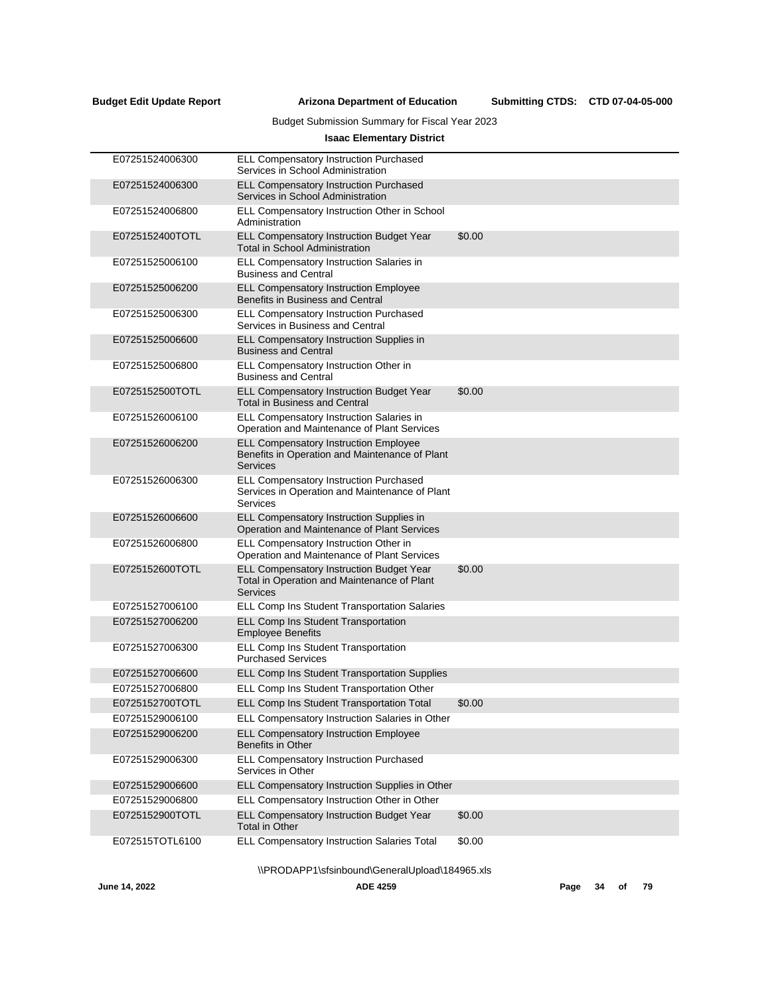Submitting CTDS: CTD 07-04-05-000

## Budget Submission Summary for Fiscal Year 2023

## **Isaac Elementary District**

| E07251524006300 | ELL Compensatory Instruction Purchased<br>Services in School Administration                                       |        |
|-----------------|-------------------------------------------------------------------------------------------------------------------|--------|
| E07251524006300 | <b>ELL Compensatory Instruction Purchased</b><br>Services in School Administration                                |        |
| E07251524006800 | ELL Compensatory Instruction Other in School<br>Administration                                                    |        |
| E0725152400TOTL | ELL Compensatory Instruction Budget Year<br><b>Total in School Administration</b>                                 | \$0.00 |
| E07251525006100 | ELL Compensatory Instruction Salaries in<br><b>Business and Central</b>                                           |        |
| E07251525006200 | <b>ELL Compensatory Instruction Employee</b><br>Benefits in Business and Central                                  |        |
| E07251525006300 | ELL Compensatory Instruction Purchased<br>Services in Business and Central                                        |        |
| E07251525006600 | ELL Compensatory Instruction Supplies in<br><b>Business and Central</b>                                           |        |
| E07251525006800 | ELL Compensatory Instruction Other in<br><b>Business and Central</b>                                              |        |
| E0725152500TOTL | ELL Compensatory Instruction Budget Year<br><b>Total in Business and Central</b>                                  | \$0.00 |
| E07251526006100 | ELL Compensatory Instruction Salaries in<br>Operation and Maintenance of Plant Services                           |        |
| E07251526006200 | <b>ELL Compensatory Instruction Employee</b><br>Benefits in Operation and Maintenance of Plant<br><b>Services</b> |        |
| E07251526006300 | ELL Compensatory Instruction Purchased<br>Services in Operation and Maintenance of Plant<br>Services              |        |
| E07251526006600 | ELL Compensatory Instruction Supplies in<br>Operation and Maintenance of Plant Services                           |        |
| E07251526006800 | ELL Compensatory Instruction Other in<br>Operation and Maintenance of Plant Services                              |        |
| E0725152600TOTL | ELL Compensatory Instruction Budget Year<br>Total in Operation and Maintenance of Plant<br><b>Services</b>        | \$0.00 |
| E07251527006100 | ELL Comp Ins Student Transportation Salaries                                                                      |        |
| E07251527006200 | ELL Comp Ins Student Transportation<br><b>Employee Benefits</b>                                                   |        |
| E07251527006300 | ELL Comp Ins Student Transportation<br><b>Purchased Services</b>                                                  |        |
| E07251527006600 | ELL Comp Ins Student Transportation Supplies                                                                      |        |
| E07251527006800 | ELL Comp Ins Student Transportation Other                                                                         |        |
| E0725152700TOTL | ELL Comp Ins Student Transportation Total                                                                         | \$0.00 |
| E07251529006100 | ELL Compensatory Instruction Salaries in Other                                                                    |        |
| E07251529006200 | ELL Compensatory Instruction Employee<br>Benefits in Other                                                        |        |
| E07251529006300 | ELL Compensatory Instruction Purchased<br>Services in Other                                                       |        |
| E07251529006600 | ELL Compensatory Instruction Supplies in Other                                                                    |        |
| E07251529006800 | ELL Compensatory Instruction Other in Other                                                                       |        |
| E0725152900TOTL | ELL Compensatory Instruction Budget Year<br><b>Total in Other</b>                                                 | \$0.00 |
| E072515TOTL6100 | ELL Compensatory Instruction Salaries Total                                                                       | \$0.00 |
|                 |                                                                                                                   |        |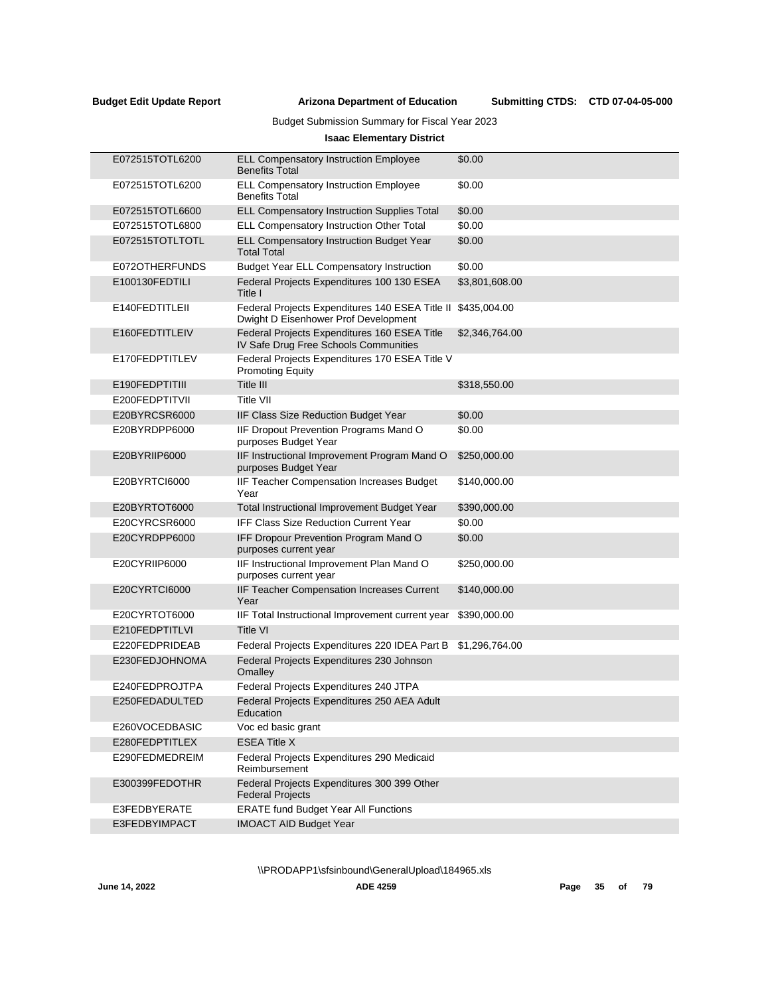## Budget Submission Summary for Fiscal Year 2023

## **Isaac Elementary District**

| E072515TOTL6200 | <b>ELL Compensatory Instruction Employee</b><br><b>Benefits Total</b>                   | \$0.00         |
|-----------------|-----------------------------------------------------------------------------------------|----------------|
| E072515TOTL6200 | ELL Compensatory Instruction Employee<br><b>Benefits Total</b>                          | \$0.00         |
| E072515TOTL6600 | <b>ELL Compensatory Instruction Supplies Total</b>                                      | \$0.00         |
| E072515TOTL6800 | ELL Compensatory Instruction Other Total                                                | \$0.00         |
| E072515TOTLTOTL | ELL Compensatory Instruction Budget Year<br><b>Total Total</b>                          | \$0.00         |
| E072OTHERFUNDS  | <b>Budget Year ELL Compensatory Instruction</b>                                         | \$0.00         |
| E100130FEDTILI  | Federal Projects Expenditures 100 130 ESEA<br>Title I                                   | \$3,801,608.00 |
| E140FEDTITLEII  | Federal Projects Expenditures 140 ESEA Title II<br>Dwight D Eisenhower Prof Development | \$435,004.00   |
| E160FEDTITLEIV  | Federal Projects Expenditures 160 ESEA Title<br>IV Safe Drug Free Schools Communities   | \$2,346,764.00 |
| E170FEDPTITLEV  | Federal Projects Expenditures 170 ESEA Title V<br><b>Promoting Equity</b>               |                |
| E190FEDPTITIII  | Title III                                                                               | \$318,550.00   |
| E200FEDPTITVII  | <b>Title VII</b>                                                                        |                |
| E20BYRCSR6000   | IIF Class Size Reduction Budget Year                                                    | \$0.00         |
| E20BYRDPP6000   | IIF Dropout Prevention Programs Mand O<br>purposes Budget Year                          | \$0.00         |
| E20BYRIIP6000   | IIF Instructional Improvement Program Mand O<br>purposes Budget Year                    | \$250,000.00   |
| E20BYRTC16000   | IIF Teacher Compensation Increases Budget<br>Year                                       | \$140,000.00   |
| E20BYRTOT6000   | Total Instructional Improvement Budget Year                                             | \$390,000.00   |
| E20CYRCSR6000   | <b>IFF Class Size Reduction Current Year</b>                                            | \$0.00         |
| E20CYRDPP6000   | IFF Dropour Prevention Program Mand O<br>purposes current year                          | \$0.00         |
| E20CYRIIP6000   | IIF Instructional Improvement Plan Mand O<br>purposes current year                      | \$250,000.00   |
| E20CYRTCI6000   | IIF Teacher Compensation Increases Current<br>Year                                      | \$140,000.00   |
| E20CYRTOT6000   | IIF Total Instructional Improvement current year                                        | \$390,000.00   |
| E210FEDPTITLVI  | <b>Title VI</b>                                                                         |                |
| E220FEDPRIDEAB  | Federal Projects Expenditures 220 IDEA Part B                                           | \$1,296,764.00 |
| E230FEDJOHNOMA  | Federal Projects Expenditures 230 Johnson<br>Omalley                                    |                |
| E240FEDPROJTPA  | Federal Projects Expenditures 240 JTPA                                                  |                |
| E250FEDADULTED  | Federal Projects Expenditures 250 AEA Adult<br>Education                                |                |
| E260VOCEDBASIC  | Voc ed basic grant                                                                      |                |
| E280FEDPTITLEX  | <b>ESEA Title X</b>                                                                     |                |
| E290FEDMEDREIM  | Federal Projects Expenditures 290 Medicaid<br>Reimbursement                             |                |
| E300399FEDOTHR  | Federal Projects Expenditures 300 399 Other<br><b>Federal Projects</b>                  |                |
| E3FEDBYERATE    | <b>ERATE fund Budget Year All Functions</b>                                             |                |
| E3FEDBYIMPACT   | <b>IMOACT AID Budget Year</b>                                                           |                |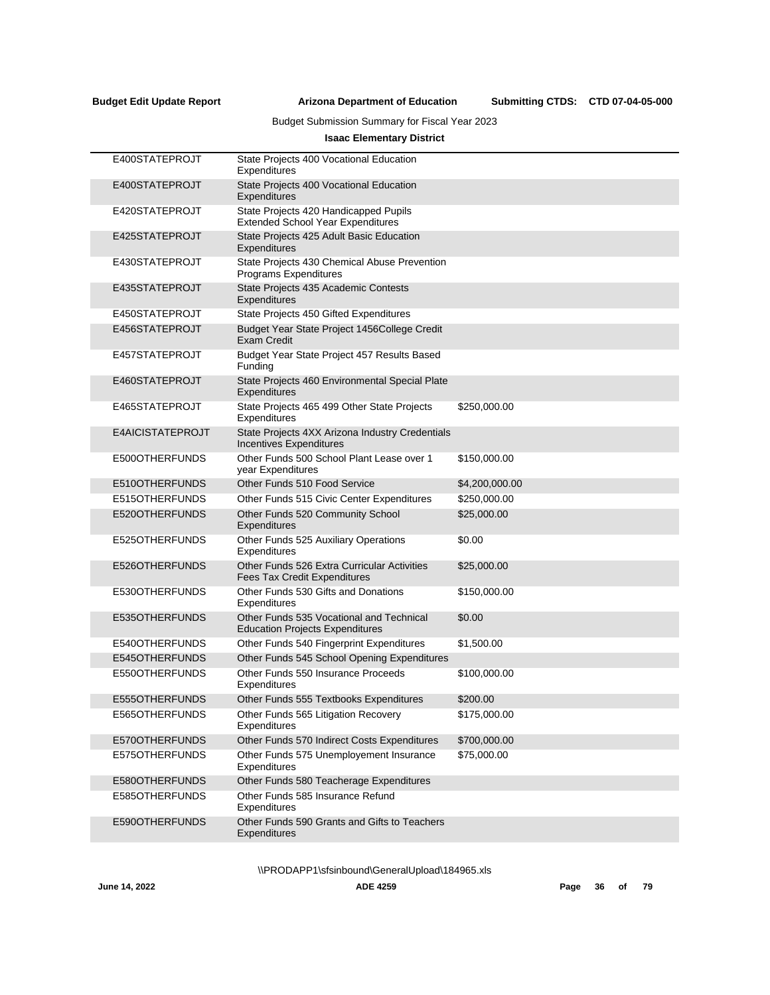Submitting CTDS: CTD 07-04-05-000

## Budget Submission Summary for Fiscal Year 2023

## **Isaac Elementary District**

| E400STATEPROJT   | State Projects 400 Vocational Education<br>Expenditures                                   |                |
|------------------|-------------------------------------------------------------------------------------------|----------------|
| E400STATEPROJT   | State Projects 400 Vocational Education<br>Expenditures                                   |                |
| E420STATEPROJT   | State Projects 420 Handicapped Pupils<br><b>Extended School Year Expenditures</b>         |                |
| E425STATEPROJT   | State Projects 425 Adult Basic Education<br>Expenditures                                  |                |
| E430STATEPROJT   | State Projects 430 Chemical Abuse Prevention<br>Programs Expenditures                     |                |
| E435STATEPROJT   | State Projects 435 Academic Contests<br>Expenditures                                      |                |
| E450STATEPROJT   | State Projects 450 Gifted Expenditures                                                    |                |
| E456STATEPROJT   | Budget Year State Project 1456College Credit<br><b>Exam Credit</b>                        |                |
| E457STATEPROJT   | Budget Year State Project 457 Results Based<br>Funding                                    |                |
| E460STATEPROJT   | State Projects 460 Environmental Special Plate<br>Expenditures                            |                |
| E465STATEPROJT   | State Projects 465 499 Other State Projects<br>Expenditures                               | \$250,000.00   |
| E4AICISTATEPROJT | State Projects 4XX Arizona Industry Credentials<br><b>Incentives Expenditures</b>         |                |
| E500OTHERFUNDS   | Other Funds 500 School Plant Lease over 1<br>year Expenditures                            | \$150,000.00   |
| E510OTHERFUNDS   | Other Funds 510 Food Service                                                              | \$4,200,000.00 |
| E515OTHERFUNDS   | Other Funds 515 Civic Center Expenditures                                                 | \$250,000.00   |
| E520OTHERFUNDS   | Other Funds 520 Community School<br>Expenditures                                          | \$25,000.00    |
| E525OTHERFUNDS   | Other Funds 525 Auxiliary Operations<br>Expenditures                                      | \$0.00         |
| E526OTHERFUNDS   | <b>Other Funds 526 Extra Curricular Activities</b><br><b>Fees Tax Credit Expenditures</b> | \$25,000.00    |
| E530OTHERFUNDS   | Other Funds 530 Gifts and Donations<br>Expenditures                                       | \$150,000.00   |
| E535OTHERFUNDS   | Other Funds 535 Vocational and Technical<br><b>Education Projects Expenditures</b>        | \$0.00         |
| E540OTHERFUNDS   | Other Funds 540 Fingerprint Expenditures                                                  | \$1,500.00     |
| E545OTHERFUNDS   | Other Funds 545 School Opening Expenditures                                               |                |
| E550OTHERFUNDS   | Other Funds 550 Insurance Proceeds<br>Expenditures                                        | \$100,000.00   |
| E555OTHERFUNDS   | Other Funds 555 Textbooks Expenditures                                                    | \$200.00       |
| E565OTHERFUNDS   | Other Funds 565 Litigation Recovery<br>Expenditures                                       | \$175,000.00   |
| E570OTHERFUNDS   | Other Funds 570 Indirect Costs Expenditures                                               | \$700,000.00   |
| E575OTHERFUNDS   | Other Funds 575 Unemployement Insurance<br>Expenditures                                   | \$75,000.00    |
| E580OTHERFUNDS   | Other Funds 580 Teacherage Expenditures                                                   |                |
| E585OTHERFUNDS   | Other Funds 585 Insurance Refund<br>Expenditures                                          |                |
| E590OTHERFUNDS   | Other Funds 590 Grants and Gifts to Teachers<br>Expenditures                              |                |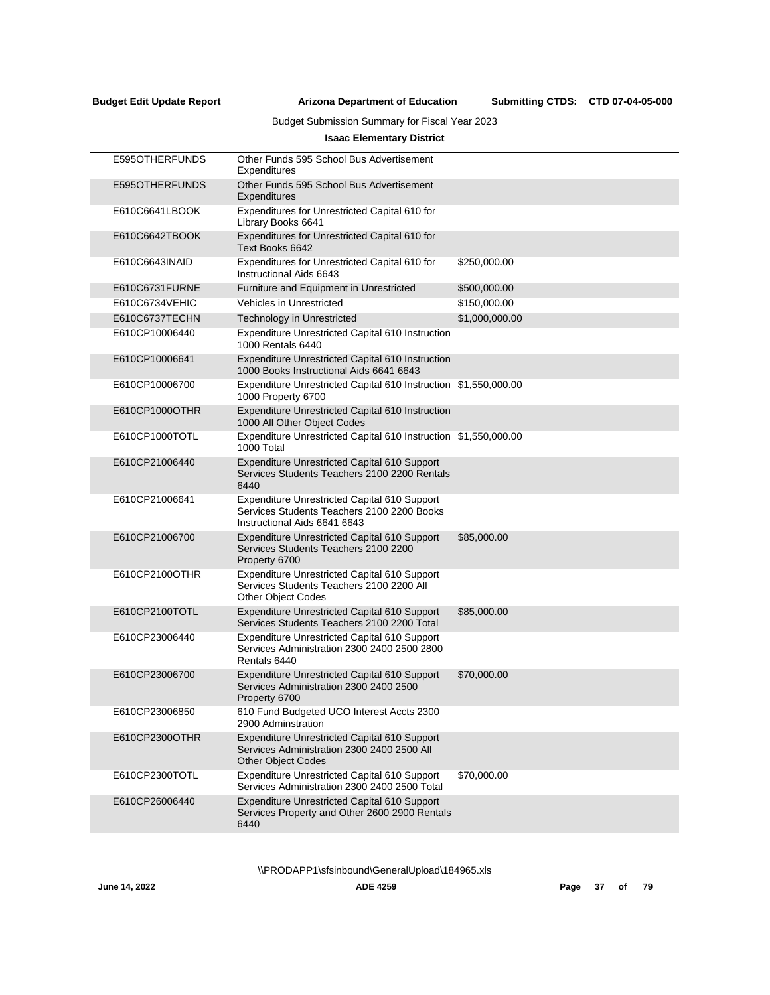# Budget Submission Summary for Fiscal Year 2023

# **Isaac Elementary District**

|                | E595OTHERFUNDS | Other Funds 595 School Bus Advertisement<br>Expenditures                                                                          |                |
|----------------|----------------|-----------------------------------------------------------------------------------------------------------------------------------|----------------|
|                | E595OTHERFUNDS | Other Funds 595 School Bus Advertisement<br>Expenditures                                                                          |                |
|                | E610C6641LBOOK | Expenditures for Unrestricted Capital 610 for<br>Library Books 6641                                                               |                |
|                | E610C6642TBOOK | Expenditures for Unrestricted Capital 610 for<br>Text Books 6642                                                                  |                |
| E610C6643INAID |                | Expenditures for Unrestricted Capital 610 for<br>Instructional Aids 6643                                                          | \$250,000.00   |
|                | E610C6731FURNE | <b>Furniture and Equipment in Unrestricted</b>                                                                                    | \$500,000.00   |
|                | E610C6734VEHIC | <b>Vehicles in Unrestricted</b>                                                                                                   | \$150,000.00   |
|                | E610C6737TECHN | Technology in Unrestricted                                                                                                        | \$1,000,000.00 |
| E610CP10006440 |                | <b>Expenditure Unrestricted Capital 610 Instruction</b><br>1000 Rentals 6440                                                      |                |
| E610CP10006641 |                | <b>Expenditure Unrestricted Capital 610 Instruction</b><br>1000 Books Instructional Aids 6641 6643                                |                |
| E610CP10006700 |                | Expenditure Unrestricted Capital 610 Instruction \$1,550,000.00<br>1000 Property 6700                                             |                |
|                | E610CP1000OTHR | <b>Expenditure Unrestricted Capital 610 Instruction</b><br>1000 All Other Object Codes                                            |                |
|                | E610CP1000TOTL | Expenditure Unrestricted Capital 610 Instruction \$1,550,000.00<br>1000 Total                                                     |                |
| E610CP21006440 |                | Expenditure Unrestricted Capital 610 Support<br>Services Students Teachers 2100 2200 Rentals<br>6440                              |                |
| E610CP21006641 |                | <b>Expenditure Unrestricted Capital 610 Support</b><br>Services Students Teachers 2100 2200 Books<br>Instructional Aids 6641 6643 |                |
| E610CP21006700 |                | <b>Expenditure Unrestricted Capital 610 Support</b><br>Services Students Teachers 2100 2200<br>Property 6700                      | \$85,000.00    |
|                | E610CP2100OTHR | <b>Expenditure Unrestricted Capital 610 Support</b><br>Services Students Teachers 2100 2200 All<br><b>Other Object Codes</b>      |                |
|                | E610CP2100TOTL | <b>Expenditure Unrestricted Capital 610 Support</b><br>Services Students Teachers 2100 2200 Total                                 | \$85,000.00    |
| E610CP23006440 |                | Expenditure Unrestricted Capital 610 Support<br>Services Administration 2300 2400 2500 2800<br>Rentals 6440                       |                |
| E610CP23006700 |                | <b>Expenditure Unrestricted Capital 610 Support</b><br>Services Administration 2300 2400 2500<br>Property 6700                    | \$70,000.00    |
| E610CP23006850 |                | 610 Fund Budgeted UCO Interest Accts 2300<br>2900 Adminstration                                                                   |                |
|                | E610CP2300OTHR | <b>Expenditure Unrestricted Capital 610 Support</b><br>Services Administration 2300 2400 2500 All<br><b>Other Object Codes</b>    |                |
|                | E610CP2300TOTL | Expenditure Unrestricted Capital 610 Support<br>Services Administration 2300 2400 2500 Total                                      | \$70,000.00    |
|                | E610CP26006440 | <b>Expenditure Unrestricted Capital 610 Support</b><br>Services Property and Other 2600 2900 Rentals<br>6440                      |                |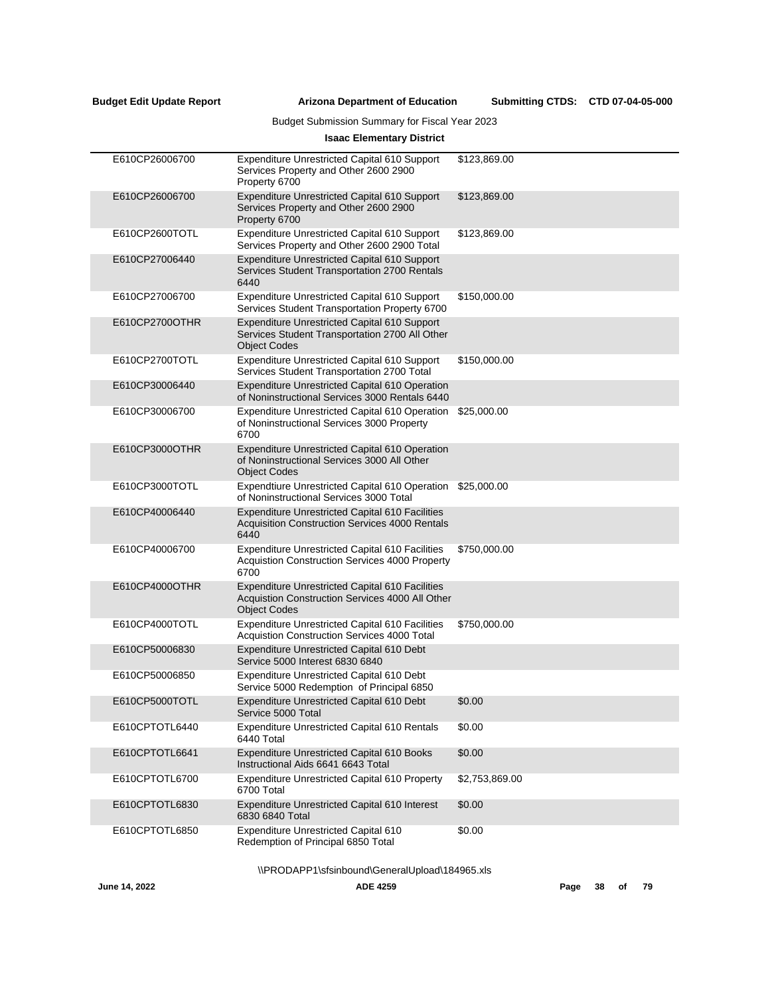Submitting CTDS: CTD 07-04-05-000

# Budget Submission Summary for Fiscal Year 2023

# **Isaac Elementary District**

| E610CP26006700 | Expenditure Unrestricted Capital 610 Support<br>Services Property and Other 2600 2900<br>Property 6700                           | \$123,869.00   |
|----------------|----------------------------------------------------------------------------------------------------------------------------------|----------------|
| E610CP26006700 | Expenditure Unrestricted Capital 610 Support<br>Services Property and Other 2600 2900<br>Property 6700                           | \$123,869.00   |
| E610CP2600TOTL | Expenditure Unrestricted Capital 610 Support<br>Services Property and Other 2600 2900 Total                                      | \$123,869.00   |
| E610CP27006440 | Expenditure Unrestricted Capital 610 Support<br>Services Student Transportation 2700 Rentals<br>6440                             |                |
| E610CP27006700 | <b>Expenditure Unrestricted Capital 610 Support</b><br>Services Student Transportation Property 6700                             | \$150,000.00   |
| E610CP2700OTHR | Expenditure Unrestricted Capital 610 Support<br>Services Student Transportation 2700 All Other<br><b>Object Codes</b>            |                |
| E610CP2700TOTL | <b>Expenditure Unrestricted Capital 610 Support</b><br>Services Student Transportation 2700 Total                                | \$150,000.00   |
| E610CP30006440 | <b>Expenditure Unrestricted Capital 610 Operation</b><br>of Noninstructional Services 3000 Rentals 6440                          |                |
| E610CP30006700 | Expenditure Unrestricted Capital 610 Operation \$25,000.00<br>of Noninstructional Services 3000 Property<br>6700                 |                |
| E610CP3000OTHR | Expenditure Unrestricted Capital 610 Operation<br>of Noninstructional Services 3000 All Other<br><b>Object Codes</b>             |                |
| E610CP3000TOTL | Expendtiure Unrestricted Capital 610 Operation<br>of Noninstructional Services 3000 Total                                        | \$25,000.00    |
| E610CP40006440 | <b>Expenditure Unrestricted Capital 610 Facilities</b><br>Acquisition Construction Services 4000 Rentals<br>6440                 |                |
| E610CP40006700 | <b>Expenditure Unrestricted Capital 610 Facilities</b><br>Acquistion Construction Services 4000 Property<br>6700                 | \$750,000.00   |
| E610CP4000OTHR | <b>Expenditure Unrestricted Capital 610 Facilities</b><br>Acquistion Construction Services 4000 All Other<br><b>Object Codes</b> |                |
| E610CP4000TOTL | <b>Expenditure Unrestricted Capital 610 Facilities</b><br>Acquistion Construction Services 4000 Total                            | \$750,000.00   |
| E610CP50006830 | Expenditure Unrestricted Capital 610 Debt<br>Service 5000 Interest 6830 6840                                                     |                |
| E610CP50006850 | Expenditure Unrestricted Capital 610 Debt<br>Service 5000 Redemption of Principal 6850                                           |                |
| E610CP5000TOTL | Expenditure Unrestricted Capital 610 Debt<br>Service 5000 Total                                                                  | \$0.00         |
| E610CPTOTL6440 | <b>Expenditure Unrestricted Capital 610 Rentals</b><br>6440 Total                                                                | \$0.00         |
| E610CPTOTL6641 | Expenditure Unrestricted Capital 610 Books<br>Instructional Aids 6641 6643 Total                                                 | \$0.00         |
| E610CPTOTL6700 | <b>Expenditure Unrestricted Capital 610 Property</b><br>6700 Total                                                               | \$2,753,869.00 |
| E610CPTOTL6830 | Expenditure Unrestricted Capital 610 Interest<br>6830 6840 Total                                                                 | \$0.00         |
| E610CPTOTL6850 | Expenditure Unrestricted Capital 610<br>Redemption of Principal 6850 Total                                                       | \$0.00         |
|                | \\PRODAPP1\sfsinbound\GeneralUpload\184965.xls                                                                                   |                |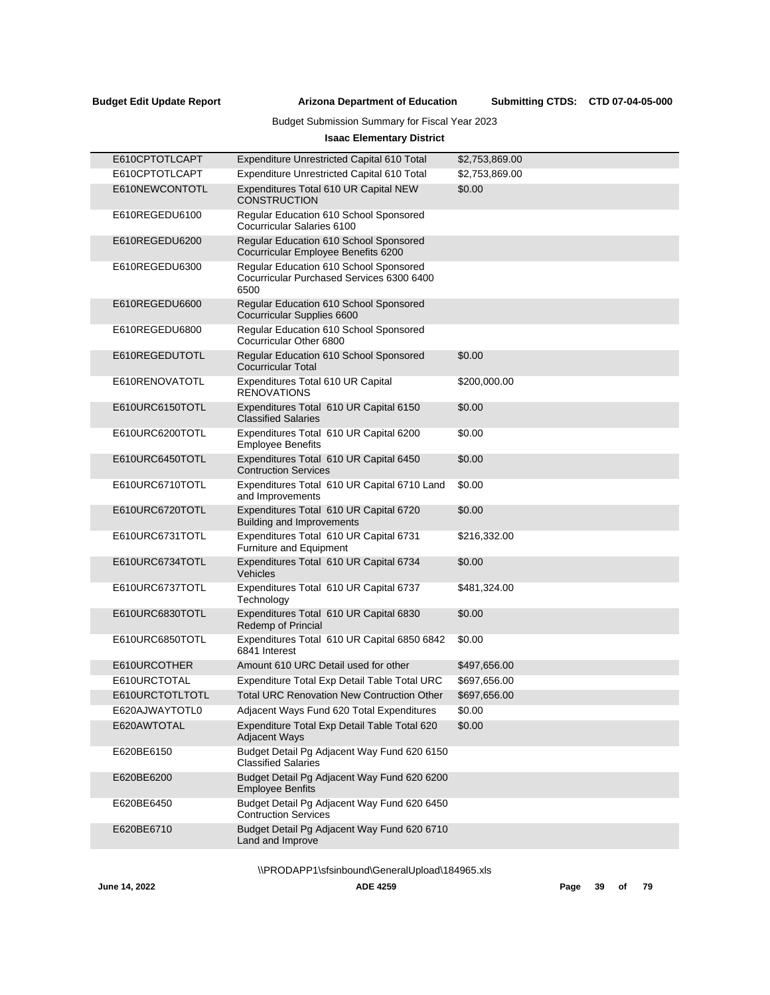Submitting CTDS: CTD 07-04-05-000

# Budget Submission Summary for Fiscal Year 2023

# **Isaac Elementary District**

| E610CPTOTLCAPT  | Expenditure Unrestricted Capital 610 Total                                                  | \$2,753,869.00 |
|-----------------|---------------------------------------------------------------------------------------------|----------------|
| E610CPTOTLCAPT  | Expenditure Unrestricted Capital 610 Total                                                  | \$2,753,869.00 |
| E610NEWCONTOTL  | Expenditures Total 610 UR Capital NEW<br><b>CONSTRUCTION</b>                                | \$0.00         |
| E610REGEDU6100  | Regular Education 610 School Sponsored<br>Cocurricular Salaries 6100                        |                |
| E610REGEDU6200  | Regular Education 610 School Sponsored<br>Cocurricular Employee Benefits 6200               |                |
| E610REGEDU6300  | Regular Education 610 School Sponsored<br>Cocurricular Purchased Services 6300 6400<br>6500 |                |
| E610REGEDU6600  | Regular Education 610 School Sponsored<br>Cocurricular Supplies 6600                        |                |
| E610REGEDU6800  | Regular Education 610 School Sponsored<br>Cocurricular Other 6800                           |                |
| E610REGEDUTOTL  | Regular Education 610 School Sponsored<br><b>Cocurricular Total</b>                         | \$0.00         |
| E610RENOVATOTL  | Expenditures Total 610 UR Capital<br><b>RENOVATIONS</b>                                     | \$200,000.00   |
| E610URC6150TOTL | Expenditures Total 610 UR Capital 6150<br><b>Classified Salaries</b>                        | \$0.00         |
| E610URC6200TOTL | Expenditures Total 610 UR Capital 6200<br><b>Employee Benefits</b>                          | \$0.00         |
| E610URC6450TOTL | Expenditures Total 610 UR Capital 6450<br><b>Contruction Services</b>                       | \$0.00         |
| E610URC6710TOTL | Expenditures Total 610 UR Capital 6710 Land<br>and Improvements                             | \$0.00         |
| E610URC6720TOTL | Expenditures Total 610 UR Capital 6720<br><b>Building and Improvements</b>                  | \$0.00         |
| E610URC6731TOTL | Expenditures Total 610 UR Capital 6731<br>Furniture and Equipment                           | \$216,332.00   |
| E610URC6734TOTL | Expenditures Total 610 UR Capital 6734<br>Vehicles                                          | \$0.00         |
| E610URC6737TOTL | Expenditures Total 610 UR Capital 6737<br>Technology                                        | \$481,324.00   |
| E610URC6830TOTL | Expenditures Total 610 UR Capital 6830<br><b>Redemp of Princial</b>                         | \$0.00         |
| E610URC6850TOTL | Expenditures Total 610 UR Capital 6850 6842<br>6841 Interest                                | \$0.00         |
| E610URCOTHER    | Amount 610 URC Detail used for other                                                        | \$497,656.00   |
| E610URCTOTAL    | Expenditure Total Exp Detail Table Total URC                                                | \$697,656.00   |
| E610URCTOTLTOTL | <b>Total URC Renovation New Contruction Other</b>                                           | \$697,656.00   |
| E620AJWAYTOTL0  | Adjacent Ways Fund 620 Total Expenditures                                                   | \$0.00         |
| E620AWTOTAL     | Expenditure Total Exp Detail Table Total 620<br><b>Adjacent Ways</b>                        | \$0.00         |
| E620BE6150      | Budget Detail Pg Adjacent Way Fund 620 6150<br><b>Classified Salaries</b>                   |                |
| E620BE6200      | Budget Detail Pg Adjacent Way Fund 620 6200<br><b>Employee Benfits</b>                      |                |
| E620BE6450      | Budget Detail Pg Adjacent Way Fund 620 6450<br><b>Contruction Services</b>                  |                |
| E620BE6710      | Budget Detail Pg Adjacent Way Fund 620 6710<br>Land and Improve                             |                |
|                 |                                                                                             |                |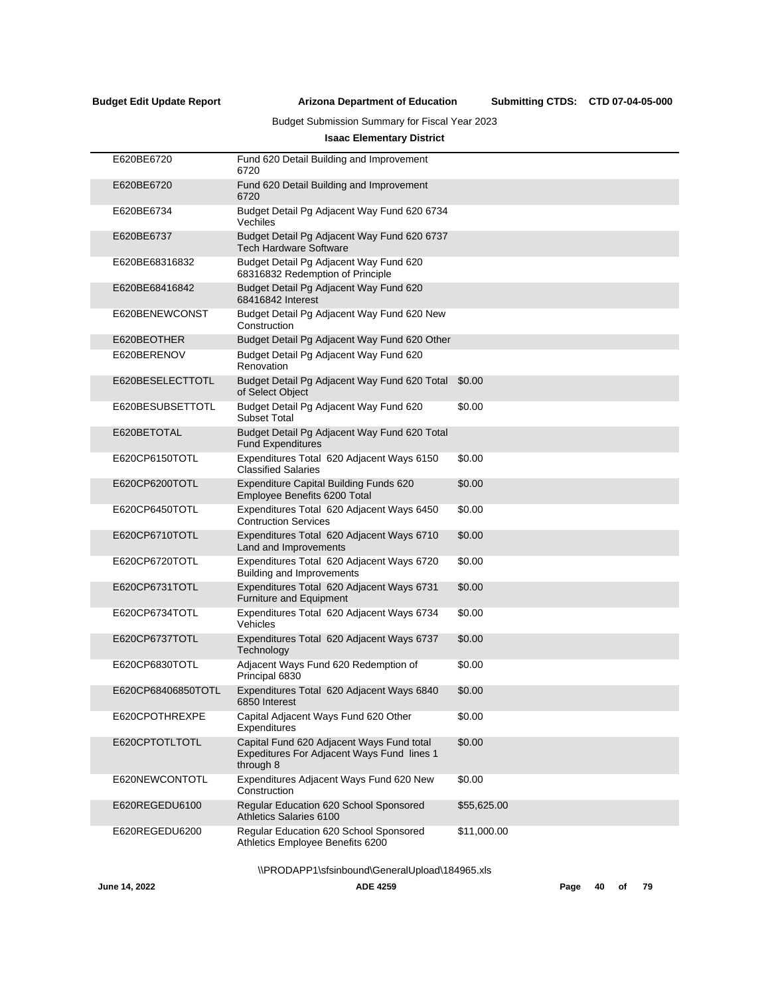Submitting CTDS: CTD 07-04-05-000

# Budget Submission Summary for Fiscal Year 2023

# **Isaac Elementary District**

| E620BE6720         | Fund 620 Detail Building and Improvement<br>6720                                                     |             |
|--------------------|------------------------------------------------------------------------------------------------------|-------------|
| E620BE6720         | Fund 620 Detail Building and Improvement<br>6720                                                     |             |
| E620BE6734         | Budget Detail Pg Adjacent Way Fund 620 6734<br>Vechiles                                              |             |
| E620BE6737         | Budget Detail Pg Adjacent Way Fund 620 6737<br><b>Tech Hardware Software</b>                         |             |
| E620BE68316832     | Budget Detail Pg Adjacent Way Fund 620<br>68316832 Redemption of Principle                           |             |
| E620BE68416842     | Budget Detail Pg Adjacent Way Fund 620<br>68416842 Interest                                          |             |
| E620BENEWCONST     | Budget Detail Pg Adjacent Way Fund 620 New<br>Construction                                           |             |
| E620BEOTHER        | Budget Detail Pg Adjacent Way Fund 620 Other                                                         |             |
| E620BERENOV        | Budget Detail Pg Adjacent Way Fund 620<br>Renovation                                                 |             |
| E620BESELECTTOTL   | Budget Detail Pg Adjacent Way Fund 620 Total<br>of Select Object                                     | \$0.00      |
| E620BESUBSETTOTL   | Budget Detail Pg Adjacent Way Fund 620<br><b>Subset Total</b>                                        | \$0.00      |
| E620BETOTAL        | Budget Detail Pg Adjacent Way Fund 620 Total<br><b>Fund Expenditures</b>                             |             |
| E620CP6150TOTL     | Expenditures Total 620 Adjacent Ways 6150<br><b>Classified Salaries</b>                              | \$0.00      |
| E620CP6200TOTL     | Expenditure Capital Building Funds 620<br>Employee Benefits 6200 Total                               | \$0.00      |
| E620CP6450TOTL     | Expenditures Total 620 Adjacent Ways 6450<br><b>Contruction Services</b>                             | \$0.00      |
| E620CP6710TOTL     | Expenditures Total 620 Adjacent Ways 6710<br>Land and Improvements                                   | \$0.00      |
| E620CP6720TOTL     | Expenditures Total 620 Adjacent Ways 6720<br><b>Building and Improvements</b>                        | \$0.00      |
| E620CP6731TOTL     | Expenditures Total 620 Adjacent Ways 6731<br>Furniture and Equipment                                 | \$0.00      |
| E620CP6734TOTL     | Expenditures Total 620 Adjacent Ways 6734<br>Vehicles                                                | \$0.00      |
| E620CP6737TOTL     | Expenditures Total 620 Adjacent Ways 6737<br>Technology                                              | \$0.00      |
| E620CP6830TOTL     | Adjacent Ways Fund 620 Redemption of<br>Principal 6830                                               | \$0.00      |
| E620CP68406850TOTL | Expenditures Total 620 Adjacent Ways 6840<br>6850 Interest                                           | \$0.00      |
| E620CPOTHREXPE     | Capital Adjacent Ways Fund 620 Other<br>Expenditures                                                 | \$0.00      |
| E620CPTOTLTOTL     | Capital Fund 620 Adjacent Ways Fund total<br>Expeditures For Adjacent Ways Fund lines 1<br>through 8 | \$0.00      |
| E620NEWCONTOTL     | Expenditures Adjacent Ways Fund 620 New<br>Construction                                              | \$0.00      |
| E620REGEDU6100     | Regular Education 620 School Sponsored<br>Athletics Salaries 6100                                    | \$55,625.00 |
| E620REGEDU6200     | Regular Education 620 School Sponsored<br>Athletics Employee Benefits 6200                           | \$11,000.00 |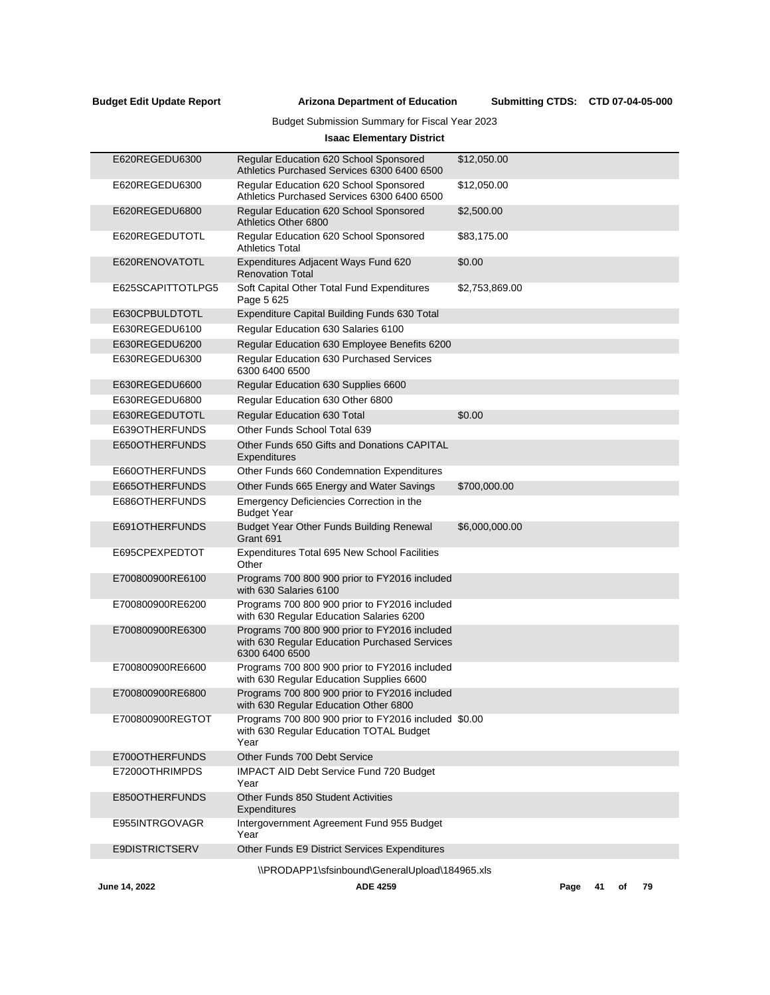$\overline{\phantom{a}}$ 

**Arizona Department of Education Budget Edit Update Report Submitting CTDS:**

Budget Submission Summary for Fiscal Year 2023

# **Isaac Elementary District**

| E620REGEDU6300    | Regular Education 620 School Sponsored<br>Athletics Purchased Services 6300 6400 6500                            | \$12,050.00    |
|-------------------|------------------------------------------------------------------------------------------------------------------|----------------|
| E620REGEDU6300    | Regular Education 620 School Sponsored<br>Athletics Purchased Services 6300 6400 6500                            | \$12,050.00    |
| E620REGEDU6800    | Regular Education 620 School Sponsored<br>Athletics Other 6800                                                   | \$2,500.00     |
| E620REGEDUTOTL    | Regular Education 620 School Sponsored<br><b>Athletics Total</b>                                                 | \$83,175.00    |
| E620RENOVATOTL    | Expenditures Adjacent Ways Fund 620<br><b>Renovation Total</b>                                                   | \$0.00         |
| E625SCAPITTOTLPG5 | Soft Capital Other Total Fund Expenditures<br>Page 5 625                                                         | \$2,753,869.00 |
| E630CPBULDTOTL    | Expenditure Capital Building Funds 630 Total                                                                     |                |
| E630REGEDU6100    | Regular Education 630 Salaries 6100                                                                              |                |
| E630REGEDU6200    | Regular Education 630 Employee Benefits 6200                                                                     |                |
| E630REGEDU6300    | Regular Education 630 Purchased Services<br>6300 6400 6500                                                       |                |
| E630REGEDU6600    | Regular Education 630 Supplies 6600                                                                              |                |
| E630REGEDU6800    | Regular Education 630 Other 6800                                                                                 |                |
| E630REGEDUTOTL    | <b>Regular Education 630 Total</b>                                                                               | \$0.00         |
| E639OTHERFUNDS    | Other Funds School Total 639                                                                                     |                |
| E650OTHERFUNDS    | Other Funds 650 Gifts and Donations CAPITAL<br>Expenditures                                                      |                |
| E660OTHERFUNDS    | Other Funds 660 Condemnation Expenditures                                                                        |                |
| E665OTHERFUNDS    | Other Funds 665 Energy and Water Savings                                                                         | \$700,000.00   |
| E686OTHERFUNDS    | Emergency Deficiencies Correction in the<br><b>Budget Year</b>                                                   |                |
| E691OTHERFUNDS    | Budget Year Other Funds Building Renewal<br>Grant 691                                                            | \$6,000,000.00 |
| E695CPEXPEDTOT    | <b>Expenditures Total 695 New School Facilities</b><br>Other                                                     |                |
| E700800900RE6100  | Programs 700 800 900 prior to FY2016 included<br>with 630 Salaries 6100                                          |                |
| E700800900RE6200  | Programs 700 800 900 prior to FY2016 included<br>with 630 Regular Education Salaries 6200                        |                |
| E700800900RE6300  | Programs 700 800 900 prior to FY2016 included<br>with 630 Regular Education Purchased Services<br>6300 6400 6500 |                |
| E700800900RE6600  | Programs 700 800 900 prior to FY2016 included<br>with 630 Regular Education Supplies 6600                        |                |
| E700800900RE6800  | Programs 700 800 900 prior to FY2016 included<br>with 630 Regular Education Other 6800                           |                |
| E700800900REGTOT  | Programs 700 800 900 prior to FY2016 included \$0.00<br>with 630 Regular Education TOTAL Budget<br>Year          |                |
| E700OTHERFUNDS    | Other Funds 700 Debt Service                                                                                     |                |
| E7200OTHRIMPDS    | <b>IMPACT AID Debt Service Fund 720 Budget</b><br>Year                                                           |                |
| E850OTHERFUNDS    | Other Funds 850 Student Activities<br>Expenditures                                                               |                |
| E955INTRGOVAGR    | Intergovernment Agreement Fund 955 Budget<br>Year                                                                |                |
| E9DISTRICTSERV    | Other Funds E9 District Services Expenditures                                                                    |                |
|                   | \\PRODAPP1\sfsinbound\GeneralUpload\184965.xls                                                                   |                |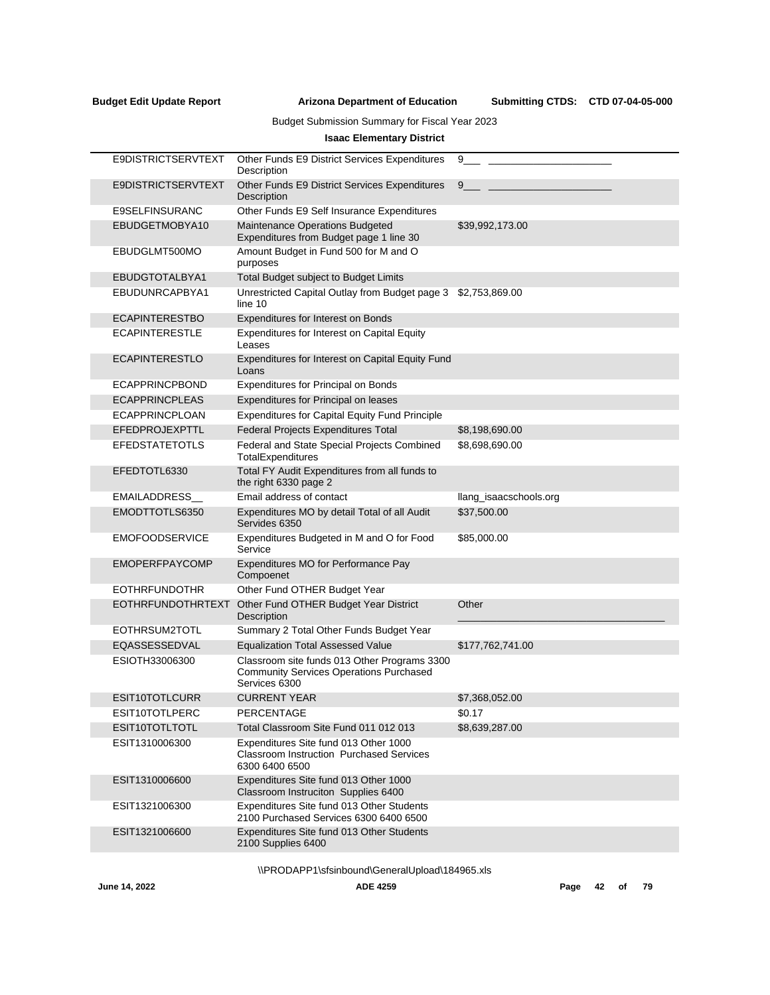# Budget Submission Summary for Fiscal Year 2023

# **Isaac Elementary District**

| E9DISTRICTSERVTEXT        | Other Funds E9 District Services Expenditures<br>Description                                                    | 9                      |
|---------------------------|-----------------------------------------------------------------------------------------------------------------|------------------------|
| <b>E9DISTRICTSERVTEXT</b> | Other Funds E9 District Services Expenditures<br>Description                                                    | 9                      |
| E9SELFINSURANC            | Other Funds E9 Self Insurance Expenditures                                                                      |                        |
| EBUDGETMOBYA10            | Maintenance Operations Budgeted<br>Expenditures from Budget page 1 line 30                                      | \$39,992,173.00        |
| EBUDGLMT500MO             | Amount Budget in Fund 500 for M and O<br>purposes                                                               |                        |
| EBUDGTOTALBYA1            | Total Budget subject to Budget Limits                                                                           |                        |
| EBUDUNRCAPBYA1            | Unrestricted Capital Outlay from Budget page 3<br>line 10                                                       | \$2,753,869.00         |
| <b>ECAPINTERESTBO</b>     | Expenditures for Interest on Bonds                                                                              |                        |
| <b>ECAPINTERESTLE</b>     | Expenditures for Interest on Capital Equity<br>Leases                                                           |                        |
| <b>ECAPINTERESTLO</b>     | Expenditures for Interest on Capital Equity Fund<br>Loans                                                       |                        |
| <b>ECAPPRINCPBOND</b>     | Expenditures for Principal on Bonds                                                                             |                        |
| <b>ECAPPRINCPLEAS</b>     | Expenditures for Principal on leases                                                                            |                        |
| <b>ECAPPRINCPLOAN</b>     | <b>Expenditures for Capital Equity Fund Principle</b>                                                           |                        |
| EFEDPROJEXPTTL            | Federal Projects Expenditures Total                                                                             | \$8,198,690.00         |
| <b>EFEDSTATETOTLS</b>     | Federal and State Special Projects Combined<br>TotalExpenditures                                                | \$8,698,690.00         |
| EFEDTOTL6330              | Total FY Audit Expenditures from all funds to<br>the right 6330 page 2                                          |                        |
| <b>EMAILADDRESS</b>       | Email address of contact                                                                                        | llang_isaacschools.org |
| EMODTTOTLS6350            | Expenditures MO by detail Total of all Audit<br>Servides 6350                                                   | \$37,500.00            |
| <b>EMOFOODSERVICE</b>     | Expenditures Budgeted in M and O for Food<br>Service                                                            | \$85,000.00            |
| <b>EMOPERFPAYCOMP</b>     | Expenditures MO for Performance Pay<br>Compoenet                                                                |                        |
| <b>EOTHRFUNDOTHR</b>      | Other Fund OTHER Budget Year                                                                                    |                        |
| <b>EOTHRFUNDOTHRTEXT</b>  | Other Fund OTHER Budget Year District<br>Description                                                            | Other                  |
| EOTHRSUM2TOTL             | Summary 2 Total Other Funds Budget Year                                                                         |                        |
| EQASSESSEDVAL             | <b>Equalization Total Assessed Value</b>                                                                        | \$177,762,741.00       |
| ESIOTH33006300            | Classroom site funds 013 Other Programs 3300<br><b>Community Services Operations Purchased</b><br>Services 6300 |                        |
| ESIT10TOTLCURR            | <b>CURRENT YEAR</b>                                                                                             | \$7,368,052.00         |
| ESIT10TOTLPERC            | PERCENTAGE                                                                                                      | \$0.17                 |
| ESIT10TOTLTOTL            | Total Classroom Site Fund 011 012 013                                                                           | \$8,639,287.00         |
| ESIT1310006300            | Expenditures Site fund 013 Other 1000<br>Classroom Instruction Purchased Services<br>6300 6400 6500             |                        |
| ESIT1310006600            | Expenditures Site fund 013 Other 1000<br>Classroom Instruciton Supplies 6400                                    |                        |
| ESIT1321006300            | Expenditures Site fund 013 Other Students<br>2100 Purchased Services 6300 6400 6500                             |                        |
| ESIT1321006600            | Expenditures Site fund 013 Other Students<br>2100 Supplies 6400                                                 |                        |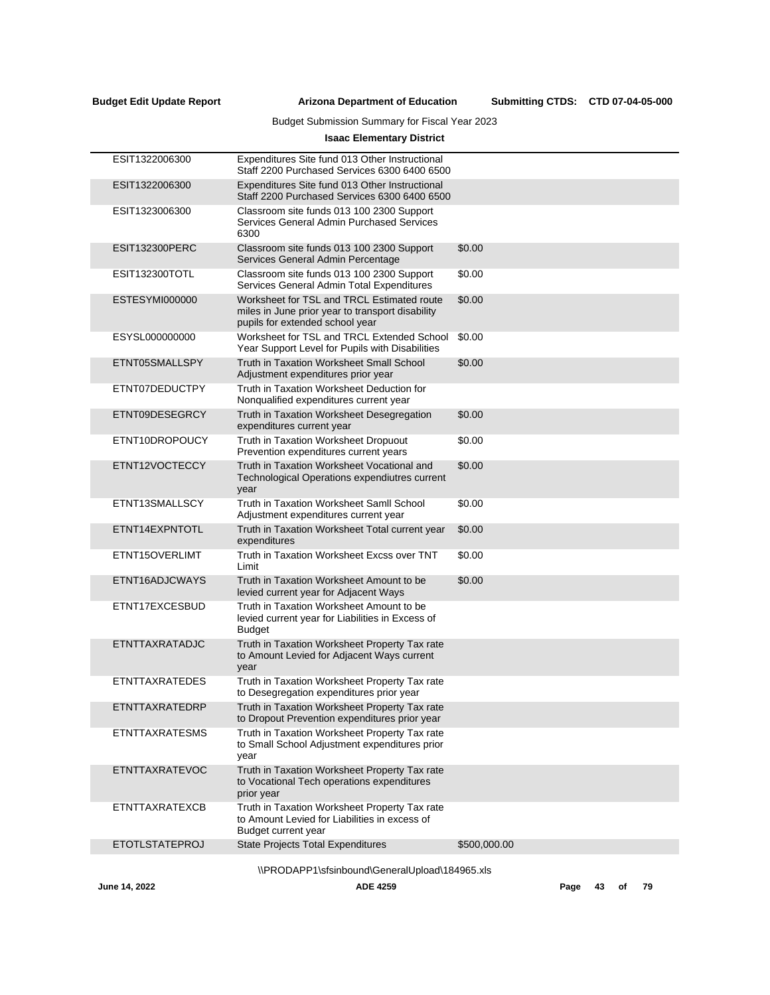# Budget Submission Summary for Fiscal Year 2023

# **Isaac Elementary District**

| ESIT1322006300        | Expenditures Site fund 013 Other Instructional<br>Staff 2200 Purchased Services 6300 6400 6500                                    |              |
|-----------------------|-----------------------------------------------------------------------------------------------------------------------------------|--------------|
| ESIT1322006300        | Expenditures Site fund 013 Other Instructional<br>Staff 2200 Purchased Services 6300 6400 6500                                    |              |
| ESIT1323006300        | Classroom site funds 013 100 2300 Support<br>Services General Admin Purchased Services<br>6300                                    |              |
| ESIT132300PERC        | Classroom site funds 013 100 2300 Support<br>Services General Admin Percentage                                                    | \$0.00       |
| <b>ESIT132300TOTL</b> | Classroom site funds 013 100 2300 Support<br>Services General Admin Total Expenditures                                            | \$0.00       |
| ESTESYMI000000        | Worksheet for TSL and TRCL Estimated route<br>miles in June prior year to transport disability<br>pupils for extended school year | \$0.00       |
| ESYSL000000000        | Worksheet for TSL and TRCL Extended School<br>Year Support Level for Pupils with Disabilities                                     | \$0.00       |
| ETNT05SMALLSPY        | Truth in Taxation Worksheet Small School<br>Adjustment expenditures prior year                                                    | \$0.00       |
| ETNT07DEDUCTPY        | Truth in Taxation Worksheet Deduction for<br>Nonqualified expenditures current year                                               |              |
| ETNT09DESEGRCY        | Truth in Taxation Worksheet Desegregation<br>expenditures current year                                                            | \$0.00       |
| ETNT10DROPOUCY        | Truth in Taxation Worksheet Dropuout<br>Prevention expenditures current years                                                     | \$0.00       |
| ETNT12VOCTECCY        | Truth in Taxation Worksheet Vocational and<br>Technological Operations expendiutres current<br>year                               | \$0.00       |
| ETNT13SMALLSCY        | Truth in Taxation Worksheet Samll School<br>Adjustment expenditures current year                                                  | \$0.00       |
| ETNT14EXPNTOTL        | Truth in Taxation Worksheet Total current year<br>expenditures                                                                    | \$0.00       |
| ETNT15OVERLIMT        | Truth in Taxation Worksheet Excss over TNT<br>Limit                                                                               | \$0.00       |
| ETNT16ADJCWAYS        | Truth in Taxation Worksheet Amount to be<br>levied current year for Adjacent Ways                                                 | \$0.00       |
| ETNT17EXCESBUD        | Truth in Taxation Worksheet Amount to be<br>levied current year for Liabilities in Excess of<br><b>Budget</b>                     |              |
| ETNTTAXRATADJC        | Truth in Taxation Worksheet Property Tax rate<br>to Amount Levied for Adjacent Ways current<br>year                               |              |
| <b>ETNTTAXRATEDES</b> | Truth in Taxation Worksheet Property Tax rate<br>to Desegregation expenditures prior year                                         |              |
| ETNTTAXRATEDRP        | Truth in Taxation Worksheet Property Tax rate<br>to Dropout Prevention expenditures prior year                                    |              |
| <b>ETNTTAXRATESMS</b> | Truth in Taxation Worksheet Property Tax rate<br>to Small School Adjustment expenditures prior<br>year                            |              |
| ETNTTAXRATEVOC        | Truth in Taxation Worksheet Property Tax rate<br>to Vocational Tech operations expenditures<br>prior year                         |              |
| <b>ETNTTAXRATEXCB</b> | Truth in Taxation Worksheet Property Tax rate<br>to Amount Levied for Liabilities in excess of<br>Budget current year             |              |
| <b>ETOTLSTATEPROJ</b> | <b>State Projects Total Expenditures</b>                                                                                          | \$500,000.00 |
|                       | \\PRODAPP1\sfsinbound\GeneralUpload\184965.xls                                                                                    |              |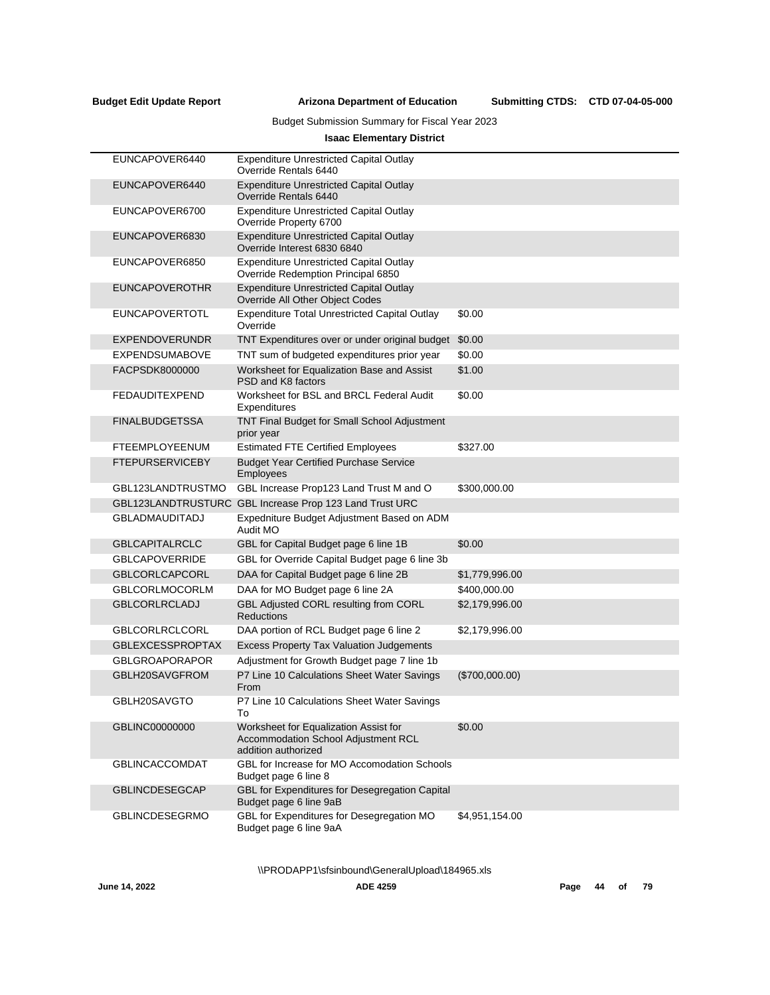Submitting CTDS: CTD 07-04-05-000

# Budget Submission Summary for Fiscal Year 2023

# **Isaac Elementary District**

| EUNCAPOVER6440          | <b>Expenditure Unrestricted Capital Outlay</b><br>Override Rentals 6440                             |                |
|-------------------------|-----------------------------------------------------------------------------------------------------|----------------|
| EUNCAPOVER6440          | <b>Expenditure Unrestricted Capital Outlay</b><br>Override Rentals 6440                             |                |
| EUNCAPOVER6700          | <b>Expenditure Unrestricted Capital Outlay</b><br>Override Property 6700                            |                |
| EUNCAPOVER6830          | <b>Expenditure Unrestricted Capital Outlay</b><br>Override Interest 6830 6840                       |                |
| EUNCAPOVER6850          | <b>Expenditure Unrestricted Capital Outlay</b><br>Override Redemption Principal 6850                |                |
| <b>EUNCAPOVEROTHR</b>   | <b>Expenditure Unrestricted Capital Outlay</b><br>Override All Other Obiect Codes                   |                |
| <b>EUNCAPOVERTOTL</b>   | <b>Expenditure Total Unrestricted Capital Outlay</b><br>Override                                    | \$0.00         |
| <b>EXPENDOVERUNDR</b>   | TNT Expenditures over or under original budget                                                      | \$0.00         |
| <b>EXPENDSUMABOVE</b>   | TNT sum of budgeted expenditures prior year                                                         | \$0.00         |
| FACPSDK8000000          | Worksheet for Equalization Base and Assist<br>PSD and K8 factors                                    | \$1.00         |
| FEDAUDITEXPEND          | Worksheet for BSL and BRCL Federal Audit<br>Expenditures                                            | \$0.00         |
| <b>FINALBUDGETSSA</b>   | TNT Final Budget for Small School Adjustment<br>prior year                                          |                |
| <b>FTEEMPLOYEENUM</b>   | <b>Estimated FTE Certified Employees</b>                                                            | \$327.00       |
| <b>FTEPURSERVICEBY</b>  | <b>Budget Year Certified Purchase Service</b><br><b>Employees</b>                                   |                |
| GBL123LANDTRUSTMO       | GBL Increase Prop123 Land Trust M and O                                                             | \$300,000.00   |
|                         | GBL123LANDTRUSTURC GBL Increase Prop 123 Land Trust URC                                             |                |
| <b>GBLADMAUDITADJ</b>   | Expedniture Budget Adjustment Based on ADM<br>Audit MO                                              |                |
| <b>GBLCAPITALRCLC</b>   | GBL for Capital Budget page 6 line 1B                                                               | \$0.00         |
| <b>GBLCAPOVERRIDE</b>   | GBL for Override Capital Budget page 6 line 3b                                                      |                |
| <b>GBLCORLCAPCORL</b>   | DAA for Capital Budget page 6 line 2B                                                               | \$1,779,996.00 |
| <b>GBLCORLMOCORLM</b>   | DAA for MO Budget page 6 line 2A                                                                    | \$400,000.00   |
| <b>GBLCORLRCLADJ</b>    | GBL Adjusted CORL resulting from CORL<br><b>Reductions</b>                                          | \$2,179,996.00 |
| <b>GBLCORLRCLCORL</b>   | DAA portion of RCL Budget page 6 line 2                                                             | \$2,179,996.00 |
| <b>GBLEXCESSPROPTAX</b> | <b>Excess Property Tax Valuation Judgements</b>                                                     |                |
| <b>GBLGROAPORAPOR</b>   | Adjustment for Growth Budget page 7 line 1b                                                         |                |
| GBLH20SAVGFROM          | P7 Line 10 Calculations Sheet Water Savings<br>From                                                 | (\$700,000.00) |
| GBLH20SAVGTO            | P7 Line 10 Calculations Sheet Water Savings<br>10                                                   |                |
| GBLINC00000000          | Worksheet for Equalization Assist for<br>Accommodation School Adjustment RCL<br>addition authorized | \$0.00         |
| <b>GBLINCACCOMDAT</b>   | GBL for Increase for MO Accomodation Schools<br>Budget page 6 line 8                                |                |
| <b>GBLINCDESEGCAP</b>   | GBL for Expenditures for Desegregation Capital<br>Budget page 6 line 9aB                            |                |
| <b>GBLINCDESEGRMO</b>   | GBL for Expenditures for Desegregation MO<br>Budget page 6 line 9aA                                 | \$4,951,154.00 |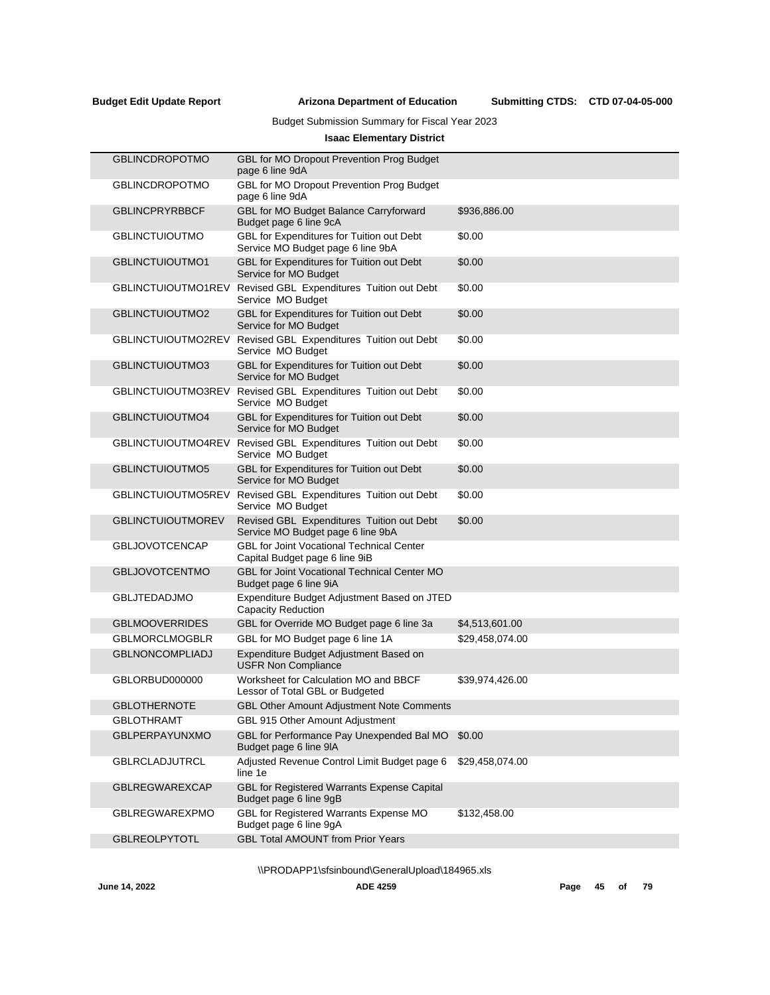# Budget Submission Summary for Fiscal Year 2023

# **Isaac Elementary District**

| <b>GBLINCDROPOTMO</b>    | GBL for MO Dropout Prevention Prog Budget<br>page 6 line 9dA                       |                 |
|--------------------------|------------------------------------------------------------------------------------|-----------------|
| <b>GBLINCDROPOTMO</b>    | GBL for MO Dropout Prevention Prog Budget<br>page 6 line 9dA                       |                 |
| <b>GBLINCPRYRBBCF</b>    | GBL for MO Budget Balance Carryforward<br>Budget page 6 line 9cA                   | \$936,886.00    |
| <b>GBLINCTUIOUTMO</b>    | GBL for Expenditures for Tuition out Debt<br>Service MO Budget page 6 line 9bA     | \$0.00          |
| <b>GBLINCTUIOUTMO1</b>   | GBL for Expenditures for Tuition out Debt<br>Service for MO Budget                 | \$0.00          |
| GBLINCTUIOUTMO1REV       | Revised GBL Expenditures Tuition out Debt<br>Service MO Budget                     | \$0.00          |
| GBLINCTUIOUTMO2          | GBL for Expenditures for Tuition out Debt<br>Service for MO Budget                 | \$0.00          |
| GBLINCTUIOUTMO2REV       | Revised GBL Expenditures Tuition out Debt<br>Service MO Budget                     | \$0.00          |
| GBLINCTUIOUTMO3          | GBL for Expenditures for Tuition out Debt<br>Service for MO Budget                 | \$0.00          |
| GBLINCTUIOUTMO3REV       | Revised GBL Expenditures Tuition out Debt<br>Service MO Budget                     | \$0.00          |
| GBLINCTUIOUTMO4          | GBL for Expenditures for Tuition out Debt<br>Service for MO Budget                 | \$0.00          |
| GBLINCTUIOUTMO4REV       | Revised GBL Expenditures Tuition out Debt<br>Service MO Budget                     | \$0.00          |
| GBLINCTUIOUTMO5          | GBL for Expenditures for Tuition out Debt<br>Service for MO Budget                 | \$0.00          |
| GBLINCTUIOUTMO5REV       | Revised GBL Expenditures Tuition out Debt<br>Service MO Budget                     | \$0.00          |
| <b>GBLINCTUIOUTMOREV</b> | Revised GBL Expenditures Tuition out Debt<br>Service MO Budget page 6 line 9bA     | \$0.00          |
| <b>GBLJOVOTCENCAP</b>    | <b>GBL for Joint Vocational Technical Center</b><br>Capital Budget page 6 line 9iB |                 |
| <b>GBLJOVOTCENTMO</b>    | <b>GBL for Joint Vocational Technical Center MO</b><br>Budget page 6 line 9iA      |                 |
| <b>GBLJTEDADJMO</b>      | Expenditure Budget Adjustment Based on JTED<br><b>Capacity Reduction</b>           |                 |
| <b>GBLMOOVERRIDES</b>    | GBL for Override MO Budget page 6 line 3a                                          | \$4,513,601.00  |
| <b>GBLMORCLMOGBLR</b>    | GBL for MO Budget page 6 line 1A                                                   | \$29,458,074.00 |
| <b>GBLNONCOMPLIADJ</b>   | Expenditure Budget Adjustment Based on<br><b>USFR Non Compliance</b>               |                 |
| GBLORBUD000000           | Worksheet for Calculation MO and BBCF<br>Lessor of Total GBL or Budgeted           | \$39,974,426.00 |
| <b>GBLOTHERNOTE</b>      | <b>GBL Other Amount Adjustment Note Comments</b>                                   |                 |
| <b>GBLOTHRAMT</b>        | GBL 915 Other Amount Adjustment                                                    |                 |
| <b>GBLPERPAYUNXMO</b>    | GBL for Performance Pay Unexpended Bal MO<br>Budget page 6 line 9IA                | \$0.00          |
| <b>GBLRCLADJUTRCL</b>    | Adjusted Revenue Control Limit Budget page 6<br>line 1e                            | \$29,458,074.00 |
| <b>GBLREGWAREXCAP</b>    | GBL for Registered Warrants Expense Capital<br>Budget page 6 line 9gB              |                 |
| <b>GBLREGWAREXPMO</b>    | GBL for Registered Warrants Expense MO<br>Budget page 6 line 9gA                   | \$132,458.00    |
| <b>GBLREOLPYTOTL</b>     | <b>GBL Total AMOUNT from Prior Years</b>                                           |                 |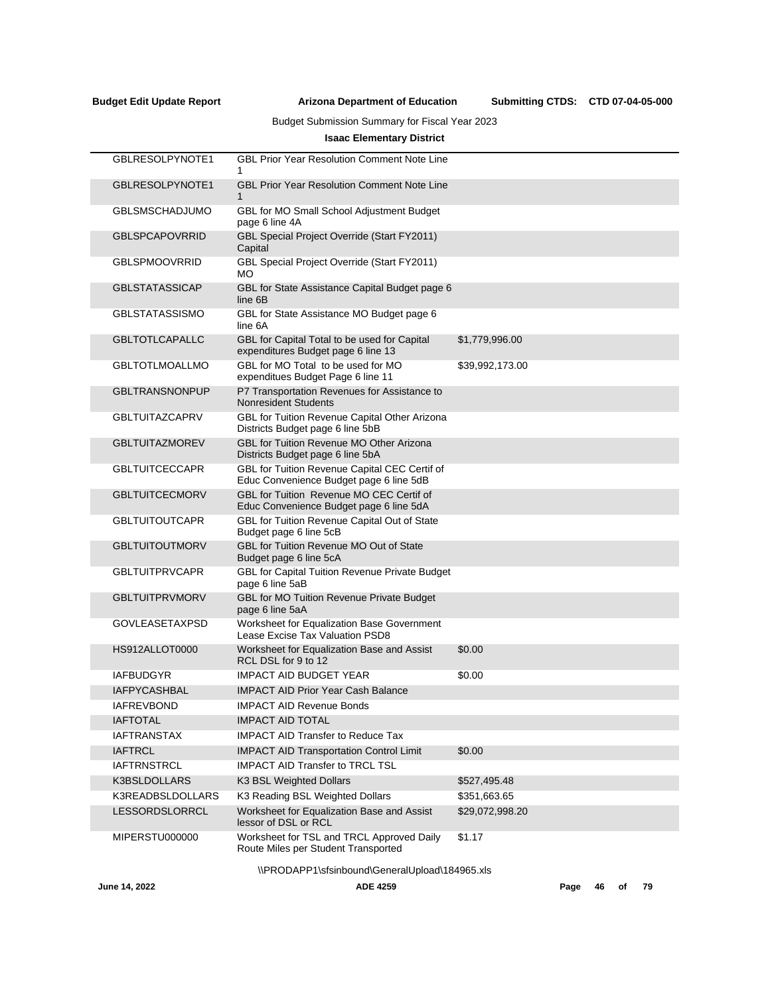# Budget Submission Summary for Fiscal Year 2023

# **Isaac Elementary District**

| GBLRESOLPYNOTE1       | <b>GBL Prior Year Resolution Comment Note Line</b>                                       |                 |
|-----------------------|------------------------------------------------------------------------------------------|-----------------|
| GBLRESOLPYNOTE1       | <b>GBL Prior Year Resolution Comment Note Line</b><br>$\mathbf{1}$                       |                 |
| <b>GBLSMSCHADJUMO</b> | GBL for MO Small School Adjustment Budget<br>page 6 line 4A                              |                 |
| <b>GBLSPCAPOVRRID</b> | <b>GBL Special Project Override (Start FY2011)</b><br>Capital                            |                 |
| <b>GBLSPMOOVRRID</b>  | <b>GBL Special Project Override (Start FY2011)</b><br><b>MO</b>                          |                 |
| <b>GBLSTATASSICAP</b> | GBL for State Assistance Capital Budget page 6<br>line 6B                                |                 |
| <b>GBLSTATASSISMO</b> | GBL for State Assistance MO Budget page 6<br>line 6A                                     |                 |
| <b>GBLTOTLCAPALLC</b> | GBL for Capital Total to be used for Capital<br>expenditures Budget page 6 line 13       | \$1,779,996.00  |
| <b>GBLTOTLMOALLMO</b> | GBL for MO Total to be used for MO<br>expenditues Budget Page 6 line 11                  | \$39,992,173.00 |
| <b>GBLTRANSNONPUP</b> | P7 Transportation Revenues for Assistance to<br><b>Nonresident Students</b>              |                 |
| <b>GBLTUITAZCAPRV</b> | GBL for Tuition Revenue Capital Other Arizona<br>Districts Budget page 6 line 5bB        |                 |
| <b>GBLTUITAZMOREV</b> | GBL for Tuition Revenue MO Other Arizona<br>Districts Budget page 6 line 5bA             |                 |
| <b>GBLTUITCECCAPR</b> | GBL for Tuition Revenue Capital CEC Certif of<br>Educ Convenience Budget page 6 line 5dB |                 |
| <b>GBLTUITCECMORV</b> | GBL for Tuition Revenue MO CEC Certif of<br>Educ Convenience Budget page 6 line 5dA      |                 |
| <b>GBLTUITOUTCAPR</b> | GBL for Tuition Revenue Capital Out of State<br>Budget page 6 line 5cB                   |                 |
| <b>GBLTUITOUTMORV</b> | GBL for Tuition Revenue MO Out of State<br>Budget page 6 line 5cA                        |                 |
| <b>GBLTUITPRVCAPR</b> | GBL for Capital Tuition Revenue Private Budget<br>page 6 line 5aB                        |                 |
| <b>GBLTUITPRVMORV</b> | <b>GBL for MO Tuition Revenue Private Budget</b><br>page 6 line 5aA                      |                 |
| <b>GOVLEASETAXPSD</b> | Worksheet for Equalization Base Government<br>Lease Excise Tax Valuation PSD8            |                 |
| HS912ALLOT0000        | Worksheet for Equalization Base and Assist<br>RCL DSL for 9 to 12                        | \$0.00          |
| <b>IAFBUDGYR</b>      | <b>IMPACT AID BUDGET YEAR</b>                                                            | \$0.00          |
| <b>IAFPYCASHBAL</b>   | <b>IMPACT AID Prior Year Cash Balance</b>                                                |                 |
| <b>IAFREVBOND</b>     | <b>IMPACT AID Revenue Bonds</b>                                                          |                 |
| <b>IAFTOTAL</b>       | <b>IMPACT AID TOTAL</b>                                                                  |                 |
| <b>IAFTRANSTAX</b>    | <b>IMPACT AID Transfer to Reduce Tax</b>                                                 |                 |
| <b>IAFTRCL</b>        | <b>IMPACT AID Transportation Control Limit</b>                                           | \$0.00          |
| <b>IAFTRNSTRCL</b>    | <b>IMPACT AID Transfer to TRCL TSL</b>                                                   |                 |
| K3BSLDOLLARS          | K3 BSL Weighted Dollars                                                                  | \$527,495.48    |
| K3READBSLDOLLARS      | K3 Reading BSL Weighted Dollars                                                          | \$351,663.65    |
| LESSORDSLORRCL        | Worksheet for Equalization Base and Assist<br>lessor of DSL or RCL                       | \$29,072,998.20 |
| MIPERSTU000000        | Worksheet for TSL and TRCL Approved Daily<br>Route Miles per Student Transported         | \$1.17          |
|                       |                                                                                          |                 |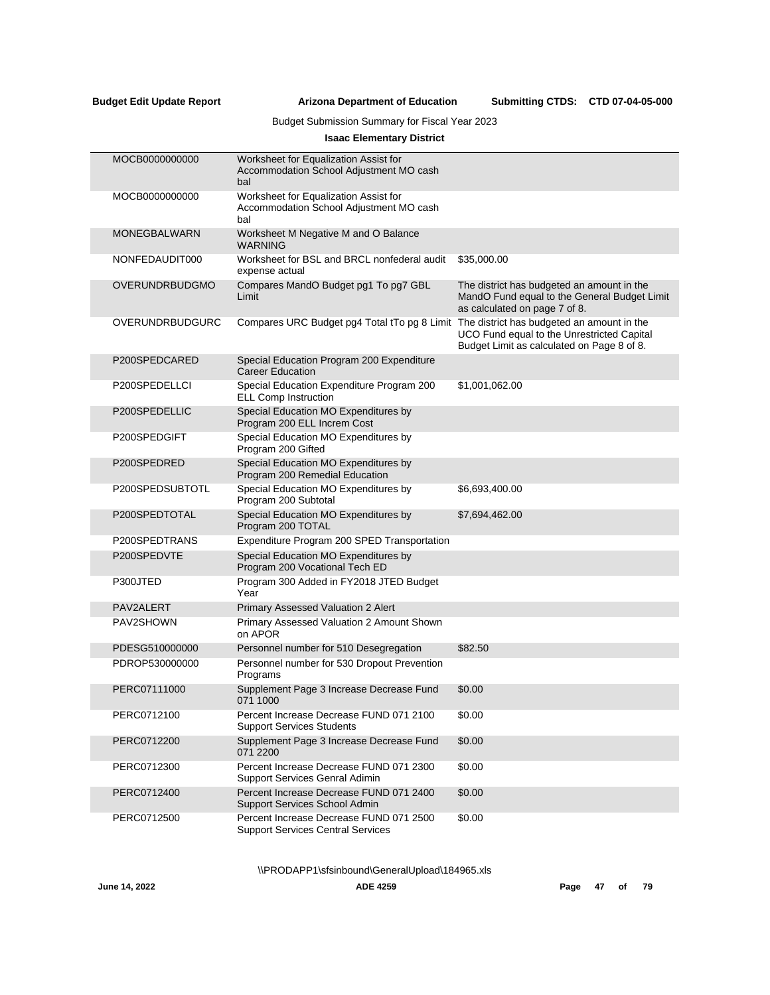Submitting CTDS: CTD 07-04-05-000

# Budget Submission Summary for Fiscal Year 2023

# **Isaac Elementary District**

| MOCB0000000000        | Worksheet for Equalization Assist for<br>Accommodation School Adjustment MO cash<br>bal |                                                                                                                             |
|-----------------------|-----------------------------------------------------------------------------------------|-----------------------------------------------------------------------------------------------------------------------------|
| MOCB0000000000        | Worksheet for Equalization Assist for<br>Accommodation School Adjustment MO cash<br>bal |                                                                                                                             |
| <b>MONEGBALWARN</b>   | Worksheet M Negative M and O Balance<br><b>WARNING</b>                                  |                                                                                                                             |
| NONFEDAUDIT000        | Worksheet for BSL and BRCL nonfederal audit<br>expense actual                           | \$35,000.00                                                                                                                 |
| <b>OVERUNDRBUDGMO</b> | Compares MandO Budget pg1 To pg7 GBL<br>Limit                                           | The district has budgeted an amount in the<br>MandO Fund equal to the General Budget Limit<br>as calculated on page 7 of 8. |
| OVERUNDRBUDGURC       | Compares URC Budget pg4 Total tTo pg 8 Limit The district has budgeted an amount in the | UCO Fund equal to the Unrestricted Capital<br>Budget Limit as calculated on Page 8 of 8.                                    |
| P200SPEDCARED         | Special Education Program 200 Expenditure<br><b>Career Education</b>                    |                                                                                                                             |
| P200SPEDELLCI         | Special Education Expenditure Program 200<br><b>ELL Comp Instruction</b>                | \$1,001,062.00                                                                                                              |
| P200SPEDELLIC         | Special Education MO Expenditures by<br>Program 200 ELL Increm Cost                     |                                                                                                                             |
| P200SPEDGIFT          | Special Education MO Expenditures by<br>Program 200 Gifted                              |                                                                                                                             |
| P200SPEDRED           | Special Education MO Expenditures by<br>Program 200 Remedial Education                  |                                                                                                                             |
| P200SPEDSUBTOTL       | Special Education MO Expenditures by<br>Program 200 Subtotal                            | \$6,693,400.00                                                                                                              |
| P200SPEDTOTAL         | Special Education MO Expenditures by<br>Program 200 TOTAL                               | \$7,694,462.00                                                                                                              |
| P200SPEDTRANS         | Expenditure Program 200 SPED Transportation                                             |                                                                                                                             |
| P200SPEDVTE           | Special Education MO Expenditures by<br>Program 200 Vocational Tech ED                  |                                                                                                                             |
| P300JTED              | Program 300 Added in FY2018 JTED Budget<br>Year                                         |                                                                                                                             |
| PAV2ALERT             | Primary Assessed Valuation 2 Alert                                                      |                                                                                                                             |
| PAV2SHOWN             | Primary Assessed Valuation 2 Amount Shown<br>on APOR                                    |                                                                                                                             |
| PDESG510000000        | Personnel number for 510 Desegregation                                                  | \$82.50                                                                                                                     |
| PDROP530000000        | Personnel number for 530 Dropout Prevention<br>Programs                                 |                                                                                                                             |
| PERC07111000          | Supplement Page 3 Increase Decrease Fund<br>071 1000                                    | \$0.00                                                                                                                      |
| PERC0712100           | Percent Increase Decrease FUND 071 2100<br><b>Support Services Students</b>             | \$0.00                                                                                                                      |
| PERC0712200           | Supplement Page 3 Increase Decrease Fund<br>071 2200                                    | \$0.00                                                                                                                      |
| PERC0712300           | Percent Increase Decrease FUND 071 2300<br>Support Services Genral Adimin               | \$0.00                                                                                                                      |
| PERC0712400           | Percent Increase Decrease FUND 071 2400<br>Support Services School Admin                | \$0.00                                                                                                                      |
| PERC0712500           | Percent Increase Decrease FUND 071 2500<br><b>Support Services Central Services</b>     | \$0.00                                                                                                                      |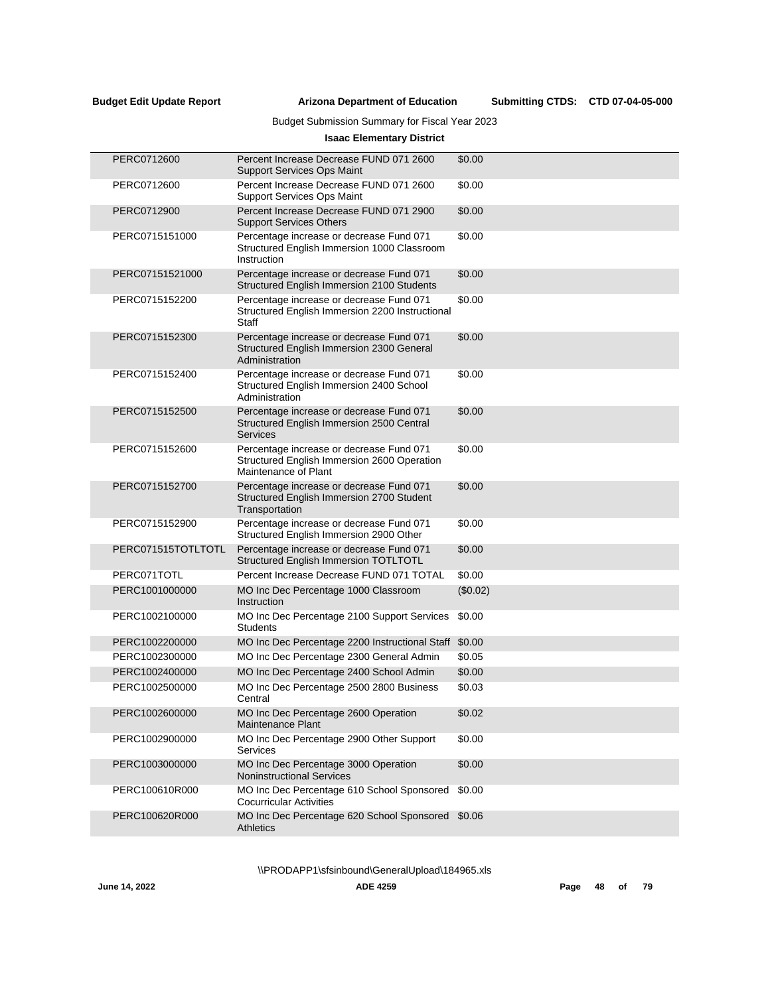Submitting CTDS: CTD 07-04-05-000

# Budget Submission Summary for Fiscal Year 2023

# **Isaac Elementary District**

| PERC0712600        | Percent Increase Decrease FUND 071 2600<br><b>Support Services Ops Maint</b>                                    | \$0.00   |
|--------------------|-----------------------------------------------------------------------------------------------------------------|----------|
| PERC0712600        | Percent Increase Decrease FUND 071 2600<br><b>Support Services Ops Maint</b>                                    | \$0.00   |
| PERC0712900        | Percent Increase Decrease FUND 071 2900<br><b>Support Services Others</b>                                       | \$0.00   |
| PERC0715151000     | Percentage increase or decrease Fund 071<br>Structured English Immersion 1000 Classroom<br>Instruction          | \$0.00   |
| PERC07151521000    | Percentage increase or decrease Fund 071<br>Structured English Immersion 2100 Students                          | \$0.00   |
| PERC0715152200     | Percentage increase or decrease Fund 071<br>Structured English Immersion 2200 Instructional<br><b>Staff</b>     | \$0.00   |
| PERC0715152300     | Percentage increase or decrease Fund 071<br>Structured English Immersion 2300 General<br>Administration         | \$0.00   |
| PERC0715152400     | Percentage increase or decrease Fund 071<br>Structured English Immersion 2400 School<br>Administration          | \$0.00   |
| PERC0715152500     | Percentage increase or decrease Fund 071<br>Structured English Immersion 2500 Central<br><b>Services</b>        | \$0.00   |
| PERC0715152600     | Percentage increase or decrease Fund 071<br>Structured English Immersion 2600 Operation<br>Maintenance of Plant | \$0.00   |
| PERC0715152700     | Percentage increase or decrease Fund 071<br>Structured English Immersion 2700 Student<br>Transportation         | \$0.00   |
| PERC0715152900     | Percentage increase or decrease Fund 071<br>Structured English Immersion 2900 Other                             | \$0.00   |
| PERC071515TOTLTOTL | Percentage increase or decrease Fund 071<br><b>Structured English Immersion TOTLTOTL</b>                        | \$0.00   |
| PERC071TOTL        | Percent Increase Decrease FUND 071 TOTAL                                                                        | \$0.00   |
| PERC1001000000     | MO Inc Dec Percentage 1000 Classroom<br>Instruction                                                             | (\$0.02) |
| PERC1002100000     | MO Inc Dec Percentage 2100 Support Services<br><b>Students</b>                                                  | \$0.00   |
| PERC1002200000     | MO Inc Dec Percentage 2200 Instructional Staff \$0.00                                                           |          |
| PERC1002300000     | MO Inc Dec Percentage 2300 General Admin                                                                        | \$0.05   |
| PERC1002400000     | MO Inc Dec Percentage 2400 School Admin                                                                         | \$0.00   |
| PERC1002500000     | MO Inc Dec Percentage 2500 2800 Business<br>Central                                                             | \$0.03   |
| PERC1002600000     | MO Inc Dec Percentage 2600 Operation<br>Maintenance Plant                                                       | \$0.02   |
| PERC1002900000     | MO Inc Dec Percentage 2900 Other Support<br>Services                                                            | \$0.00   |
| PERC1003000000     | MO Inc Dec Percentage 3000 Operation<br><b>Noninstructional Services</b>                                        | \$0.00   |
| PERC100610R000     | MO Inc Dec Percentage 610 School Sponsored<br><b>Cocurricular Activities</b>                                    | \$0.00   |
| PERC100620R000     | MO Inc Dec Percentage 620 School Sponsored<br><b>Athletics</b>                                                  | \$0.06   |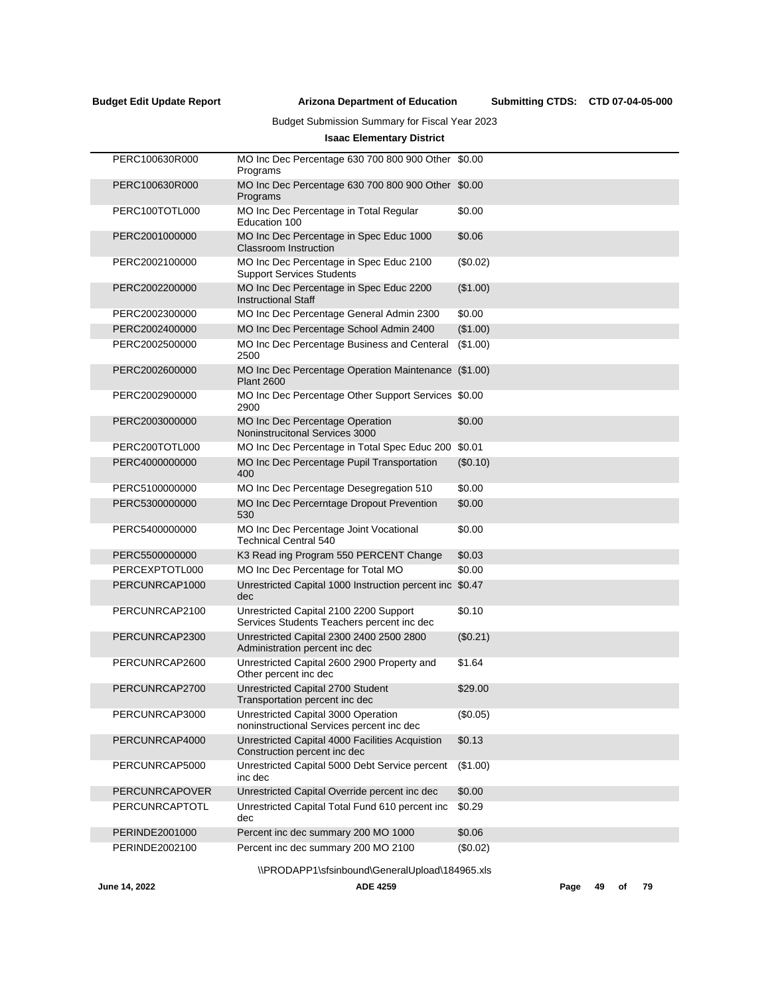Submitting CTDS: CTD 07-04-05-000

# Budget Submission Summary for Fiscal Year 2023

# **Isaac Elementary District**

| PERC100630R000        | MO Inc Dec Percentage 630 700 800 900 Other \$0.00<br>Programs                       |          |
|-----------------------|--------------------------------------------------------------------------------------|----------|
| PERC100630R000        | MO Inc Dec Percentage 630 700 800 900 Other \$0.00<br>Programs                       |          |
| PERC100TOTL000        | MO Inc Dec Percentage in Total Regular<br>Education 100                              | \$0.00   |
| PERC2001000000        | MO Inc Dec Percentage in Spec Educ 1000<br><b>Classroom Instruction</b>              | \$0.06   |
| PERC2002100000        | MO Inc Dec Percentage in Spec Educ 2100<br><b>Support Services Students</b>          | (\$0.02) |
| PERC2002200000        | MO Inc Dec Percentage in Spec Educ 2200<br><b>Instructional Staff</b>                | (\$1.00) |
| PERC2002300000        | MO Inc Dec Percentage General Admin 2300                                             | \$0.00   |
| PERC2002400000        | MO Inc Dec Percentage School Admin 2400                                              | (\$1.00) |
| PERC2002500000        | MO Inc Dec Percentage Business and Centeral<br>2500                                  | (\$1.00) |
| PERC2002600000        | MO Inc Dec Percentage Operation Maintenance<br><b>Plant 2600</b>                     | (\$1.00) |
| PERC2002900000        | MO Inc Dec Percentage Other Support Services \$0.00<br>2900                          |          |
| PERC2003000000        | <b>MO Inc Dec Percentage Operation</b><br>Noninstrucitonal Services 3000             | \$0.00   |
| PERC200TOTL000        | MO Inc Dec Percentage in Total Spec Educ 200 \$0.01                                  |          |
| PERC4000000000        | MO Inc Dec Percentage Pupil Transportation<br>400                                    | (\$0.10) |
| PERC5100000000        | MO Inc Dec Percentage Desegregation 510                                              | \$0.00   |
| PERC5300000000        | MO Inc Dec Percerntage Dropout Prevention<br>530                                     | \$0.00   |
| PERC5400000000        | MO Inc Dec Percentage Joint Vocational<br><b>Technical Central 540</b>               | \$0.00   |
| PERC5500000000        | K3 Read ing Program 550 PERCENT Change                                               | \$0.03   |
| PERCEXPTOTL000        | MO Inc Dec Percentage for Total MO                                                   | \$0.00   |
| PERCUNRCAP1000        | Unrestricted Capital 1000 Instruction percent inc<br>dec                             | \$0.47   |
| PERCUNRCAP2100        | Unrestricted Capital 2100 2200 Support<br>Services Students Teachers percent inc dec | \$0.10   |
| PERCUNRCAP2300        | Unrestricted Capital 2300 2400 2500 2800<br>Administration percent inc dec           | (\$0.21) |
| PERCUNRCAP2600        | Unrestricted Capital 2600 2900 Property and<br>Other percent inc dec                 | \$1.64   |
| PERCUNRCAP2700        | Unrestricted Capital 2700 Student<br>Transportation percent inc dec                  | \$29.00  |
| PERCUNRCAP3000        | Unrestricted Capital 3000 Operation<br>noninstructional Services percent inc dec     | (\$0.05) |
| PERCUNRCAP4000        | Unrestricted Capital 4000 Facilities Acquistion<br>Construction percent inc dec      | \$0.13   |
| PERCUNRCAP5000        | Unrestricted Capital 5000 Debt Service percent<br>inc dec                            | (\$1.00) |
| <b>PERCUNRCAPOVER</b> | Unrestricted Capital Override percent inc dec                                        | \$0.00   |
| PERCUNRCAPTOTL        | Unrestricted Capital Total Fund 610 percent inc<br>dec                               | \$0.29   |
| PERINDE2001000        | Percent inc dec summary 200 MO 1000                                                  | \$0.06   |
| PERINDE2002100        | Percent inc dec summary 200 MO 2100                                                  | (\$0.02) |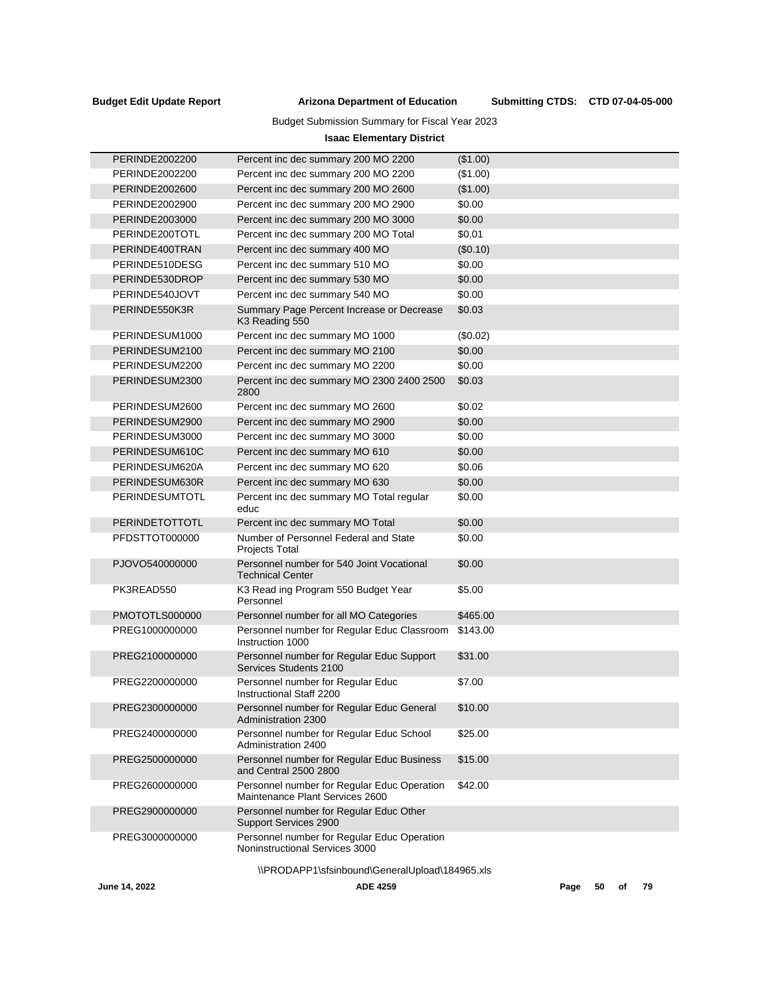Submitting CTDS: CTD 07-04-05-000

# Budget Submission Summary for Fiscal Year 2023

# **Isaac Elementary District**

| PERINDE2002200        | Percent inc dec summary 200 MO 2200                                            | (\$1.00) |
|-----------------------|--------------------------------------------------------------------------------|----------|
| PERINDE2002200        | Percent inc dec summary 200 MO 2200                                            | (\$1.00) |
| PERINDE2002600        | Percent inc dec summary 200 MO 2600                                            | (\$1.00) |
| PERINDE2002900        | Percent inc dec summary 200 MO 2900                                            | \$0.00   |
| PERINDE2003000        | Percent inc dec summary 200 MO 3000                                            | \$0.00   |
| PERINDE200TOTL        | Percent inc dec summary 200 MO Total                                           | \$0.01   |
| PERINDE400TRAN        | Percent inc dec summary 400 MO                                                 | (\$0.10) |
| PERINDE510DESG        | Percent inc dec summary 510 MO                                                 | \$0.00   |
| PERINDE530DROP        | Percent inc dec summary 530 MO                                                 | \$0.00   |
| PERINDE540JOVT        | Percent inc dec summary 540 MO                                                 | \$0.00   |
| PERINDE550K3R         | Summary Page Percent Increase or Decrease<br>K3 Reading 550                    | \$0.03   |
| PERINDESUM1000        | Percent inc dec summary MO 1000                                                | (\$0.02) |
| PERINDESUM2100        | Percent inc dec summary MO 2100                                                | \$0.00   |
| PERINDESUM2200        | Percent inc dec summary MO 2200                                                | \$0.00   |
| PERINDESUM2300        | Percent inc dec summary MO 2300 2400 2500<br>2800                              | \$0.03   |
| PERINDESUM2600        | Percent inc dec summary MO 2600                                                | \$0.02   |
| PERINDESUM2900        | Percent inc dec summary MO 2900                                                | \$0.00   |
| PERINDESUM3000        | Percent inc dec summary MO 3000                                                | \$0.00   |
| PERINDESUM610C        | Percent inc dec summary MO 610                                                 | \$0.00   |
| PERINDESUM620A        | Percent inc dec summary MO 620                                                 | \$0.06   |
| PERINDESUM630R        | Percent inc dec summary MO 630                                                 | \$0.00   |
| PERINDESUMTOTL        | Percent inc dec summary MO Total regular<br>educ                               | \$0.00   |
| <b>PERINDETOTTOTL</b> | Percent inc dec summary MO Total                                               | \$0.00   |
| PFDSTTOT000000        | Number of Personnel Federal and State<br>Projects Total                        | \$0.00   |
| PJOVO540000000        | Personnel number for 540 Joint Vocational<br><b>Technical Center</b>           | \$0.00   |
| PK3READ550            | K3 Read ing Program 550 Budget Year<br>Personnel                               | \$5.00   |
| PMOTOTLS000000        | Personnel number for all MO Categories                                         | \$465.00 |
| PREG1000000000        | Personnel number for Regular Educ Classroom<br>Instruction 1000                | \$143.00 |
| PREG2100000000        | Personnel number for Regular Educ Support<br>Services Students 2100            | \$31.00  |
| PREG2200000000        | Personnel number for Regular Educ<br>Instructional Staff 2200                  | \$7.00   |
| PREG2300000000        | Personnel number for Regular Educ General<br><b>Administration 2300</b>        | \$10.00  |
| PREG2400000000        | Personnel number for Regular Educ School<br>Administration 2400                | \$25.00  |
| PREG2500000000        | Personnel number for Regular Educ Business<br>and Central 2500 2800            | \$15.00  |
| PREG2600000000        | Personnel number for Regular Educ Operation<br>Maintenance Plant Services 2600 | \$42.00  |
| PREG2900000000        | Personnel number for Regular Educ Other<br>Support Services 2900               |          |
| PREG3000000000        | Personnel number for Regular Educ Operation<br>Noninstructional Services 3000  |          |
|                       |                                                                                |          |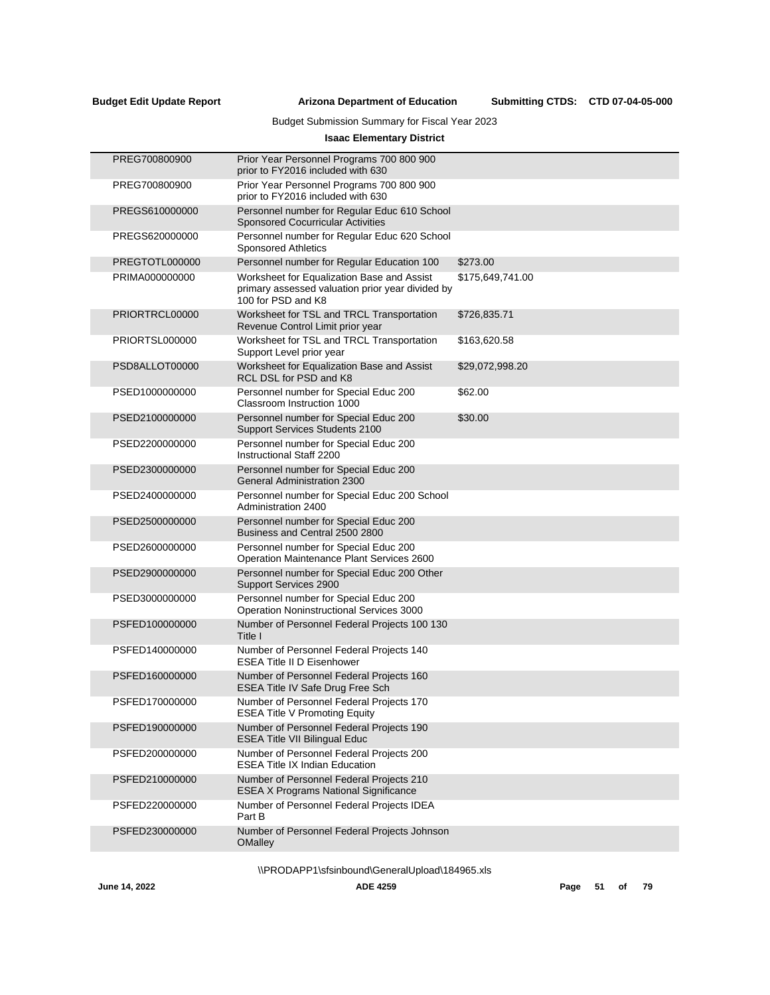Submitting CTDS: CTD 07-04-05-000

# Budget Submission Summary for Fiscal Year 2023

# **Isaac Elementary District**

| PREG700800900  | Prior Year Personnel Programs 700 800 900<br>prior to FY2016 included with 630                                       |                  |
|----------------|----------------------------------------------------------------------------------------------------------------------|------------------|
| PREG700800900  | Prior Year Personnel Programs 700 800 900<br>prior to FY2016 included with 630                                       |                  |
| PREGS610000000 | Personnel number for Regular Educ 610 School<br><b>Sponsored Cocurricular Activities</b>                             |                  |
| PREGS620000000 | Personnel number for Regular Educ 620 School<br><b>Sponsored Athletics</b>                                           |                  |
| PREGTOTL000000 | Personnel number for Regular Education 100                                                                           | \$273.00         |
| PRIMA000000000 | Worksheet for Equalization Base and Assist<br>primary assessed valuation prior year divided by<br>100 for PSD and K8 | \$175,649,741.00 |
| PRIORTRCL00000 | Worksheet for TSL and TRCL Transportation<br>Revenue Control Limit prior year                                        | \$726,835.71     |
| PRIORTSL000000 | Worksheet for TSL and TRCL Transportation<br>Support Level prior year                                                | \$163,620.58     |
| PSD8ALLOT00000 | Worksheet for Equalization Base and Assist<br>RCL DSL for PSD and K8                                                 | \$29,072,998.20  |
| PSED1000000000 | Personnel number for Special Educ 200<br>Classroom Instruction 1000                                                  | \$62.00          |
| PSED2100000000 | Personnel number for Special Educ 200<br>Support Services Students 2100                                              | \$30.00          |
| PSED2200000000 | Personnel number for Special Educ 200<br>Instructional Staff 2200                                                    |                  |
| PSED2300000000 | Personnel number for Special Educ 200<br><b>General Administration 2300</b>                                          |                  |
| PSED2400000000 | Personnel number for Special Educ 200 School<br>Administration 2400                                                  |                  |
| PSED2500000000 | Personnel number for Special Educ 200<br>Business and Central 2500 2800                                              |                  |
| PSED2600000000 | Personnel number for Special Educ 200<br>Operation Maintenance Plant Services 2600                                   |                  |
| PSED2900000000 | Personnel number for Special Educ 200 Other<br>Support Services 2900                                                 |                  |
| PSED3000000000 | Personnel number for Special Educ 200<br><b>Operation Noninstructional Services 3000</b>                             |                  |
| PSFED100000000 | Number of Personnel Federal Projects 100 130<br>Title I                                                              |                  |
| PSFED140000000 | Number of Personnel Federal Projects 140<br><b>ESEA Title II D Eisenhower</b>                                        |                  |
| PSFED160000000 | Number of Personnel Federal Projects 160<br>ESEA Title IV Safe Drug Free Sch                                         |                  |
| PSFED170000000 | Number of Personnel Federal Projects 170<br><b>ESEA Title V Promoting Equity</b>                                     |                  |
| PSFED190000000 | Number of Personnel Federal Projects 190<br><b>ESEA Title VII Bilingual Educ</b>                                     |                  |
| PSFED200000000 | Number of Personnel Federal Projects 200<br><b>ESEA Title IX Indian Education</b>                                    |                  |
| PSFED210000000 | Number of Personnel Federal Projects 210<br><b>ESEA X Programs National Significance</b>                             |                  |
| PSFED220000000 | Number of Personnel Federal Projects IDEA<br>Part B                                                                  |                  |
| PSFED230000000 | Number of Personnel Federal Projects Johnson<br><b>OMalley</b>                                                       |                  |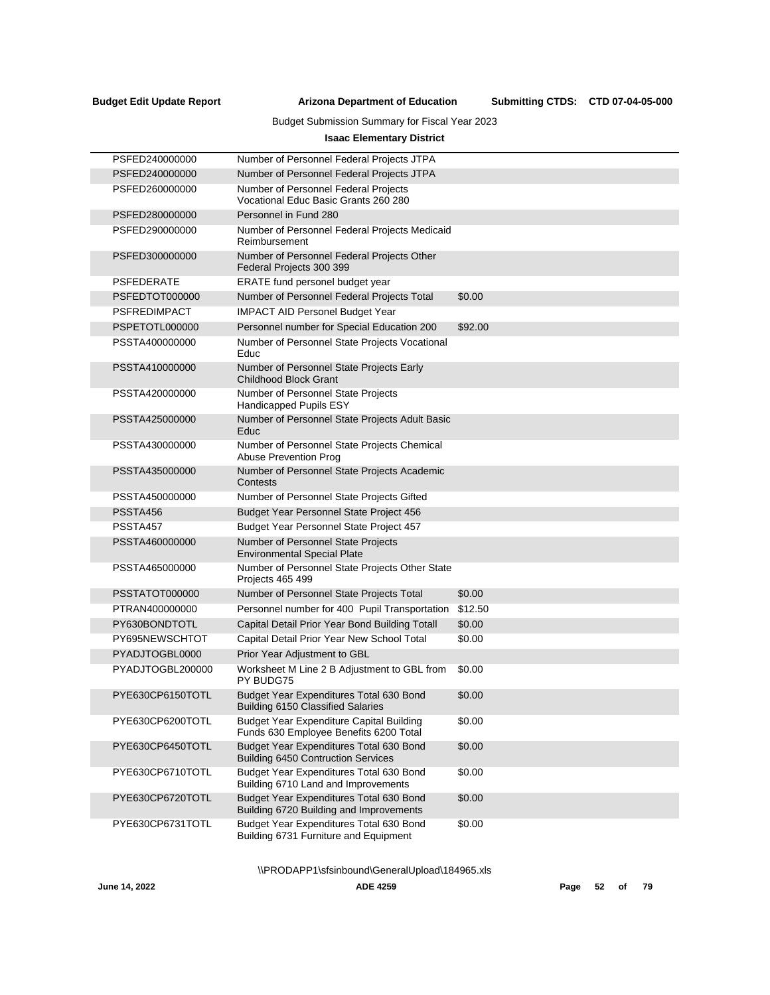Submitting CTDS: CTD 07-04-05-000

# Budget Submission Summary for Fiscal Year 2023

# **Isaac Elementary District**

| PSFED240000000      | Number of Personnel Federal Projects JTPA                                                 |         |
|---------------------|-------------------------------------------------------------------------------------------|---------|
| PSFED240000000      | Number of Personnel Federal Projects JTPA                                                 |         |
| PSFED260000000      | Number of Personnel Federal Projects<br>Vocational Educ Basic Grants 260 280              |         |
| PSFED280000000      | Personnel in Fund 280                                                                     |         |
| PSFED290000000      | Number of Personnel Federal Projects Medicaid<br>Reimbursement                            |         |
| PSFED300000000      | Number of Personnel Federal Projects Other<br>Federal Projects 300 399                    |         |
| <b>PSFEDERATE</b>   | ERATE fund personel budget year                                                           |         |
| PSFEDTOT000000      | Number of Personnel Federal Projects Total                                                | \$0.00  |
| <b>PSFREDIMPACT</b> | <b>IMPACT AID Personel Budget Year</b>                                                    |         |
| PSPETOTL000000      | Personnel number for Special Education 200                                                | \$92.00 |
| PSSTA400000000      | Number of Personnel State Projects Vocational<br>Educ                                     |         |
| PSSTA410000000      | Number of Personnel State Projects Early<br><b>Childhood Block Grant</b>                  |         |
| PSSTA420000000      | Number of Personnel State Projects<br>Handicapped Pupils ESY                              |         |
| PSSTA425000000      | Number of Personnel State Projects Adult Basic<br>Educ                                    |         |
| PSSTA430000000      | Number of Personnel State Projects Chemical<br>Abuse Prevention Prog                      |         |
| PSSTA435000000      | Number of Personnel State Projects Academic<br>Contests                                   |         |
| PSSTA450000000      | Number of Personnel State Projects Gifted                                                 |         |
| PSSTA456            | Budget Year Personnel State Project 456                                                   |         |
| PSSTA457            | Budget Year Personnel State Project 457                                                   |         |
| PSSTA460000000      | Number of Personnel State Projects<br><b>Environmental Special Plate</b>                  |         |
| PSSTA465000000      | Number of Personnel State Projects Other State<br>Projects 465 499                        |         |
| PSSTATOT000000      | Number of Personnel State Projects Total                                                  | \$0.00  |
| PTRAN400000000      | Personnel number for 400 Pupil Transportation                                             | \$12.50 |
| PY630BONDTOTL       | Capital Detail Prior Year Bond Building Totall                                            | \$0.00  |
| PY695NEWSCHTOT      | Capital Detail Prior Year New School Total                                                | \$0.00  |
| PYADJTOGBL0000      | Prior Year Adjustment to GBL                                                              |         |
| PYADJTOGBL200000    | Worksheet M Line 2 B Adjustment to GBL from<br>PY BUDG75                                  | \$0.00  |
| PYE630CP6150TOTL    | Budget Year Expenditures Total 630 Bond<br><b>Building 6150 Classified Salaries</b>       | \$0.00  |
| PYE630CP6200TOTL    | <b>Budget Year Expenditure Capital Building</b><br>Funds 630 Employee Benefits 6200 Total | \$0.00  |
| PYE630CP6450TOTL    | Budget Year Expenditures Total 630 Bond<br><b>Building 6450 Contruction Services</b>      | \$0.00  |
| PYE630CP6710TOTL    | Budget Year Expenditures Total 630 Bond<br>Building 6710 Land and Improvements            | \$0.00  |
| PYE630CP6720TOTL    | Budget Year Expenditures Total 630 Bond<br>Building 6720 Building and Improvements        | \$0.00  |
| PYE630CP6731TOTL    | Budget Year Expenditures Total 630 Bond<br>Building 6731 Furniture and Equipment          | \$0.00  |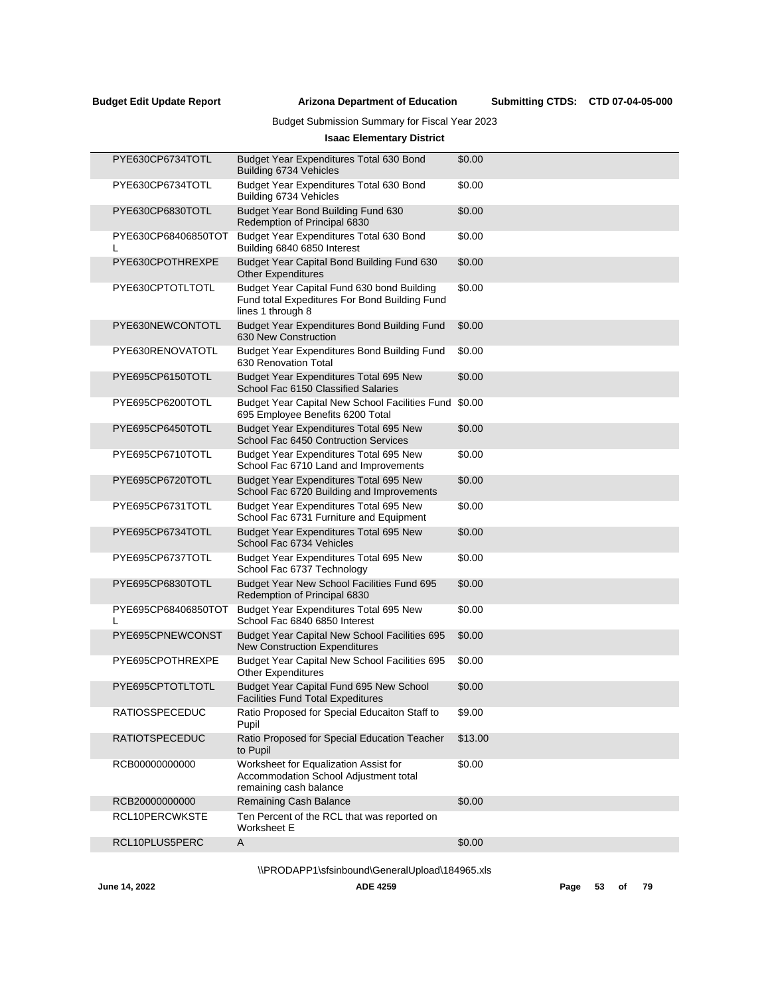# Budget Submission Summary for Fiscal Year 2023

# **Isaac Elementary District**

| PYE630CP6734TOTL      | Budget Year Expenditures Total 630 Bond<br>Building 6734 Vehicles                                                | \$0.00  |
|-----------------------|------------------------------------------------------------------------------------------------------------------|---------|
| PYE630CP6734TOTL      | Budget Year Expenditures Total 630 Bond<br>Building 6734 Vehicles                                                | \$0.00  |
| PYE630CP6830TOTL      | Budget Year Bond Building Fund 630<br>Redemption of Principal 6830                                               | \$0.00  |
| PYE630CP68406850TOT   | Budget Year Expenditures Total 630 Bond<br>Building 6840 6850 Interest                                           | \$0.00  |
| PYE630CPOTHREXPE      | Budget Year Capital Bond Building Fund 630<br><b>Other Expenditures</b>                                          | \$0.00  |
| PYE630CPTOTLTOTL      | Budget Year Capital Fund 630 bond Building<br>Fund total Expeditures For Bond Building Fund<br>lines 1 through 8 | \$0.00  |
| PYE630NEWCONTOTL      | <b>Budget Year Expenditures Bond Building Fund</b><br>630 New Construction                                       | \$0.00  |
| PYE630RENOVATOTL      | Budget Year Expenditures Bond Building Fund<br>630 Renovation Total                                              | \$0.00  |
| PYE695CP6150TOTL      | Budget Year Expenditures Total 695 New<br>School Fac 6150 Classified Salaries                                    | \$0.00  |
| PYE695CP6200TOTL      | Budget Year Capital New School Facilities Fund<br>695 Employee Benefits 6200 Total                               | \$0.00  |
| PYE695CP6450TOTL      | Budget Year Expenditures Total 695 New<br>School Fac 6450 Contruction Services                                   | \$0.00  |
| PYE695CP6710TOTL      | Budget Year Expenditures Total 695 New<br>School Fac 6710 Land and Improvements                                  | \$0.00  |
| PYE695CP6720TOTL      | Budget Year Expenditures Total 695 New<br>School Fac 6720 Building and Improvements                              | \$0.00  |
| PYE695CP6731TOTL      | Budget Year Expenditures Total 695 New<br>School Fac 6731 Furniture and Equipment                                | \$0.00  |
| PYE695CP6734TOTL      | Budget Year Expenditures Total 695 New<br>School Fac 6734 Vehicles                                               | \$0.00  |
| PYE695CP6737TOTL      | Budget Year Expenditures Total 695 New<br>School Fac 6737 Technology                                             | \$0.00  |
| PYE695CP6830TOTL      | Budget Year New School Facilities Fund 695<br>Redemption of Principal 6830                                       | \$0.00  |
| PYE695CP68406850TOT   | Budget Year Expenditures Total 695 New<br>School Fac 6840 6850 Interest                                          | \$0.00  |
| PYE695CPNEWCONST      | Budget Year Capital New School Facilities 695<br><b>New Construction Expenditures</b>                            | \$0.00  |
| PYE695CPOTHREXPE      | Budget Year Capital New School Facilities 695<br><b>Other Expenditures</b>                                       | \$0.00  |
| PYE695CPTOTLTOTL      | Budget Year Capital Fund 695 New School<br><b>Facilities Fund Total Expeditures</b>                              | \$0.00  |
| RATIOSSPECEDUC        | Ratio Proposed for Special Educaiton Staff to<br>Pupil                                                           | \$9.00  |
| <b>RATIOTSPECEDUC</b> | Ratio Proposed for Special Education Teacher<br>to Pupil                                                         | \$13.00 |
| RCB00000000000        | Worksheet for Equalization Assist for<br>Accommodation School Adjustment total<br>remaining cash balance         | \$0.00  |
| RCB20000000000        | Remaining Cash Balance                                                                                           | \$0.00  |
| RCL10PERCWKSTE        | Ten Percent of the RCL that was reported on<br>Worksheet E                                                       |         |
| RCL10PLUS5PERC        | A                                                                                                                | \$0.00  |

\\PRODAPP1\sfsinbound\GeneralUpload\184965.xls

**June 14, 2022 ADE 4259 Page 53 of 79**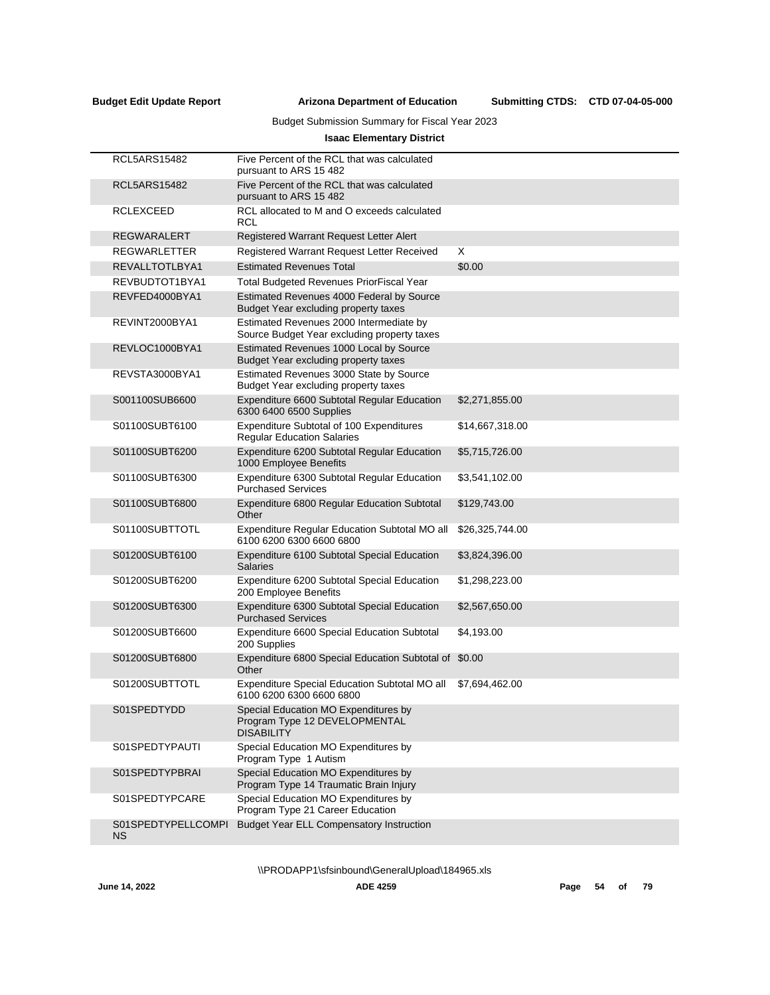Submitting CTDS: CTD 07-04-05-000

# Budget Submission Summary for Fiscal Year 2023

# **Isaac Elementary District**

| <b>RCL5ARS15482</b>             | Five Percent of the RCL that was calculated<br>pursuant to ARS 15482                       |                 |
|---------------------------------|--------------------------------------------------------------------------------------------|-----------------|
| <b>RCL5ARS15482</b>             | Five Percent of the RCL that was calculated<br>pursuant to ARS 15 482                      |                 |
| <b>RCLEXCEED</b>                | RCL allocated to M and O exceeds calculated<br>RCL                                         |                 |
| <b>REGWARALERT</b>              | Registered Warrant Request Letter Alert                                                    |                 |
| REGWARLETTER                    | Registered Warrant Request Letter Received                                                 | X               |
| REVALLTOTLBYA1                  | <b>Estimated Revenues Total</b>                                                            | \$0.00          |
| REVBUDTOT1BYA1                  | <b>Total Budgeted Revenues PriorFiscal Year</b>                                            |                 |
| REVFED4000BYA1                  | Estimated Revenues 4000 Federal by Source<br>Budget Year excluding property taxes          |                 |
| REVINT2000BYA1                  | Estimated Revenues 2000 Intermediate by<br>Source Budget Year excluding property taxes     |                 |
| REVLOC1000BYA1                  | Estimated Revenues 1000 Local by Source<br>Budget Year excluding property taxes            |                 |
| REVSTA3000BYA1                  | Estimated Revenues 3000 State by Source<br>Budget Year excluding property taxes            |                 |
| S001100SUB6600                  | Expenditure 6600 Subtotal Regular Education<br>6300 6400 6500 Supplies                     | \$2,271,855.00  |
| S01100SUBT6100                  | Expenditure Subtotal of 100 Expenditures<br><b>Regular Education Salaries</b>              | \$14,667,318.00 |
| S01100SUBT6200                  | Expenditure 6200 Subtotal Regular Education<br>1000 Employee Benefits                      | \$5,715,726.00  |
| S01100SUBT6300                  | Expenditure 6300 Subtotal Regular Education<br><b>Purchased Services</b>                   | \$3,541,102.00  |
| S01100SUBT6800                  | Expenditure 6800 Regular Education Subtotal<br>Other                                       | \$129,743.00    |
| S01100SUBTTOTL                  | Expenditure Regular Education Subtotal MO all<br>6100 6200 6300 6600 6800                  | \$26,325,744.00 |
| S01200SUBT6100                  | Expenditure 6100 Subtotal Special Education<br><b>Salaries</b>                             | \$3,824,396.00  |
| S01200SUBT6200                  | Expenditure 6200 Subtotal Special Education<br>200 Employee Benefits                       | \$1,298,223.00  |
| S01200SUBT6300                  | Expenditure 6300 Subtotal Special Education<br><b>Purchased Services</b>                   | \$2,567,650.00  |
| S01200SUBT6600                  | Expenditure 6600 Special Education Subtotal<br>200 Supplies                                | \$4,193.00      |
| S01200SUBT6800                  | Expenditure 6800 Special Education Subtotal of<br>Other                                    | \$0.00          |
| S01200SUBTTOTL                  | Expenditure Special Education Subtotal MO all<br>6100 6200 6300 6600 6800                  | \$7,694,462.00  |
| S01SPEDTYDD                     | Special Education MO Expenditures by<br>Program Type 12 DEVELOPMENTAL<br><b>DISABILITY</b> |                 |
| S01SPEDTYPAUTI                  | Special Education MO Expenditures by<br>Program Type 1 Autism                              |                 |
| S01SPEDTYPBRAI                  | Special Education MO Expenditures by<br>Program Type 14 Traumatic Brain Injury             |                 |
| S01SPEDTYPCARE                  | Special Education MO Expenditures by<br>Program Type 21 Career Education                   |                 |
| S01SPEDTYPELLCOMPI<br><b>NS</b> | <b>Budget Year ELL Compensatory Instruction</b>                                            |                 |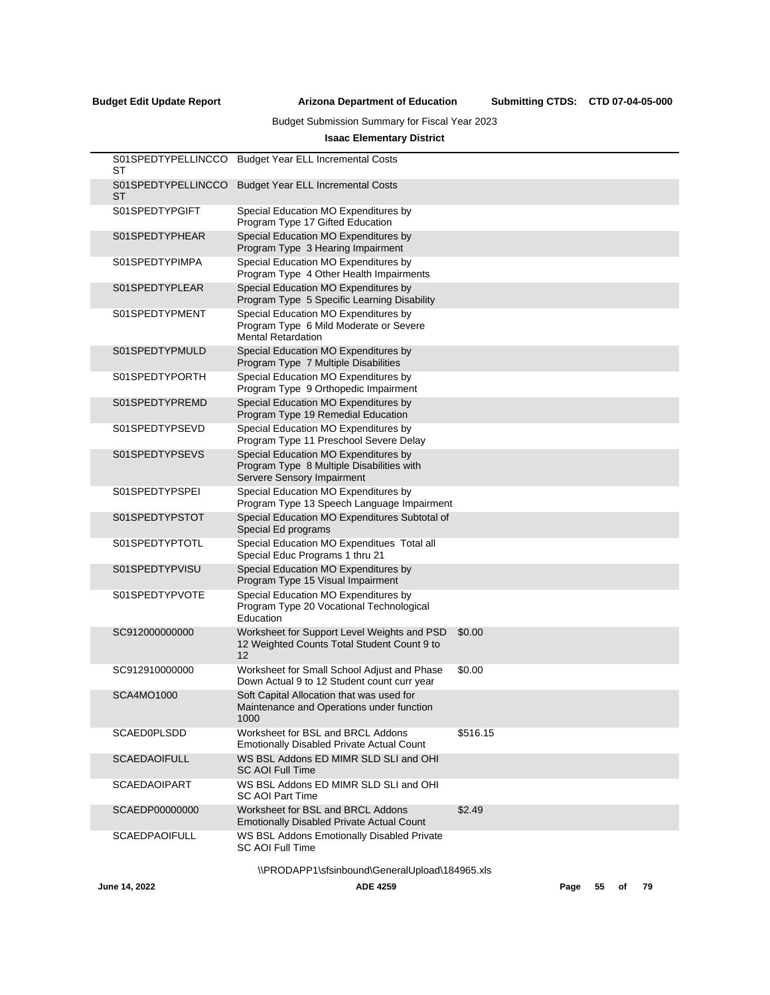# Budget Submission Summary for Fiscal Year 2023

# **Isaac Elementary District**

| S01SPEDTYPELLINCCO<br>ST | <b>Budget Year ELL Incremental Costs</b>                                                                        |          |
|--------------------------|-----------------------------------------------------------------------------------------------------------------|----------|
| S01SPEDTYPELLINCCO<br>ST | <b>Budget Year ELL Incremental Costs</b>                                                                        |          |
| S01SPEDTYPGIFT           | Special Education MO Expenditures by<br>Program Type 17 Gifted Education                                        |          |
| S01SPEDTYPHEAR           | Special Education MO Expenditures by<br>Program Type 3 Hearing Impairment                                       |          |
| S01SPEDTYPIMPA           | Special Education MO Expenditures by<br>Program Type 4 Other Health Impairments                                 |          |
| S01SPEDTYPLEAR           | Special Education MO Expenditures by<br>Program Type 5 Specific Learning Disability                             |          |
| S01SPEDTYPMENT           | Special Education MO Expenditures by<br>Program Type 6 Mild Moderate or Severe<br><b>Mental Retardation</b>     |          |
| S01SPEDTYPMULD           | Special Education MO Expenditures by<br>Program Type 7 Multiple Disabilities                                    |          |
| S01SPEDTYPORTH           | Special Education MO Expenditures by<br>Program Type 9 Orthopedic Impairment                                    |          |
| S01SPEDTYPREMD           | Special Education MO Expenditures by<br>Program Type 19 Remedial Education                                      |          |
| S01SPEDTYPSEVD           | Special Education MO Expenditures by<br>Program Type 11 Preschool Severe Delay                                  |          |
| S01SPEDTYPSEVS           | Special Education MO Expenditures by<br>Program Type 8 Multiple Disabilities with<br>Servere Sensory Impairment |          |
| S01SPEDTYPSPEI           | Special Education MO Expenditures by<br>Program Type 13 Speech Language Impairment                              |          |
| S01SPEDTYPSTOT           | Special Education MO Expenditures Subtotal of<br>Special Ed programs                                            |          |
| S01SPEDTYPTOTL           | Special Education MO Expenditues Total all<br>Special Educ Programs 1 thru 21                                   |          |
| S01SPEDTYPVISU           | Special Education MO Expenditures by<br>Program Type 15 Visual Impairment                                       |          |
| S01SPEDTYPVOTE           | Special Education MO Expenditures by<br>Program Type 20 Vocational Technological<br>Education                   |          |
| SC912000000000           | Worksheet for Support Level Weights and PSD<br>12 Weighted Counts Total Student Count 9 to<br>12                | \$0.00   |
| SC912910000000           | Worksheet for Small School Adjust and Phase<br>Down Actual 9 to 12 Student count curr year                      | \$0.00   |
| SCA4MO1000               | Soft Capital Allocation that was used for<br>Maintenance and Operations under function<br>1000                  |          |
| <b>SCAED0PLSDD</b>       | Worksheet for BSL and BRCL Addons<br><b>Emotionally Disabled Private Actual Count</b>                           | \$516.15 |
| <b>SCAEDAOIFULL</b>      | WS BSL Addons ED MIMR SLD SLI and OHI<br><b>SC AOI Full Time</b>                                                |          |
| <b>SCAEDAOIPART</b>      | WS BSL Addons ED MIMR SLD SLI and OHI<br>SC AOI Part Time                                                       |          |
| SCAEDP00000000           | Worksheet for BSL and BRCL Addons<br><b>Emotionally Disabled Private Actual Count</b>                           | \$2.49   |
| <b>SCAEDPAOIFULL</b>     | WS BSL Addons Emotionally Disabled Private<br><b>SC AOI Full Time</b>                                           |          |
|                          | IDRODAPP1\cfcinbound\Generall Ipload\184965 vlc                                                                 |          |

\\PRODAPP1\sfsinbound\GeneralUpload\184965.xls

**June 14, 2022 ADE 4259 Page 55 of 79**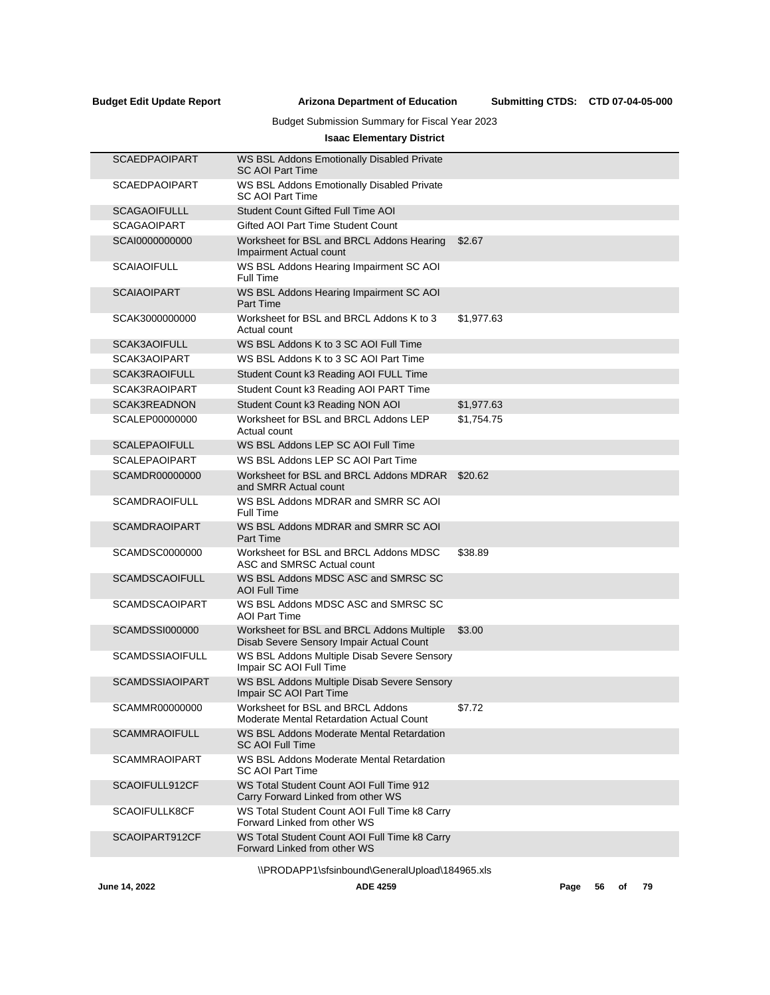Submitting CTDS: CTD 07-04-05-000

# Budget Submission Summary for Fiscal Year 2023

# **Isaac Elementary District**

| <b>SCAEDPAOIPART</b>   | WS BSL Addons Emotionally Disabled Private<br><b>SC AOI Part Time</b>                  |            |
|------------------------|----------------------------------------------------------------------------------------|------------|
| <b>SCAEDPAOIPART</b>   | WS BSL Addons Emotionally Disabled Private<br><b>SC AOI Part Time</b>                  |            |
| <b>SCAGAOIFULLL</b>    | Student Count Gifted Full Time AOI                                                     |            |
| <b>SCAGAOIPART</b>     | Gifted AOI Part Time Student Count                                                     |            |
| SCAI0000000000         | Worksheet for BSL and BRCL Addons Hearing<br>Impairment Actual count                   | \$2.67     |
| <b>SCAIAOIFULL</b>     | WS BSL Addons Hearing Impairment SC AOI<br>Full Time                                   |            |
| <b>SCAIAOIPART</b>     | WS BSL Addons Hearing Impairment SC AOI<br><b>Part Time</b>                            |            |
| SCAK3000000000         | Worksheet for BSL and BRCL Addons K to 3<br>Actual count                               | \$1,977.63 |
| SCAK3AOIFULL           | WS BSL Addons K to 3 SC AOI Full Time                                                  |            |
| SCAK3AOIPART           | WS BSL Addons K to 3 SC AOI Part Time                                                  |            |
| SCAK3RAOIFULL          | Student Count k3 Reading AOI FULL Time                                                 |            |
| SCAK3RAOIPART          | Student Count k3 Reading AOI PART Time                                                 |            |
| SCAK3READNON           | Student Count k3 Reading NON AOI                                                       | \$1,977.63 |
| SCALEP00000000         | Worksheet for BSL and BRCL Addons LEP<br>Actual count                                  | \$1,754.75 |
| <b>SCALEPAOIFULL</b>   | WS BSL Addons LEP SC AOI Full Time                                                     |            |
| <b>SCALEPAOIPART</b>   | WS BSL Addons LEP SC AOI Part Time                                                     |            |
| SCAMDR00000000         | Worksheet for BSL and BRCL Addons MDRAR<br>and SMRR Actual count                       | \$20.62    |
| <b>SCAMDRAOIFULL</b>   | WS BSL Addons MDRAR and SMRR SC AOI<br>Full Time                                       |            |
| <b>SCAMDRAOIPART</b>   | WS BSL Addons MDRAR and SMRR SC AOI<br><b>Part Time</b>                                |            |
| SCAMDSC0000000         | Worksheet for BSL and BRCL Addons MDSC<br>ASC and SMRSC Actual count                   | \$38.89    |
| <b>SCAMDSCAOIFULL</b>  | WS BSL Addons MDSC ASC and SMRSC SC<br><b>AOI Full Time</b>                            |            |
| <b>SCAMDSCAOIPART</b>  | WS BSL Addons MDSC ASC and SMRSC SC<br><b>AOI Part Time</b>                            |            |
| <b>SCAMDSSI000000</b>  | Worksheet for BSL and BRCL Addons Multiple<br>Disab Severe Sensory Impair Actual Count | \$3.00     |
| <b>SCAMDSSIAOIFULL</b> | WS BSL Addons Multiple Disab Severe Sensory<br>Impair SC AOI Full Time                 |            |
| <b>SCAMDSSIAOIPART</b> | WS BSL Addons Multiple Disab Severe Sensory<br>Impair SC AOI Part Time                 |            |
| SCAMMR00000000         | Worksheet for BSL and BRCL Addons<br>Moderate Mental Retardation Actual Count          | \$7.72     |
| <b>SCAMMRAOIFULL</b>   | WS BSL Addons Moderate Mental Retardation<br><b>SC AOI Full Time</b>                   |            |
| <b>SCAMMRAOIPART</b>   | WS BSL Addons Moderate Mental Retardation<br><b>SC AOI Part Time</b>                   |            |
| SCAOIFULL912CF         | WS Total Student Count AOI Full Time 912<br>Carry Forward Linked from other WS         |            |
| <b>SCAOIFULLK8CF</b>   | WS Total Student Count AOI Full Time k8 Carry<br>Forward Linked from other WS          |            |
| SCAOIPART912CF         | WS Total Student Count AOI Full Time k8 Carry<br>Forward Linked from other WS          |            |
|                        |                                                                                        |            |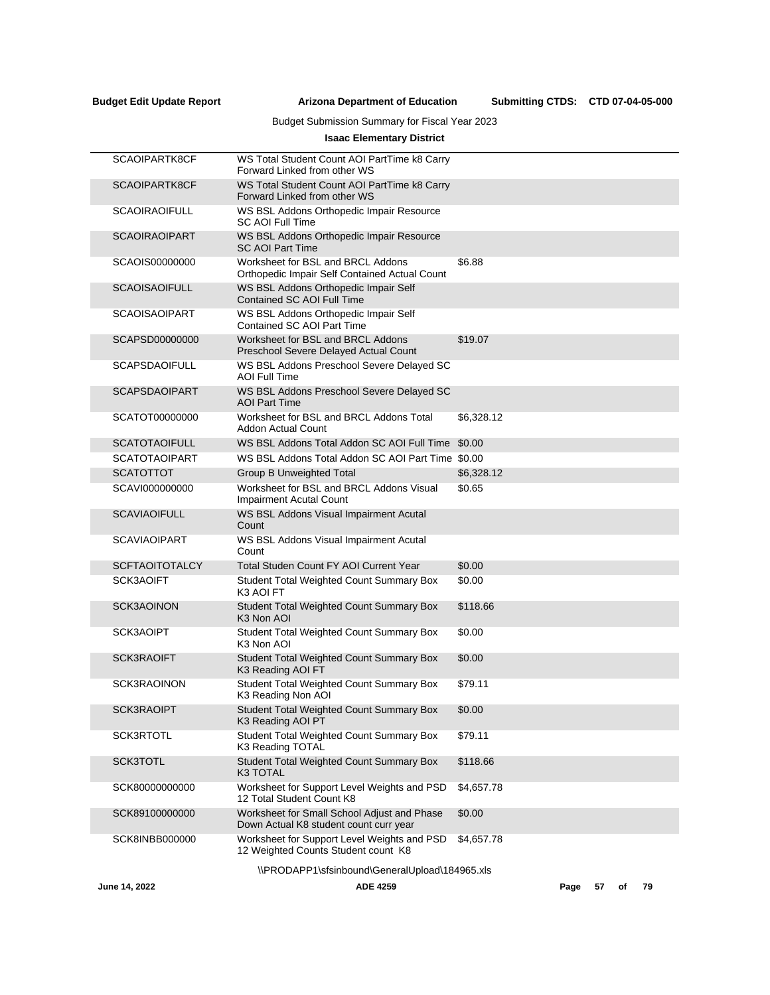# Budget Submission Summary for Fiscal Year 2023

# **Isaac Elementary District**

| June 14, 2022         | <b>ADE 4259</b>                                                                       |            | Page | 57 | οf | 79 |
|-----------------------|---------------------------------------------------------------------------------------|------------|------|----|----|----|
|                       | \\PRODAPP1\sfsinbound\GeneralUpload\184965.xls                                        |            |      |    |    |    |
| <b>SCK8INBB000000</b> | Worksheet for Support Level Weights and PSD<br>12 Weighted Counts Student count K8    | \$4,657.78 |      |    |    |    |
| SCK89100000000        | Worksheet for Small School Adjust and Phase<br>Down Actual K8 student count curr year | \$0.00     |      |    |    |    |
| SCK80000000000        | Worksheet for Support Level Weights and PSD<br>12 Total Student Count K8              | \$4,657.78 |      |    |    |    |
| <b>SCK3TOTL</b>       | <b>Student Total Weighted Count Summary Box</b><br>K3 TOTAL                           | \$118.66   |      |    |    |    |
| SCK3RTOTL             | Student Total Weighted Count Summary Box<br>K3 Reading TOTAL                          | \$79.11    |      |    |    |    |
| <b>SCK3RAOIPT</b>     | <b>Student Total Weighted Count Summary Box</b><br>K3 Reading AOI PT                  | \$0.00     |      |    |    |    |
|                       | K3 Reading Non AOI                                                                    |            |      |    |    |    |
| <b>SCK3RAOINON</b>    | K3 Reading AOI FT<br>Student Total Weighted Count Summary Box                         | \$79.11    |      |    |    |    |
| <b>SCK3RAOIFT</b>     | K3 Non AOI<br>Student Total Weighted Count Summary Box                                | \$0.00     |      |    |    |    |
| SCK3AOIPT             | K <sub>3</sub> Non AOI<br>Student Total Weighted Count Summary Box                    | \$0.00     |      |    |    |    |
| SCK3AOINON            | Student Total Weighted Count Summary Box                                              | \$118.66   |      |    |    |    |
| SCK3AOIFT             | <b>Student Total Weighted Count Summary Box</b><br>K <sub>3</sub> AOI FT              | \$0.00     |      |    |    |    |
| <b>SCFTAOITOTALCY</b> | <b>Total Studen Count FY AOI Current Year</b>                                         | \$0.00     |      |    |    |    |
| <b>SCAVIAOIPART</b>   | WS BSL Addons Visual Impairment Acutal<br>Count                                       |            |      |    |    |    |
| <b>SCAVIAOIFULL</b>   | WS BSL Addons Visual Impairment Acutal<br>Count                                       |            |      |    |    |    |
| SCAVI000000000        | Worksheet for BSL and BRCL Addons Visual<br><b>Impairment Acutal Count</b>            | \$0.65     |      |    |    |    |
| <b>SCATOTTOT</b>      | <b>Group B Unweighted Total</b>                                                       | \$6,328.12 |      |    |    |    |
| <b>SCATOTAOIPART</b>  | WS BSL Addons Total Addon SC AOI Part Time \$0.00                                     |            |      |    |    |    |
| <b>SCATOTAOIFULL</b>  | WS BSL Addons Total Addon SC AOI Full Time                                            | \$0.00     |      |    |    |    |
| SCATOT00000000        | Worksheet for BSL and BRCL Addons Total<br><b>Addon Actual Count</b>                  | \$6,328.12 |      |    |    |    |
| <b>SCAPSDAOIPART</b>  | WS BSL Addons Preschool Severe Delayed SC<br><b>AOI Part Time</b>                     |            |      |    |    |    |
| <b>SCAPSDAOIFULL</b>  | WS BSL Addons Preschool Severe Delayed SC<br><b>AOI Full Time</b>                     |            |      |    |    |    |
| SCAPSD00000000        | Worksheet for BSL and BRCL Addons<br>Preschool Severe Delayed Actual Count            | \$19.07    |      |    |    |    |
| <b>SCAOISAOIPART</b>  | WS BSL Addons Orthopedic Impair Self<br>Contained SC AOI Part Time                    |            |      |    |    |    |
| <b>SCAOISAOIFULL</b>  | WS BSL Addons Orthopedic Impair Self<br>Contained SC AOI Full Time                    |            |      |    |    |    |
| SCAOIS00000000        | Worksheet for BSL and BRCL Addons<br>Orthopedic Impair Self Contained Actual Count    | \$6.88     |      |    |    |    |
| <b>SCAOIRAOIPART</b>  | WS BSL Addons Orthopedic Impair Resource<br><b>SC AOI Part Time</b>                   |            |      |    |    |    |
| <b>SCAOIRAOIFULL</b>  | WS BSL Addons Orthopedic Impair Resource<br><b>SC AOI Full Time</b>                   |            |      |    |    |    |
| SCAOIPARTK8CF         | WS Total Student Count AOI PartTime k8 Carry<br>Forward Linked from other WS          |            |      |    |    |    |
| SCAOIPARTK8CF         | WS Total Student Count AOI PartTime k8 Carry<br>Forward Linked from other WS          |            |      |    |    |    |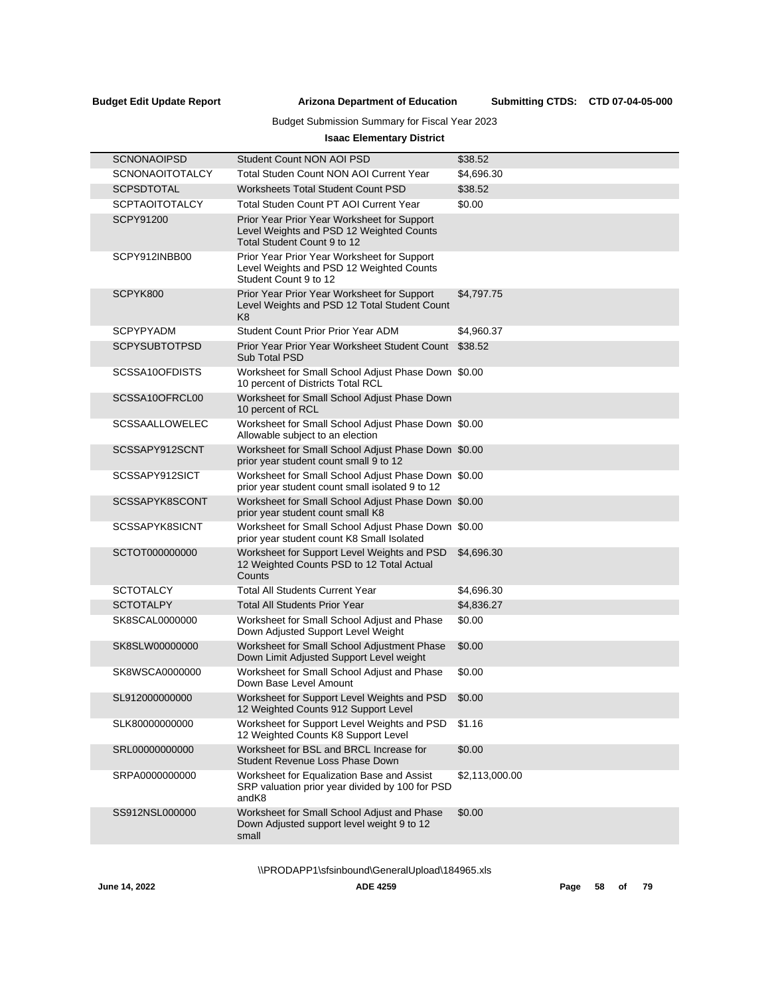# Budget Submission Summary for Fiscal Year 2023

# **Isaac Elementary District**

| <b>SCNONAOIPSD</b>     | Student Count NON AOI PSD                                                                                              | \$38.52        |
|------------------------|------------------------------------------------------------------------------------------------------------------------|----------------|
| <b>SCNONAOITOTALCY</b> | Total Studen Count NON AOI Current Year                                                                                | \$4,696.30     |
| <b>SCPSDTOTAL</b>      | <b>Worksheets Total Student Count PSD</b>                                                                              | \$38.52        |
| <b>SCPTAOITOTALCY</b>  | Total Studen Count PT AOI Current Year                                                                                 | \$0.00         |
| <b>SCPY91200</b>       | Prior Year Prior Year Worksheet for Support<br>Level Weights and PSD 12 Weighted Counts<br>Total Student Count 9 to 12 |                |
| SCPY912INBB00          | Prior Year Prior Year Worksheet for Support<br>Level Weights and PSD 12 Weighted Counts<br>Student Count 9 to 12       |                |
| SCPYK800               | Prior Year Prior Year Worksheet for Support<br>Level Weights and PSD 12 Total Student Count<br>K <sub>8</sub>          | \$4,797.75     |
| <b>SCPYPYADM</b>       | Student Count Prior Prior Year ADM                                                                                     | \$4,960.37     |
| <b>SCPYSUBTOTPSD</b>   | Prior Year Prior Year Worksheet Student Count<br>Sub Total PSD                                                         | \$38.52        |
| SCSSA10OFDISTS         | Worksheet for Small School Adjust Phase Down \$0.00<br>10 percent of Districts Total RCL                               |                |
| SCSSA10OFRCL00         | Worksheet for Small School Adjust Phase Down<br>10 percent of RCL                                                      |                |
| <b>SCSSAALLOWELEC</b>  | Worksheet for Small School Adjust Phase Down \$0.00<br>Allowable subject to an election                                |                |
| SCSSAPY912SCNT         | Worksheet for Small School Adjust Phase Down \$0.00<br>prior year student count small 9 to 12                          |                |
| SCSSAPY912SICT         | Worksheet for Small School Adjust Phase Down \$0.00<br>prior year student count small isolated 9 to 12                 |                |
| SCSSAPYK8SCONT         | Worksheet for Small School Adjust Phase Down \$0.00<br>prior year student count small K8                               |                |
| SCSSAPYK8SICNT         | Worksheet for Small School Adjust Phase Down \$0.00<br>prior year student count K8 Small Isolated                      |                |
| SCTOT000000000         | Worksheet for Support Level Weights and PSD<br>12 Weighted Counts PSD to 12 Total Actual<br>Counts                     | \$4,696.30     |
| <b>SCTOTALCY</b>       | <b>Total All Students Current Year</b>                                                                                 | \$4,696.30     |
| <b>SCTOTALPY</b>       | <b>Total All Students Prior Year</b>                                                                                   | \$4,836.27     |
| SK8SCAL0000000         | Worksheet for Small School Adjust and Phase<br>Down Adjusted Support Level Weight                                      | \$0.00         |
| SK8SLW00000000         | Worksheet for Small School Adjustment Phase<br>Down Limit Adjusted Support Level weight                                | \$0.00         |
| SK8WSCA0000000         | Worksheet for Small School Adjust and Phase<br>Down Base Level Amount                                                  | \$0.00         |
| SL912000000000         | Worksheet for Support Level Weights and PSD<br>12 Weighted Counts 912 Support Level                                    | \$0.00         |
| SLK80000000000         | Worksheet for Support Level Weights and PSD<br>12 Weighted Counts K8 Support Level                                     | \$1.16         |
| SRL00000000000         | Worksheet for BSL and BRCL Increase for<br>Student Revenue Loss Phase Down                                             | \$0.00         |
| SRPA0000000000         | Worksheet for Equalization Base and Assist<br>SRP valuation prior year divided by 100 for PSD<br>andK8                 | \$2,113,000.00 |
| SS912NSL000000         | Worksheet for Small School Adjust and Phase<br>Down Adjusted support level weight 9 to 12<br>small                     | \$0.00         |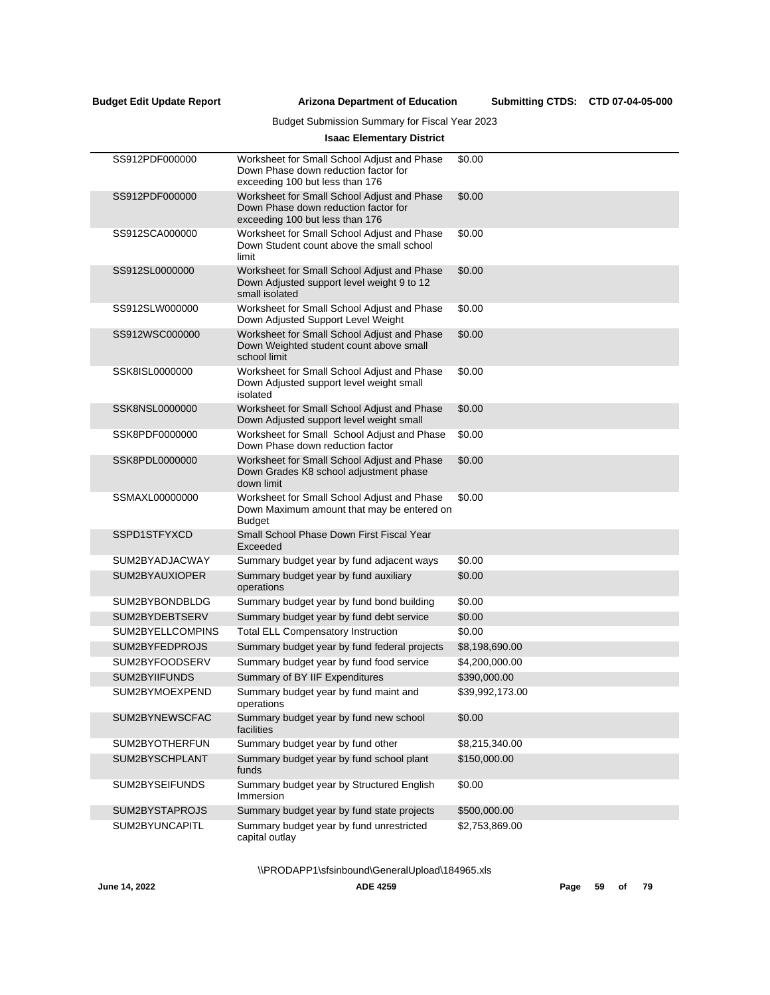Submitting CTDS: CTD 07-04-05-000

# Budget Submission Summary for Fiscal Year 2023

# **Isaac Elementary District**

| SS912PDF000000   | Worksheet for Small School Adjust and Phase<br>Down Phase down reduction factor for<br>exceeding 100 but less than 176 | \$0.00          |
|------------------|------------------------------------------------------------------------------------------------------------------------|-----------------|
| SS912PDF000000   | Worksheet for Small School Adjust and Phase<br>Down Phase down reduction factor for<br>exceeding 100 but less than 176 | \$0.00          |
| SS912SCA000000   | Worksheet for Small School Adjust and Phase<br>Down Student count above the small school<br>limit                      | \$0.00          |
| SS912SL0000000   | Worksheet for Small School Adjust and Phase<br>Down Adjusted support level weight 9 to 12<br>small isolated            | \$0.00          |
| SS912SLW000000   | Worksheet for Small School Adjust and Phase<br>Down Adjusted Support Level Weight                                      | \$0.00          |
| SS912WSC000000   | Worksheet for Small School Adjust and Phase<br>Down Weighted student count above small<br>school limit                 | \$0.00          |
| SSK8ISL0000000   | Worksheet for Small School Adjust and Phase<br>Down Adjusted support level weight small<br>isolated                    | \$0.00          |
| SSK8NSL0000000   | Worksheet for Small School Adjust and Phase<br>Down Adjusted support level weight small                                | \$0.00          |
| SSK8PDF0000000   | Worksheet for Small School Adjust and Phase<br>Down Phase down reduction factor                                        | \$0.00          |
| SSK8PDL0000000   | Worksheet for Small School Adjust and Phase<br>Down Grades K8 school adjustment phase<br>down limit                    | \$0.00          |
| SSMAXL00000000   | Worksheet for Small School Adjust and Phase<br>Down Maximum amount that may be entered on<br><b>Budget</b>             | \$0.00          |
| SSPD1STFYXCD     | Small School Phase Down First Fiscal Year<br>Exceeded                                                                  |                 |
| SUM2BYADJACWAY   | Summary budget year by fund adjacent ways                                                                              | \$0.00          |
| SUM2BYAUXIOPER   | Summary budget year by fund auxiliary<br>operations                                                                    | \$0.00          |
| SUM2BYBONDBLDG   | Summary budget year by fund bond building                                                                              | \$0.00          |
| SUM2BYDEBTSERV   | Summary budget year by fund debt service                                                                               | \$0.00          |
| SUM2BYELLCOMPINS | <b>Total ELL Compensatory Instruction</b>                                                                              | \$0.00          |
| SUM2BYFEDPROJS   | Summary budget year by fund federal projects                                                                           | \$8,198,690.00  |
| SUM2BYFOODSERV   | Summary budget year by fund food service                                                                               | \$4,200,000.00  |
| SUM2BYIIFUNDS    | Summary of BY IIF Expenditures                                                                                         | \$390,000.00    |
| SUM2BYMOEXPEND   | Summary budget year by fund maint and<br>operations                                                                    | \$39,992,173.00 |
| SUM2BYNEWSCFAC   | Summary budget year by fund new school<br>facilities                                                                   | \$0.00          |
| SUM2BYOTHERFUN   | Summary budget year by fund other                                                                                      | \$8,215,340.00  |
| SUM2BYSCHPLANT   | Summary budget year by fund school plant<br>funds                                                                      | \$150,000.00    |
| SUM2BYSEIFUNDS   | Summary budget year by Structured English<br>Immersion                                                                 | \$0.00          |
| SUM2BYSTAPROJS   | Summary budget year by fund state projects                                                                             | \$500,000.00    |
| SUM2BYUNCAPITL   | Summary budget year by fund unrestricted<br>capital outlay                                                             | \$2,753,869.00  |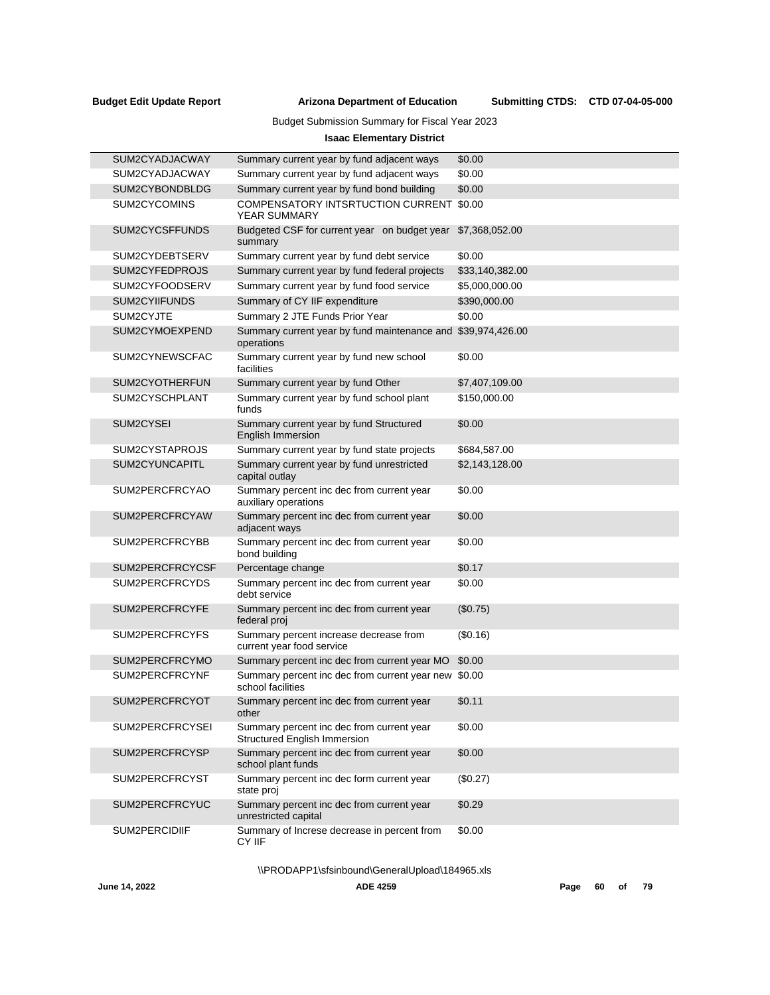Submitting CTDS: CTD 07-04-05-000

# Budget Submission Summary for Fiscal Year 2023

# **Isaac Elementary District**

| SUM2CYADJACWAY  | Summary current year by fund adjacent ways                                       | \$0.00          |
|-----------------|----------------------------------------------------------------------------------|-----------------|
| SUM2CYADJACWAY  | Summary current year by fund adjacent ways                                       | \$0.00          |
| SUM2CYBONDBLDG  | Summary current year by fund bond building                                       | \$0.00          |
| SUM2CYCOMINS    | <b>COMPENSATORY INTSRTUCTION CURRENT</b><br><b>YEAR SUMMARY</b>                  | \$0.00          |
| SUM2CYCSFFUNDS  | Budgeted CSF for current year on budget year<br>summary                          | \$7,368,052.00  |
| SUM2CYDEBTSERV  | Summary current year by fund debt service                                        | \$0.00          |
| SUM2CYFEDPROJS  | Summary current year by fund federal projects                                    | \$33,140,382.00 |
| SUM2CYFOODSERV  | Summary current year by fund food service                                        | \$5,000,000.00  |
| SUM2CYIIFUNDS   | Summary of CY IIF expenditure                                                    | \$390,000.00    |
| SUM2CYJTE       | Summary 2 JTE Funds Prior Year                                                   | \$0.00          |
| SUM2CYMOEXPEND  | Summary current year by fund maintenance and \$39,974,426.00<br>operations       |                 |
| SUM2CYNEWSCFAC  | Summary current year by fund new school<br>facilities                            | \$0.00          |
| SUM2CYOTHERFUN  | Summary current year by fund Other                                               | \$7,407,109.00  |
| SUM2CYSCHPLANT  | Summary current year by fund school plant<br>funds                               | \$150,000.00    |
| SUM2CYSEI       | Summary current year by fund Structured<br><b>English Immersion</b>              | \$0.00          |
| SUM2CYSTAPROJS  | Summary current year by fund state projects                                      | \$684,587.00    |
| SUM2CYUNCAPITL  | Summary current year by fund unrestricted<br>capital outlay                      | \$2,143,128.00  |
| SUM2PERCFRCYAO  | Summary percent inc dec from current year<br>auxiliary operations                | \$0.00          |
| SUM2PERCFRCYAW  | Summary percent inc dec from current year<br>adjacent ways                       | \$0.00          |
| SUM2PERCFRCYBB  | Summary percent inc dec from current year<br>bond building                       | \$0.00          |
| SUM2PERCFRCYCSF | Percentage change                                                                | \$0.17          |
| SUM2PERCFRCYDS  | Summary percent inc dec from current year<br>debt service                        | \$0.00          |
| SUM2PERCFRCYFE  | Summary percent inc dec from current year<br>federal proj                        | (\$0.75)        |
| SUM2PERCFRCYFS  | Summary percent increase decrease from<br>current year food service              | (S0.16)         |
| SUM2PERCFRCYMO  | Summary percent inc dec from current year MO                                     | \$0.00          |
| SUM2PERCFRCYNF  | Summary percent inc dec from current year new<br>school facilities               | \$0.00          |
| SUM2PERCFRCYOT  | Summary percent inc dec from current year<br>other                               | \$0.11          |
| SUM2PERCFRCYSEI | Summary percent inc dec from current year<br><b>Structured English Immersion</b> | \$0.00          |
| SUM2PERCFRCYSP  | Summary percent inc dec from current year<br>school plant funds                  | \$0.00          |
| SUM2PERCFRCYST  | Summary percent inc dec form current year<br>state proj                          | (\$0.27)        |
| SUM2PERCFRCYUC  | Summary percent inc dec from current year<br>unrestricted capital                | \$0.29          |
| SUM2PERCIDIIF   | Summary of Increse decrease in percent from<br>CY IIF                            | \$0.00          |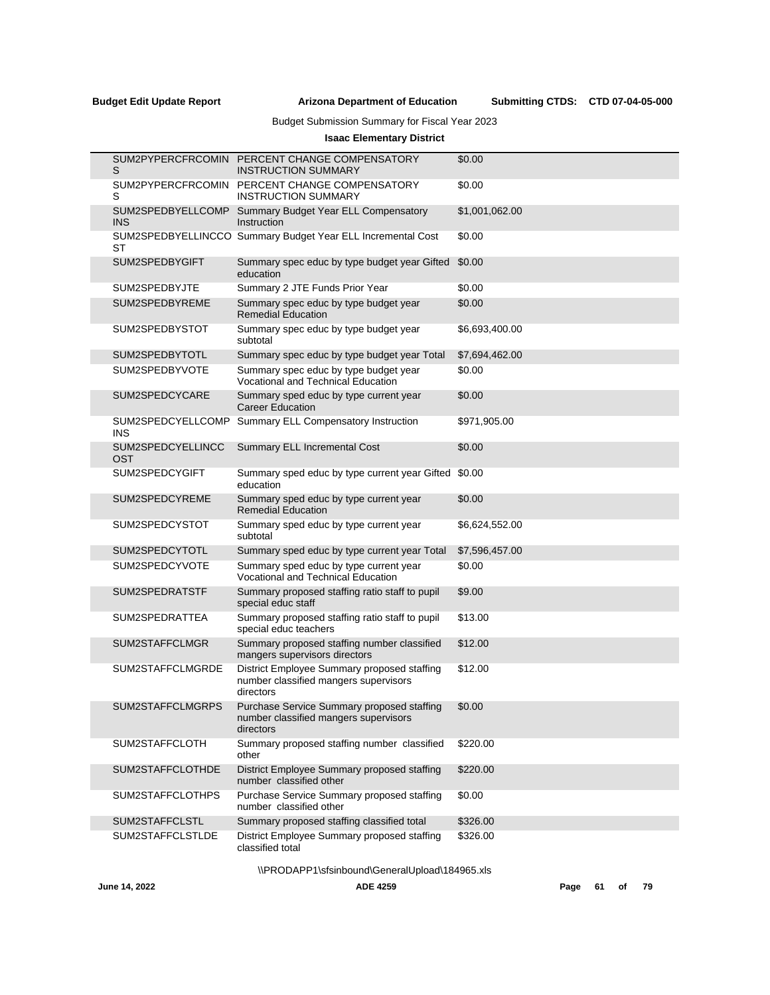Submitting CTDS: CTD 07-04-05-000

# Budget Submission Summary for Fiscal Year 2023

# **Isaac Elementary District**

| S                               | SUM2PYPERCFRCOMIN PERCENT CHANGE COMPENSATORY<br><b>INSTRUCTION SUMMARY</b>                       | \$0.00         |
|---------------------------------|---------------------------------------------------------------------------------------------------|----------------|
| S                               | SUM2PYPERCFRCOMIN PERCENT CHANGE COMPENSATORY<br><b>INSTRUCTION SUMMARY</b>                       | \$0.00         |
| SUM2SPEDBYELLCOMP<br><b>INS</b> | Summary Budget Year ELL Compensatory<br>Instruction                                               | \$1,001,062.00 |
| ST                              | SUM2SPEDBYELLINCCO Summary Budget Year ELL Incremental Cost                                       | \$0.00         |
| SUM2SPEDBYGIFT                  | Summary spec educ by type budget year Gifted<br>education                                         | \$0.00         |
| SUM2SPEDBYJTE                   | Summary 2 JTE Funds Prior Year                                                                    | \$0.00         |
| SUM2SPEDBYREME                  | Summary spec educ by type budget year<br><b>Remedial Education</b>                                | \$0.00         |
| SUM2SPEDBYSTOT                  | Summary spec educ by type budget year<br>subtotal                                                 | \$6,693,400.00 |
| SUM2SPEDBYTOTL                  | Summary spec educ by type budget year Total                                                       | \$7,694,462.00 |
| SUM2SPEDBYVOTE                  | Summary spec educ by type budget year<br>Vocational and Technical Education                       | \$0.00         |
| SUM2SPEDCYCARE                  | Summary sped educ by type current year<br><b>Career Education</b>                                 | \$0.00         |
| SUM2SPEDCYELLCOMP<br>INS        | Summary ELL Compensatory Instruction                                                              | \$971,905.00   |
| SUM2SPEDCYELLINCC<br>OST        | Summary ELL Incremental Cost                                                                      | \$0.00         |
| SUM2SPEDCYGIFT                  | Summary sped educ by type current year Gifted \$0.00<br>education                                 |                |
| SUM2SPEDCYREME                  | Summary sped educ by type current year<br><b>Remedial Education</b>                               | \$0.00         |
| SUM2SPEDCYSTOT                  | Summary sped educ by type current year<br>subtotal                                                | \$6,624,552.00 |
| SUM2SPEDCYTOTL                  | Summary sped educ by type current year Total                                                      | \$7,596,457.00 |
| SUM2SPEDCYVOTE                  | Summary sped educ by type current year<br>Vocational and Technical Education                      | \$0.00         |
| SUM2SPEDRATSTF                  | Summary proposed staffing ratio staff to pupil<br>special educ staff                              | \$9.00         |
| SUM2SPEDRATTEA                  | Summary proposed staffing ratio staff to pupil<br>special educ teachers                           | \$13.00        |
| SUM2STAFFCLMGR                  | Summary proposed staffing number classified<br>mangers supervisors directors                      | \$12.00        |
| SUM2STAFFCLMGRDE                | District Employee Summary proposed staffing<br>number classified mangers supervisors<br>directors | \$12.00        |
| SUM2STAFFCLMGRPS                | Purchase Service Summary proposed staffing<br>number classified mangers supervisors<br>directors  | \$0.00         |
| SUM2STAFFCLOTH                  | Summary proposed staffing number classified<br>other                                              | \$220.00       |
| SUM2STAFFCLOTHDE                | District Employee Summary proposed staffing<br>number classified other                            | \$220.00       |
| SUM2STAFFCLOTHPS                | Purchase Service Summary proposed staffing<br>number classified other                             | \$0.00         |
| SUM2STAFFCLSTL                  | Summary proposed staffing classified total                                                        | \$326.00       |
| SUM2STAFFCLSTLDE                | District Employee Summary proposed staffing<br>classified total                                   | \$326.00       |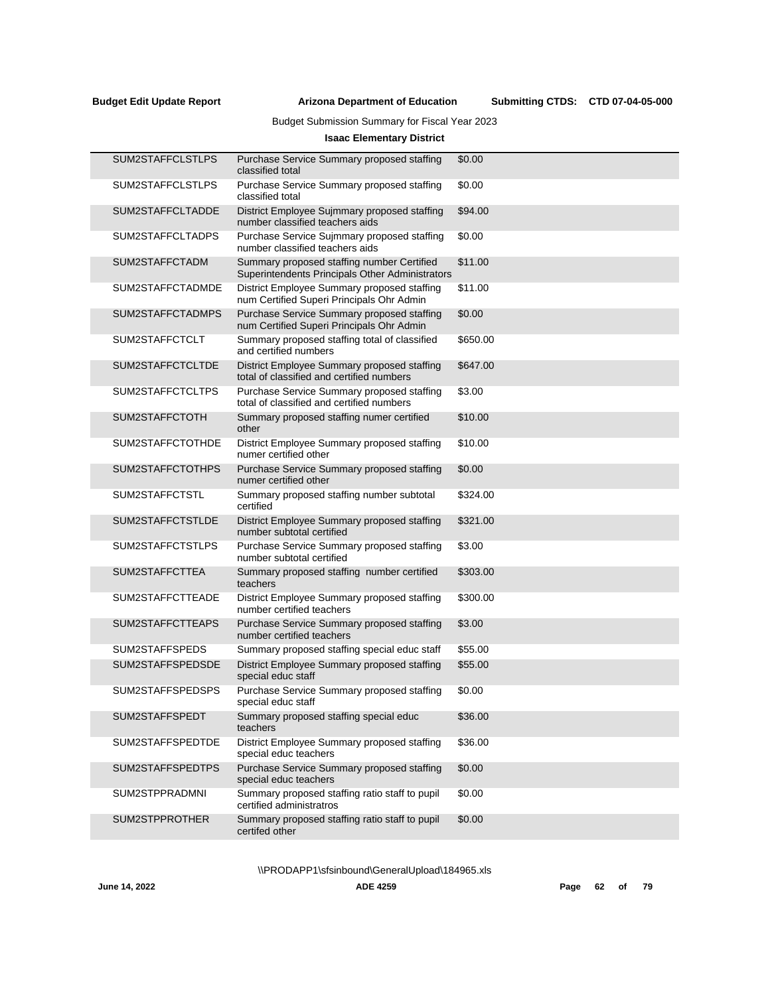Submitting CTDS: CTD 07-04-05-000

# Budget Submission Summary for Fiscal Year 2023

# **Isaac Elementary District**

| SUM2STAFFCLSTLPS | Purchase Service Summary proposed staffing<br>classified total                                | \$0.00   |
|------------------|-----------------------------------------------------------------------------------------------|----------|
| SUM2STAFFCLSTLPS | Purchase Service Summary proposed staffing<br>classified total                                | \$0.00   |
| SUM2STAFFCLTADDE | District Employee Sujmmary proposed staffing<br>number classified teachers aids               | \$94.00  |
| SUM2STAFFCLTADPS | Purchase Service Sujmmary proposed staffing<br>number classified teachers aids                | \$0.00   |
| SUM2STAFFCTADM   | Summary proposed staffing number Certified<br>Superintendents Principals Other Administrators | \$11.00  |
| SUM2STAFFCTADMDE | District Employee Summary proposed staffing<br>num Certified Superi Principals Ohr Admin      | \$11.00  |
| SUM2STAFFCTADMPS | Purchase Service Summary proposed staffing<br>num Certified Superi Principals Ohr Admin       | \$0.00   |
| SUM2STAFFCTCLT   | Summary proposed staffing total of classified<br>and certified numbers                        | \$650.00 |
| SUM2STAFFCTCLTDE | District Employee Summary proposed staffing<br>total of classified and certified numbers      | \$647.00 |
| SUM2STAFFCTCLTPS | Purchase Service Summary proposed staffing<br>total of classified and certified numbers       | \$3.00   |
| SUM2STAFFCTOTH   | Summary proposed staffing numer certified<br>other                                            | \$10.00  |
| SUM2STAFFCTOTHDE | District Employee Summary proposed staffing<br>numer certified other                          | \$10.00  |
| SUM2STAFFCTOTHPS | Purchase Service Summary proposed staffing<br>numer certified other                           | \$0.00   |
| SUM2STAFFCTSTL   | Summary proposed staffing number subtotal<br>certified                                        | \$324.00 |
| SUM2STAFFCTSTLDE | District Employee Summary proposed staffing<br>number subtotal certified                      | \$321.00 |
| SUM2STAFFCTSTLPS | Purchase Service Summary proposed staffing<br>number subtotal certified                       | \$3.00   |
| SUM2STAFFCTTEA   | Summary proposed staffing number certified<br>teachers                                        | \$303.00 |
| SUM2STAFFCTTEADE | District Employee Summary proposed staffing<br>number certified teachers                      | \$300.00 |
| SUM2STAFFCTTEAPS | Purchase Service Summary proposed staffing<br>number certified teachers                       | \$3.00   |
| SUM2STAFFSPEDS   | Summary proposed staffing special educ staff                                                  | \$55.00  |
| SUM2STAFFSPEDSDE | District Employee Summary proposed staffing<br>special educ staff                             | \$55.00  |
| SUM2STAFFSPEDSPS | Purchase Service Summary proposed staffing<br>special educ staff                              | \$0.00   |
| SUM2STAFFSPEDT   | Summary proposed staffing special educ<br>teachers                                            | \$36.00  |
| SUM2STAFFSPEDTDE | District Employee Summary proposed staffing<br>special educ teachers                          | \$36.00  |
| SUM2STAFFSPEDTPS | Purchase Service Summary proposed staffing<br>special educ teachers                           | \$0.00   |
| SUM2STPPRADMNI   | Summary proposed staffing ratio staff to pupil<br>certified administratros                    | \$0.00   |
| SUM2STPPROTHER   | Summary proposed staffing ratio staff to pupil<br>certifed other                              | \$0.00   |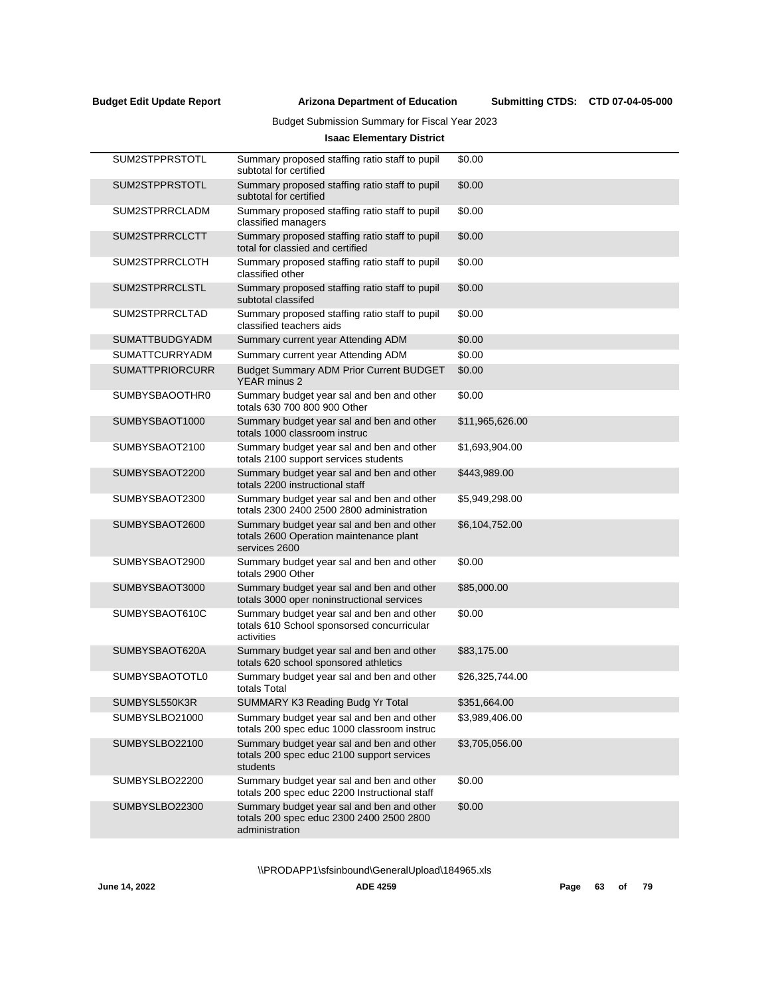Submitting CTDS: CTD 07-04-05-000

# Budget Submission Summary for Fiscal Year 2023

# **Isaac Elementary District**

| SUM2STPPRSTOTL         | Summary proposed staffing ratio staff to pupil<br>subtotal for certified                                | \$0.00          |
|------------------------|---------------------------------------------------------------------------------------------------------|-----------------|
| SUM2STPPRSTOTL         | Summary proposed staffing ratio staff to pupil<br>subtotal for certified                                | \$0.00          |
| SUM2STPRRCLADM         | Summary proposed staffing ratio staff to pupil<br>classified managers                                   | \$0.00          |
| SUM2STPRRCLCTT         | Summary proposed staffing ratio staff to pupil<br>total for classied and certified                      | \$0.00          |
| SUM2STPRRCLOTH         | Summary proposed staffing ratio staff to pupil<br>classified other                                      | \$0.00          |
| SUM2STPRRCLSTL         | Summary proposed staffing ratio staff to pupil<br>subtotal classifed                                    | \$0.00          |
| SUM2STPRRCLTAD         | Summary proposed staffing ratio staff to pupil<br>classified teachers aids                              | \$0.00          |
| <b>SUMATTBUDGYADM</b>  | Summary current year Attending ADM                                                                      | \$0.00          |
| <b>SUMATTCURRYADM</b>  | Summary current year Attending ADM                                                                      | \$0.00          |
| <b>SUMATTPRIORCURR</b> | <b>Budget Summary ADM Prior Current BUDGET</b><br><b>YEAR</b> minus 2                                   | \$0.00          |
| SUMBYSBAOOTHR0         | Summary budget year sal and ben and other<br>totals 630 700 800 900 Other                               | \$0.00          |
| SUMBYSBAOT1000         | Summary budget year sal and ben and other<br>totals 1000 classroom instruc                              | \$11,965,626.00 |
| SUMBYSBAOT2100         | Summary budget year sal and ben and other<br>totals 2100 support services students                      | \$1,693,904.00  |
| SUMBYSBAOT2200         | Summary budget year sal and ben and other<br>totals 2200 instructional staff                            | \$443,989.00    |
| SUMBYSBAOT2300         | Summary budget year sal and ben and other<br>totals 2300 2400 2500 2800 administration                  | \$5,949,298.00  |
| SUMBYSBAOT2600         | Summary budget year sal and ben and other<br>totals 2600 Operation maintenance plant<br>services 2600   | \$6,104,752.00  |
| SUMBYSBAOT2900         | Summary budget year sal and ben and other<br>totals 2900 Other                                          | \$0.00          |
| SUMBYSBAOT3000         | Summary budget year sal and ben and other<br>totals 3000 oper noninstructional services                 | \$85,000.00     |
| SUMBYSBAOT610C         | Summary budget year sal and ben and other<br>totals 610 School sponsorsed concurricular<br>activities   | \$0.00          |
| SUMBYSBAOT620A         | Summary budget year sal and ben and other<br>totals 620 school sponsored athletics                      | \$83,175.00     |
| SUMBYSBAOTOTL0         | Summary budget year sal and ben and other<br>totals Total                                               | \$26,325,744.00 |
| SUMBYSL550K3R          | SUMMARY K3 Reading Budg Yr Total                                                                        | \$351,664.00    |
| SUMBYSLBO21000         | Summary budget year sal and ben and other<br>totals 200 spec educ 1000 classroom instruc                | \$3,989,406.00  |
| SUMBYSLBO22100         | Summary budget year sal and ben and other<br>totals 200 spec educ 2100 support services<br>students     | \$3,705,056.00  |
| SUMBYSLBO22200         | Summary budget year sal and ben and other<br>totals 200 spec educ 2200 Instructional staff              | \$0.00          |
| SUMBYSLBO22300         | Summary budget year sal and ben and other<br>totals 200 spec educ 2300 2400 2500 2800<br>administration | \$0.00          |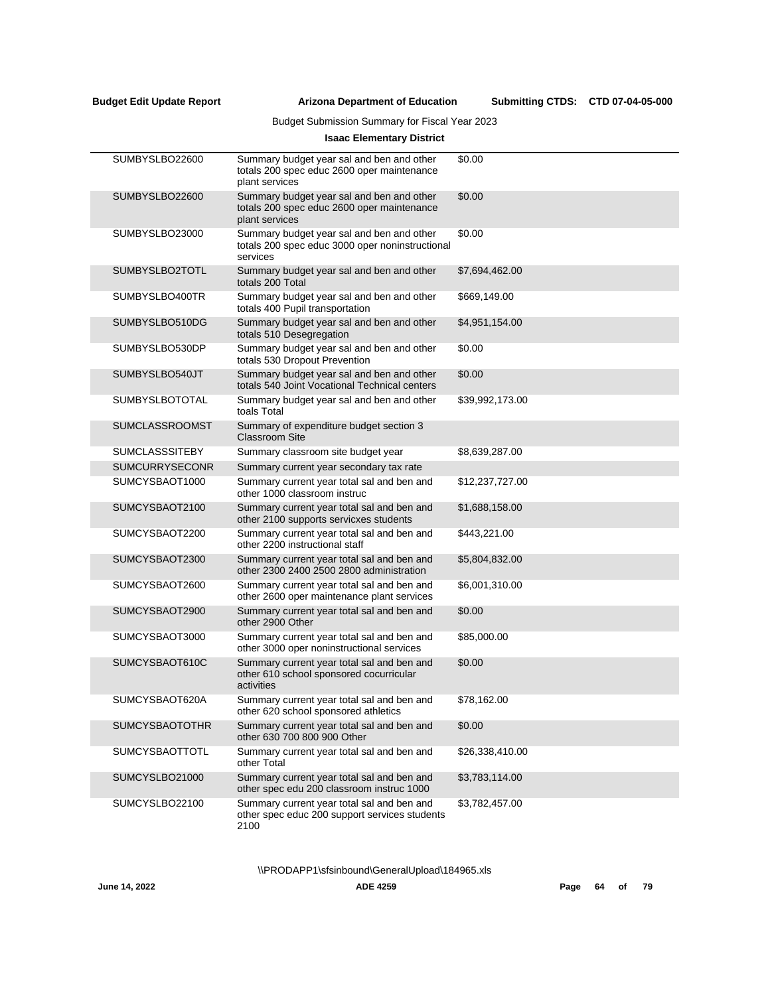# Budget Submission Summary for Fiscal Year 2023

# **Isaac Elementary District**

| SUMBYSLBO22600        | Summary budget year sal and ben and other<br>totals 200 spec educ 2600 oper maintenance<br>plant services | \$0.00          |
|-----------------------|-----------------------------------------------------------------------------------------------------------|-----------------|
| SUMBYSLBO22600        | Summary budget year sal and ben and other<br>totals 200 spec educ 2600 oper maintenance<br>plant services | \$0.00          |
| SUMBYSLBO23000        | Summary budget year sal and ben and other<br>totals 200 spec educ 3000 oper noninstructional<br>services  | \$0.00          |
| SUMBYSLBO2TOTL        | Summary budget year sal and ben and other<br>totals 200 Total                                             | \$7,694,462.00  |
| SUMBYSLBO400TR        | Summary budget year sal and ben and other<br>totals 400 Pupil transportation                              | \$669,149.00    |
| SUMBYSLBO510DG        | Summary budget year sal and ben and other<br>totals 510 Desegregation                                     | \$4,951,154.00  |
| SUMBYSLBO530DP        | Summary budget year sal and ben and other<br>totals 530 Dropout Prevention                                | \$0.00          |
| SUMBYSLBO540JT        | Summary budget year sal and ben and other<br>totals 540 Joint Vocational Technical centers                | \$0.00          |
| SUMBYSLBOTOTAL        | Summary budget year sal and ben and other<br>toals Total                                                  | \$39,992,173.00 |
| <b>SUMCLASSROOMST</b> | Summary of expenditure budget section 3<br><b>Classroom Site</b>                                          |                 |
| <b>SUMCLASSSITEBY</b> | Summary classroom site budget year                                                                        | \$8,639,287.00  |
| <b>SUMCURRYSECONR</b> | Summary current year secondary tax rate                                                                   |                 |
| SUMCYSBAOT1000        | Summary current year total sal and ben and<br>other 1000 classroom instruc                                | \$12,237,727.00 |
| SUMCYSBAOT2100        | Summary current year total sal and ben and<br>other 2100 supports servicxes students                      | \$1,688,158.00  |
| SUMCYSBAOT2200        | Summary current year total sal and ben and<br>other 2200 instructional staff                              | \$443,221.00    |
| SUMCYSBAOT2300        | Summary current year total sal and ben and<br>other 2300 2400 2500 2800 administration                    | \$5,804,832.00  |
| SUMCYSBAOT2600        | Summary current year total sal and ben and<br>other 2600 oper maintenance plant services                  | \$6,001,310.00  |
| SUMCYSBAOT2900        | Summary current year total sal and ben and<br>other 2900 Other                                            | \$0.00          |
| SUMCYSBAOT3000        | Summary current year total sal and ben and<br>other 3000 oper noninstructional services                   | \$85,000.00     |
| SUMCYSBAOT610C        | Summary current year total sal and ben and<br>other 610 school sponsored cocurricular<br>activities       | \$0.00          |
| SUMCYSBAOT620A        | Summary current year total sal and ben and<br>other 620 school sponsored athletics                        | \$78,162.00     |
| <b>SUMCYSBAOTOTHR</b> | Summary current year total sal and ben and<br>other 630 700 800 900 Other                                 | \$0.00          |
| SUMCYSBAOTTOTL        | Summary current year total sal and ben and<br>other Total                                                 | \$26,338,410.00 |
| SUMCYSLBO21000        | Summary current year total sal and ben and<br>other spec edu 200 classroom instruc 1000                   | \$3,783,114.00  |
| SUMCYSLBO22100        | Summary current year total sal and ben and<br>other spec educ 200 support services students<br>2100       | \$3,782,457.00  |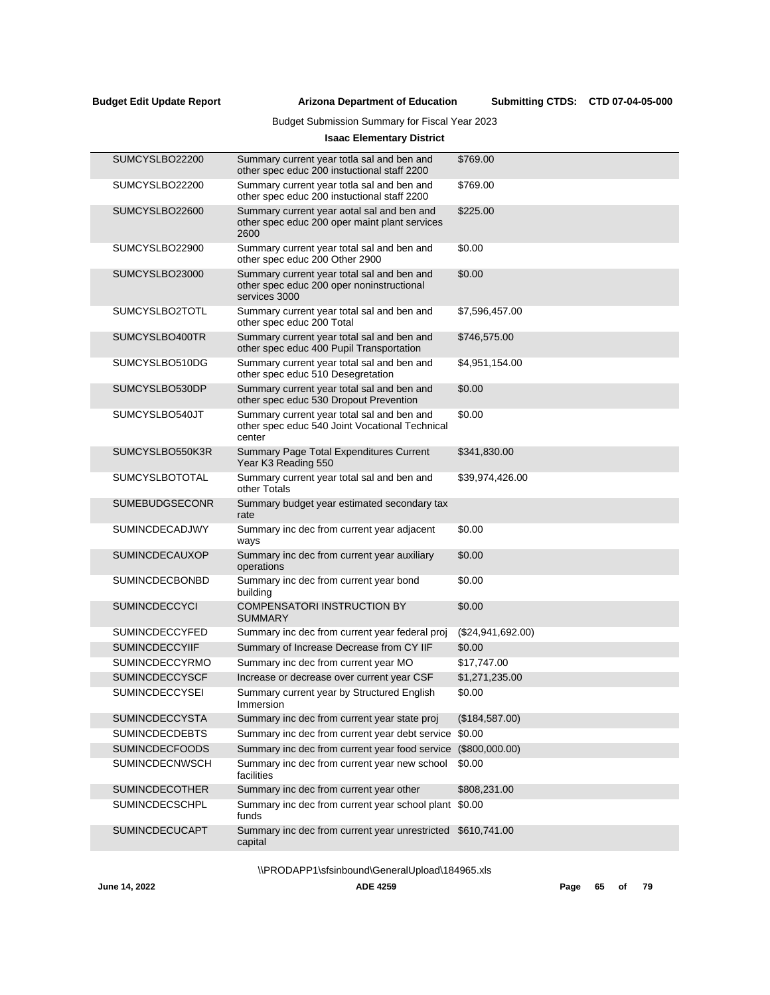# Budget Submission Summary for Fiscal Year 2023

# **Isaac Elementary District**

| SUMCYSLBO22200        | Summary current year totla sal and ben and<br>other spec educ 200 instuctional staff 2200                | \$769.00          |
|-----------------------|----------------------------------------------------------------------------------------------------------|-------------------|
| SUMCYSLBO22200        | Summary current year totla sal and ben and<br>other spec educ 200 instuctional staff 2200                | \$769.00          |
| SUMCYSLBO22600        | Summary current year aotal sal and ben and<br>other spec educ 200 oper maint plant services<br>2600      | \$225.00          |
| SUMCYSLBO22900        | Summary current year total sal and ben and<br>other spec educ 200 Other 2900                             | \$0.00            |
| SUMCYSLBO23000        | Summary current year total sal and ben and<br>other spec educ 200 oper noninstructional<br>services 3000 | \$0.00            |
| SUMCYSLBO2TOTL        | Summary current year total sal and ben and<br>other spec educ 200 Total                                  | \$7,596,457.00    |
| SUMCYSLBO400TR        | Summary current year total sal and ben and<br>other spec educ 400 Pupil Transportation                   | \$746,575.00      |
| SUMCYSLBO510DG        | Summary current year total sal and ben and<br>other spec educ 510 Desegretation                          | \$4,951,154.00    |
| SUMCYSLBO530DP        | Summary current year total sal and ben and<br>other spec educ 530 Dropout Prevention                     | \$0.00            |
| SUMCYSLBO540JT        | Summary current year total sal and ben and<br>other spec educ 540 Joint Vocational Technical<br>center   | \$0.00            |
| SUMCYSLBO550K3R       | Summary Page Total Expenditures Current<br>Year K3 Reading 550                                           | \$341,830.00      |
| <b>SUMCYSLBOTOTAL</b> | Summary current year total sal and ben and<br>other Totals                                               | \$39,974,426.00   |
| <b>SUMEBUDGSECONR</b> | Summary budget year estimated secondary tax<br>rate                                                      |                   |
| <b>SUMINCDECADJWY</b> | Summary inc dec from current year adjacent<br>ways                                                       | \$0.00            |
| <b>SUMINCDECAUXOP</b> | Summary inc dec from current year auxiliary<br>operations                                                | \$0.00            |
| <b>SUMINCDECBONBD</b> | Summary inc dec from current year bond<br>building                                                       | \$0.00            |
| <b>SUMINCDECCYCI</b>  | <b>COMPENSATORI INSTRUCTION BY</b><br><b>SUMMARY</b>                                                     | \$0.00            |
| <b>SUMINCDECCYFED</b> | Summary inc dec from current year federal proj                                                           | (\$24,941,692.00) |
| <b>SUMINCDECCYIIF</b> | Summary of Increase Decrease from CY IIF                                                                 | \$0.00            |
| <b>SUMINCDECCYRMO</b> | Summary inc dec from current year MO                                                                     | \$17,747.00       |
| <b>SUMINCDECCYSCF</b> | Increase or decrease over current year CSF                                                               | \$1,271,235.00    |
| <b>SUMINCDECCYSEI</b> | Summary current year by Structured English<br>Immersion                                                  | \$0.00            |
| SUMINCDECCYSTA        | Summary inc dec from current year state proj                                                             | (\$184,587.00)    |
| <b>SUMINCDECDEBTS</b> | Summary inc dec from current year debt service                                                           | \$0.00            |
| <b>SUMINCDECFOODS</b> | Summary inc dec from current year food service                                                           | (\$800,000.00)    |
| SUMINCDECNWSCH        | Summary inc dec from current year new school<br>facilities                                               | \$0.00            |
| <b>SUMINCDECOTHER</b> | Summary inc dec from current year other                                                                  | \$808,231.00      |
| SUMINCDECSCHPL        | Summary inc dec from current year school plant<br>funds                                                  | \$0.00            |
| SUMINCDECUCAPT        | Summary inc dec from current year unrestricted<br>capital                                                | \$610,741.00      |
|                       |                                                                                                          |                   |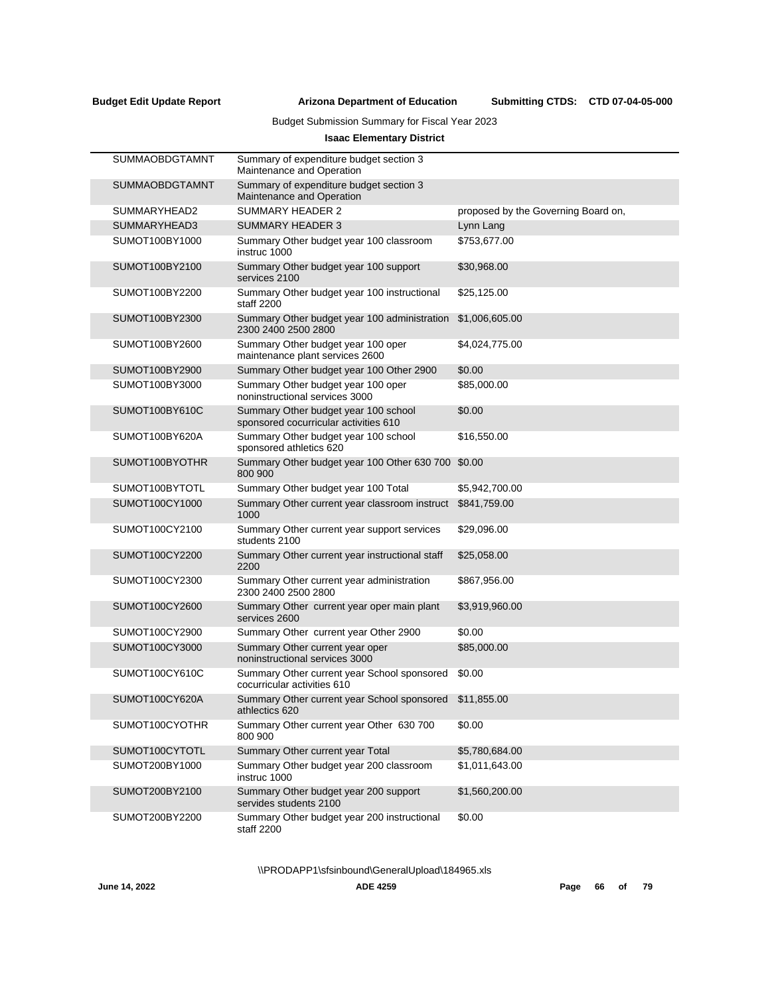# Budget Submission Summary for Fiscal Year 2023

# **Isaac Elementary District**

| <b>SUMMAOBDGTAMNT</b> | Summary of expenditure budget section 3<br>Maintenance and Operation          |                                     |
|-----------------------|-------------------------------------------------------------------------------|-------------------------------------|
| <b>SUMMAOBDGTAMNT</b> | Summary of expenditure budget section 3<br>Maintenance and Operation          |                                     |
| SUMMARYHEAD2          | SUMMARY HEADER 2                                                              | proposed by the Governing Board on, |
| SUMMARYHEAD3          | <b>SUMMARY HEADER 3</b>                                                       | Lynn Lang                           |
| SUMOT100BY1000        | Summary Other budget year 100 classroom<br>instruc 1000                       | \$753,677.00                        |
| SUMOT100BY2100        | Summary Other budget year 100 support<br>services 2100                        | \$30,968.00                         |
| SUMOT100BY2200        | Summary Other budget year 100 instructional<br>staff 2200                     | \$25,125.00                         |
| SUMOT100BY2300        | Summary Other budget year 100 administration<br>2300 2400 2500 2800           | \$1,006,605.00                      |
| SUMOT100BY2600        | Summary Other budget year 100 oper<br>maintenance plant services 2600         | \$4,024,775.00                      |
| SUMOT100BY2900        | Summary Other budget year 100 Other 2900                                      | \$0.00                              |
| SUMOT100BY3000        | Summary Other budget year 100 oper<br>noninstructional services 3000          | \$85,000.00                         |
| SUMOT100BY610C        | Summary Other budget year 100 school<br>sponsored cocurricular activities 610 | \$0.00                              |
| SUMOT100BY620A        | Summary Other budget year 100 school<br>sponsored athletics 620               | \$16,550.00                         |
| SUMOT100BYOTHR        | Summary Other budget year 100 Other 630 700<br>800 900                        | \$0.00                              |
| SUMOT100BYTOTL        | Summary Other budget year 100 Total                                           | \$5,942,700.00                      |
| SUMOT100CY1000        | Summary Other current year classroom instruct<br>1000                         | \$841,759.00                        |
| SUMOT100CY2100        | Summary Other current year support services<br>students 2100                  | \$29,096.00                         |
| SUMOT100CY2200        | Summary Other current year instructional staff<br>2200                        | \$25,058.00                         |
| SUMOT100CY2300        | Summary Other current year administration<br>2300 2400 2500 2800              | \$867,956.00                        |
| SUMOT100CY2600        | Summary Other current year oper main plant<br>services 2600                   | \$3,919,960.00                      |
| SUMOT100CY2900        | Summary Other current year Other 2900                                         | \$0.00                              |
| SUMOT100CY3000        | Summary Other current year oper<br>noninstructional services 3000             | \$85,000.00                         |
| SUMOT100CY610C        | Summary Other current year School sponsored<br>cocurricular activities 610    | \$0.00                              |
| SUMOT100CY620A        | Summary Other current year School sponsored<br>athlectics 620                 | \$11,855.00                         |
| SUMOT100CYOTHR        | Summary Other current year Other 630 700<br>800 900                           | \$0.00                              |
| SUMOT100CYTOTL        | Summary Other current year Total                                              | \$5,780,684.00                      |
| SUMOT200BY1000        | Summary Other budget year 200 classroom<br>instruc 1000                       | \$1,011,643.00                      |
| SUMOT200BY2100        | Summary Other budget year 200 support<br>servides students 2100               | \$1,560,200.00                      |
| SUMOT200BY2200        | Summary Other budget year 200 instructional<br>staff 2200                     | \$0.00                              |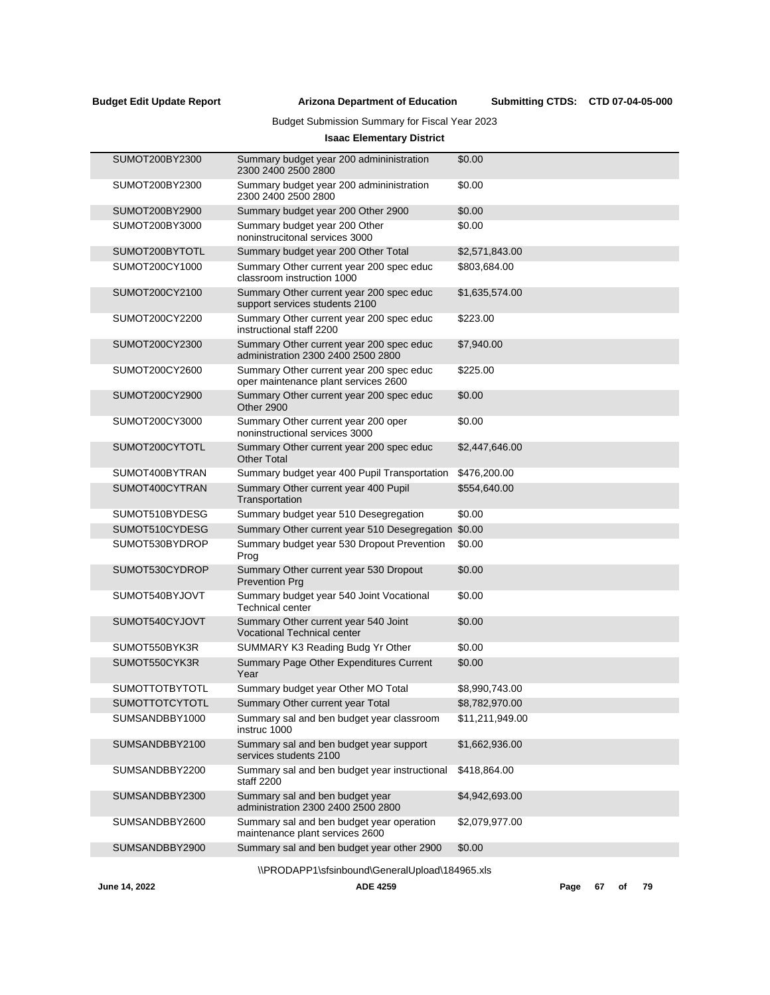# Budget Submission Summary for Fiscal Year 2023

# **Isaac Elementary District**

| SUMOT200BY2300        | Summary budget year 200 admininistration<br>2300 2400 2500 2800                  | \$0.00          |
|-----------------------|----------------------------------------------------------------------------------|-----------------|
| SUMOT200BY2300        | Summary budget year 200 admininistration<br>2300 2400 2500 2800                  | \$0.00          |
| SUMOT200BY2900        | Summary budget year 200 Other 2900                                               | \$0.00          |
| SUMOT200BY3000        | Summary budget year 200 Other<br>noninstrucitonal services 3000                  | \$0.00          |
| SUMOT200BYTOTL        | Summary budget year 200 Other Total                                              | \$2,571,843.00  |
| SUMOT200CY1000        | Summary Other current year 200 spec educ<br>classroom instruction 1000           | \$803,684.00    |
| SUMOT200CY2100        | Summary Other current year 200 spec educ<br>support services students 2100       | \$1,635,574.00  |
| SUMOT200CY2200        | Summary Other current year 200 spec educ<br>instructional staff 2200             | \$223.00        |
| SUMOT200CY2300        | Summary Other current year 200 spec educ<br>administration 2300 2400 2500 2800   | \$7,940.00      |
| SUMOT200CY2600        | Summary Other current year 200 spec educ<br>oper maintenance plant services 2600 | \$225.00        |
| SUMOT200CY2900        | Summary Other current year 200 spec educ<br>Other 2900                           | \$0.00          |
| SUMOT200CY3000        | Summary Other current year 200 oper<br>noninstructional services 3000            | \$0.00          |
| SUMOT200CYTOTL        | Summary Other current year 200 spec educ<br><b>Other Total</b>                   | \$2,447,646.00  |
| SUMOT400BYTRAN        | Summary budget year 400 Pupil Transportation                                     | \$476,200.00    |
| SUMOT400CYTRAN        | Summary Other current year 400 Pupil<br>Transportation                           | \$554,640.00    |
| SUMOT510BYDESG        | Summary budget year 510 Desegregation                                            | \$0.00          |
| SUMOT510CYDESG        | Summary Other current year 510 Desegregation \$0.00                              |                 |
| SUMOT530BYDROP        | Summary budget year 530 Dropout Prevention<br>Prog                               | \$0.00          |
| SUMOT530CYDROP        | Summary Other current year 530 Dropout<br><b>Prevention Prg</b>                  | \$0.00          |
| SUMOT540BYJOVT        | Summary budget year 540 Joint Vocational<br>Technical center                     | \$0.00          |
| SUMOT540CYJOVT        | Summary Other current year 540 Joint<br><b>Vocational Technical center</b>       | \$0.00          |
| SUMOT550BYK3R         | SUMMARY K3 Reading Budg Yr Other                                                 | \$0.00          |
| SUMOT550CYK3R         | Summary Page Other Expenditures Current<br>Year                                  | \$0.00          |
| <b>SUMOTTOTBYTOTL</b> | Summary budget year Other MO Total                                               | \$8,990,743.00  |
| <b>SUMOTTOTCYTOTL</b> | Summary Other current year Total                                                 | \$8,782,970.00  |
| SUMSANDBBY1000        | Summary sal and ben budget year classroom<br>instruc 1000                        | \$11,211,949.00 |
| SUMSANDBBY2100        | Summary sal and ben budget year support<br>services students 2100                | \$1,662,936.00  |
| SUMSANDBBY2200        | Summary sal and ben budget year instructional<br>staff 2200                      | \$418,864.00    |
| SUMSANDBBY2300        | Summary sal and ben budget year<br>administration 2300 2400 2500 2800            | \$4,942,693.00  |
| SUMSANDBBY2600        | Summary sal and ben budget year operation<br>maintenance plant services 2600     | \$2,079,977.00  |
| SUMSANDBBY2900        | Summary sal and ben budget year other 2900                                       | \$0.00          |
|                       |                                                                                  |                 |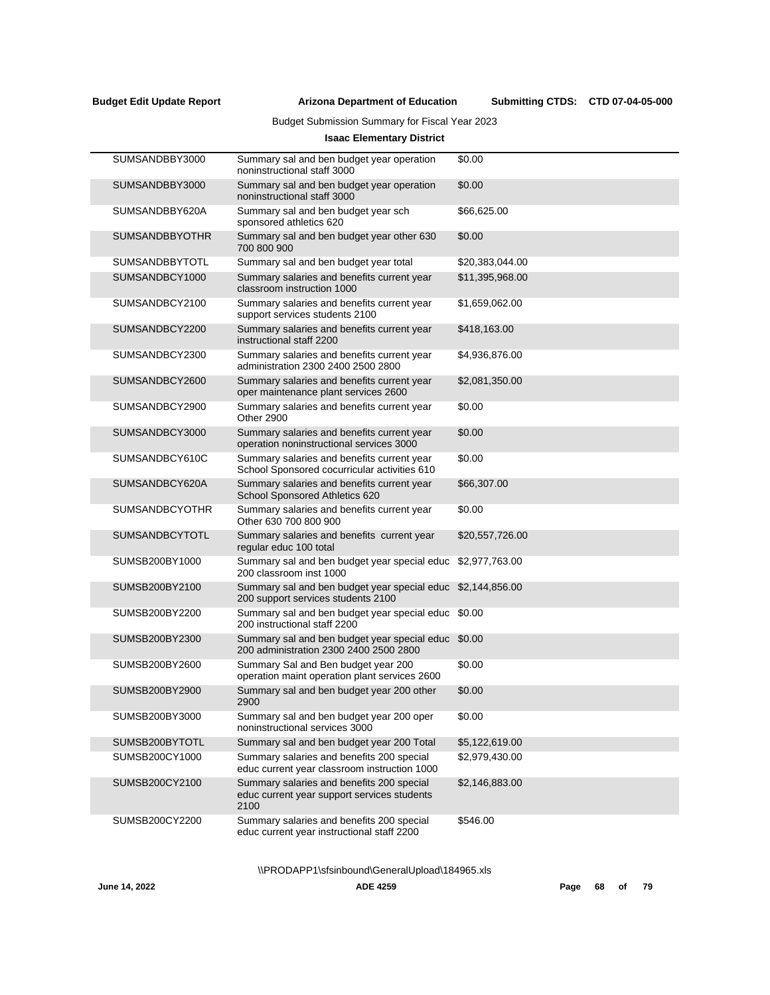Submitting CTDS: CTD 07-04-05-000

Budget Submission Summary for Fiscal Year 2023

# **Isaac Elementary District**

| SUMSANDBBY3000        | Summary sal and ben budget year operation<br>noninstructional staff 3000                         | \$0.00          |
|-----------------------|--------------------------------------------------------------------------------------------------|-----------------|
| SUMSANDBBY3000        | Summary sal and ben budget year operation<br>noninstructional staff 3000                         | \$0.00          |
| SUMSANDBBY620A        | Summary sal and ben budget year sch<br>sponsored athletics 620                                   | \$66,625.00     |
| <b>SUMSANDBBYOTHR</b> | Summary sal and ben budget year other 630<br>700 800 900                                         | \$0.00          |
| <b>SUMSANDBBYTOTL</b> | Summary sal and ben budget year total                                                            | \$20,383,044.00 |
| SUMSANDBCY1000        | Summary salaries and benefits current year<br>classroom instruction 1000                         | \$11,395,968.00 |
| SUMSANDBCY2100        | Summary salaries and benefits current year<br>support services students 2100                     | \$1,659,062.00  |
| SUMSANDBCY2200        | Summary salaries and benefits current year<br>instructional staff 2200                           | \$418,163.00    |
| SUMSANDBCY2300        | Summary salaries and benefits current year<br>administration 2300 2400 2500 2800                 | \$4,936,876.00  |
| SUMSANDBCY2600        | Summary salaries and benefits current year<br>oper maintenance plant services 2600               | \$2,081,350.00  |
| SUMSANDBCY2900        | Summary salaries and benefits current year<br><b>Other 2900</b>                                  | \$0.00          |
| SUMSANDBCY3000        | Summary salaries and benefits current year<br>operation noninstructional services 3000           | \$0.00          |
| SUMSANDBCY610C        | Summary salaries and benefits current year<br>School Sponsored cocurricular activities 610       | \$0.00          |
| SUMSANDBCY620A        | Summary salaries and benefits current year<br>School Sponsored Athletics 620                     | \$66,307.00     |
| <b>SUMSANDBCYOTHR</b> | Summary salaries and benefits current year<br>Other 630 700 800 900                              | \$0.00          |
| <b>SUMSANDBCYTOTL</b> | Summary salaries and benefits current year<br>regular educ 100 total                             | \$20,557,726.00 |
| SUMSB200BY1000        | Summary sal and ben budget year special educ<br>200 classroom inst 1000                          | \$2,977,763.00  |
| SUMSB200BY2100        | Summary sal and ben budget year special educ<br>200 support services students 2100               | \$2,144,856.00  |
| SUMSB200BY2200        | Summary sal and ben budget year special educ<br>200 instructional staff 2200                     | \$0.00          |
| SUMSB200BY2300        | Summary sal and ben budget year special educ<br>200 administration 2300 2400 2500 2800           | \$0.00          |
| SUMSB200BY2600        | Summary Sal and Ben budget year 200<br>operation maint operation plant services 2600             | \$0.00          |
| SUMSB200BY2900        | Summary sal and ben budget year 200 other<br>2900                                                | \$0.00          |
| SUMSB200BY3000        | Summary sal and ben budget year 200 oper<br>noninstructional services 3000                       | \$0.00          |
| SUMSB200BYTOTL        | Summary sal and ben budget year 200 Total                                                        | \$5,122,619.00  |
| SUMSB200CY1000        | Summary salaries and benefits 200 special<br>educ current year classroom instruction 1000        | \$2,979,430.00  |
| SUMSB200CY2100        | Summary salaries and benefits 200 special<br>educ current year support services students<br>2100 | \$2,146,883.00  |
| SUMSB200CY2200        | Summary salaries and benefits 200 special<br>educ current year instructional staff 2200          | \$546.00        |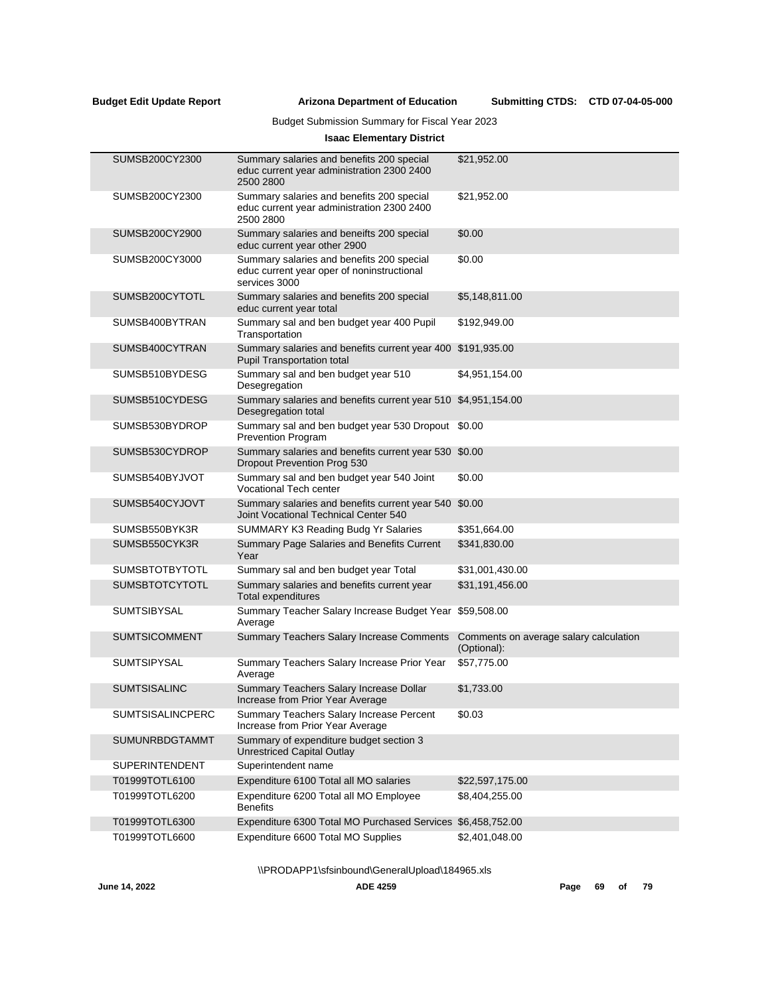Submitting CTDS: CTD 07-04-05-000

# Budget Submission Summary for Fiscal Year 2023

# **Isaac Elementary District**

| SUMSB200CY2300        | Summary salaries and benefits 200 special<br>educ current year administration 2300 2400<br>2500 2800     | \$21,952.00                                           |
|-----------------------|----------------------------------------------------------------------------------------------------------|-------------------------------------------------------|
| SUMSB200CY2300        | Summary salaries and benefits 200 special<br>educ current year administration 2300 2400<br>2500 2800     | \$21,952.00                                           |
| SUMSB200CY2900        | Summary salaries and beneifts 200 special<br>educ current year other 2900                                | \$0.00                                                |
| SUMSB200CY3000        | Summary salaries and benefits 200 special<br>educ current year oper of noninstructional<br>services 3000 | \$0.00                                                |
| SUMSB200CYTOTL        | Summary salaries and benefits 200 special<br>educ current year total                                     | \$5,148,811.00                                        |
| SUMSB400BYTRAN        | Summary sal and ben budget year 400 Pupil<br>Transportation                                              | \$192,949.00                                          |
| SUMSB400CYTRAN        | Summary salaries and benefits current year 400 \$191,935.00<br><b>Pupil Transportation total</b>         |                                                       |
| SUMSB510BYDESG        | Summary sal and ben budget year 510<br>Desegregation                                                     | \$4,951,154.00                                        |
| SUMSB510CYDESG        | Summary salaries and benefits current year 510 \$4,951,154.00<br>Desegregation total                     |                                                       |
| SUMSB530BYDROP        | Summary sal and ben budget year 530 Dropout \$0.00<br><b>Prevention Program</b>                          |                                                       |
| SUMSB530CYDROP        | Summary salaries and benefits current year 530 \$0.00<br>Dropout Prevention Prog 530                     |                                                       |
| SUMSB540BYJVOT        | Summary sal and ben budget year 540 Joint<br><b>Vocational Tech center</b>                               | \$0.00                                                |
| SUMSB540CYJOVT        | Summary salaries and benefits current year 540 \$0.00<br>Joint Vocational Technical Center 540           |                                                       |
| SUMSB550BYK3R         | SUMMARY K3 Reading Budg Yr Salaries                                                                      | \$351,664.00                                          |
| SUMSB550CYK3R         | Summary Page Salaries and Benefits Current<br>Year                                                       | \$341,830.00                                          |
| <b>SUMSBTOTBYTOTL</b> | Summary sal and ben budget year Total                                                                    | \$31,001,430.00                                       |
| <b>SUMSBTOTCYTOTL</b> | Summary salaries and benefits current year<br>Total expenditures                                         | \$31,191,456.00                                       |
| <b>SUMTSIBYSAL</b>    | Summary Teacher Salary Increase Budget Year<br>Average                                                   | \$59,508.00                                           |
| <b>SUMTSICOMMENT</b>  | <b>Summary Teachers Salary Increase Comments</b>                                                         | Comments on average salary calculation<br>(Optional): |
| <b>SUMTSIPYSAL</b>    | Summary Teachers Salary Increase Prior Year<br>Average                                                   | \$57,775.00                                           |
| <b>SUMTSISALINC</b>   | Summary Teachers Salary Increase Dollar<br>Increase from Prior Year Average                              | \$1,733.00                                            |
| SUMTSISALINCPERC      | Summary Teachers Salary Increase Percent<br>Increase from Prior Year Average                             | \$0.03                                                |
| SUMUNRBDGTAMMT        | Summary of expenditure budget section 3<br><b>Unrestriced Capital Outlay</b>                             |                                                       |
| <b>SUPERINTENDENT</b> | Superintendent name                                                                                      |                                                       |
| T01999TOTL6100        | Expenditure 6100 Total all MO salaries                                                                   | \$22,597,175.00                                       |
| T01999TOTL6200        | Expenditure 6200 Total all MO Employee<br><b>Benefits</b>                                                | \$8,404,255.00                                        |
| T01999TOTL6300        | Expenditure 6300 Total MO Purchased Services \$6,458,752.00                                              |                                                       |
| T01999TOTL6600        | Expenditure 6600 Total MO Supplies                                                                       | \$2,401,048.00                                        |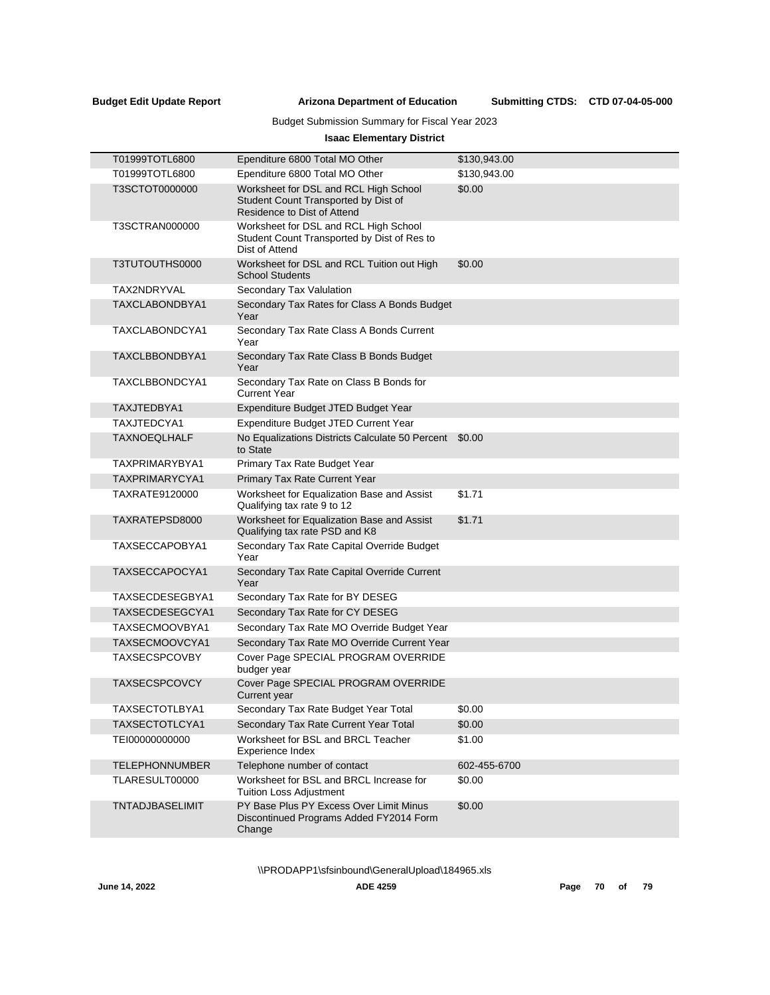# Submitting CTDS: CTD 07-04-05-000

# Budget Submission Summary for Fiscal Year 2023

# **Isaac Elementary District**

| T01999TOTL6800        | Ependiture 6800 Total MO Other                                                                               | \$130,943.00 |
|-----------------------|--------------------------------------------------------------------------------------------------------------|--------------|
| T01999TOTL6800        | Ependiture 6800 Total MO Other                                                                               | \$130,943.00 |
| T3SCTOT0000000        | Worksheet for DSL and RCL High School<br>Student Count Transported by Dist of<br>Residence to Dist of Attend | \$0.00       |
| T3SCTRAN000000        | Worksheet for DSL and RCL High School<br>Student Count Transported by Dist of Res to<br>Dist of Attend       |              |
| T3TUTOUTHS0000        | Worksheet for DSL and RCL Tuition out High<br><b>School Students</b>                                         | \$0.00       |
| TAX2NDRYVAL           | Secondary Tax Valulation                                                                                     |              |
| TAXCLABONDBYA1        | Secondary Tax Rates for Class A Bonds Budget<br>Year                                                         |              |
| TAXCLABONDCYA1        | Secondary Tax Rate Class A Bonds Current<br>Year                                                             |              |
| TAXCLBBONDBYA1        | Secondary Tax Rate Class B Bonds Budget<br>Year                                                              |              |
| TAXCLBBONDCYA1        | Secondary Tax Rate on Class B Bonds for<br><b>Current Year</b>                                               |              |
| TAXJTEDBYA1           | Expenditure Budget JTED Budget Year                                                                          |              |
| TAXJTEDCYA1           | Expenditure Budget JTED Current Year                                                                         |              |
| <b>TAXNOEQLHALF</b>   | No Equalizations Districts Calculate 50 Percent \$0.00<br>to State                                           |              |
| TAXPRIMARYBYA1        | Primary Tax Rate Budget Year                                                                                 |              |
| TAXPRIMARYCYA1        | Primary Tax Rate Current Year                                                                                |              |
| TAXRATE9120000        | Worksheet for Equalization Base and Assist<br>Qualifying tax rate 9 to 12                                    | \$1.71       |
| TAXRATEPSD8000        | Worksheet for Equalization Base and Assist<br>Qualifying tax rate PSD and K8                                 | \$1.71       |
| TAXSECCAPOBYA1        | Secondary Tax Rate Capital Override Budget<br>Year                                                           |              |
| TAXSECCAPOCYA1        | Secondary Tax Rate Capital Override Current<br>Year                                                          |              |
| TAXSECDESEGBYA1       | Secondary Tax Rate for BY DESEG                                                                              |              |
| TAXSECDESEGCYA1       | Secondary Tax Rate for CY DESEG                                                                              |              |
| TAXSECMOOVBYA1        | Secondary Tax Rate MO Override Budget Year                                                                   |              |
| TAXSECMOOVCYA1        | Secondary Tax Rate MO Override Current Year                                                                  |              |
| <b>TAXSECSPCOVBY</b>  | Cover Page SPECIAL PROGRAM OVERRIDE<br>budger year                                                           |              |
| <b>TAXSECSPCOVCY</b>  | Cover Page SPECIAL PROGRAM OVERRIDE<br>Current year                                                          |              |
| TAXSECTOTLBYA1        | Secondary Tax Rate Budget Year Total                                                                         | \$0.00       |
| TAXSECTOTLCYA1        | Secondary Tax Rate Current Year Total                                                                        | \$0.00       |
| TEI00000000000        | Worksheet for BSL and BRCL Teacher<br>Experience Index                                                       | \$1.00       |
| <b>TELEPHONNUMBER</b> | Telephone number of contact                                                                                  | 602-455-6700 |
| TLARESULT00000        | Worksheet for BSL and BRCL Increase for<br><b>Tuition Loss Adjustment</b>                                    | \$0.00       |
| TNTADJBASELIMIT       | PY Base Plus PY Excess Over Limit Minus<br>Discontinued Programs Added FY2014 Form<br>Change                 | \$0.00       |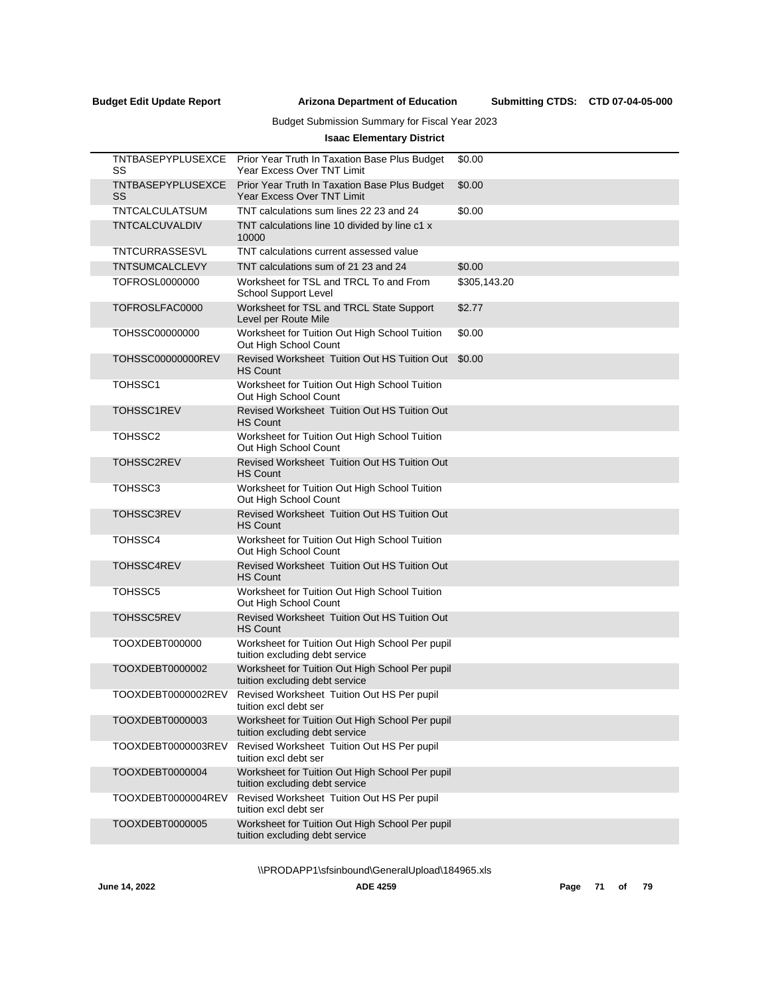Submitting CTDS: CTD 07-04-05-000

# Budget Submission Summary for Fiscal Year 2023

# **Isaac Elementary District**

| TNTBASEPYPLUSEXCE<br>SS | Prior Year Truth In Taxation Base Plus Budget<br><b>Year Excess Over TNT Limit</b> | \$0.00       |
|-------------------------|------------------------------------------------------------------------------------|--------------|
| TNTBASEPYPLUSEXCE<br>SS | Prior Year Truth In Taxation Base Plus Budget<br>Year Excess Over TNT Limit        | \$0.00       |
| TNTCALCULATSUM          | TNT calculations sum lines 22 23 and 24                                            | \$0.00       |
| TNTCALCUVALDIV          | TNT calculations line 10 divided by line c1 x<br>10000                             |              |
| TNTCURRASSESVL          | TNT calculations current assessed value                                            |              |
| TNTSUMCALCLEVY          | TNT calculations sum of 21 23 and 24                                               | \$0.00       |
| TOFROSL0000000          | Worksheet for TSL and TRCL To and From<br>School Support Level                     | \$305,143.20 |
| TOFROSLFAC0000          | Worksheet for TSL and TRCL State Support<br>Level per Route Mile                   | \$2.77       |
| TOHSSC00000000          | Worksheet for Tuition Out High School Tuition<br>Out High School Count             | \$0.00       |
| TOHSSC00000000REV       | Revised Worksheet Tuition Out HS Tuition Out<br><b>HS Count</b>                    | \$0.00       |
| TOHSSC1                 | Worksheet for Tuition Out High School Tuition<br>Out High School Count             |              |
| <b>TOHSSC1REV</b>       | <b>Revised Worksheet Tuition Out HS Tuition Out</b><br><b>HS Count</b>             |              |
| TOHSSC2                 | Worksheet for Tuition Out High School Tuition<br>Out High School Count             |              |
| TOHSSC2REV              | <b>Revised Worksheet Tuition Out HS Tuition Out</b><br><b>HS Count</b>             |              |
| TOHSSC3                 | Worksheet for Tuition Out High School Tuition<br>Out High School Count             |              |
| <b>TOHSSC3REV</b>       | <b>Revised Worksheet Tuition Out HS Tuition Out</b><br><b>HS Count</b>             |              |
| TOHSSC4                 | Worksheet for Tuition Out High School Tuition<br>Out High School Count             |              |
| TOHSSC4REV              | Revised Worksheet Tuition Out HS Tuition Out<br><b>HS Count</b>                    |              |
| TOHSSC5                 | Worksheet for Tuition Out High School Tuition<br>Out High School Count             |              |
| <b>TOHSSC5REV</b>       | Revised Worksheet Tuition Out HS Tuition Out<br><b>HS Count</b>                    |              |
| TOOXDEBT000000          | Worksheet for Tuition Out High School Per pupil<br>tuition excluding debt service  |              |
| TOOXDEBT0000002         | Worksheet for Tuition Out High School Per pupil<br>tuition excluding debt service  |              |
| TOOXDEBT0000002REV      | Revised Worksheet Tuition Out HS Per pupil<br>tuition excl debt ser                |              |
| TOOXDEBT0000003         | Worksheet for Tuition Out High School Per pupil<br>tuition excluding debt service  |              |
| TOOXDEBT0000003REV      | Revised Worksheet Tuition Out HS Per pupil<br>tuition excl debt ser                |              |
| TOOXDEBT0000004         | Worksheet for Tuition Out High School Per pupil<br>tuition excluding debt service  |              |
| TOOXDEBT0000004REV      | Revised Worksheet Tuition Out HS Per pupil<br>tuition excl debt ser                |              |
| TOOXDEBT0000005         | Worksheet for Tuition Out High School Per pupil<br>tuition excluding debt service  |              |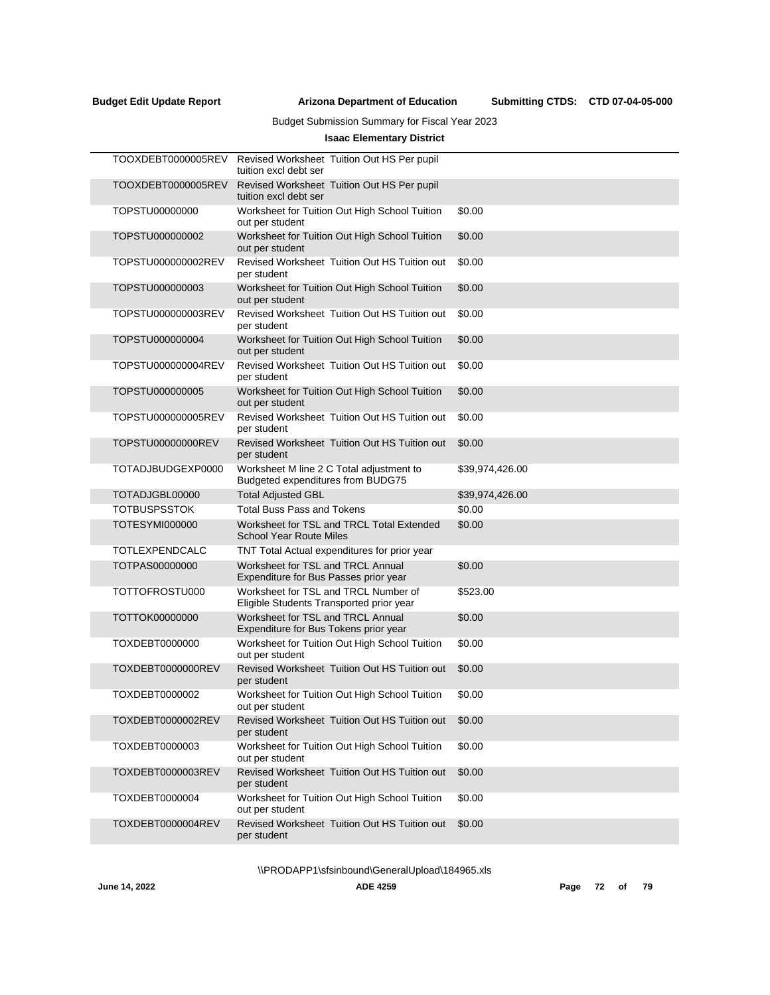Submitting CTDS: CTD 07-04-05-000

# Budget Submission Summary for Fiscal Year 2023

# **Isaac Elementary District**

| TOOXDEBT0000005REV  | Revised Worksheet Tuition Out HS Per pupil<br>tuition excl debt ser              |                 |
|---------------------|----------------------------------------------------------------------------------|-----------------|
| TOOXDEBT0000005REV  | Revised Worksheet Tuition Out HS Per pupil<br>tuition excl debt ser              |                 |
| TOPSTU00000000      | Worksheet for Tuition Out High School Tuition<br>out per student                 | \$0.00          |
| TOPSTU000000002     | Worksheet for Tuition Out High School Tuition<br>out per student                 | \$0.00          |
| TOPSTU000000002REV  | Revised Worksheet Tuition Out HS Tuition out<br>per student                      | \$0.00          |
| TOPSTU000000003     | Worksheet for Tuition Out High School Tuition<br>out per student                 | \$0.00          |
| TOPSTU000000003REV  | Revised Worksheet Tuition Out HS Tuition out<br>per student                      | \$0.00          |
| TOPSTU000000004     | Worksheet for Tuition Out High School Tuition<br>out per student                 | \$0.00          |
| TOPSTU000000004REV  | Revised Worksheet Tuition Out HS Tuition out<br>per student                      | \$0.00          |
| TOPSTU000000005     | Worksheet for Tuition Out High School Tuition<br>out per student                 | \$0.00          |
| TOPSTU000000005REV  | Revised Worksheet Tuition Out HS Tuition out<br>per student                      | \$0.00          |
| TOPSTU00000000REV   | Revised Worksheet Tuition Out HS Tuition out<br>per student                      | \$0.00          |
| TOTADJBUDGEXP0000   | Worksheet M line 2 C Total adjustment to<br>Budgeted expenditures from BUDG75    | \$39,974,426.00 |
| TOTADJGBL00000      | <b>Total Adjusted GBL</b>                                                        | \$39,974,426.00 |
| <b>TOTBUSPSSTOK</b> | <b>Total Buss Pass and Tokens</b>                                                | \$0.00          |
| TOTESYMI000000      | Worksheet for TSL and TRCL Total Extended<br><b>School Year Route Miles</b>      | \$0.00          |
| TOTLEXPENDCALC      | TNT Total Actual expenditures for prior year                                     |                 |
| TOTPAS00000000      | Worksheet for TSL and TRCL Annual<br>Expenditure for Bus Passes prior year       | \$0.00          |
| TOTTOFROSTU000      | Worksheet for TSL and TRCL Number of<br>Eligible Students Transported prior year | \$523.00        |
| TOTTOK00000000      | Worksheet for TSL and TRCL Annual<br>Expenditure for Bus Tokens prior year       | \$0.00          |
| TOXDEBT0000000      | Worksheet for Tuition Out High School Tuition<br>out per student                 | \$0.00          |
| TOXDEBT0000000REV   | Revised Worksheet Tuition Out HS Tuition out<br>per student                      | \$0.00          |
| TOXDEBT0000002      | Worksheet for Tuition Out High School Tuition<br>out per student                 | \$0.00          |
| TOXDEBT0000002REV   | Revised Worksheet Tuition Out HS Tuition out<br>per student                      | \$0.00          |
| TOXDEBT0000003      | Worksheet for Tuition Out High School Tuition<br>out per student                 | \$0.00          |
| TOXDEBT0000003REV   | Revised Worksheet Tuition Out HS Tuition out<br>per student                      | \$0.00          |
| TOXDEBT0000004      | Worksheet for Tuition Out High School Tuition<br>out per student                 | \$0.00          |
| TOXDEBT0000004REV   | Revised Worksheet Tuition Out HS Tuition out<br>per student                      | \$0.00          |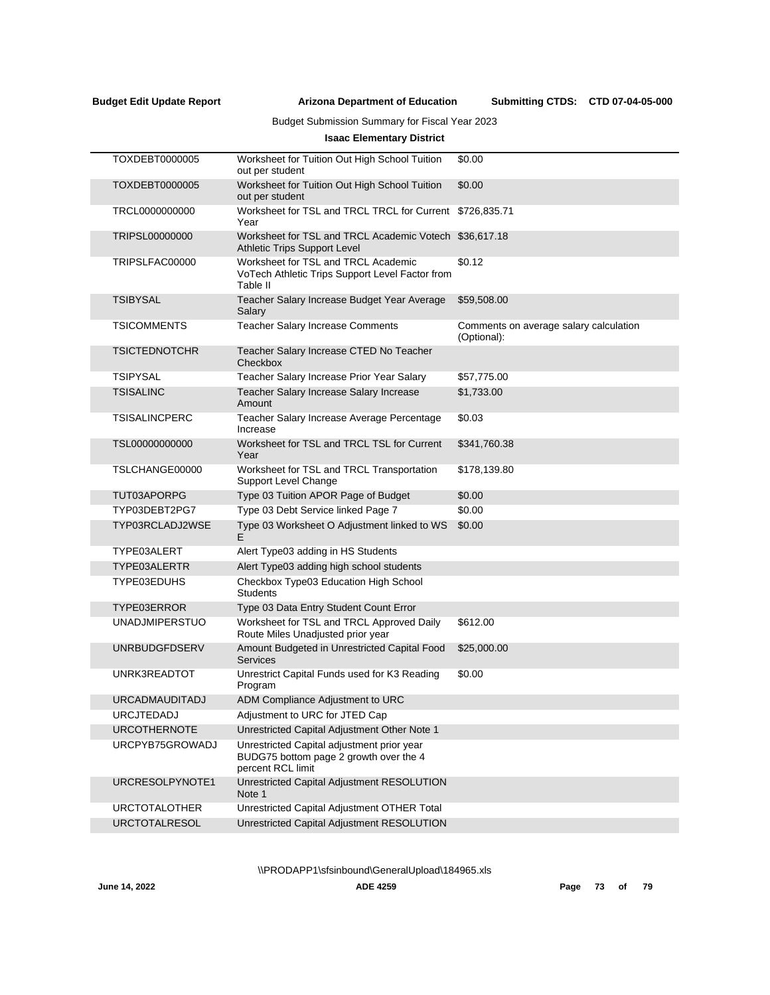Submitting CTDS: CTD 07-04-05-000

# Budget Submission Summary for Fiscal Year 2023

# **Isaac Elementary District**

| Worksheet for Tuition Out High School Tuition<br>out per student                                                                                                                                                                                                                                                                                                                                                                                                                                                                                                                                | \$0.00                                                |
|-------------------------------------------------------------------------------------------------------------------------------------------------------------------------------------------------------------------------------------------------------------------------------------------------------------------------------------------------------------------------------------------------------------------------------------------------------------------------------------------------------------------------------------------------------------------------------------------------|-------------------------------------------------------|
| Worksheet for Tuition Out High School Tuition<br>out per student                                                                                                                                                                                                                                                                                                                                                                                                                                                                                                                                | \$0.00                                                |
| Worksheet for TSL and TRCL TRCL for Current<br>Year                                                                                                                                                                                                                                                                                                                                                                                                                                                                                                                                             | \$726,835.71                                          |
| Worksheet for TSL and TRCL Academic Votech \$36,617.18<br>Athletic Trips Support Level                                                                                                                                                                                                                                                                                                                                                                                                                                                                                                          |                                                       |
| Worksheet for TSL and TRCL Academic<br>VoTech Athletic Trips Support Level Factor from<br>Table II                                                                                                                                                                                                                                                                                                                                                                                                                                                                                              | \$0.12                                                |
| Teacher Salary Increase Budget Year Average<br>Salary                                                                                                                                                                                                                                                                                                                                                                                                                                                                                                                                           | \$59,508.00                                           |
| <b>Teacher Salary Increase Comments</b>                                                                                                                                                                                                                                                                                                                                                                                                                                                                                                                                                         | Comments on average salary calculation<br>(Optional): |
| Teacher Salary Increase CTED No Teacher<br>Checkbox                                                                                                                                                                                                                                                                                                                                                                                                                                                                                                                                             |                                                       |
| Teacher Salary Increase Prior Year Salary                                                                                                                                                                                                                                                                                                                                                                                                                                                                                                                                                       | \$57,775.00                                           |
| Teacher Salary Increase Salary Increase<br>Amount                                                                                                                                                                                                                                                                                                                                                                                                                                                                                                                                               | \$1,733.00                                            |
| Teacher Salary Increase Average Percentage<br>Increase                                                                                                                                                                                                                                                                                                                                                                                                                                                                                                                                          | \$0.03                                                |
| Worksheet for TSL and TRCL TSL for Current<br>Year                                                                                                                                                                                                                                                                                                                                                                                                                                                                                                                                              | \$341,760.38                                          |
| Worksheet for TSL and TRCL Transportation<br>Support Level Change                                                                                                                                                                                                                                                                                                                                                                                                                                                                                                                               | \$178,139.80                                          |
| Type 03 Tuition APOR Page of Budget                                                                                                                                                                                                                                                                                                                                                                                                                                                                                                                                                             | \$0.00                                                |
| Type 03 Debt Service linked Page 7                                                                                                                                                                                                                                                                                                                                                                                                                                                                                                                                                              | \$0.00                                                |
| Type 03 Worksheet O Adjustment linked to WS<br>E                                                                                                                                                                                                                                                                                                                                                                                                                                                                                                                                                | \$0.00                                                |
| Alert Type03 adding in HS Students                                                                                                                                                                                                                                                                                                                                                                                                                                                                                                                                                              |                                                       |
| Alert Type03 adding high school students                                                                                                                                                                                                                                                                                                                                                                                                                                                                                                                                                        |                                                       |
| Checkbox Type03 Education High School<br><b>Students</b>                                                                                                                                                                                                                                                                                                                                                                                                                                                                                                                                        |                                                       |
| Type 03 Data Entry Student Count Error                                                                                                                                                                                                                                                                                                                                                                                                                                                                                                                                                          |                                                       |
| Worksheet for TSL and TRCL Approved Daily<br>Route Miles Unadjusted prior year                                                                                                                                                                                                                                                                                                                                                                                                                                                                                                                  | \$612.00                                              |
| Amount Budgeted in Unrestricted Capital Food<br><b>Services</b>                                                                                                                                                                                                                                                                                                                                                                                                                                                                                                                                 | \$25,000.00                                           |
| Unrestrict Capital Funds used for K3 Reading<br>Program                                                                                                                                                                                                                                                                                                                                                                                                                                                                                                                                         | \$0.00                                                |
| ADM Compliance Adjustment to URC                                                                                                                                                                                                                                                                                                                                                                                                                                                                                                                                                                |                                                       |
| Adjustment to URC for JTED Cap                                                                                                                                                                                                                                                                                                                                                                                                                                                                                                                                                                  |                                                       |
| Unrestricted Capital Adjustment Other Note 1                                                                                                                                                                                                                                                                                                                                                                                                                                                                                                                                                    |                                                       |
| Unrestricted Capital adjustment prior year<br>BUDG75 bottom page 2 growth over the 4<br>percent RCL limit                                                                                                                                                                                                                                                                                                                                                                                                                                                                                       |                                                       |
| Unrestricted Capital Adjustment RESOLUTION<br>Note 1                                                                                                                                                                                                                                                                                                                                                                                                                                                                                                                                            |                                                       |
| Unrestricted Capital Adjustment OTHER Total                                                                                                                                                                                                                                                                                                                                                                                                                                                                                                                                                     |                                                       |
| Unrestricted Capital Adjustment RESOLUTION                                                                                                                                                                                                                                                                                                                                                                                                                                                                                                                                                      |                                                       |
| TOXDEBT0000005<br>TOXDEBT0000005<br>TRCL0000000000<br>TRIPSL00000000<br>TRIPSLFAC00000<br><b>TSIBYSAL</b><br><b>TSICOMMENTS</b><br><b>TSICTEDNOTCHR</b><br><b>TSIPYSAL</b><br><b>TSISALINC</b><br>TSISALINCPERC<br>TSL00000000000<br>TSLCHANGE00000<br>TUT03APORPG<br>TYP03DEBT2PG7<br>TYP03RCLADJ2WSE<br>TYPE03ALERT<br>TYPE03ALERTR<br>TYPE03EDUHS<br>TYPE03ERROR<br><b>UNADJMIPERSTUO</b><br><b>UNRBUDGFDSERV</b><br>UNRK3READTOT<br><b>URCADMAUDITADJ</b><br><b>URCJTEDADJ</b><br><b>URCOTHERNOTE</b><br>URCPYB75GROWADJ<br>URCRESOLPYNOTE1<br><b>URCTOTALOTHER</b><br><b>URCTOTALRESOL</b> |                                                       |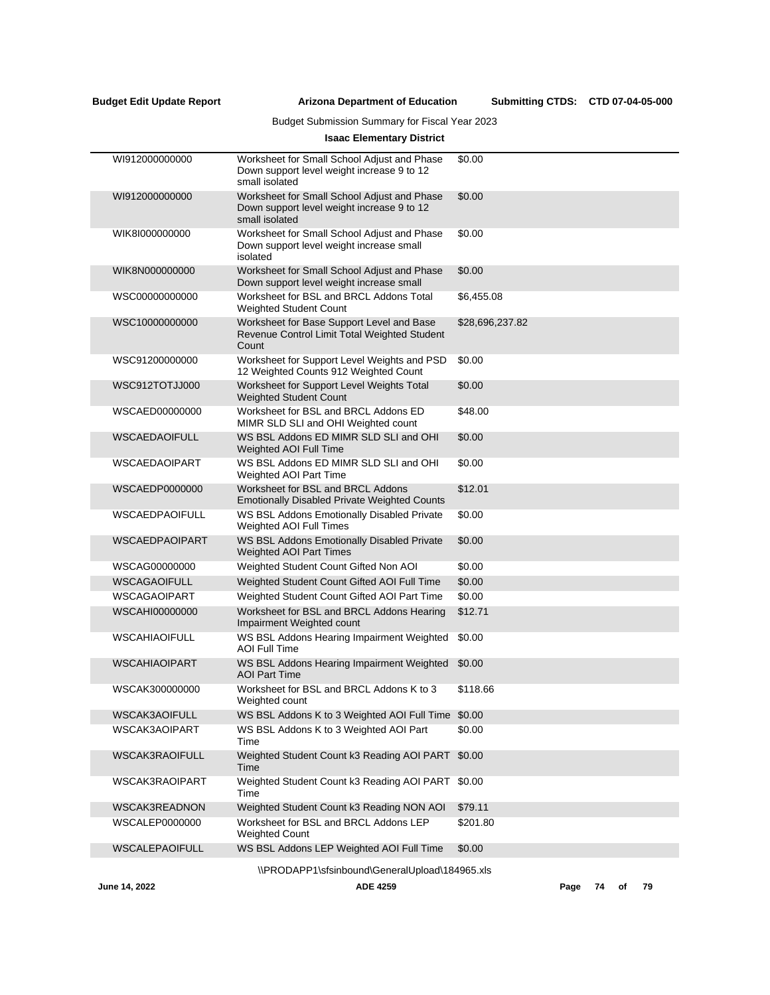# Budget Submission Summary for Fiscal Year 2023

# **Isaac Elementary District**

| WI912000000000                                             | Worksheet for Small School Adjust and Phase<br>Down support level weight increase 9 to 12<br>small isolated | \$0.00          |  |  |  |
|------------------------------------------------------------|-------------------------------------------------------------------------------------------------------------|-----------------|--|--|--|
| WI912000000000                                             | Worksheet for Small School Adjust and Phase<br>Down support level weight increase 9 to 12<br>small isolated | \$0.00          |  |  |  |
| WIK8I000000000                                             | Worksheet for Small School Adjust and Phase<br>Down support level weight increase small<br>isolated         | \$0.00          |  |  |  |
| WIK8N000000000                                             | Worksheet for Small School Adjust and Phase<br>Down support level weight increase small                     | \$0.00          |  |  |  |
| WSC00000000000                                             | Worksheet for BSL and BRCL Addons Total<br>Weighted Student Count                                           | \$6,455.08      |  |  |  |
| WSC10000000000                                             | Worksheet for Base Support Level and Base<br>Revenue Control Limit Total Weighted Student<br>Count          | \$28,696,237.82 |  |  |  |
| WSC91200000000                                             | Worksheet for Support Level Weights and PSD<br>12 Weighted Counts 912 Weighted Count                        | \$0.00          |  |  |  |
| WSC912TOTJJ000                                             | Worksheet for Support Level Weights Total<br>Weighted Student Count                                         | \$0.00          |  |  |  |
| WSCAED00000000                                             | Worksheet for BSL and BRCL Addons ED<br>MIMR SLD SLI and OHI Weighted count                                 | \$48.00         |  |  |  |
| <b>WSCAEDAOIFULL</b>                                       | WS BSL Addons ED MIMR SLD SLI and OHI<br>Weighted AOI Full Time                                             | \$0.00          |  |  |  |
| WSCAEDAOIPART                                              | WS BSL Addons ED MIMR SLD SLI and OHI<br><b>Weighted AOI Part Time</b>                                      | \$0.00          |  |  |  |
| WSCAEDP0000000                                             | Worksheet for BSL and BRCL Addons<br><b>Emotionally Disabled Private Weighted Counts</b>                    | \$12.01         |  |  |  |
| <b>WSCAEDPAOIFULL</b>                                      | WS BSL Addons Emotionally Disabled Private<br>Weighted AOI Full Times                                       | \$0.00          |  |  |  |
| <b>WSCAEDPAOIPART</b>                                      | WS BSL Addons Emotionally Disabled Private<br><b>Weighted AOI Part Times</b>                                | \$0.00          |  |  |  |
| WSCAG00000000                                              | Weighted Student Count Gifted Non AOI                                                                       | \$0.00          |  |  |  |
| <b>WSCAGAOIFULL</b>                                        | Weighted Student Count Gifted AOI Full Time                                                                 | \$0.00          |  |  |  |
| WSCAGAOIPART                                               | Weighted Student Count Gifted AOI Part Time                                                                 | \$0.00          |  |  |  |
| WSCAHI00000000                                             | Worksheet for BSL and BRCL Addons Hearing<br>Impairment Weighted count                                      | \$12.71         |  |  |  |
| <b>WSCAHIAOIFULL</b>                                       | WS BSL Addons Hearing Impairment Weighted<br><b>AOI Full Time</b>                                           | \$0.00          |  |  |  |
| <b>WSCAHIAOIPART</b>                                       | WS BSL Addons Hearing Impairment Weighted<br><b>AOI Part Time</b>                                           | \$0.00          |  |  |  |
| WSCAK300000000                                             | Worksheet for BSL and BRCL Addons K to 3<br>Weighted count                                                  | \$118.66        |  |  |  |
| WSCAK3AOIFULL                                              | WS BSL Addons K to 3 Weighted AOI Full Time                                                                 | \$0.00          |  |  |  |
| WSCAK3AOIPART                                              | WS BSL Addons K to 3 Weighted AOI Part<br>Time                                                              | \$0.00          |  |  |  |
| <b>WSCAK3RAOIFULL</b>                                      | Weighted Student Count k3 Reading AOI PART<br>Time                                                          | \$0.00          |  |  |  |
| WSCAK3RAOIPART                                             | Weighted Student Count k3 Reading AOI PART<br>Time                                                          | \$0.00          |  |  |  |
| WSCAK3READNON                                              | Weighted Student Count k3 Reading NON AOI                                                                   | \$79.11         |  |  |  |
| WSCALEP0000000                                             | Worksheet for BSL and BRCL Addons LEP<br><b>Weighted Count</b>                                              | \$201.80        |  |  |  |
| <b>WSCALEPAOIFULL</b>                                      | WS BSL Addons LEP Weighted AOI Full Time                                                                    | \$0.00          |  |  |  |
|                                                            | \\PRODAPP1\sfsinbound\GeneralUpload\184965.xls                                                              |                 |  |  |  |
| June 14, 2022<br><b>ADE 4259</b><br>79<br>Page<br>74<br>of |                                                                                                             |                 |  |  |  |
|                                                            |                                                                                                             |                 |  |  |  |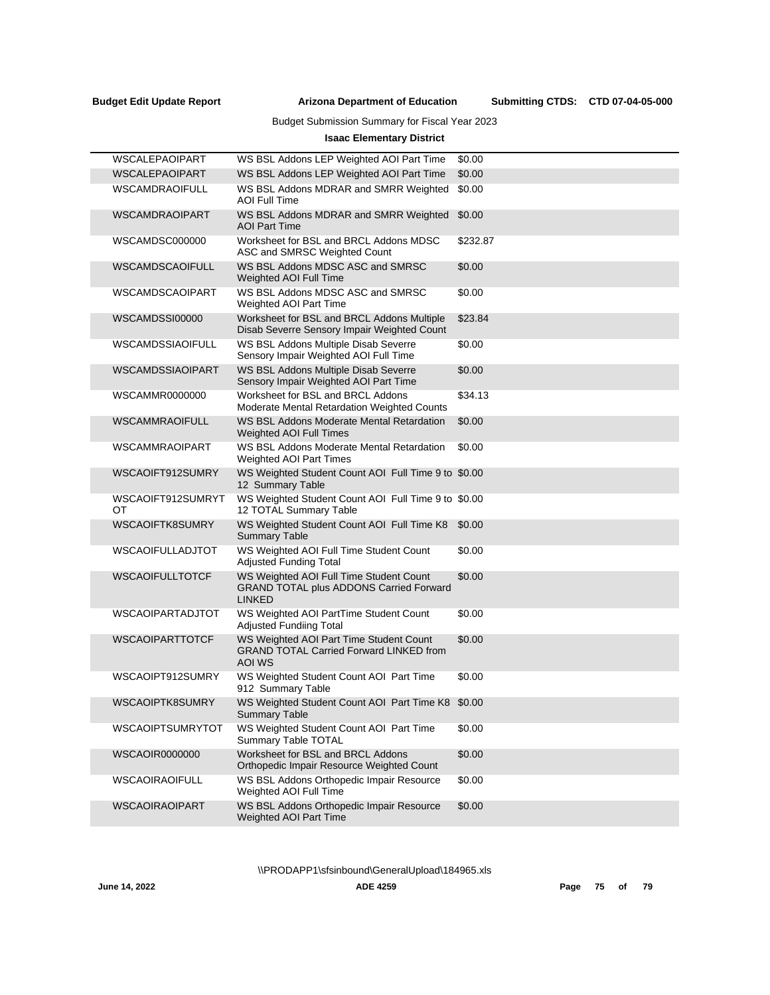Submitting CTDS: CTD 07-04-05-000

# Budget Submission Summary for Fiscal Year 2023

# **Isaac Elementary District**

| WSCALEPAOIPART          | WS BSL Addons LEP Weighted AOI Part Time                                                                   | \$0.00   |
|-------------------------|------------------------------------------------------------------------------------------------------------|----------|
| <b>WSCALEPAOIPART</b>   | WS BSL Addons LEP Weighted AOI Part Time                                                                   | \$0.00   |
| <b>WSCAMDRAOIFULL</b>   | WS BSL Addons MDRAR and SMRR Weighted<br><b>AOI Full Time</b>                                              | \$0.00   |
| <b>WSCAMDRAOIPART</b>   | WS BSL Addons MDRAR and SMRR Weighted<br><b>AOI Part Time</b>                                              | \$0.00   |
| WSCAMDSC000000          | Worksheet for BSL and BRCL Addons MDSC<br>ASC and SMRSC Weighted Count                                     | \$232.87 |
| <b>WSCAMDSCAOIFULL</b>  | WS BSL Addons MDSC ASC and SMRSC<br><b>Weighted AOI Full Time</b>                                          | \$0.00   |
| <b>WSCAMDSCAOIPART</b>  | WS BSL Addons MDSC ASC and SMRSC<br><b>Weighted AOI Part Time</b>                                          | \$0.00   |
| WSCAMDSSI00000          | Worksheet for BSL and BRCL Addons Multiple<br>Disab Severre Sensory Impair Weighted Count                  | \$23.84  |
| WSCAMDSSIAOIFULL        | WS BSL Addons Multiple Disab Severre<br>Sensory Impair Weighted AOI Full Time                              | \$0.00   |
| WSCAMDSSIAOIPART        | WS BSL Addons Multiple Disab Severre<br>Sensory Impair Weighted AOI Part Time                              | \$0.00   |
| WSCAMMR0000000          | Worksheet for BSL and BRCL Addons<br>Moderate Mental Retardation Weighted Counts                           | \$34.13  |
| <b>WSCAMMRAOIFULL</b>   | WS BSL Addons Moderate Mental Retardation<br>Weighted AOI Full Times                                       | \$0.00   |
| <b>WSCAMMRAOIPART</b>   | WS BSL Addons Moderate Mental Retardation<br>Weighted AOI Part Times                                       | \$0.00   |
| WSCAOIFT912SUMRY        | WS Weighted Student Count AOI Full Time 9 to \$0.00<br>12 Summary Table                                    |          |
| WSCAOIFT912SUMRYT<br>OT | WS Weighted Student Count AOI Full Time 9 to \$0.00<br>12 TOTAL Summary Table                              |          |
| <b>WSCAOIFTK8SUMRY</b>  | WS Weighted Student Count AOI Full Time K8<br><b>Summary Table</b>                                         | \$0.00   |
| <b>WSCAOIFULLADJTOT</b> | WS Weighted AOI Full Time Student Count<br><b>Adjusted Funding Total</b>                                   | \$0.00   |
| <b>WSCAOIFULLTOTCF</b>  | WS Weighted AOI Full Time Student Count<br><b>GRAND TOTAL plus ADDONS Carried Forward</b><br><b>LINKED</b> | \$0.00   |
| <b>WSCAOIPARTADJTOT</b> | WS Weighted AOI PartTime Student Count<br><b>Adjusted Fundiing Total</b>                                   | \$0.00   |
| WSCAOIPARTTOTCF         | WS Weighted AOI Part Time Student Count<br><b>GRAND TOTAL Carried Forward LINKED from</b><br>AOI WS        | \$0.00   |
| WSCAOIPT912SUMRY        | WS Weighted Student Count AOI Part Time<br>912 Summary Table                                               | \$0.00   |
| WSCAOIPTK8SUMRY         | WS Weighted Student Count AOI Part Time K8 \$0.00<br><b>Summary Table</b>                                  |          |
| WSCAOIPTSUMRYTOT        | WS Weighted Student Count AOI Part Time<br>Summary Table TOTAL                                             | \$0.00   |
| <b>WSCAOIR0000000</b>   | Worksheet for BSL and BRCL Addons<br>Orthopedic Impair Resource Weighted Count                             | \$0.00   |
| WSCAOIRAOIFULL          | WS BSL Addons Orthopedic Impair Resource<br>Weighted AOI Full Time                                         | \$0.00   |
| <b>WSCAOIRAOIPART</b>   | WS BSL Addons Orthopedic Impair Resource<br>Weighted AOI Part Time                                         | \$0.00   |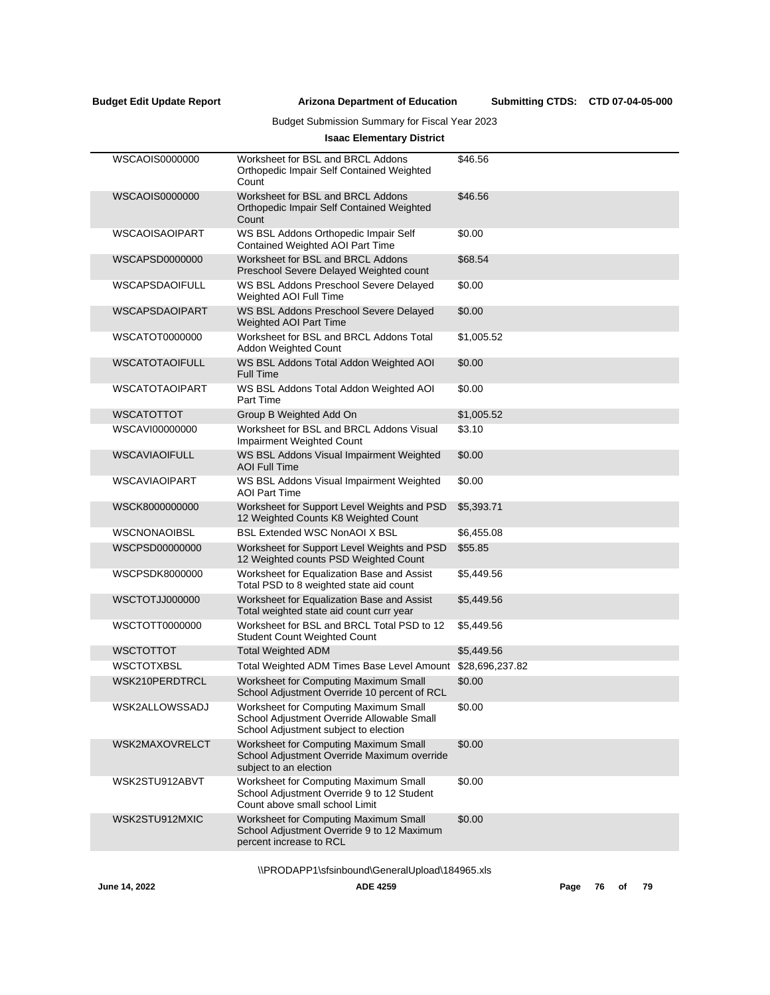# Budget Submission Summary for Fiscal Year 2023

# **Isaac Elementary District**

| WSCAOIS0000000        | Worksheet for BSL and BRCL Addons<br>Orthopedic Impair Self Contained Weighted<br>Count                                      | \$46.56    |
|-----------------------|------------------------------------------------------------------------------------------------------------------------------|------------|
| WSCAOIS0000000        | Worksheet for BSL and BRCL Addons<br>Orthopedic Impair Self Contained Weighted<br>Count                                      | \$46.56    |
| WSCAOISAOIPART        | WS BSL Addons Orthopedic Impair Self<br>Contained Weighted AOI Part Time                                                     | \$0.00     |
| WSCAPSD0000000        | Worksheet for BSL and BRCL Addons<br>Preschool Severe Delayed Weighted count                                                 | \$68.54    |
| <b>WSCAPSDAOIFULL</b> | WS BSL Addons Preschool Severe Delayed<br>Weighted AOI Full Time                                                             | \$0.00     |
| <b>WSCAPSDAOIPART</b> | WS BSL Addons Preschool Severe Delayed<br>Weighted AOI Part Time                                                             | \$0.00     |
| WSCATOT0000000        | Worksheet for BSL and BRCL Addons Total<br>Addon Weighted Count                                                              | \$1,005.52 |
| <b>WSCATOTAOIFULL</b> | WS BSL Addons Total Addon Weighted AOI<br><b>Full Time</b>                                                                   | \$0.00     |
| <b>WSCATOTAOIPART</b> | WS BSL Addons Total Addon Weighted AOI<br>Part Time                                                                          | \$0.00     |
| <b>WSCATOTTOT</b>     | Group B Weighted Add On                                                                                                      | \$1,005.52 |
| WSCAVI00000000        | Worksheet for BSL and BRCL Addons Visual<br>Impairment Weighted Count                                                        | \$3.10     |
| <b>WSCAVIAOIFULL</b>  | WS BSL Addons Visual Impairment Weighted<br><b>AOI Full Time</b>                                                             | \$0.00     |
| <b>WSCAVIAOIPART</b>  | WS BSL Addons Visual Impairment Weighted<br><b>AOI Part Time</b>                                                             | \$0.00     |
| WSCK8000000000        | Worksheet for Support Level Weights and PSD<br>12 Weighted Counts K8 Weighted Count                                          | \$5,393.71 |
| <b>WSCNONAOIBSL</b>   | <b>BSL Extended WSC NonAOI X BSL</b>                                                                                         | \$6,455.08 |
| WSCPSD00000000        | Worksheet for Support Level Weights and PSD<br>12 Weighted counts PSD Weighted Count                                         | \$55.85    |
| WSCPSDK8000000        | Worksheet for Equalization Base and Assist<br>Total PSD to 8 weighted state aid count                                        | \$5,449.56 |
| WSCTOTJJ000000        | Worksheet for Equalization Base and Assist<br>Total weighted state aid count curr year                                       | \$5,449.56 |
| WSCTOTT0000000        | Worksheet for BSL and BRCL Total PSD to 12<br><b>Student Count Weighted Count</b>                                            | \$5,449.56 |
| <b>WSCTOTTOT</b>      | <b>Total Weighted ADM</b>                                                                                                    | \$5,449.56 |
| <b>WSCTOTXBSL</b>     | Total Weighted ADM Times Base Level Amount \$28,696,237.82                                                                   |            |
| WSK210PERDTRCL        | Worksheet for Computing Maximum Small<br>School Adjustment Override 10 percent of RCL                                        | \$0.00     |
| WSK2ALLOWSSADJ        | Worksheet for Computing Maximum Small<br>School Adjustment Override Allowable Small<br>School Adjustment subject to election | \$0.00     |
| WSK2MAXOVRELCT        | Worksheet for Computing Maximum Small<br>School Adjustment Override Maximum override<br>subject to an election               | \$0.00     |
| WSK2STU912ABVT        | Worksheet for Computing Maximum Small<br>School Adjustment Override 9 to 12 Student<br>Count above small school Limit        | \$0.00     |
| WSK2STU912MXIC        | Worksheet for Computing Maximum Small<br>School Adjustment Override 9 to 12 Maximum<br>percent increase to RCL               | \$0.00     |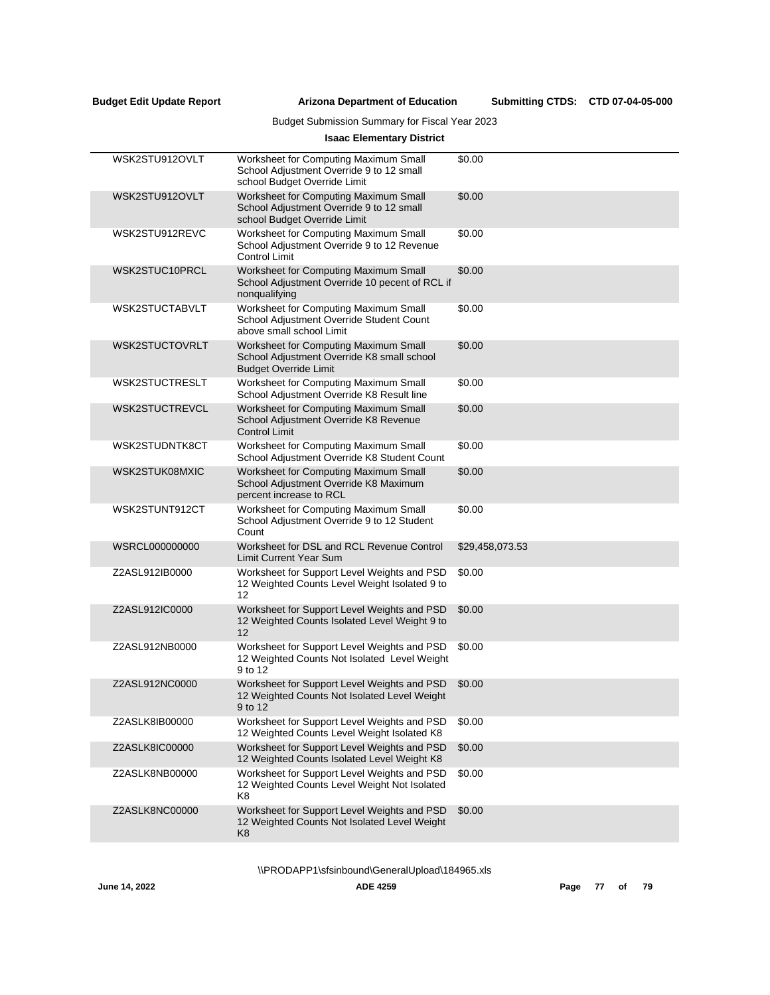# Budget Submission Summary for Fiscal Year 2023

# **Isaac Elementary District**

| WSK2STU912OVLT | Worksheet for Computing Maximum Small<br>School Adjustment Override 9 to 12 small<br>school Budget Override Limit   | \$0.00          |
|----------------|---------------------------------------------------------------------------------------------------------------------|-----------------|
| WSK2STU912OVLT | Worksheet for Computing Maximum Small<br>School Adjustment Override 9 to 12 small<br>school Budget Override Limit   | \$0.00          |
| WSK2STU912REVC | Worksheet for Computing Maximum Small<br>School Adjustment Override 9 to 12 Revenue<br><b>Control Limit</b>         | \$0.00          |
| WSK2STUC10PRCL | Worksheet for Computing Maximum Small<br>School Adjustment Override 10 pecent of RCL if<br>nonqualifying            | \$0.00          |
| WSK2STUCTABVLT | Worksheet for Computing Maximum Small<br>School Adjustment Override Student Count<br>above small school Limit       | \$0.00          |
| WSK2STUCTOVRLT | Worksheet for Computing Maximum Small<br>School Adjustment Override K8 small school<br><b>Budget Override Limit</b> | \$0.00          |
| WSK2STUCTRESLT | Worksheet for Computing Maximum Small<br>School Adjustment Override K8 Result line                                  | \$0.00          |
| WSK2STUCTREVCL | Worksheet for Computing Maximum Small<br>School Adjustment Override K8 Revenue<br><b>Control Limit</b>              | \$0.00          |
| WSK2STUDNTK8CT | Worksheet for Computing Maximum Small<br>School Adjustment Override K8 Student Count                                | \$0.00          |
| WSK2STUK08MXIC | Worksheet for Computing Maximum Small<br>School Adjustment Override K8 Maximum<br>percent increase to RCL           | \$0.00          |
| WSK2STUNT912CT | Worksheet for Computing Maximum Small<br>School Adjustment Override 9 to 12 Student<br>Count                        | \$0.00          |
| WSRCL000000000 | Worksheet for DSL and RCL Revenue Control<br><b>Limit Current Year Sum</b>                                          | \$29,458,073.53 |
| Z2ASL912IB0000 | Worksheet for Support Level Weights and PSD<br>12 Weighted Counts Level Weight Isolated 9 to<br>12                  | \$0.00          |
| Z2ASL912IC0000 | Worksheet for Support Level Weights and PSD<br>12 Weighted Counts Isolated Level Weight 9 to<br>12                  | \$0.00          |
| Z2ASL912NB0000 | Worksheet for Support Level Weights and PSD<br>12 Weighted Counts Not Isolated Level Weight<br>9 to 12              | \$0.00          |
| Z2ASL912NC0000 | Worksheet for Support Level Weights and PSD<br>12 Weighted Counts Not Isolated Level Weight<br>9 to 12              | \$0.00          |
| Z2ASLK8IB00000 | Worksheet for Support Level Weights and PSD<br>12 Weighted Counts Level Weight Isolated K8                          | \$0.00          |
| Z2ASLK8IC00000 | Worksheet for Support Level Weights and PSD<br>12 Weighted Counts Isolated Level Weight K8                          | \$0.00          |
| Z2ASLK8NB00000 | Worksheet for Support Level Weights and PSD<br>12 Weighted Counts Level Weight Not Isolated<br>K8                   | \$0.00          |
| Z2ASLK8NC00000 | Worksheet for Support Level Weights and PSD<br>12 Weighted Counts Not Isolated Level Weight<br>K8                   | \$0.00          |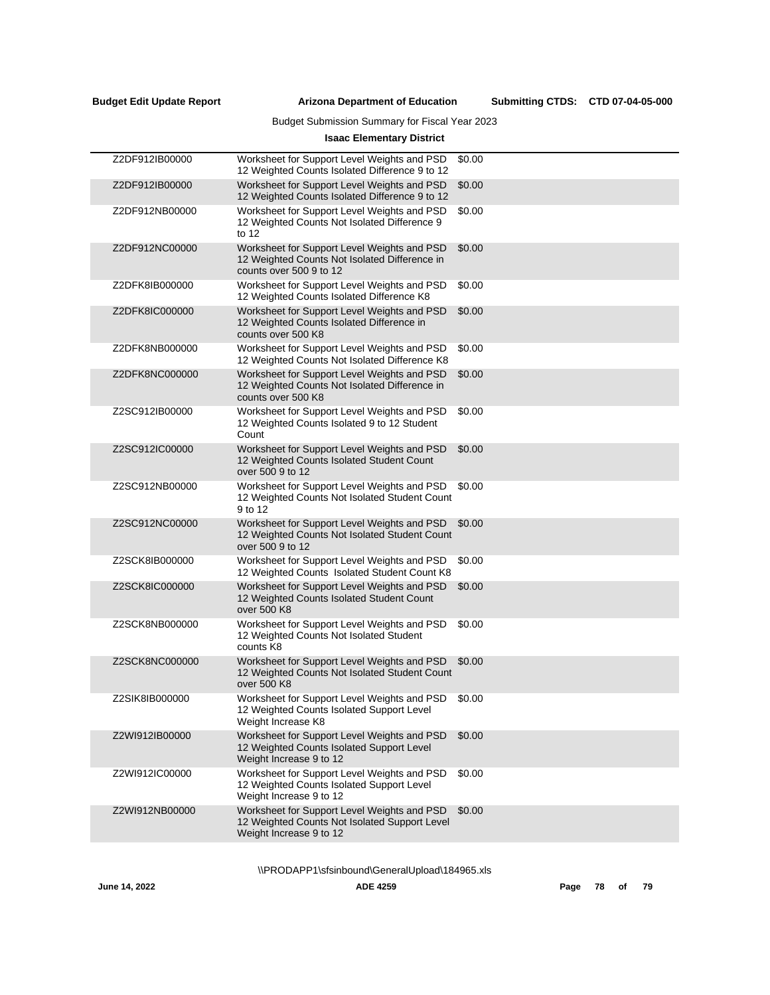# Budget Submission Summary for Fiscal Year 2023

# **Isaac Elementary District**

| Z2DF912IB00000 | Worksheet for Support Level Weights and PSD<br>12 Weighted Counts Isolated Difference 9 to 12                           | \$0.00 |
|----------------|-------------------------------------------------------------------------------------------------------------------------|--------|
| Z2DF912IB00000 | Worksheet for Support Level Weights and PSD<br>12 Weighted Counts Isolated Difference 9 to 12                           | \$0.00 |
| Z2DF912NB00000 | Worksheet for Support Level Weights and PSD<br>12 Weighted Counts Not Isolated Difference 9<br>to $12$                  | \$0.00 |
| Z2DF912NC00000 | Worksheet for Support Level Weights and PSD<br>12 Weighted Counts Not Isolated Difference in<br>counts over 500 9 to 12 | \$0.00 |
| Z2DFK8IB000000 | Worksheet for Support Level Weights and PSD<br>12 Weighted Counts Isolated Difference K8                                | \$0.00 |
| Z2DFK8IC000000 | Worksheet for Support Level Weights and PSD<br>12 Weighted Counts Isolated Difference in<br>counts over 500 K8          | \$0.00 |
| Z2DFK8NB000000 | Worksheet for Support Level Weights and PSD<br>12 Weighted Counts Not Isolated Difference K8                            | \$0.00 |
| Z2DFK8NC000000 | Worksheet for Support Level Weights and PSD<br>12 Weighted Counts Not Isolated Difference in<br>counts over 500 K8      | \$0.00 |
| Z2SC912IB00000 | Worksheet for Support Level Weights and PSD<br>12 Weighted Counts Isolated 9 to 12 Student<br>Count                     | \$0.00 |
| Z2SC912IC00000 | Worksheet for Support Level Weights and PSD<br>12 Weighted Counts Isolated Student Count<br>over 500 9 to 12            | \$0.00 |
| Z2SC912NB00000 | Worksheet for Support Level Weights and PSD<br>12 Weighted Counts Not Isolated Student Count<br>9 to 12                 | \$0.00 |
| Z2SC912NC00000 | Worksheet for Support Level Weights and PSD<br>12 Weighted Counts Not Isolated Student Count<br>over 500 9 to 12        | \$0.00 |
| Z2SCK8IB000000 | Worksheet for Support Level Weights and PSD<br>12 Weighted Counts Isolated Student Count K8                             | \$0.00 |
| Z2SCK8IC000000 | Worksheet for Support Level Weights and PSD<br>12 Weighted Counts Isolated Student Count<br>over 500 K8                 | \$0.00 |
| Z2SCK8NB000000 | Worksheet for Support Level Weights and PSD<br>12 Weighted Counts Not Isolated Student<br>counts K8                     | \$0.00 |
| Z2SCK8NC000000 | Worksheet for Support Level Weights and PSD<br>12 Weighted Counts Not Isolated Student Count<br>over 500 K8             | \$0.00 |
| Z2SIK8IB000000 | Worksheet for Support Level Weights and PSD<br>12 Weighted Counts Isolated Support Level<br>Weight Increase K8          | \$0.00 |
| Z2WI912IB00000 | Worksheet for Support Level Weights and PSD<br>12 Weighted Counts Isolated Support Level<br>Weight Increase 9 to 12     | \$0.00 |
| Z2WI912IC00000 | Worksheet for Support Level Weights and PSD<br>12 Weighted Counts Isolated Support Level<br>Weight Increase 9 to 12     | \$0.00 |
| Z2WI912NB00000 | Worksheet for Support Level Weights and PSD<br>12 Weighted Counts Not Isolated Support Level<br>Weight Increase 9 to 12 | \$0.00 |